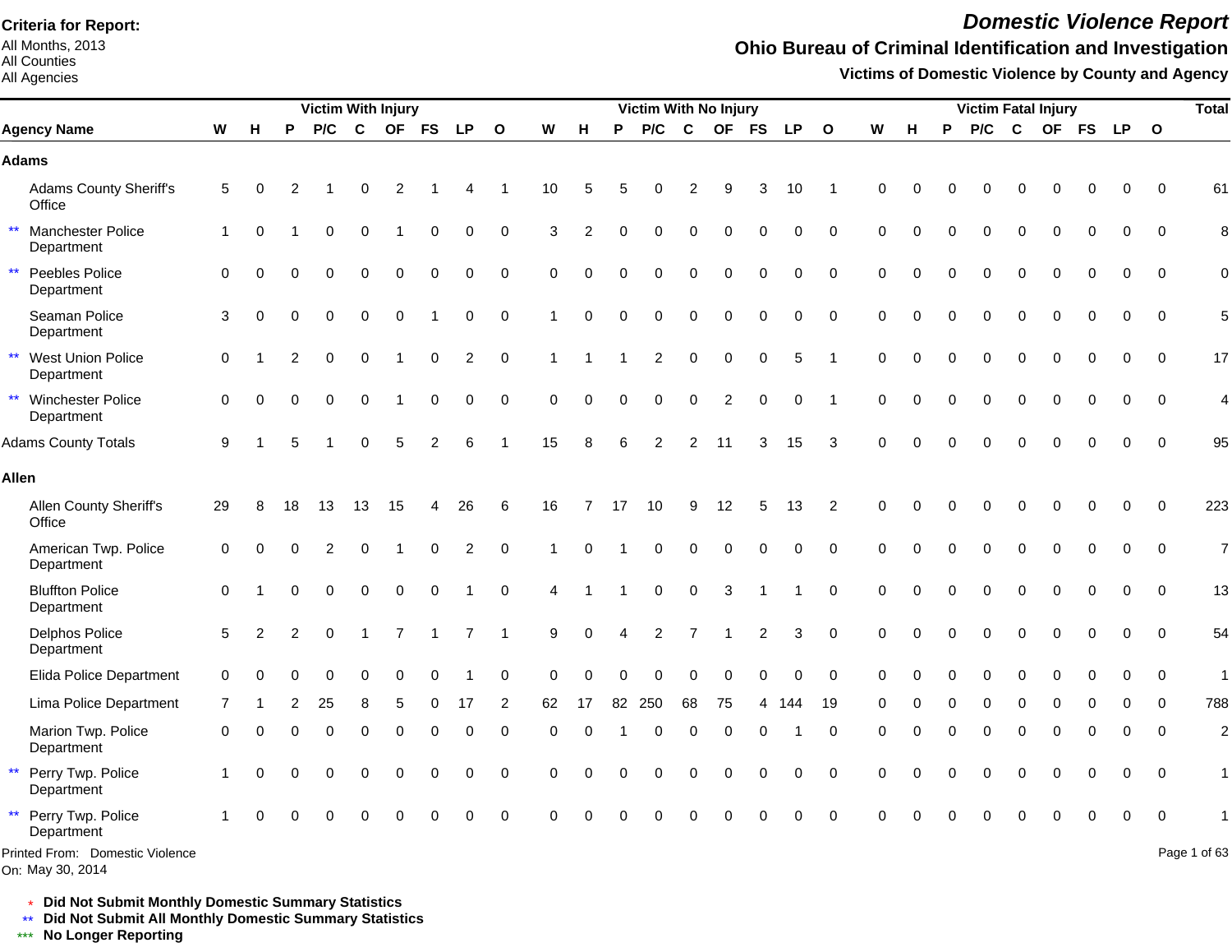All Months, 2013 All Counties

#### All Agencies

## *Domestic Violence Report*

### **Ohio Bureau of Criminal Identification and Investigation**

**Victims of Domestic Violence by County and Agency**

|                                                 |             |          |                | <b>Victim With Injury</b> |             |                |               |                |                      |             |             |          | Victim With No Injury |                  |                |             |           |              |             |          |          |             | <b>Victim Fatal Injury</b> |             |          |             |              | <b>Total</b>             |
|-------------------------------------------------|-------------|----------|----------------|---------------------------|-------------|----------------|---------------|----------------|----------------------|-------------|-------------|----------|-----------------------|------------------|----------------|-------------|-----------|--------------|-------------|----------|----------|-------------|----------------------------|-------------|----------|-------------|--------------|--------------------------|
| <b>Agency Name</b>                              | W           | H        | P              | P/C                       | $\mathbf c$ |                | OF FS         | <b>LP</b>      | $\mathbf{o}$         | W           | н           | P        | P/C                   | C                |                | OF FS       | <b>LP</b> | $\mathbf{o}$ | W           | н        | P        | P/C         | $\mathbf c$                |             | OF FS    | LP O        |              |                          |
| <b>Adams</b>                                    |             |          |                |                           |             |                |               |                |                      |             |             |          |                       |                  |                |             |           |              |             |          |          |             |                            |             |          |             |              |                          |
| Adams County Sheriff's<br>Office                | 5           | $\Omega$ | 2              |                           | O           | $\overline{2}$ |               |                |                      | 10          | 5           |          | O                     | 2                | я              | 3           | 10        | -1           | $\Omega$    | U        | O        | $\Omega$    | $\Omega$                   | $\Omega$    | $\Omega$ | $\Omega$    | $\Omega$     | 61                       |
| $\star\star$<br>Manchester Police<br>Department | -1          | $\Omega$ |                | $\Omega$                  | $\Omega$    |                | $\Omega$      | $\Omega$       | $\Omega$             | 3           | 2           | $\Omega$ | 0                     | $\Omega$         | $\Omega$       | $\Omega$    | $\Omega$  | $\Omega$     | $\Omega$    | $\Omega$ | $\Omega$ | $\Omega$    | $\Omega$                   | $\Omega$    | $\Omega$ | $\Omega$    | $\Omega$     | 8                        |
| $\star\star$<br>Peebles Police<br>Department    | 0           | $\Omega$ | $\Omega$       | $\Omega$                  | $\Omega$    | $\Omega$       | $\Omega$      | $\Omega$       | $\Omega$             | 0           | $\Omega$    | $\Omega$ | $\Omega$              | $\Omega$         | $\Omega$       | $\Omega$    | $\Omega$  | $\Omega$     | $\Omega$    | $\Omega$ | $\Omega$ | $\Omega$    | $\Omega$                   | $\Omega$    | $\Omega$ | $\Omega$    | $\Omega$     | $\mathbf 0$              |
| Seaman Police<br>Department                     | 3           | $\Omega$ | 0              | $\Omega$                  | 0           | $\mathbf 0$    |               | 0              | $\pmb{0}$            | 1           | 0           | $\Omega$ | $\mathbf 0$           | $\mathbf 0$      | 0              | $\mathbf 0$ | 0         | $\mathbf 0$  | $\mathbf 0$ | 0        |          | $\Omega$    | $\Omega$                   | $\Omega$    | $\Omega$ | $\mathbf 0$ | $\Omega$     | 5                        |
| ** West Union Police<br>Department              | $\mathbf 0$ |          | $\overline{2}$ | $\Omega$                  | $\mathbf 0$ |                | 0             | $\overline{c}$ | $\mathbf 0$          |             |             |          | $\overline{c}$        | $\mathbf 0$      | $\pmb{0}$      | $\mathbf 0$ | 5         | -1           | $\mathbf 0$ | $\Omega$ | $\Omega$ | $\mathbf 0$ | $\Omega$                   | $\Omega$    | $\Omega$ | $\Omega$    | $\Omega$     | 17                       |
| ** Winchester Police<br>Department              | $\mathbf 0$ | $\Omega$ |                | $\Omega$                  | $\mathbf 0$ |                | $\mathbf 0$   | 0              | $\mathbf 0$          | $\mathbf 0$ | $\mathbf 0$ | $\Omega$ | 0                     | $\boldsymbol{0}$ | $\overline{c}$ | $\mathbf 0$ | 0         |              | $\Omega$    | $\Omega$ | $\Omega$ | $\mathbf 0$ | $\mathbf 0$                | $\mathbf 0$ | 0        | $\Omega$    | $\mathbf{0}$ | $\overline{\mathcal{L}}$ |
| <b>Adams County Totals</b>                      | 9           |          |                |                           | $\Omega$    | 5              | $\mathcal{P}$ | 6              |                      | 15          | 8           | 6        | $\overline{2}$        | $\overline{2}$   | 11             | 3           | 15        | 3            | $\Omega$    |          |          | $\Omega$    | $\Omega$                   |             | 0        |             |              | 95                       |
| <b>Allen</b>                                    |             |          |                |                           |             |                |               |                |                      |             |             |          |                       |                  |                |             |           |              |             |          |          |             |                            |             |          |             |              |                          |
| Allen County Sheriff's<br>Office                | 29          | 8        | 18             | 13                        | 13          | 15             | 4             | 26             | 6                    | 16          | 7           | 17       | 10                    | 9                | 12             | 5           | 13        | 2            | $\Omega$    | $\Omega$ | O        |             | $\Omega$                   | 0           | 0        | $\Omega$    | $\Omega$     | 223                      |
| American Twp. Police<br>Department              | 0           | $\Omega$ | $\Omega$       | $\overline{2}$            | 0           |                | $\mathbf 0$   | $\overline{c}$ | $\mathbf 0$          |             | $\Omega$    |          | 0                     | $\Omega$         | $\Omega$       | $\Omega$    | $\Omega$  | $\mathbf 0$  | $\Omega$    | $\Omega$ | $\Omega$ | $\Omega$    | $\Omega$                   | $\Omega$    | 0        | 0           | 0            | $\overline{7}$           |
| <b>Bluffton Police</b><br>Department            | $\Omega$    |          | U              | $\Omega$                  | $\Omega$    | $\mathbf 0$    | $\Omega$      |                | $\mathbf 0$          | 4           |             |          | $\mathbf 0$           | $\mathbf 0$      | 3              |             |           | $\Omega$     | $\Omega$    | 0        |          |             | $\Omega$                   |             | $\Omega$ | $\Omega$    | $\Omega$     | 13                       |
| <b>Delphos Police</b><br>Department             | 5           | 2        | 2              | $\Omega$                  |             | 7              |               | $\overline{7}$ | $\blacktriangleleft$ | 9           | $\mathbf 0$ | 4        | 2                     | $\overline{7}$   |                | 2           | 3         | $\mathbf 0$  | $\Omega$    | $\Omega$ |          | $\Omega$    | $\Omega$                   |             | $\Omega$ | $\Omega$    | $\Omega$     | 54                       |
| Elida Police Department                         | $\Omega$    | $\Omega$ | U              | $\Omega$                  | 0           | $\Omega$       | 0             |                | $\mathbf 0$          | $\Omega$    | $\Omega$    |          | 0                     | 0                | $\Omega$       | $\Omega$    | $\Omega$  | $\Omega$     | $\Omega$    | $\Omega$ | $\Omega$ | $\Omega$    | 0                          | $\Omega$    | 0        | 0           | $\Omega$     | $\mathbf{1}$             |
| Lima Police Department                          | 7           |          |                | 25                        | 8           |                |               | 17             | 2                    | 62          | 17          | 82       | 250                   | 68               | 75             |             | 144       | 19           |             |          |          |             | 0                          |             | $\Omega$ | $\Omega$    | $\Omega$     | 788                      |
| Marion Twp. Police<br>Department                | 0           | $\Omega$ | 0              | $\Omega$                  | $\Omega$    | $\Omega$       | $\Omega$      | 0              | $\mathbf 0$          | $\Omega$    | $\Omega$    |          | $\Omega$              | $\Omega$         | $\Omega$       | $\Omega$    |           | $\mathbf 0$  | $\Omega$    | $\Omega$ | $\Omega$ | $\Omega$    | $\Omega$                   | $\Omega$    | 0        | $\Omega$    | $\Omega$     | $\overline{c}$           |
| $\star\star$<br>Perry Twp. Police<br>Department |             | $\Omega$ | $\Omega$       | 0                         | 0           | $\Omega$       | $\Omega$      | 0              | 0                    | $\Omega$    | $\Omega$    | ∩        | 0                     | $\Omega$         | 0              | $\Omega$    | 0         | $\mathbf 0$  | $\Omega$    | O        |          | $\Omega$    | $\Omega$                   | $\Omega$    | $\Omega$ | $\Omega$    | $\Omega$     | $\mathbf{1}$             |
| $\star\star$<br>Perry Twp. Police<br>Department |             | $\Omega$ |                |                           |             |                |               | 0              | $\mathbf 0$          | $\Omega$    |             |          |                       |                  |                |             | 0         | $\mathbf 0$  | $\Omega$    |          |          |             |                            |             | O        | $\Omega$    | 0            |                          |
| Printed From: Domestic Violence                 |             |          |                |                           |             |                |               |                |                      |             |             |          |                       |                  |                |             |           |              |             |          |          |             |                            |             |          |             |              | Page 1 of 63             |

\* **Did Not Submit Monthly Domestic Summary Statistics**

**Did Not Submit All Monthly Domestic Summary Statistics**

<u>\*\*</u> Did Not Submit All M∗<br><mark>\*\*\*</mark> No Longer Reporting

On: May 30, 2014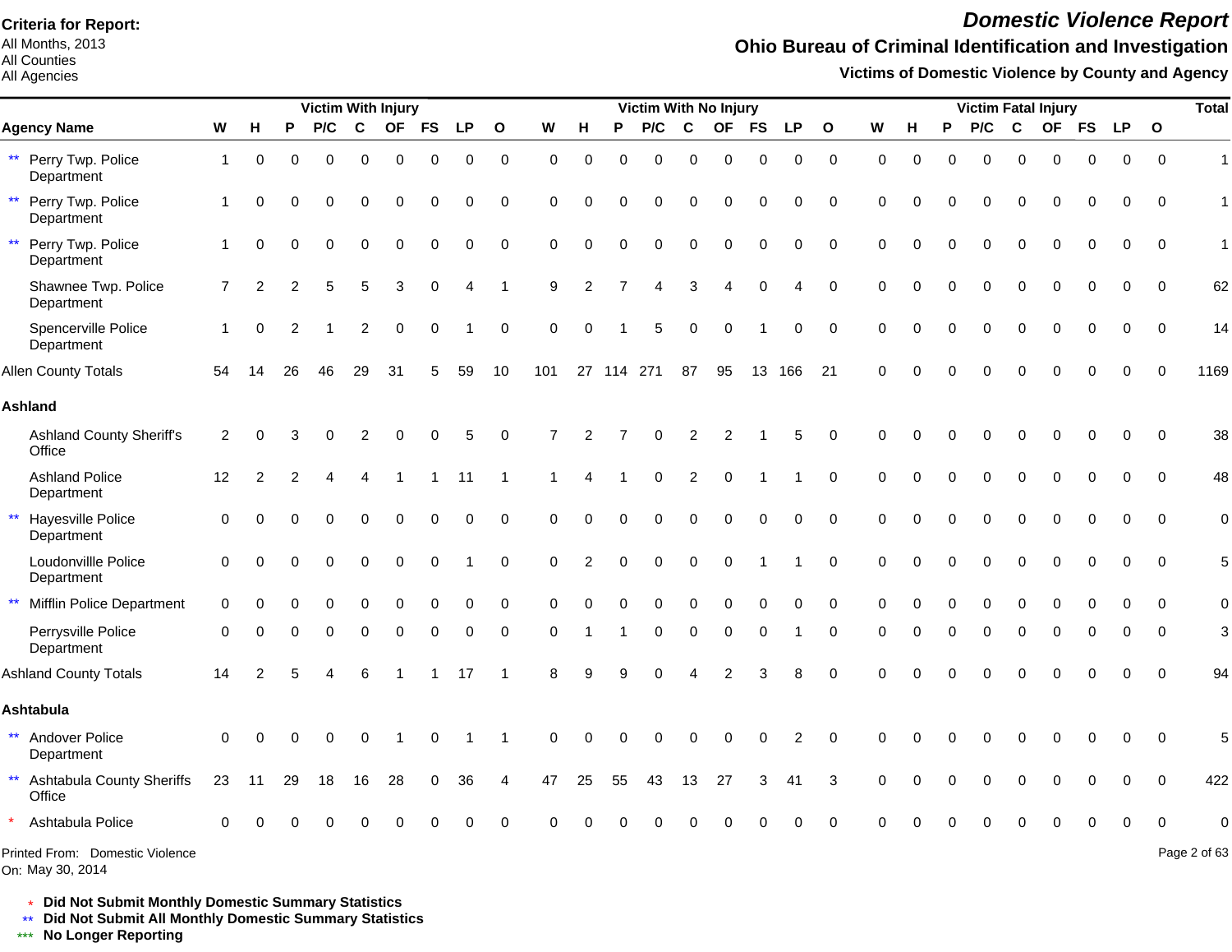All Months, 2013 All Counties

All Agencies

## *Domestic Violence Report*

## **Ohio Bureau of Criminal Identification and Investigation**

**Victims of Domestic Violence by County and Agency**

|                                                     |                |                |    | <b>Victim With Injury</b> |             |             |           |             |              |          |                |            | <b>Victim With No Injury</b> |                  |                |             |                |                  |          |             |          |          |             | <b>Victim Fatal Injury</b> |           |             |              | <b>Total</b>   |
|-----------------------------------------------------|----------------|----------------|----|---------------------------|-------------|-------------|-----------|-------------|--------------|----------|----------------|------------|------------------------------|------------------|----------------|-------------|----------------|------------------|----------|-------------|----------|----------|-------------|----------------------------|-----------|-------------|--------------|----------------|
| <b>Agency Name</b>                                  | W              | н              | P  | P/C                       | $\mathbf c$ | <b>OF</b>   | <b>FS</b> | <b>LP</b>   | $\mathbf{o}$ | W        | н              | P          | P/C                          | $\mathbf c$      | <b>OF</b>      | <b>FS</b>   | <b>LP</b>      | $\mathbf{o}$     | W        | н           | P        | P/C      | $\mathbf c$ | <b>OF</b>                  | <b>FS</b> | <b>LP</b>   | $\mathbf{o}$ |                |
| ** Perry Twp. Police<br>Department                  | $\mathbf 1$    | $\mathbf 0$    | 0  | $\Omega$                  | 0           | $\mathbf 0$ | 0         | $\mathbf 0$ | $\mathbf 0$  | 0        | 0              | $\Omega$   | $\Omega$                     | $\mathbf 0$      | $\mathbf 0$    | $\mathbf 0$ | 0              | $\mathbf 0$      | $\Omega$ | $\mathbf 0$ | $\Omega$ | $\Omega$ | $\Omega$    | 0                          | $\Omega$  | $\mathbf 0$ | $\mathbf 0$  | $\overline{1}$ |
| Perry Twp. Police<br>$***$<br>Department            | $\mathbf 1$    | $\Omega$       | ∩  | $\Omega$                  | 0           | $\Omega$    | $\Omega$  | $\Omega$    | 0            | 0        | $\Omega$       | O          | $\Omega$                     | $\Omega$         | $\Omega$       | $\Omega$    | 0              | 0                | $\Omega$ | $\Omega$    |          | U        | $\Omega$    | ∩                          |           | $\Omega$    | 0            | $\mathbf{1}$   |
| Perry Twp. Police<br>$\star\star$<br>Department     | 1              | $\Omega$       | 0  | $\Omega$                  | $\Omega$    | $\Omega$    | $\Omega$  | $\Omega$    | $\mathbf 0$  | $\Omega$ | $\Omega$       | $\Omega$   | $\Omega$                     | $\Omega$         | $\Omega$       | $\Omega$    | $\Omega$       | $\mathbf 0$      | $\Omega$ | $\Omega$    | $\Omega$ | 0        | $\Omega$    | $\Omega$                   | $\Omega$  | $\Omega$    | $\mathbf 0$  | $\mathbf{1}$   |
| Shawnee Twp. Police<br>Department                   | $\overline{7}$ | $\overline{2}$ |    |                           | 5           | 3           | $\Omega$  | 4           |              | 9        | $\overline{2}$ |            |                              | 3                |                | $\Omega$    | 4              | $\mathbf 0$      | $\Omega$ | $\Omega$    |          |          |             |                            |           | 0           | $\Omega$     | 62             |
| Spencerville Police<br>Department                   |                | $\Omega$       | 2  |                           | 2           | $\Omega$    | $\Omega$  |             | $\Omega$     | $\Omega$ | $\Omega$       |            | 5                            | $\Omega$         | $\Omega$       |             | $\Omega$       | 0                | $\Omega$ | $\Omega$    |          | U        |             |                            |           | 0           | $\Omega$     | 14             |
| <b>Allen County Totals</b>                          | 54             | 14             | 26 | 46                        | 29          | 31          | 5         | 59          | 10           | 101      |                | 27 114 271 |                              | 87               | 95             | 13          | 166            | 21               | $\Omega$ |             |          |          |             |                            |           |             | $\Omega$     | 1169           |
| <b>Ashland</b>                                      |                |                |    |                           |             |             |           |             |              |          |                |            |                              |                  |                |             |                |                  |          |             |          |          |             |                            |           |             |              |                |
| <b>Ashland County Sheriff's</b><br>Office           | 2              |                |    |                           |             |             |           | 5           | 0            |          |                |            |                              | 2                | $\overline{2}$ |             | 5              | 0                | $\Omega$ |             |          |          |             |                            |           | O           | $\mathbf 0$  | 38             |
| <b>Ashland Police</b><br>Department                 | 12             | $\overline{2}$ |    |                           |             |             |           | 11          | -1           |          |                |            | 0                            | $\overline{2}$   | $\Omega$       |             |                | $\mathbf 0$      | $\Omega$ | $\Omega$    |          | 0        |             | $\Omega$                   |           | 0           | $\Omega$     | 48             |
| Hayesville Police<br>$\star\star$<br>Department     | $\Omega$       |                |    |                           | 0           | $\Omega$    | 0         | 0           | 0            | $\Omega$ | $\Omega$       | $\Omega$   | $\Omega$                     | 0                | 0              | 0           | $\mathbf 0$    | $\mathbf 0$      | $\Omega$ | $\Omega$    |          | 0        | $\Omega$    | $\Omega$                   |           | 0           | $\mathbf 0$  | $\mathbf 0$    |
| Loudonvillle Police<br>Department                   | $\Omega$       | $\Omega$       |    | $\Omega$                  | $\Omega$    | $\mathbf 0$ | 0         |             | $\pmb{0}$    | $\Omega$ | $\overline{2}$ | $\Omega$   | $\Omega$                     | $\boldsymbol{0}$ | $\mathbf 0$    |             |                | $\boldsymbol{0}$ | $\Omega$ | $\Omega$    |          | 0        | $\Omega$    | $\Omega$                   |           | $\Omega$    | $\Omega$     | 5              |
| <b>Mifflin Police Department</b><br>$\star\star$    | $\Omega$       |                |    |                           | 0           | $\Omega$    | $\Omega$  | $\mathbf 0$ | 0            | $\Omega$ | $\Omega$       | $\Omega$   | $\Omega$                     | $\Omega$         | $\Omega$       | $\Omega$    | $\mathbf 0$    | $\mathbf 0$      | $\Omega$ | $\Omega$    | $\Omega$ | 0        | 0           | $\Omega$                   |           | $\Omega$    | $\Omega$     | $\mathbf 0$    |
| Perrysville Police<br>Department                    | $\Omega$       |                |    |                           | O           | $\Omega$    | 0         | $\Omega$    | $\mathbf 0$  | $\Omega$ |                |            | O                            | $\Omega$         | $\Omega$       | $\Omega$    |                | 0                | $\Omega$ | O           |          | 0        | $\Omega$    |                            |           |             | $\Omega$     | 3              |
| <b>Ashland County Totals</b>                        | 14             | $\mathcal{P}$  |    |                           | 6           |             |           | 17          |              | 8        | q              |            |                              |                  | 2              |             | 8              | $\Omega$         | $\Omega$ |             |          |          |             |                            |           |             | $\Omega$     | 94             |
| <b>Ashtabula</b>                                    |                |                |    |                           |             |             |           |             |              |          |                |            |                              |                  |                |             |                |                  |          |             |          |          |             |                            |           |             |              |                |
| ** Andover Police<br>Department                     | $\Omega$       | ∩              |    |                           |             |             | $\Omega$  |             |              | $\Omega$ | $\Omega$       |            |                              |                  | $\Omega$       | $\Omega$    | $\overline{2}$ | $\Omega$         | $\Omega$ |             |          |          |             |                            |           | 0           | $\Omega$     | 5              |
| ** Ashtabula County Sheriffs<br>Office              | 23             | 11             | 29 | 18                        | 16          | 28          | 0         | 36          | 4            | 47       | 25             | 55         | 43                           | 13               | 27             | 3           | 41             | 3                | $\Omega$ |             |          |          |             | 0                          |           |             | $\Omega$     | 422            |
| Ashtabula Police                                    | $\Omega$       |                |    |                           |             |             |           |             | $\Omega$     |          |                |            |                              |                  |                |             |                | $\Omega$         |          |             |          |          |             |                            |           |             |              | $\Omega$       |
| Printed From: Domestic Violence<br>On: May 30, 2014 |                |                |    |                           |             |             |           |             |              |          |                |            |                              |                  |                |             |                |                  |          |             |          |          |             |                            |           |             |              | Page 2 of 63   |

\* **Did Not Submit Monthly Domestic Summary Statistics**

**Did Not Submit All Monthly Domestic Summary Statistics**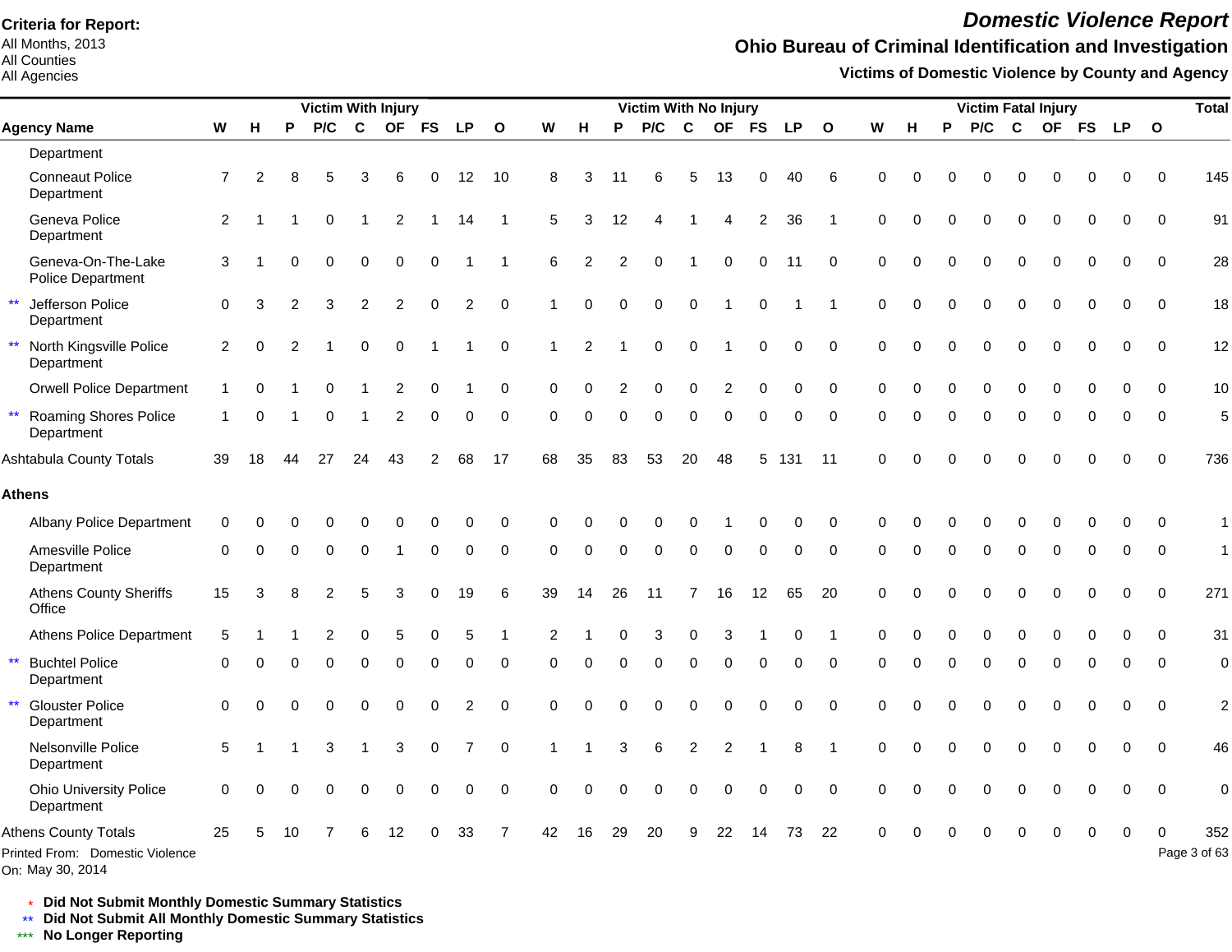All Months, 2013 All Counties

#### All Agencies

## *Domestic Violence Report*

### **Ohio Bureau of Criminal Identification and Investigation**

**Victims of Domestic Violence by County and Agency**

|              |                                                                |                           |          |          | Victim With Injury |              |                |             |                |              |                |                |          | Victim With No Injury |                |                |                |             |              |             |          |          | <b>Victim Fatal Injury</b> |             |             |             |             |             | <b>Total</b>        |
|--------------|----------------------------------------------------------------|---------------------------|----------|----------|--------------------|--------------|----------------|-------------|----------------|--------------|----------------|----------------|----------|-----------------------|----------------|----------------|----------------|-------------|--------------|-------------|----------|----------|----------------------------|-------------|-------------|-------------|-------------|-------------|---------------------|
|              | <b>Agency Name</b>                                             | $\boldsymbol{\mathsf{W}}$ | н        | P        | P/C                | $\mathbf{C}$ | <b>OF</b>      | <b>FS</b>   | <b>LP</b>      | $\mathbf{o}$ | W              | н              | P        | P/C                   | $\mathbf{C}$   | <b>OF</b>      | <b>FS</b>      | <b>LP</b>   | $\mathbf{o}$ | W           | н        | P        | P/C                        | $\mathbf c$ | <b>OF</b>   | <b>FS</b>   | <b>LP</b>   | $\mathbf 0$ |                     |
|              | Department                                                     |                           |          |          |                    |              |                |             |                |              |                |                |          |                       |                |                |                |             |              |             |          |          |                            |             |             |             |             |             |                     |
|              | <b>Conneaut Police</b><br>Department                           | $\overline{7}$            | 2        | 8        | 5                  | 3            | 6              | 0           | 12             | 10           | 8              | 3              | 11       | 6                     | 5              | 13             | 0              | 40          | 6            | $\Omega$    |          |          | 0                          | 0           | O           | 0           | 0           | $\Omega$    | 145                 |
|              | Geneva Police<br>Department                                    | 2                         |          |          | $\mathbf 0$        | -1           | $\overline{c}$ |             | 14             |              | 5              | 3              | 12       | 4                     |                | 4              | $\overline{2}$ | 36          |              | $\Omega$    | $\Omega$ | 0        | $\mathbf 0$                | $\mathbf 0$ | 0           | 0           | 0           | $\Omega$    | 91                  |
|              | Geneva-On-The-Lake<br>Police Department                        | 3                         |          | 0        | $\Omega$           | $\mathbf 0$  | 0              | $\mathbf 0$ |                |              | 6              | $\overline{2}$ | 2        | $\Omega$              | $\overline{1}$ | 0              | $\mathbf 0$    | 11          | $\Omega$     | $\Omega$    |          | $\Omega$ | $\Omega$                   | $\Omega$    | $\Omega$    | $\Omega$    | $\Omega$    | $\Omega$    | 28                  |
| $\star\star$ | Jefferson Police<br>Department                                 | $\Omega$                  | 3        | 2        | 3                  | 2            | $\overline{2}$ | $\Omega$    | $\overline{2}$ | $\Omega$     |                | $\Omega$       | $\Omega$ | $\Omega$              | $\Omega$       |                | $\Omega$       |             |              | $\Omega$    | $\Omega$ | $\Omega$ | $\Omega$                   | $\Omega$    | $\Omega$    | $\Omega$    | $\Omega$    | $\Omega$    | 18                  |
|              | North Kingsville Police<br>Department                          | $\overline{2}$            | 0        | 2        |                    | $\mathbf 0$  | $\mathbf 0$    |             |                | $\mathbf 0$  | $\overline{1}$ | $\overline{2}$ |          | 0                     | $\Omega$       |                | $\mathbf 0$    | 0           | $\mathbf 0$  | $\Omega$    | $\Omega$ | $\Omega$ | $\Omega$                   | $\Omega$    | $\Omega$    | $\mathbf 0$ | $\mathbf 0$ | $\mathbf 0$ | 12                  |
|              | <b>Orwell Police Department</b>                                |                           |          |          | O                  |              | 2              | $\Omega$    |                | 0            | $\Omega$       | $\Omega$       | 2        | 0                     | 0              | $\overline{2}$ | $\mathbf 0$    | 0           | $\mathbf 0$  | 0           | O        | $\Omega$ | $\Omega$                   | $\Omega$    | $\Omega$    | $\mathbf 0$ | $\Omega$    | $\Omega$    | 10                  |
| $\star\star$ | <b>Roaming Shores Police</b><br>Department                     | 1                         | 0        |          | $\Omega$           |              | $\overline{2}$ | $\Omega$    | $\Omega$       | $\Omega$     | $\Omega$       | $\Omega$       | $\Omega$ | $\Omega$              | $\Omega$       | $\Omega$       | $\Omega$       | $\Omega$    | $\Omega$     | $\Omega$    | $\Omega$ | $\Omega$ | $\Omega$                   | $\mathbf 0$ | $\mathbf 0$ | $\Omega$    | $\Omega$    | $\Omega$    | 5                   |
|              | Ashtabula County Totals                                        | 39                        | 18       | 44       | 27                 | 24           | 43             | 2           | 68             | 17           | 68             | 35             | 83       | 53                    | 20             | 48             | 5              | 131         | -11          | $\Omega$    | $\Omega$ | $\Omega$ | $\Omega$                   | $\Omega$    | $\Omega$    | $\Omega$    | $\Omega$    | $\Omega$    | 736                 |
|              | <b>Athens</b>                                                  |                           |          |          |                    |              |                |             |                |              |                |                |          |                       |                |                |                |             |              |             |          |          |                            |             |             |             |             |             |                     |
|              | <b>Albany Police Department</b>                                | $\Omega$                  |          |          |                    |              |                |             |                | $\Omega$     | $\Omega$       |                |          |                       |                |                |                | 0           | $\Omega$     | $\Omega$    |          |          |                            |             |             |             |             | $\Omega$    | 1                   |
|              | Amesville Police<br>Department                                 | $\Omega$                  | 0        | $\Omega$ | 0                  | $\Omega$     | -1             | 0           | 0              | $\mathbf 0$  | $\Omega$       | $\Omega$       | $\Omega$ | $\mathbf 0$           | $\mathbf 0$    | 0              | $\mathbf 0$    | 0           | $\mathbf 0$  | $\mathbf 0$ | $\Omega$ | $\Omega$ | $\Omega$                   | $\Omega$    | 0           | $\Omega$    | 0           | $\mathbf 0$ | $\mathbf{1}$        |
|              | <b>Athens County Sheriffs</b><br>Office                        | 15                        | 3        | 8        | 2                  | 5            | 3              | $\Omega$    | 19             | 6            | 39             | 14             | 26       | 11                    | $\overline{7}$ | 16             | 12             | 65          | 20           | $\Omega$    | $\Omega$ | $\Omega$ | $\Omega$                   | $\Omega$    | $\Omega$    | $\Omega$    | $\Omega$    | $\Omega$    | 271                 |
|              | <b>Athens Police Department</b>                                | 5                         |          |          | 2                  | $\Omega$     | 5              | $\Omega$    | 5              |              | $\overline{2}$ |                |          | 3                     | $\Omega$       | 3              |                | $\Omega$    |              | $\Omega$    |          |          | $\Omega$                   | $\Omega$    | $\Omega$    | $\Omega$    | $\Omega$    | $\Omega$    | 31                  |
|              | <b>Buchtel Police</b><br>Department                            | 0                         |          |          | $\Omega$           | $\Omega$     | $\Omega$       | $\Omega$    | $\Omega$       | $\Omega$     | $\Omega$       | $\Omega$       | $\Omega$ | $\Omega$              | $\Omega$       | $\Omega$       | $\Omega$       | $\Omega$    | $\Omega$     | $\Omega$    | O        | $\Omega$ | $\Omega$                   | $\Omega$    | $\Omega$    | $\Omega$    | $\Omega$    | $\Omega$    | $\mathbf 0$         |
| $\star\star$ | <b>Glouster Police</b><br>Department                           | $\Omega$                  | $\Omega$ | $\Omega$ | $\Omega$           | $\Omega$     | 0              | $\Omega$    | $\overline{2}$ | $\Omega$     | $\Omega$       | $\Omega$       | $\Omega$ | $\Omega$              | $\Omega$       | 0              | $\Omega$       | $\Omega$    | $\Omega$     | $\Omega$    | $\Omega$ | $\Omega$ | $\Omega$                   | $\Omega$    | $\mathbf 0$ | $\Omega$    | $\Omega$    | $\Omega$    | $\overline{c}$      |
|              | Nelsonville Police<br>Department                               | 5                         |          |          | 3                  |              | 3              | $\mathbf 0$ | $\overline{7}$ | $\mathbf 0$  |                |                | 3        | 6                     | $\overline{c}$ | $\overline{c}$ |                | 8           |              | $\mathbf 0$ | $\Omega$ | $\Omega$ | $\mathbf 0$                | $\mathbf 0$ | $\mathbf 0$ | $\mathbf 0$ | $\mathbf 0$ | $\mathbf 0$ | 46                  |
|              | <b>Ohio University Police</b><br>Department                    | $\Omega$                  | O        |          | 0                  | $\Omega$     | $\Omega$       | $\Omega$    | 0              | $\Omega$     | $\Omega$       | $\Omega$       | $\Omega$ | 0                     | $\mathbf 0$    | 0              | $\mathbf 0$    | $\mathbf 0$ | $\Omega$     | $\Omega$    |          | $\Omega$ | $\Omega$                   | $\Omega$    | $\Omega$    | $\Omega$    | $\mathbf 0$ | $\Omega$    | $\mathbf 0$         |
|              | <b>Athens County Totals</b><br>Printed From: Domestic Violence | 25                        | 5        | 10       |                    |              |                |             | 33             | 7            | 42             | 16             | 29       | 20                    | 9              | 22             |                | 73          | 22           | $\Omega$    |          |          |                            |             |             | $\Omega$    | $\Omega$    | $\Omega$    | 352<br>Page 3 of 63 |

On: May 30, 2014

\* **Did Not Submit Monthly Domestic Summary Statistics**

**Did Not Submit All Monthly Domestic Summary Statistics**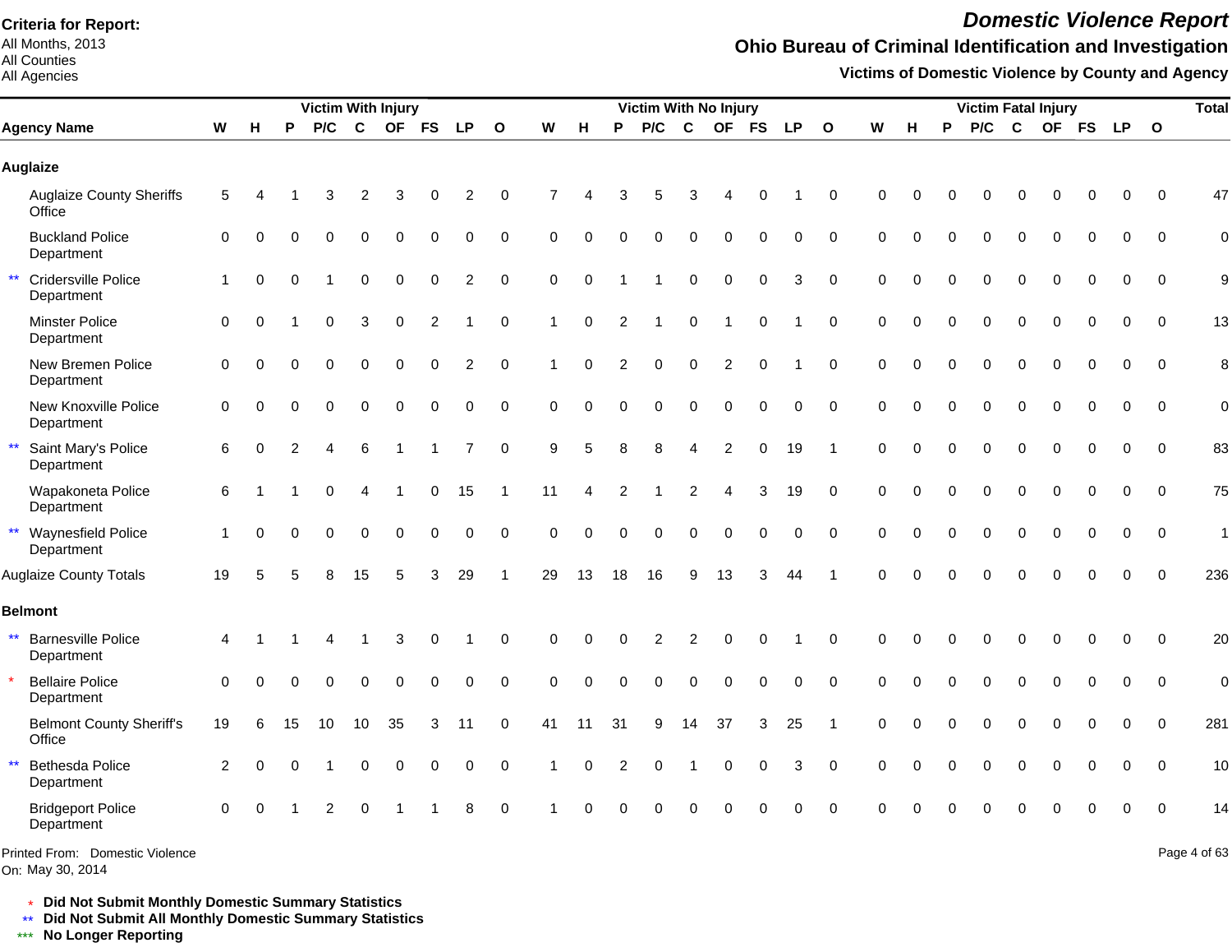All Months, 2013 All Counties

#### All Agencies

## *Domestic Violence Report*

## **Ohio Bureau of Criminal Identification and Investigation**

**Victims of Domestic Violence by County and Agency**

|                                                         |              |          |          | <b>Victim With Injury</b> |             |                  |                |                |              |                      |             |                | Victim With No Injury |                        |                |             |           |                         |             |          |          | <b>Victim Fatal Injury</b> |             |             |             |             |              | <b>Total</b>   |
|---------------------------------------------------------|--------------|----------|----------|---------------------------|-------------|------------------|----------------|----------------|--------------|----------------------|-------------|----------------|-----------------------|------------------------|----------------|-------------|-----------|-------------------------|-------------|----------|----------|----------------------------|-------------|-------------|-------------|-------------|--------------|----------------|
| <b>Agency Name</b>                                      | W            | H        | P        | P/C                       | $\mathbf c$ | <b>OF</b>        | <b>FS</b>      | <b>LP</b>      | $\mathbf{o}$ | W                    | н           | P              | P/C                   | C                      | <b>OF</b>      | FS          | <b>LP</b> | $\mathbf{o}$            | W           | н        | P        | P/C                        | C           |             | OF FS       | <b>LP</b>   | $\mathbf{o}$ |                |
| <b>Auglaize</b>                                         |              |          |          |                           |             |                  |                |                |              |                      |             |                |                       |                        |                |             |           |                         |             |          |          |                            |             |             |             |             |              |                |
| <b>Auglaize County Sheriffs</b><br>Office               | 5            |          |          | 3                         | 2           | 3                |                | 2              | $\Omega$     |                      |             |                | 5                     | 3                      |                | 0           |           | $\mathbf 0$             | $\Omega$    |          |          |                            | 0           |             | 0           | $\Omega$    | $\Omega$     | 47             |
| <b>Buckland Police</b><br>Department                    | 0            | $\Omega$ |          | $\Omega$                  | $\mathbf 0$ | $\mathbf 0$      | $\mathbf 0$    | 0              | $\mathbf 0$  | $\mathbf 0$          |             |                | $\mathbf 0$           | $\mathbf 0$            | 0              | $\mathbf 0$ | 0         | $\mathbf 0$             | $\mathbf 0$ | $\Omega$ | $\Omega$ | $\mathbf 0$                | $\mathbf 0$ | $\mathbf 0$ | $\mathbf 0$ | 0           | $\Omega$     | $\mathbf 0$    |
| $\star\star$<br>Cridersville Police<br>Department       | $\mathbf{1}$ | $\Omega$ | $\Omega$ |                           | $\mathbf 0$ | $\mathbf 0$      | $\mathbf 0$    | $\overline{2}$ | $\mathbf 0$  | $\mathbf 0$          | $\Omega$    |                | -1                    | $\mathbf 0$            | $\pmb{0}$      | $\pmb{0}$   | 3         | $\Omega$                | $\Omega$    | $\Omega$ | $\Omega$ | $\Omega$                   | $\mathbf 0$ | 0           | 0           | $\Omega$    | $\Omega$     | 9              |
| Minster Police<br>Department                            | $\pmb{0}$    | $\Omega$ |          | $\Omega$                  | 3           | $\mathbf 0$      | $\overline{c}$ |                | $\mathbf 0$  | $\mathbf{1}$         | $\mathbf 0$ | 2              |                       | $\mathbf 0$            | $\overline{1}$ | $\mathbf 0$ |           | $\mathbf 0$             | $\mathbf 0$ | $\Omega$ | $\Omega$ | $\Omega$                   | $\Omega$    | $\mathbf 0$ | $\Omega$    | $\Omega$    | $\Omega$     | 13             |
| New Bremen Police<br>Department                         | 0            | $\Omega$ | $\Omega$ | $\Omega$                  | $\Omega$    | $\Omega$         | $\mathbf 0$    | $\overline{c}$ | $\mathbf 0$  | $\blacktriangleleft$ | $\Omega$    | 2              | $\mathbf 0$           | $\mathbf 0$            | $\overline{c}$ | $\mathbf 0$ |           | $\mathbf 0$             | $\mathbf 0$ | $\Omega$ | $\Omega$ | $\Omega$                   | $\Omega$    | $\Omega$    | $\mathbf 0$ | $\mathbf 0$ | $\mathbf 0$  | 8              |
| New Knoxville Police<br>Department                      | 0            | $\Omega$ |          | $\Omega$                  | $\Omega$    | $\Omega$         | $\Omega$       | 0              | $\mathbf 0$  | $\Omega$             | $\Omega$    | $\Omega$       | $\Omega$              | $\Omega$               | $\Omega$       | $\mathbf 0$ | 0         | $\mathbf 0$             | $\Omega$    | $\Omega$ | $\Omega$ | $\Omega$                   | $\Omega$    | $\Omega$    | $\mathbf 0$ | $\mathbf 0$ | $\mathbf 0$  | $\mathbf 0$    |
| $\star\star$<br>Saint Mary's Police<br>Department       | 6            | $\Omega$ |          |                           | 6           |                  |                | $\overline{7}$ | $\Omega$     | 9                    | 5           | 8              | 8                     | $\boldsymbol{\Lambda}$ | $\overline{c}$ | $\Omega$    | 19        | $\overline{\mathbf{1}}$ | $\Omega$    | $\Omega$ | $\Omega$ | $\Omega$                   | $\Omega$    | $\Omega$    | $\Omega$    | $\Omega$    | $\Omega$     | 83             |
| Wapakoneta Police<br>Department                         | 6            |          |          | 0                         |             |                  | $\mathbf 0$    | 15             | $\mathbf 1$  | 11                   | 4           | $\overline{2}$ |                       | $\overline{2}$         | $\overline{A}$ | 3           | 19        | $\Omega$                | $\Omega$    | $\Omega$ | $\Omega$ | $\Omega$                   | $\mathbf 0$ | $\Omega$    | 0           | $\mathbf 0$ | $\Omega$     | 75             |
| ** Waynesfield Police<br>Department                     | 1            | $\Omega$ | $\Omega$ | $\Omega$                  | $\Omega$    | $\Omega$         | $\Omega$       | 0              | $\Omega$     | $\Omega$             | $\Omega$    | $\Omega$       | $\Omega$              | $\Omega$               | $\Omega$       | $\mathbf 0$ | 0         | $\Omega$                | $\Omega$    | $\Omega$ | $\Omega$ | $\Omega$                   | $\Omega$    | $\Omega$    | $\Omega$    | $\Omega$    | $\Omega$     | $\mathbf{1}$   |
| <b>Auglaize County Totals</b>                           | 19           | 5        | 5        | 8                         | 15          | 5                | 3              | 29             | $\mathbf{1}$ | 29                   | 13          | 18             | 16                    | 9                      | 13             | 3           | 44        | -1                      | $\Omega$    | $\Omega$ | $\Omega$ | $\Omega$                   | $\Omega$    | $\Omega$    | $\Omega$    | $\Omega$    | $\Omega$     | 236            |
| <b>Belmont</b>                                          |              |          |          |                           |             |                  |                |                |              |                      |             |                |                       |                        |                |             |           |                         |             |          |          |                            |             |             |             |             |              |                |
| $\star\star$<br><b>Barnesville Police</b><br>Department | 4            |          |          |                           |             | 3                | $\Omega$       |                | $\Omega$     | $\Omega$             | O           |                | 2                     | $\overline{2}$         | $\Omega$       | $\Omega$    |           | $\Omega$                | $\Omega$    | $\Omega$ | $\Omega$ | $\Omega$                   | $\Omega$    | $\Omega$    | $\Omega$    | $\Omega$    | $\Omega$     | 20             |
| <b>Bellaire Police</b><br>Department                    | $\Omega$     | $\Omega$ |          | ∩                         | $\Omega$    | $\Omega$         | $\Omega$       | 0              | $\Omega$     | $\Omega$             | $\Omega$    |                | 0                     | $\Omega$               | $\Omega$       | $\Omega$    | $\Omega$  | $\Omega$                | $\Omega$    |          | $\Omega$ | $\Omega$                   | $\Omega$    | $\Omega$    | $\Omega$    | $\Omega$    | $\Omega$     | $\overline{0}$ |
| <b>Belmont County Sheriff's</b><br>Office               | 19           | 6        | 15       | 10                        | 10          | 35               | 3              | 11             | $\Omega$     | 41                   | 11          | 31             | 9                     | 14                     | 37             | 3           | 25        |                         | $\Omega$    |          |          | $\Omega$                   | $\mathbf 0$ | 0           | $\Omega$    | $\Omega$    | $\Omega$     | 281            |
| $\star\star$<br><b>Bethesda Police</b><br>Department    | 2            | $\Omega$ |          |                           | 0           | $\boldsymbol{0}$ | $\mathbf 0$    | 0              | 0            | 1                    | $\mathbf 0$ | 2              | 0                     |                        | $\pmb{0}$      | $\pmb{0}$   | 3         | $\mathbf 0$             | $\mathbf 0$ | $\Omega$ | $\Omega$ | 0                          | $\mathbf 0$ | 0           | 0           | $\Omega$    | $\Omega$     | 10             |
| <b>Bridgeport Police</b><br>Department                  | $\Omega$     | $\Omega$ |          | 2                         | $\mathbf 0$ |                  |                | 8              | $\Omega$     |                      |             |                |                       | $\Omega$               |                |             | 0         | $\Omega$                |             |          |          |                            | $\Omega$    |             | ი           | $\Omega$    | $\Omega$     | 14             |
| Printed From: Domestic Violence                         |              |          |          |                           |             |                  |                |                |              |                      |             |                |                       |                        |                |             |           |                         |             |          |          |                            |             |             |             |             |              | Page 4 of 63   |

On: May 30, 2014

\* **Did Not Submit Monthly Domestic Summary Statistics**

**Did Not Submit All Monthly Domestic Summary Statistics**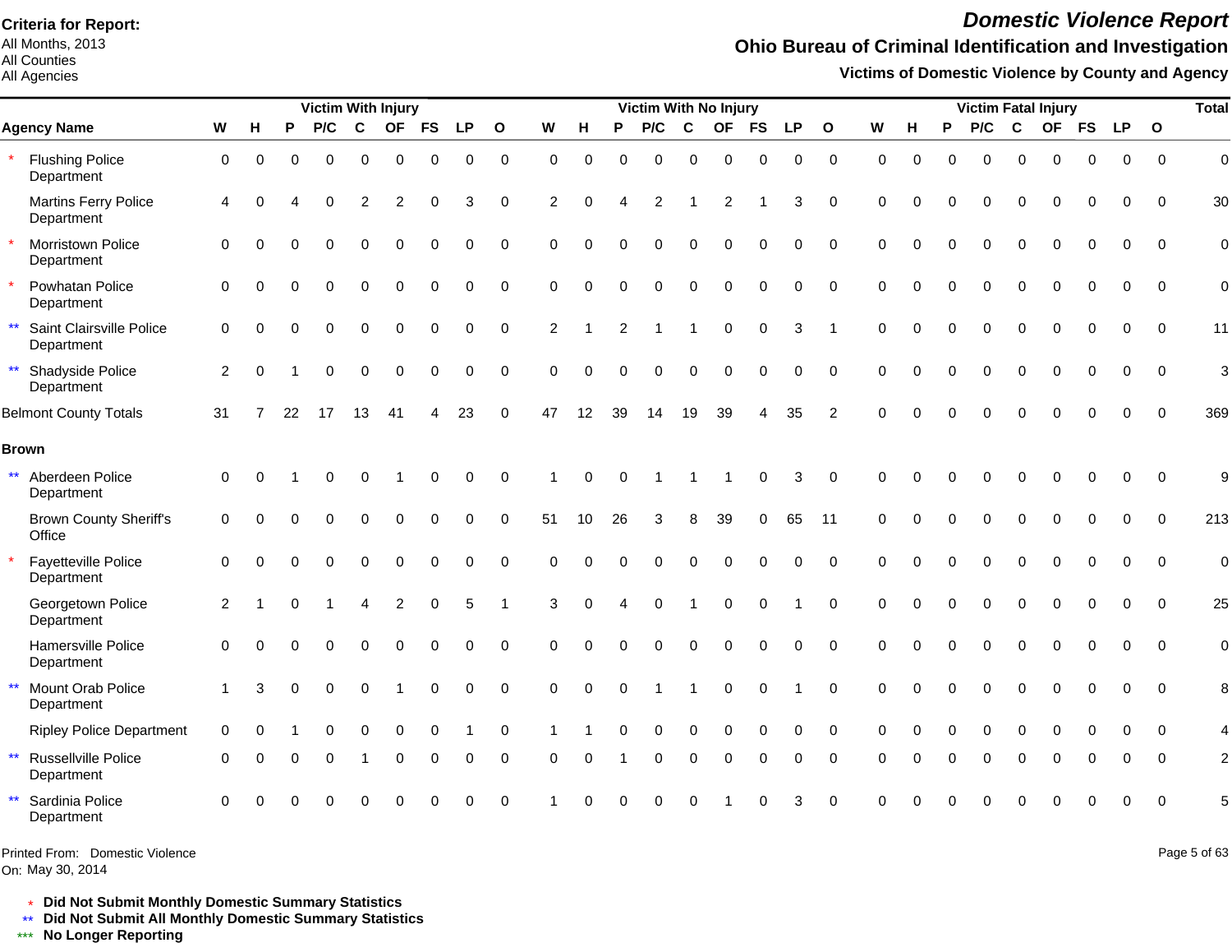All Months, 2013 All Counties

All Agencies

# *Domestic Violence Report*

## **Ohio Bureau of Criminal Identification and Investigation**

**Victims of Domestic Violence by County and Agency**

|              |                                           |             |          |          | <b>Victim With Injury</b> |             |                |             |             |              |          |                   |          | Victim With No Injury |          |                |           |           |                |          |          |          |          |              | <b>Victim Fatal Injury</b> |             |             |             | <b>Total</b>   |
|--------------|-------------------------------------------|-------------|----------|----------|---------------------------|-------------|----------------|-------------|-------------|--------------|----------|-------------------|----------|-----------------------|----------|----------------|-----------|-----------|----------------|----------|----------|----------|----------|--------------|----------------------------|-------------|-------------|-------------|----------------|
|              | <b>Agency Name</b>                        | W           | н        | P        | P/C                       | $\mathbf c$ | <b>OF</b>      | <b>FS</b>   | <b>LP</b>   | $\mathbf{o}$ | W        | н                 | P        | P/C                   | C        | OF             | <b>FS</b> | <b>LP</b> | $\mathbf{o}$   | W        | н        | P        | P/C      | C            | <b>OF</b>                  | <b>FS</b>   | <b>LP</b>   | $\mathbf 0$ |                |
|              | <b>Flushing Police</b><br>Department      | 0           | $\Omega$ | $\Omega$ | $\Omega$                  | $\mathbf 0$ | $\mathbf 0$    | 0           | $\mathbf 0$ | $\mathbf 0$  | $\Omega$ | $\Omega$          | $\Omega$ | 0                     | $\Omega$ | $\Omega$       | $\Omega$  | 0         | $\mathbf 0$    | $\Omega$ | $\Omega$ | $\Omega$ | $\Omega$ | $\Omega$     | $\Omega$                   | $\mathbf 0$ | $\mathbf 0$ | $\Omega$    | $\mathbf 0$    |
|              | <b>Martins Ferry Police</b><br>Department | 4           | $\Omega$ |          | $\Omega$                  | 2           | $\overline{2}$ | $\Omega$    | 3           | $\mathbf 0$  | 2        | $\Omega$          |          | 2                     |          | $\overline{c}$ |           | 3         | $\mathbf 0$    | $\Omega$ |          |          | 0        | $\Omega$     | $\Omega$                   | $\Omega$    | 0           | $\mathbf 0$ | 30             |
| $\star$      | Morristown Police<br>Department           | $\Omega$    | $\Omega$ |          | $\Omega$                  | $\Omega$    | $\Omega$       | $\Omega$    | 0           | $\Omega$     | $\Omega$ | O                 |          | 0                     | $\Omega$ | $\Omega$       | $\Omega$  | $\Omega$  | $\Omega$       | $\Omega$ | $\Omega$ | $\Omega$ | $\Omega$ | $\mathbf{0}$ | $\Omega$                   | $\Omega$    | $\Omega$    | $\Omega$    | $\overline{0}$ |
|              | Powhatan Police<br>Department             | 0           | $\Omega$ | O        | $\Omega$                  | 0           | $\mathbf 0$    | 0           | $\mathbf 0$ | $\mathbf 0$  | 0        | $\Omega$          | 0        | $\Omega$              | $\Omega$ | $\Omega$       | $\Omega$  | 0         | $\mathbf 0$    | $\Omega$ | $\Omega$ | $\Omega$ | $\Omega$ | $\Omega$     | 0                          | $\Omega$    | 0           | $\mathbf 0$ | $\overline{0}$ |
| $\star\star$ | Saint Clairsville Police<br>Department    | $\mathbf 0$ | $\Omega$ |          | $\Omega$                  | $\Omega$    | $\Omega$       | $\Omega$    | 0           | $\mathbf 0$  | 2        |                   | 2        |                       |          | $\Omega$       | $\Omega$  | 3         |                | $\Omega$ | $\Omega$ | $\Omega$ | 0        | $\Omega$     | $\Omega$                   | $\Omega$    | $\Omega$    | $\Omega$    | 11             |
|              | ** Shadyside Police<br>Department         | 2           | $\Omega$ |          | 0                         | $\mathbf 0$ | $\mathbf 0$    | $\mathbf 0$ | 0           | $\mathbf 0$  | $\Omega$ | $\Omega$          | $\Omega$ | 0                     | 0        | 0              | $\Omega$  | 0         | $\Omega$       | $\Omega$ | $\Omega$ | $\Omega$ | 0        | $\mathbf 0$  | 0                          | $\mathbf 0$ | 0           | $\Omega$    | 3              |
|              | <b>Belmont County Totals</b>              | 31          | 7        | 22       | 17                        | 13          | 41             | 4           | 23          | 0            | 47       | $12 \overline{ }$ | 39       | 14                    | 19       | 39             |           | 35        | $\overline{2}$ | $\Omega$ |          |          |          |              |                            | ሰ           | O           | $\Omega$    | 369            |
|              | <b>Brown</b>                              |             |          |          |                           |             |                |             |             |              |          |                   |          |                       |          |                |           |           |                |          |          |          |          |              |                            |             |             |             |                |
| $\star\star$ | Aberdeen Police<br>Department             | 0           | ∩        |          |                           | O           |                | $\Omega$    | $\Omega$    | $\Omega$     |          | $\Omega$          |          |                       |          |                | $\Omega$  | 3         | $\Omega$       | $\Omega$ |          |          |          |              |                            | U           | $\Omega$    | $\Omega$    | 9              |
|              | <b>Brown County Sheriff's</b><br>Office   | 0           | $\Omega$ |          | O                         | 0           | $\mathbf 0$    | $\Omega$    | 0           | $\pmb{0}$    | 51       | $10$              | 26       | 3                     | 8        | 39             | 0         | 65        | 11             | $\Omega$ | 0        | $\Omega$ |          | $\Omega$     | $\Omega$                   | $\Omega$    | $\Omega$    | $\Omega$    | 213            |
|              | Fayetteville Police<br>Department         | 0           | O        |          | $\Omega$                  | $\Omega$    | $\mathbf 0$    | $\Omega$    | 0           | $\mathbf 0$  | $\Omega$ | ∩                 |          | 0                     | $\Omega$ | $\Omega$       | $\Omega$  | 0         | $\Omega$       | $\Omega$ | $\Omega$ | $\Omega$ | $\Omega$ | $\Omega$     | $\Omega$                   | $\Omega$    | $\Omega$    | $\Omega$    | $\mathbf 0$    |
|              | Georgetown Police<br>Department           | 2           |          |          |                           | 4           | 2              | $\Omega$    | 5           |              | 3        | $\Omega$          | Δ        | $\Omega$              |          | $\Omega$       | $\Omega$  |           | $\Omega$       | $\Omega$ | $\Omega$ | $\Omega$ | 0        | $\Omega$     | $\Omega$                   | $\Omega$    | $\Omega$    | $\Omega$    | 25             |
|              | Hamersville Police<br>Department          | $\Omega$    | ∩        |          | O                         | $\Omega$    | $\Omega$       | $\Omega$    | $\Omega$    | $\Omega$     | $\Omega$ | $\Omega$          |          | $\Omega$              | $\Omega$ | $\Omega$       | $\Omega$  | $\Omega$  | $\Omega$       | $\Omega$ |          |          |          | $\Omega$     | $\Omega$                   | $\Omega$    | $\Omega$    | $\Omega$    | $\mathbf 0$    |
| $\star\star$ | Mount Orab Police<br>Department           | 1           | 3        | $\Omega$ | $\Omega$                  | $\Omega$    |                | $\Omega$    | 0           | $\Omega$     | $\Omega$ | $\Omega$          | $\Omega$ |                       |          | $\mathbf 0$    | $\Omega$  |           | $\Omega$       | $\Omega$ | $\Omega$ | $\Omega$ | $\Omega$ | $\mathbf 0$  | $\Omega$                   | $\Omega$    | $\Omega$    | $\Omega$    | 8              |
|              | <b>Ripley Police Department</b>           | $\mathbf 0$ |          |          |                           | $\Omega$    | $\Omega$       | $\Omega$    |             | 0            |          |                   |          | 0                     | $\Omega$ | O              | 0         | $\Omega$  | $\Omega$       | $\Omega$ |          | $\Omega$ | $\Omega$ | $\Omega$     | O                          |             | O           | $\Omega$    | $\overline{4}$ |
| $\star\star$ | <b>Russellville Police</b><br>Department  | $\Omega$    |          |          | 0                         |             | $\Omega$       | $\Omega$    | $\Omega$    | 0            | $\Omega$ | O                 |          | 0                     | $\Omega$ | $\Omega$       | $\Omega$  | $\Omega$  | $\Omega$       | $\Omega$ |          | $\Omega$ | $\Omega$ | $\Omega$     | O                          | $\Omega$    | 0           | $\Omega$    | $\overline{2}$ |
| $\star\star$ | Sardinia Police<br>Department             | $\Omega$    |          |          |                           |             |                |             | U           | $\Omega$     |          |                   |          |                       |          |                |           | 3         | $\Omega$       |          |          |          |          |              |                            |             | $\Omega$    | $\Omega$    | 5              |

Printed From: Domestic Violence

On: May 30, 2014

Page 5 of 63

\* **Did Not Submit Monthly Domestic Summary Statistics**

**Did Not Submit All Monthly Domestic Summary Statistics**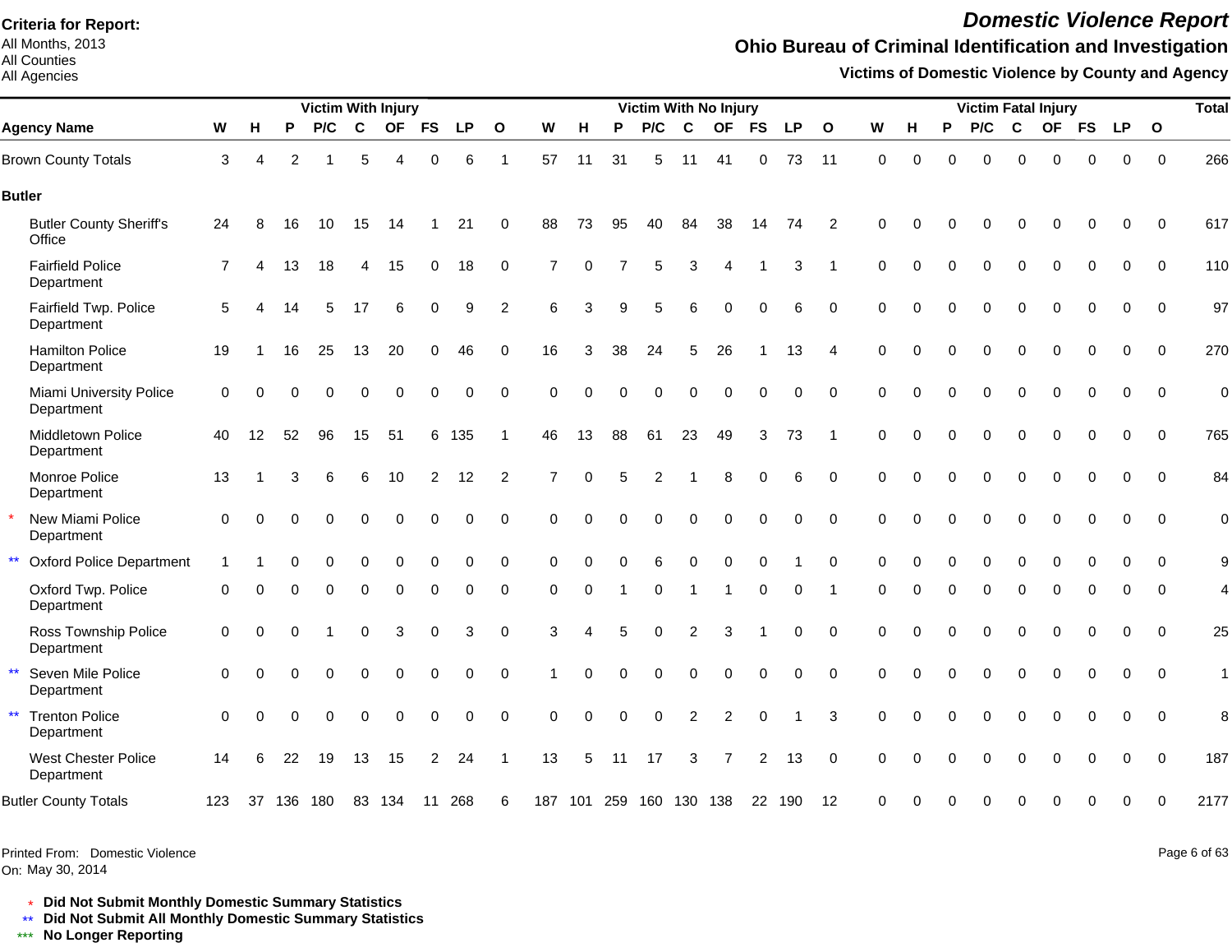All Months, 2013 All Counties

All Agencies

# *Domestic Violence Report*

## **Ohio Bureau of Criminal Identification and Investigation**

**Victims of Domestic Violence by County and Agency**

|                                                     |                |          |                | <b>Victim With Injury</b> |             |                |                |             |                |                |          |          | <b>Victim With No Injury</b> |          |                |                |           |                |             |          |              | <b>Victim Fatal Injury</b> |             |             |             |             |              | <b>Total</b> |
|-----------------------------------------------------|----------------|----------|----------------|---------------------------|-------------|----------------|----------------|-------------|----------------|----------------|----------|----------|------------------------------|----------|----------------|----------------|-----------|----------------|-------------|----------|--------------|----------------------------|-------------|-------------|-------------|-------------|--------------|--------------|
| <b>Agency Name</b>                                  | W              | Н        | P              | P/C                       | $\mathbf c$ | <b>OF</b>      | <b>FS</b>      | <b>LP</b>   | $\mathbf{o}$   | W              | н        | P        | P/C                          | C        | OF             | <b>FS</b>      | <b>LP</b> | $\mathbf{o}$   | W           | н        | P            | P/C                        | $\mathbf c$ | <b>OF</b>   | <b>FS</b>   | <b>LP</b>   | $\mathbf{o}$ |              |
| <b>Brown County Totals</b>                          | 3              | 4        | $\overline{2}$ |                           | 5           | $\overline{A}$ | 0              | 6           | $\overline{1}$ | 57             | 11       | 31       | 5                            | 11       | 41             | $\mathbf 0$    | 73        | 11             | $\mathbf 0$ | $\Omega$ | $\Omega$     | $\Omega$                   | $\Omega$    | 0           | $\mathbf 0$ | $\pmb{0}$   | $\mathbf 0$  | 266          |
| <b>Butler</b>                                       |                |          |                |                           |             |                |                |             |                |                |          |          |                              |          |                |                |           |                |             |          |              |                            |             |             |             |             |              |              |
| <b>Butler County Sheriff's</b><br>Office            | 24             | 8        | 16             | 10                        | 15          | 14             |                | 21          | 0              | 88             | 73       | 95       | 40                           | 84       | 38             | 14             | 74        | 2              | $\Omega$    | U        |              | O                          | O           | $\Omega$    | $\Omega$    | $\Omega$    | $\Omega$     | 617          |
| <b>Fairfield Police</b><br>Department               | $\overline{7}$ |          | 13             | 18                        | 4           | 15             | 0              | 18          | 0              | 7              | $\Omega$ |          | 5                            | 3        |                |                | 3         |                | $\Omega$    | $\Omega$ | $\Omega$     | $\Omega$                   | $\Omega$    | $\Omega$    | $\Omega$    | $\Omega$    | $\Omega$     | 110          |
| Fairfield Twp. Police<br>Department                 | 5              |          | 14             | 5                         | 17          | 6              | 0              | 9           | $\overline{2}$ | 6              | 3        | 9        | 5                            | 6        | $\Omega$       | $\mathbf 0$    | 6         | $\mathbf 0$    | $\Omega$    | $\Omega$ | $\Omega$     | $\Omega$                   | $\Omega$    | $\Omega$    | 0           | $\mathbf 0$ | 0            | 97           |
| <b>Hamilton Police</b><br>Department                | 19             |          | 16             | 25                        | 13          | 20             | 0              | 46          | $\mathbf 0$    | 16             | 3        | 38       | 24                           | 5        | 26             |                | 13        | $\overline{4}$ | $\Omega$    | $\Omega$ | $\Omega$     | $\Omega$                   | $\mathbf 0$ | $\Omega$    | $\mathbf 0$ | $\mathbf 0$ | $\Omega$     | 270          |
| <b>Miami University Police</b><br>Department        | $\mathbf 0$    | $\Omega$ | $\Omega$       | $\mathbf 0$               | 0           | $\overline{0}$ | 0              | $\mathbf 0$ | $\mathbf 0$    | $\Omega$       | $\Omega$ | $\Omega$ | 0                            | $\Omega$ | $\Omega$       | $\Omega$       | 0         | $\mathbf 0$    | $\Omega$    | $\Omega$ | $\Omega$     | 0                          | $\mathbf 0$ | $\Omega$    | $\Omega$    | $\Omega$    | $\Omega$     | $\mathbf 0$  |
| Middletown Police<br>Department                     | 40             | 12       | 52             | 96                        | 15          | 51             | 6              | 135         |                | 46             | 13       | 88       | 61                           | 23       | 49             | 3              | 73        |                | $\Omega$    | $\Omega$ | $\Omega$     | $\Omega$                   | $\Omega$    | $\Omega$    | $\Omega$    | $\Omega$    | $\Omega$     | 765          |
| Monroe Police<br>Department                         | 13             |          | 3              | 6                         | 6           | 10             | $\overline{2}$ | 12          | $\overline{2}$ | $\overline{7}$ | $\Omega$ | 5        | 2                            |          | 8              | $\Omega$       | 6         | $\Omega$       | $\Omega$    | $\Omega$ | $\Omega$     | $\Omega$                   | $\Omega$    | $\Omega$    | $\Omega$    | $\Omega$    | $\Omega$     | 84           |
| New Miami Police<br>Department                      | 0              | $\Omega$ | $\Omega$       | $\Omega$                  | $\Omega$    | $\Omega$       | $\Omega$       | 0           | $\mathbf 0$    | $\Omega$       | $\Omega$ |          | 0                            | $\Omega$ | 0              | $\Omega$       | 0         | $\mathbf 0$    | $\mathbf 0$ | $\Omega$ | $\Omega$     | $\Omega$                   | $\Omega$    | $\Omega$    | 0           | 0           | $\Omega$     | $\mathbf 0$  |
| $\star\star$<br><b>Oxford Police Department</b>     |                |          | U              | 0                         | 0           | $\mathbf 0$    | $\mathbf 0$    | 0           | $\mathbf 0$    | $\Omega$       | $\Omega$ | $\Omega$ | 6                            | $\Omega$ | 0              | $\Omega$       |           | $\Omega$       | $\Omega$    | $\Omega$ | $\mathbf{0}$ | 0                          | $\mathbf 0$ | $\Omega$    | $\Omega$    | $\Omega$    | $\Omega$     | 9            |
| Oxford Twp. Police<br>Department                    | $\Omega$       | $\Omega$ |                | 0                         | 0           | $\mathbf 0$    | 0              | 0           | 0              | $\Omega$       | $\Omega$ |          | $\Omega$                     |          | -1             | 0              | 0         |                | $\Omega$    | $\Omega$ | 0            | 0                          | $\mathbf 0$ | $\Omega$    | $\Omega$    | 0           | $\Omega$     | 4            |
| Ross Township Police<br>Department                  | 0              | $\Omega$ | 0              |                           | 0           | 3              | $\mathbf 0$    | 3           | 0              | 3              | Δ        | 5        | $\Omega$                     | 2        | 3              |                | 0         | 0              | $\mathbf 0$ | $\Omega$ | $\Omega$     | $\Omega$                   | $\mathbf 0$ | $\mathbf 0$ | 0           | 0           | 0            | 25           |
| $\star\star$<br>Seven Mile Police<br>Department     | 0              | $\Omega$ | $\Omega$       | 0                         | 0           | $\mathbf 0$    | 0              | $\mathbf 0$ | $\mathbf 0$    |                | $\Omega$ | $\Omega$ | 0                            | 0        | 0              | $\Omega$       | 0         | $\mathbf 0$    | $\Omega$    | $\Omega$ | $\Omega$     | 0                          | $\mathbf 0$ | 0           | $\mathbf 0$ | $\mathbf 0$ | $\Omega$     | $\mathbf{1}$ |
| $\star\star$<br><b>Trenton Police</b><br>Department | $\Omega$       | $\Omega$ | U              | $\Omega$                  | $\Omega$    | $\Omega$       | $\Omega$       | $\Omega$    | $\Omega$       | $\Omega$       | $\Omega$ | $\Omega$ | $\Omega$                     | 2        | $\overline{2}$ | $\Omega$       |           | 3              | $\Omega$    | U        | $\Omega$     | $\Omega$                   | $\Omega$    | $\Omega$    | $\Omega$    | $\Omega$    | $\Omega$     | 8            |
| <b>West Chester Police</b><br>Department            | 14             | 6        | 22             | 19                        | 13          | 15             | 2              | 24          |                | 13             | 5        | 11       | 17                           | 3        | 7              | $\overline{2}$ | 13        | $\Omega$       | $\Omega$    |          |              |                            | $\Omega$    |             | O           | $\Omega$    | $\Omega$     | 187          |
| <b>Butler County Totals</b>                         | 123            |          | 37 136         | 180                       |             | 83 134         | 11             | 268         | 6              | 187            |          |          | 101 259 160 130 138          |          |                |                | 22 190    | 12             | $\Omega$    | U        |              | U                          | ∩           |             | U           | ∩           | U            | 2177         |

Printed From: Domestic Violence

On: May 30, 2014

Page 6 of 63

\* **Did Not Submit Monthly Domestic Summary Statistics**

**Did Not Submit All Monthly Domestic Summary Statistics**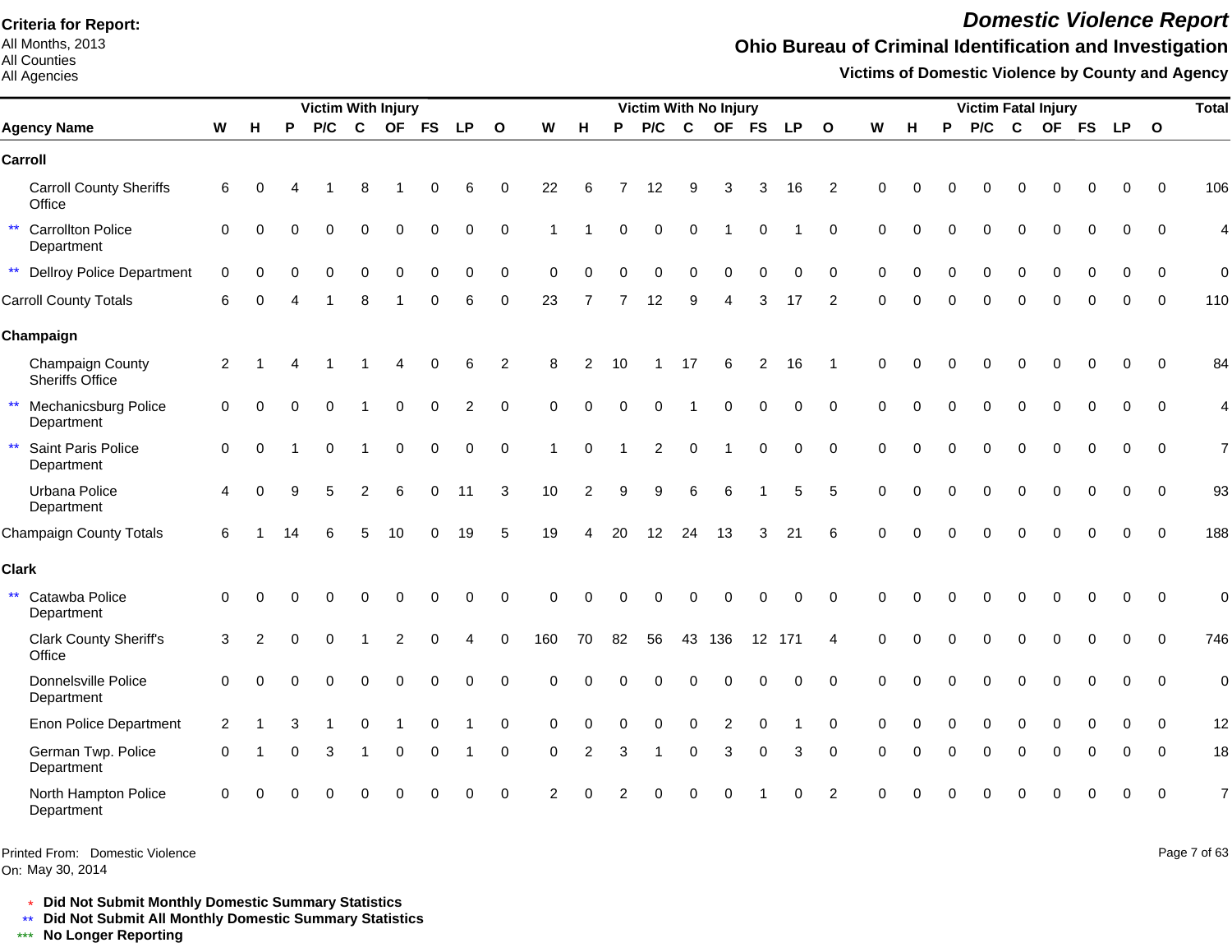All Months, 2013 All Counties

#### All Agencies

# *Domestic Violence Report*

## **Ohio Bureau of Criminal Identification and Investigation**

**Victims of Domestic Violence by County and Agency**

| <b>Victim With Injury</b> |                                            |                |               |    |          |                |           |           |                |                |             |          |          | Victim With No Injury |          |                |           |           |                 |          |   |          |          |             | <b>Victim Fatal Injury</b> |             |             |              | <b>Total</b>   |
|---------------------------|--------------------------------------------|----------------|---------------|----|----------|----------------|-----------|-----------|----------------|----------------|-------------|----------|----------|-----------------------|----------|----------------|-----------|-----------|-----------------|----------|---|----------|----------|-------------|----------------------------|-------------|-------------|--------------|----------------|
|                           | <b>Agency Name</b>                         | W              | Н             | P  | P/C      | C              | <b>OF</b> | <b>FS</b> | <b>LP</b>      | $\mathbf{o}$   | W           | н        | P        | P/C                   | C        | <b>OF</b>      | <b>FS</b> | <b>LP</b> | $\mathbf{o}$    | W        | н | P        | P/C      | C           |                            |             | OF FS LP    | $\mathbf{o}$ |                |
|                           | Carroll                                    |                |               |    |          |                |           |           |                |                |             |          |          |                       |          |                |           |           |                 |          |   |          |          |             |                            |             |             |              |                |
|                           | <b>Carroll County Sheriffs</b><br>Office   | 6              |               |    |          |                |           |           | 6              | 0              | 22          | 6        |          | 12                    | 9        | 3              | з         | 16        | 2               |          |   |          |          |             |                            |             | O           | $\Omega$     | 106            |
|                           | ** Carrollton Police<br>Department         | $\mathbf 0$    | $\Omega$      |    |          | 0              | $\Omega$  | 0         | 0              | 0              |             |          | $\Omega$ | 0                     | 0        |                |           |           | $\Omega$        | $\Omega$ |   |          |          | $\Omega$    | 0                          | 0           | 0           | $\Omega$     | 4              |
|                           | <b>**</b> Dellroy Police Department        | $\Omega$       | $\Omega$      |    | ∩        | O              | C         | U         | $\Omega$       | $\Omega$       | $\Omega$    |          |          | ი                     | ∩        | O              |           | $\Omega$  | ∩               | $\Omega$ |   | ∩        | $\Omega$ | $\Omega$    | U                          |             | O           | $\Omega$     | $\overline{0}$ |
|                           | <b>Carroll County Totals</b>               | 6              | n             |    |          |                |           | O         | 6              | $\mathbf 0$    | 23          |          |          | 12                    | 9        |                | 3         | 17        | 2               | $\Omega$ |   | $\Omega$ | 0        | $\Omega$    | 0                          | $\Omega$    | 0           | $\Omega$     | 110            |
|                           | Champaign                                  |                |               |    |          |                |           |           |                |                |             |          |          |                       |          |                |           |           |                 |          |   |          |          |             |                            |             |             |              |                |
|                           | Champaign County<br><b>Sheriffs Office</b> | $\overline{2}$ |               |    |          |                |           |           | 6              | $\overline{2}$ | 8           | 2        | 10       |                       | 17       | 6              | 2         | 16        |                 | $\Omega$ |   |          |          |             |                            | 0           | $\Omega$    | $\Omega$     | 84             |
| $\star\star$              | <b>Mechanicsburg Police</b><br>Department  | $\mathbf 0$    | $\Omega$      |    |          |                | $\Omega$  | $\Omega$  | $\overline{2}$ | $\Omega$       | $\Omega$    | $\Omega$ | $\Omega$ | 0                     |          | $\Omega$       |           | 0         | $\Omega$        | $\Omega$ |   |          |          | $\Omega$    | $\Omega$                   |             | $\Omega$    | $\Omega$     | 4              |
| $\star\star$              | Saint Paris Police<br>Department           | $\mathbf 0$    | $\Omega$      |    | $\Omega$ |                | $\Omega$  | $\Omega$  | $\Omega$       | $\mathbf 0$    | 1           | $\Omega$ |          | 2                     | $\Omega$ |                | $\Omega$  | 0         | $\Omega$        | $\Omega$ |   |          | $\Omega$ | $\Omega$    | $\Omega$                   | $\Omega$    | $\Omega$    | $\mathbf 0$  | $\overline{7}$ |
|                           | Urbana Police<br>Department                | 4              | $\Omega$      |    | 5        | $\mathfrak{p}$ | 6         | $\Omega$  | 11             | 3              | 10          | 2        | 9        | 9                     | 6        | 6              |           | 5         | 5               | $\Omega$ |   |          |          | $\Omega$    | $\Omega$                   | $\mathbf 0$ | $\mathbf 0$ | $\mathbf 0$  | 93             |
|                           | Champaign County Totals                    | 6              |               | 14 |          | 5              | 10        | 0         | 19             | 5              | 19          | 4        | 20       | 12                    | 24       | 13             | 3         | 21        | $6\phantom{1}6$ | $\Omega$ |   |          |          |             | $\Omega$                   | 0           | $\mathbf 0$ | $\mathbf 0$  | 188            |
| <b>Clark</b>              |                                            |                |               |    |          |                |           |           |                |                |             |          |          |                       |          |                |           |           |                 |          |   |          |          |             |                            |             |             |              |                |
| $\star\star$              | Catawba Police<br>Department               | $\mathbf 0$    | $\Omega$      |    |          |                |           | O         | $\Omega$       | $\mathbf 0$    | $\Omega$    | $\Omega$ | ∩        | U                     |          | O              |           | $\Omega$  | $\Omega$        | $\Omega$ |   |          |          | O           | O                          | $\Omega$    | $\Omega$    | $\Omega$     | $\mathbf 0$    |
|                           | <b>Clark County Sheriff's</b><br>Office    | 3              | $\mathcal{P}$ |    |          |                |           |           |                | $\Omega$       | 160         | 70       | 82       | 56                    |          | 43 136         |           | 12 171    | 4               | $\Omega$ |   |          |          |             |                            |             | $\Omega$    | $\Omega$     | 746            |
|                           | Donnelsville Police<br>Department          | $\mathbf 0$    | $\Omega$      |    |          | $\Omega$       | $\Omega$  | $\Omega$  | 0              | $\Omega$       | $\Omega$    | $\Omega$ |          |                       | $\Omega$ | 0              |           | 0         | $\Omega$        | $\Omega$ |   |          | $\Omega$ | $\mathbf 0$ | 0                          | 0           | 0           | $\mathbf 0$  | $\mathbf 0$    |
|                           | <b>Enon Police Department</b>              | 2              |               |    |          | $\Omega$       |           | $\Omega$  |                | $\mathbf 0$    | $\mathbf 0$ | $\Omega$ |          | 0                     | $\Omega$ | $\overline{2}$ |           |           | $\Omega$        | $\Omega$ |   |          | 0        | $\Omega$    | $\Omega$                   |             | O           | $\Omega$     | 12             |
|                           | German Twp. Police<br>Department           | $\Omega$       |               |    | 3        |                | $\Omega$  | 0         |                | 0              | $\Omega$    | 2        |          |                       | $\Omega$ | 3              | ∩         | 3         | $\Omega$        | $\Omega$ |   | 0        | 0        | $\Omega$    | O                          | 0           | O           | $\Omega$     | 18             |
|                           | North Hampton Police<br>Department         | 0              |               |    |          |                |           |           |                | $\Omega$       | 2           |          |          |                       |          |                |           |           | $\mathcal{P}$   |          |   |          |          |             |                            | ∩           | $\Omega$    | $\Omega$     | $\overline{7}$ |

Printed From: Domestic Violence

On: May 30, 2014

Page 7 of 63

\* **Did Not Submit Monthly Domestic Summary Statistics**

**Did Not Submit All Monthly Domestic Summary Statistics**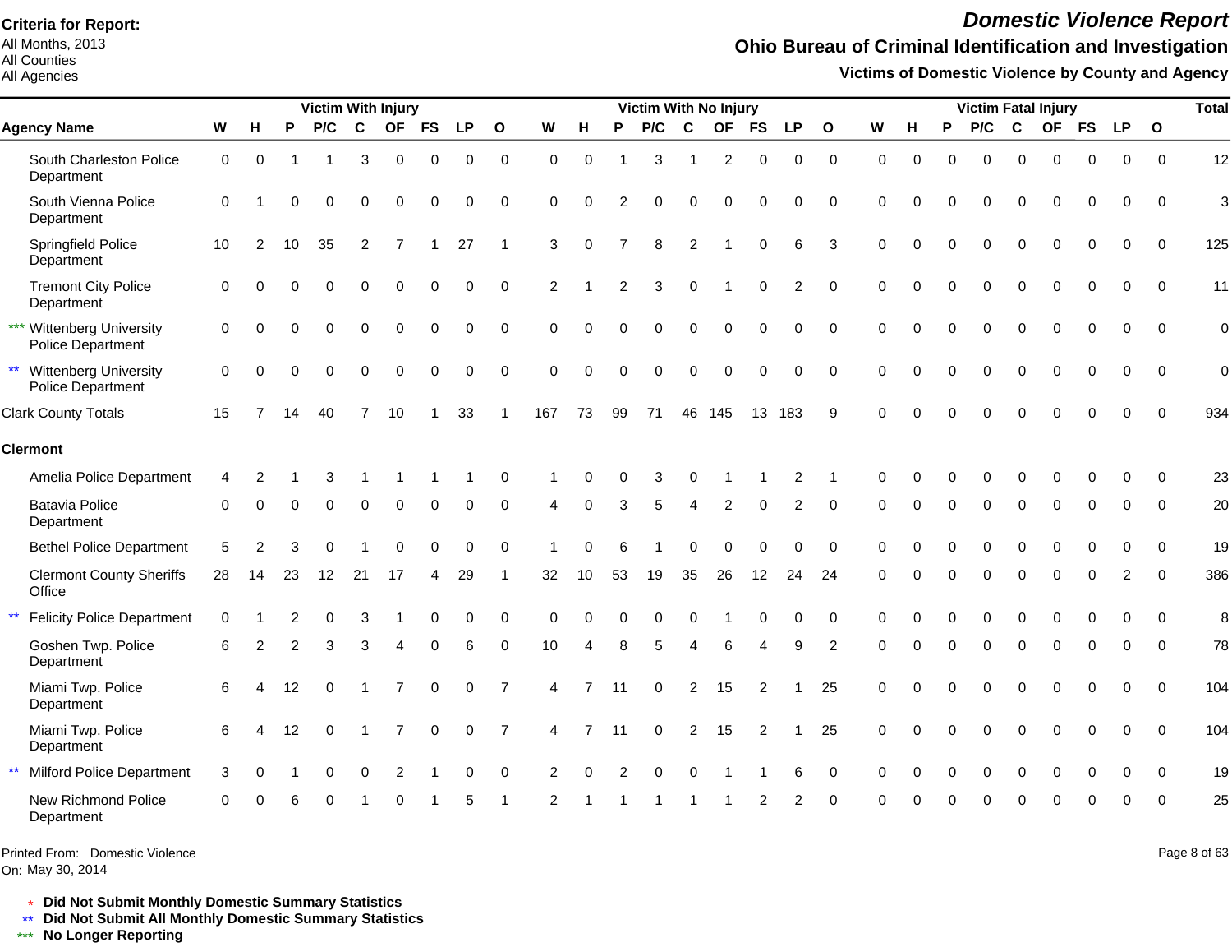All Months, 2013 All Counties

### All Agencies

# *Domestic Violence Report*

## **Ohio Bureau of Criminal Identification and Investigation**

**Victims of Domestic Violence by County and Agency**

|                 |                                                |             |                |                   |          |          | <b>Victim With Injury</b> |           |             |                |               |                |    | <b>Victim With No Injury</b> |                |                  |                |           |              |          |          |          | <b>Victim Fatal Injury</b> |             |             |             |                |              | <b>Total</b>   |
|-----------------|------------------------------------------------|-------------|----------------|-------------------|----------|----------|---------------------------|-----------|-------------|----------------|---------------|----------------|----|------------------------------|----------------|------------------|----------------|-----------|--------------|----------|----------|----------|----------------------------|-------------|-------------|-------------|----------------|--------------|----------------|
|                 | <b>Agency Name</b>                             | W           | н              | P                 | P/C      | C        | <b>OF</b>                 | <b>FS</b> | <b>LP</b>   | $\mathbf{o}$   | W             | н              | P  | P/C                          | $\mathbf c$    | <b>OF</b>        | <b>FS</b>      | <b>LP</b> | $\mathbf{o}$ | W        | н        | P        | P/C                        | C           | <b>OF</b>   | <b>FS</b>   | <b>LP</b>      | $\mathbf{o}$ |                |
|                 | South Charleston Police<br>Department          | $\mathbf 0$ | $\mathbf 0$    |                   |          | 3        | 0                         | 0         | 0           | 0              | $\Omega$      | $\Omega$       |    | 3                            |                | $\boldsymbol{2}$ | 0              | 0         | $\pmb{0}$    | 0        | $\Omega$ | $\Omega$ | $\Omega$                   | $\Omega$    | $\Omega$    | $\Omega$    | 0              | $\mathbf 0$  | 12             |
|                 | South Vienna Police<br>Department              | $\Omega$    |                | $\Omega$          | $\Omega$ | $\Omega$ | 0                         | $\Omega$  | 0           | 0              | $\Omega$      | 0              |    | 0                            | $\Omega$       | 0                | $\Omega$       | 0         | 0            | $\Omega$ |          |          | 0                          | $\Omega$    | 0           | $\Omega$    | 0              | $\mathbf 0$  | 3              |
|                 | Springfield Police<br>Department               | 10          | $\overline{2}$ | 10                | 35       | 2        | 7                         |           | 27          | $\mathbf{1}$   | 3             | O              |    | 8                            | $\overline{2}$ |                  | $\Omega$       | 6         | 3            | $\Omega$ |          | 0        | $\Omega$                   | $\Omega$    | $\Omega$    | $\Omega$    | $\Omega$       | $\Omega$     | 125            |
|                 | <b>Tremont City Police</b><br>Department       | 0           | $\Omega$       | $\Omega$          | 0        | $\Omega$ | U                         |           | 0           | $\Omega$       | 2             |                | 2  | 3                            | $\Omega$       |                  | $\Omega$       | 2         | $\Omega$     | $\Omega$ | $\Omega$ | $\Omega$ | 0                          | $\Omega$    | $\Omega$    | $\Omega$    | $\Omega$       | $\mathbf 0$  | 11             |
|                 | *** Wittenberg University<br>Police Department | $\Omega$    | $\Omega$       | $\Omega$          | $\Omega$ | $\Omega$ | Ω                         |           | 0           | $\Omega$       | $\Omega$      |                |    | 0                            | $\Omega$       | $\Omega$         | $\Omega$       | $\Omega$  | $\Omega$     | $\Omega$ | O        |          | 0                          | $\Omega$    |             | $\Omega$    | $\Omega$       | $\Omega$     | $\mathbf 0$    |
|                 | ** Wittenberg University<br>Police Department  | $\Omega$    | $\Omega$       | $\Omega$          | $\Omega$ | $\Omega$ | $\Omega$                  |           | 0           | $\Omega$       | $\Omega$      | $\Omega$       |    | 0                            | $\Omega$       | $\Omega$         | $\Omega$       | $\Omega$  | $\Omega$     | $\Omega$ |          | $\Omega$ | 0                          | $\Omega$    | $\Omega$    | $\Omega$    | $\Omega$       | $\Omega$     | $\overline{0}$ |
|                 | <b>Clark County Totals</b>                     | 15          |                | 14                | 40       | 7        | 10                        |           | 33          | -1             | 167           | 73             | 99 | 71                           | 46             | 145              | 13             | 183       | 9            | $\Omega$ |          |          | U                          |             |             |             | O              | $\Omega$     | 934            |
|                 | <b>Clermont</b>                                |             |                |                   |          |          |                           |           |             |                |               |                |    |                              |                |                  |                |           |              |          |          |          |                            |             |             |             |                |              |                |
|                 | Amelia Police Department                       | 4           |                |                   |          |          |                           |           |             | $\Omega$       |               |                |    | 3                            |                |                  |                | 2         |              | ∩        |          |          |                            |             |             |             |                | $\Omega$     | 23             |
|                 | <b>Batavia Police</b><br>Department            | $\Omega$    | $\Omega$       | $\Omega$          | $\Omega$ | $\Omega$ | $\Omega$                  | $\Omega$  | O           | $\Omega$       |               | $\Omega$       | 3  | 5                            | $\overline{4}$ | 2                | $\Omega$       | 2         | $\Omega$     | $\Omega$ | $\Omega$ | $\Omega$ | $\Omega$                   | $\Omega$    | $\Omega$    | $\Omega$    | $\Omega$       | $\Omega$     | 20             |
|                 | <b>Bethel Police Department</b>                | 5           |                |                   |          |          |                           |           | n           | $\Omega$       |               |                |    |                              |                |                  |                | U         | $\Omega$     | $\Omega$ |          |          |                            |             |             |             | U              | $\Omega$     | 19             |
|                 | <b>Clermont County Sheriffs</b><br>Office      | 28          | 14             | 23                | 12       | 21       | 17                        | 4         | 29          | -1             | 32            | 10             | 53 | 19                           | 35             | 26               | 12             | 24        | 24           | $\Omega$ | $\Omega$ | $\Omega$ | 0                          | $\Omega$    | $\Omega$    | $\mathbf 0$ | $\overline{2}$ | 0            | 386            |
| $^{\star\star}$ | <b>Felicity Police Department</b>              | $\Omega$    |                |                   | 0        | 3        |                           | $\Omega$  | 0           | $\Omega$       | $\Omega$      |                |    | 0                            | $\Omega$       |                  | $\Omega$       | 0         | $\mathbf 0$  | $\Omega$ |          | $\Omega$ | 0                          | $\Omega$    | $\Omega$    | $\Omega$    | $\mathbf 0$    | $\Omega$     | 8              |
|                 | Goshen Twp. Police<br>Department               | 6           |                | 2                 | 3        | 3        | Δ                         | ∩         | 6           | 0              | 10            | Δ              |    | 5                            |                | 6                | 4              | 9         | 2            | $\Omega$ |          | $\Omega$ | $\Omega$                   | $\Omega$    | 0           | $\Omega$    | $\Omega$       | $\Omega$     | 78             |
|                 | Miami Twp. Police<br>Department                | 6           |                | $12 \overline{ }$ | $\Omega$ |          |                           | $\Omega$  | 0           | $\overline{7}$ | 4             | $\overline{7}$ | 11 | $\Omega$                     | 2              | 15               | 2              |           | 25           | $\Omega$ |          | $\Omega$ | $\Omega$                   | $\Omega$    | $\Omega$    | $\Omega$    | $\Omega$       | $\Omega$     | 104            |
|                 | Miami Twp. Police<br>Department                | 6           |                | 12                | 0        |          |                           | 0         | $\mathbf 0$ | $\overline{7}$ | 4             |                | 11 | $\mathbf 0$                  | $\overline{c}$ | 15               | $\overline{c}$ |           | 25           | $\Omega$ | $\Omega$ | 0        | 0                          | $\mathbf 0$ | $\mathbf 0$ | $\mathbf 0$ | $\mathbf 0$    | $\mathbf 0$  | 104            |
| $\star\star$    | <b>Milford Police Department</b>               | 3           | $\Omega$       |                   | $\Omega$ | 0        | $\overline{2}$            |           | 0           | 0              | 2             | O              |    | O                            |                |                  |                | 6         | $\mathbf 0$  | $\Omega$ | U        | $\Omega$ | $\Omega$                   | $\Omega$    | 0           | 0           | $\Omega$       | $\Omega$     | 19             |
|                 | New Richmond Police<br>Department              | $\Omega$    |                |                   | ∩        |          |                           |           | 5           | -1             | $\mathcal{P}$ |                |    |                              |                |                  | 2              | 2         | $\Omega$     | $\Omega$ |          |          | ∩                          |             |             | ∩           | O              | $\Omega$     | 25             |

Printed From: Domestic Violence

On: May 30, 2014

Page 8 of 63

\* **Did Not Submit Monthly Domestic Summary Statistics**

**Did Not Submit All Monthly Domestic Summary Statistics**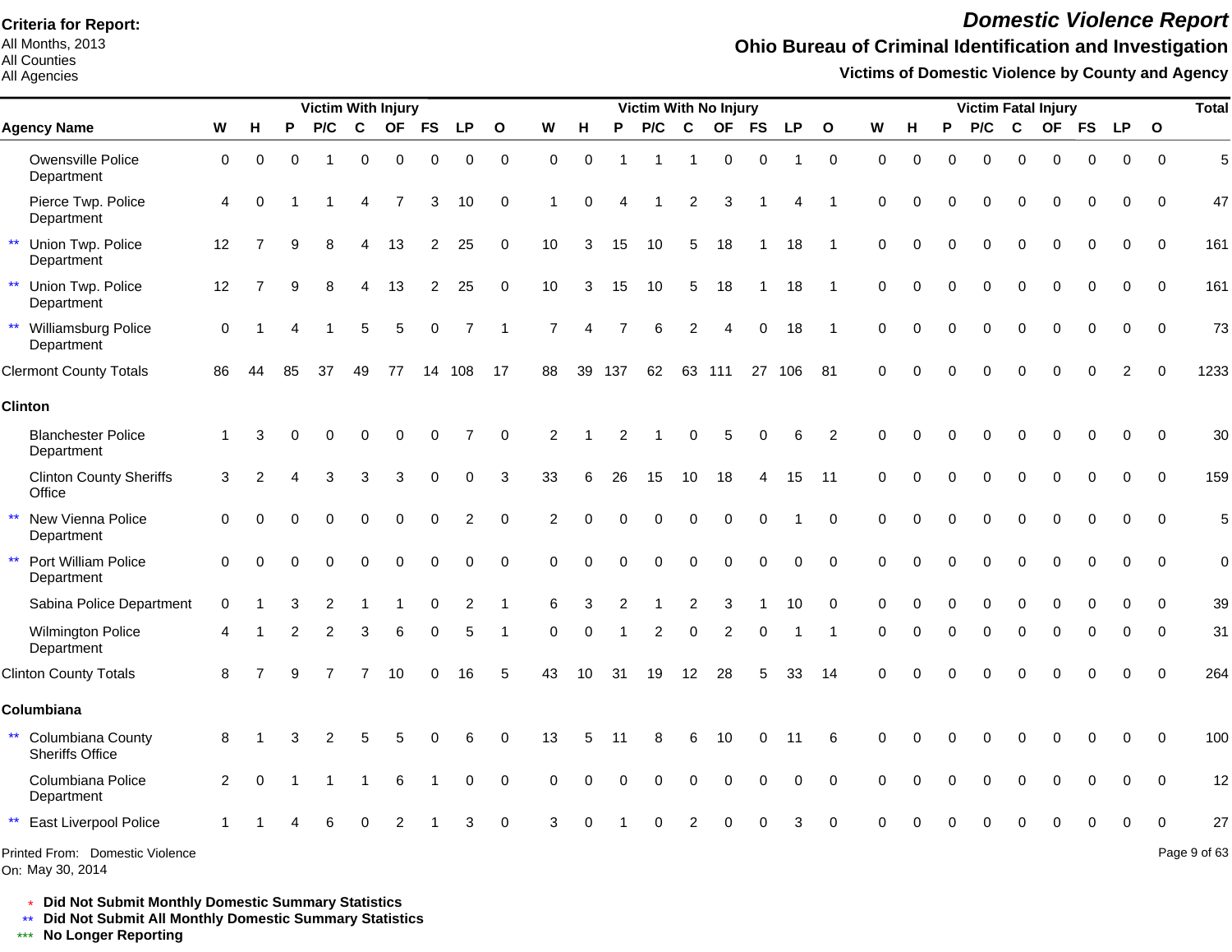All Months, 2013 All Counties

### All Agencies

## *Domestic Violence Report*

## **Ohio Bureau of Criminal Identification and Investigation**

**Victims of Domestic Violence by County and Agency**

| <b>Victim With Injury</b>                            |                |          |              |          |             |          |                |           |              |             |          |     | Victim With No Injury |                |                |           |           |                |             |          |   |          |             | <b>Victim Fatal Injury</b> |       |               |              | <b>Total</b> |
|------------------------------------------------------|----------------|----------|--------------|----------|-------------|----------|----------------|-----------|--------------|-------------|----------|-----|-----------------------|----------------|----------------|-----------|-----------|----------------|-------------|----------|---|----------|-------------|----------------------------|-------|---------------|--------------|--------------|
| <b>Agency Name</b>                                   | W              | н        | P            | P/C      | $\mathbf c$ |          | OF FS          | <b>LP</b> | $\mathbf{o}$ | W           | н        | P   | P/C                   | $\mathbf c$    | <b>OF</b>      | <b>FS</b> | <b>LP</b> | $\mathbf{o}$   | W           | н        | P | P/C      | $\mathbf c$ |                            | OF FS | <b>LP</b>     | $\mathbf{o}$ |              |
| Owensville Police<br>Department                      | 0              | 0        | $\Omega$     |          | 0           | 0        | 0              | 0         | $\mathbf 0$  | $\mathbf 0$ | $\Omega$ |     | 1                     |                | 0              | 0         |           | $\mathbf 0$    | $\mathbf 0$ | $\Omega$ | O | $\Omega$ | ŋ           | 0                          | 0     | 0             | $\Omega$     | 5            |
| Pierce Twp. Police<br>Department                     | $\overline{4}$ |          |              |          | Δ           |          | 3              | 10        | $\mathbf 0$  |             |          |     |                       | 2              | 3              |           |           |                | $\Omega$    |          |   |          |             |                            | O     | $\Omega$      | $\Omega$     | 47           |
| $\star\star$<br>Union Twp. Police<br>Department      | 12             |          | 9            | 8        |             | 13       | 2              | 25        | $\mathbf 0$  | 10          |          | 15  | 10                    | 5              | 18             |           | 18        |                | $\Omega$    |          | 0 | $\Omega$ | 0           |                            | 0     | 0             | $\mathbf 0$  | 161          |
| $\star\star$<br>Union Twp. Police<br>Department      | 12             |          | $\mathbf{Q}$ | 8        | 4           | 13       | $\overline{2}$ | 25        | $\mathbf 0$  | 10          | 3        | 15  | 10                    | 5              | 18             |           | 18        |                | $\Omega$    |          | 0 | $\Omega$ | 0           | $\Omega$                   | 0     | 0             | $\Omega$     | 161          |
| $\star\star$<br>Williamsburg Police<br>Department    | $\mathbf 0$    |          |              |          | 5           | 5        | $\Omega$       | 7         |              |             |          |     | 6                     | $\overline{2}$ |                | $\Omega$  | 18        |                | O           |          | 0 | $\Omega$ | ŋ           |                            | O     | $\Omega$      | $\Omega$     | 73           |
| <b>Clermont County Totals</b>                        | 86             | 44       | 85           | 37       | 49          | 77       | 14             | 108       | 17           | 88          | 39       | 137 | 62                    |                | 63 111         |           | 27 106    | -81            | $\Omega$    |          | U |          |             |                            | ŋ     | $\mathcal{P}$ |              | 1233         |
| <b>Clinton</b>                                       |                |          |              |          |             |          |                |           |              |             |          |     |                       |                |                |           |           |                |             |          |   |          |             |                            |       |               |              |              |
| <b>Blanchester Police</b><br>Department              |                |          |              |          |             |          |                |           | $\Omega$     | 2           |          | 2   |                       | C              |                | 0         | 6         | $\overline{2}$ | $\Omega$    |          |   |          |             |                            |       |               | $\Omega$     | 30           |
| <b>Clinton County Sheriffs</b><br>Office             | 3              |          |              |          |             |          | ი              | O         | 3            | 33          |          | 26  | 15                    | 10             | 18             | 4         | 15        | -11            | $\Omega$    |          |   |          |             |                            |       |               | $\Omega$     | 159          |
| $\star\star$<br>New Vienna Police<br>Department      | $\Omega$       |          |              |          |             |          | $\Omega$       |           | $\Omega$     |             |          |     |                       | $\Omega$       | $\Omega$       | $\Omega$  |           | $\Omega$       | $\Omega$    |          |   | $\Omega$ |             |                            |       |               | $\Omega$     | 5            |
| $\star\star$<br>Port William Police<br>Department    | $\Omega$       | O        |              | $\Omega$ | $\Omega$    | $\Omega$ | $\Omega$       | O         | $\Omega$     | $\Omega$    |          |     | $\Omega$              | $\mathbf 0$    | $\Omega$       | $\Omega$  | $\Omega$  | $\Omega$       | $\Omega$    |          |   | $\Omega$ | O           |                            |       |               | $\Omega$     | $\mathbf 0$  |
| Sabina Police Department                             | 0              |          |              |          |             |          |                |           |              |             |          |     |                       |                | 3              |           | 10        | $\Omega$       |             |          | n | ∩        |             |                            |       |               | $\Omega$     | 39           |
| <b>Wilmington Police</b><br>Department               |                |          |              | 2        | 3           |          |                | 5         |              | $\Omega$    |          |     | 2                     | $\Omega$       | $\overline{2}$ | 0         |           |                | ∩           |          | U | $\Omega$ | ŋ           |                            | ŋ     | 0             | $\Omega$     | 31           |
| <b>Clinton County Totals</b>                         | 8              |          |              |          |             | 10       | 0              | 16        | 5            | 43          | 10       | 31  | 19                    | 12             | 28             | 5         | 33        | 14             | $\Omega$    |          |   |          | 0           |                            | 0     | $\Omega$      | $\Omega$     | 264          |
| Columbiana                                           |                |          |              |          |             |          |                |           |              |             |          |     |                       |                |                |           |           |                |             |          |   |          |             |                            |       |               |              |              |
| Columbiana County<br>$***$<br><b>Sheriffs Office</b> | 8              |          |              |          |             |          |                | 6         | O            | 13          |          |     | 8                     | 6              | 10             | ი         |           | 6              |             |          |   |          |             |                            |       |               | $\Omega$     | 100          |
| Columbiana Police<br>Department                      | 2              | $\Omega$ |              |          |             | 6        |                | O         | $\Omega$     | $\Omega$    |          |     |                       | O              | ∩              | $\Omega$  | $\Omega$  | $\Omega$       | $\Omega$    |          |   |          |             |                            |       |               | $\Omega$     | 12           |
| $\star\star$<br>East Liverpool Police                |                |          |              |          |             |          |                |           | $\Omega$     | З           |          |     |                       |                |                |           | З         | $\Omega$       |             |          |   |          |             |                            |       |               |              | 27           |
| Printed From: Domestic Violence                      |                |          |              |          |             |          |                |           |              |             |          |     |                       |                |                |           |           |                |             |          |   |          |             |                            |       |               |              | Page 9 of 63 |

On: May 30, 2014

\* **Did Not Submit Monthly Domestic Summary Statistics**

**Did Not Submit All Monthly Domestic Summary Statistics**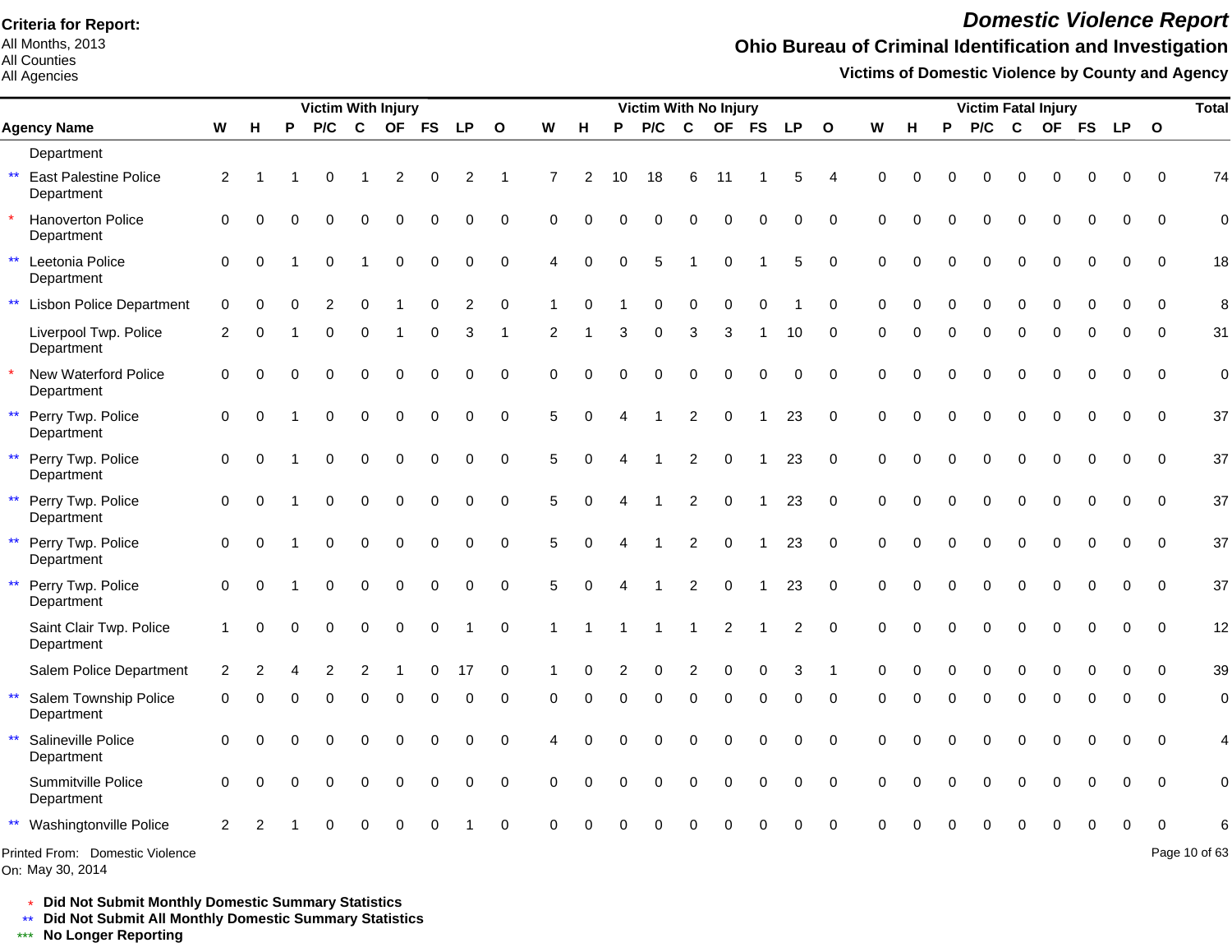All Months, 2013 All Counties

#### All Agencies

## *Domestic Violence Report*

## **Ohio Bureau of Criminal Identification and Investigation**

**Victims of Domestic Violence by County and Agency**

|              |                                        |                      |               |          | <b>Victim With Injury</b> |             |             |             |           |              |             |          |          | Victim With No Injury |                |             |             |           |              |             |          |          | <b>Victim Fatal Injury</b> |             |           |           |           |              | <b>Total</b>   |
|--------------|----------------------------------------|----------------------|---------------|----------|---------------------------|-------------|-------------|-------------|-----------|--------------|-------------|----------|----------|-----------------------|----------------|-------------|-------------|-----------|--------------|-------------|----------|----------|----------------------------|-------------|-----------|-----------|-----------|--------------|----------------|
|              | <b>Agency Name</b>                     | W                    | н             | P        | P/C                       | $\mathbf c$ | <b>OF</b>   | <b>FS</b>   | <b>LP</b> | $\mathbf{o}$ | W           | н        | P        | P/C                   | $\mathbf c$    | <b>OF</b>   | <b>FS</b>   | <b>LP</b> | $\mathbf{o}$ | ${\bf W}$   | н        | P        | P/C                        | C           | <b>OF</b> | <b>FS</b> | <b>LP</b> | $\mathbf{o}$ |                |
|              | Department                             |                      |               |          |                           |             |             |             |           |              |             |          |          |                       |                |             |             |           |              |             |          |          |                            |             |           |           |           |              |                |
|              | ** East Palestine Police<br>Department | $\overline{2}$       |               |          | $\mathbf 0$               | 1           | 2           | 0           | 2         | 1            | 7           | 2        | 10       | 18                    | 6              | 11          |             | 5         | 4            | 0           | O        |          | 0                          |             | 0         |           | 0         | $\Omega$     | 74             |
| $\star$      | Hanoverton Police<br>Department        | $\pmb{0}$            | $\Omega$      | $\Omega$ | 0                         | 0           | $\mathbf 0$ | 0           | $\Omega$  | $\Omega$     | $\Omega$    | $\Omega$ | $\Omega$ | $\Omega$              | 0              | $\mathbf 0$ | $\mathbf 0$ | $\Omega$  | $\Omega$     | $\Omega$    | $\Omega$ |          | $\Omega$                   | $\Omega$    | $\Omega$  |           | 0         | $\Omega$     | $\mathbf 0$    |
| $\star\star$ | Leetonia Police<br>Department          | $\Omega$             | $\Omega$      |          | $\Omega$                  | 1           | $\Omega$    | $\Omega$    | $\Omega$  | $\Omega$     | 4           | $\Omega$ | $\Omega$ | 5                     |                | $\Omega$    |             | 5         | $\Omega$     | $\Omega$    | $\Omega$ |          | $\Omega$                   | $\Omega$    | 0         | $\Omega$  | 0         | $\Omega$     | 18             |
| $\star\star$ | <b>Lisbon Police Department</b>        | $\mathbf 0$          | $\Omega$      | O        | 2                         | 0           |             | 0           | 2         | 0            |             | O        |          | ∩                     | 0              | 0           | $\Omega$    |           | 0            | 0           | $\Omega$ |          | O                          | ∩           | O         |           | O         | $\Omega$     | 8              |
|              | Liverpool Twp. Police<br>Department    | 2                    | 0             |          | 0                         | 0           |             | 0           | 3         | -1           | 2           |          | 3        | 0                     | 3              | 3           |             | 10        | 0            | 0           | $\Omega$ | 0        | 0                          | $\mathbf 0$ | 0         | $\Omega$  | 0         | $\Omega$     | 31             |
| $\star$      | New Waterford Police<br>Department     | $\mathbf 0$          | $\Omega$      | 0        | 0                         | 0           | $\mathbf 0$ | 0           | $\Omega$  | $\mathbf 0$  | $\mathbf 0$ | $\Omega$ | O        | $\Omega$              | 0              | 0           | 0           | 0         | $\mathbf 0$  | $\mathbf 0$ | $\Omega$ |          | U                          | $\Omega$    | $\Omega$  | $\Omega$  | 0         | $\mathbf 0$  | $\mathbf 0$    |
|              | ** Perry Twp. Police<br>Department     | 0                    | $\Omega$      |          | $\Omega$                  | $\Omega$    | $\Omega$    | $\Omega$    | $\Omega$  | $\Omega$     | 5           | $\Omega$ | Δ        |                       | $\overline{c}$ | $\mathbf 0$ |             | 23        | 0            | $\Omega$    | $\Omega$ | $\Omega$ | 0                          | $\Omega$    | $\Omega$  | $\Omega$  | 0         | $\Omega$     | 37             |
| $\star\star$ | Perry Twp. Police<br>Department        | $\mathbf 0$          | $\Omega$      |          | $\Omega$                  | $\Omega$    | $\Omega$    | $\Omega$    | $\Omega$  | $\mathbf 0$  | 5           | $\Omega$ | 4        |                       | $\overline{2}$ | $\mathbf 0$ |             | 23        | 0            | $\Omega$    | $\Omega$ |          | 0                          | $\Omega$    | $\Omega$  |           | 0         | $\Omega$     | 37             |
| $\star\star$ | Perry Twp. Police<br>Department        | $\mathbf 0$          | $\Omega$      |          | $\Omega$                  | 0           | $\mathbf 0$ | 0           | $\Omega$  | $\mathbf 0$  | 5           | $\Omega$ |          |                       | $\overline{2}$ | $\mathbf 0$ |             | 23        | $\mathbf 0$  | $\Omega$    | $\Omega$ |          | 0                          | $\mathbf 0$ | $\Omega$  | $\Omega$  | 0         | $\Omega$     | 37             |
| $\star\star$ | Perry Twp. Police<br>Department        | $\mathbf 0$          | $\Omega$      |          | $\Omega$                  | $\Omega$    | $\mathbf 0$ | $\mathbf 0$ | $\Omega$  | $\mathbf 0$  | 5           | $\Omega$ |          |                       | $\overline{2}$ | $\mathbf 0$ |             | 23        | $\mathbf 0$  | $\Omega$    | $\Omega$ | $\Omega$ | 0                          | 0           | 0         | $\Omega$  | 0         | $\Omega$     | 37             |
| $\star\star$ | Perry Twp. Police<br>Department        | $\mathbf 0$          | $\Omega$      |          | $\Omega$                  | 0           | $\mathbf 0$ | 0           | $\Omega$  | $\mathbf 0$  | 5           | $\Omega$ | 4        |                       | 2              | $\mathbf 0$ | -1          | 23        | 0            | $\mathbf 0$ | $\Omega$ | $\Omega$ | 0                          | $\Omega$    | $\Omega$  | $\Omega$  | 0         | $\Omega$     | 37             |
|              | Saint Clair Twp. Police<br>Department  | $\blacktriangleleft$ | $\Omega$      | $\Omega$ | $\Omega$                  | $\Omega$    | $\mathbf 0$ | $\Omega$    |           | $\mathbf 0$  | 1           |          |          |                       |                | 2           |             | 2         | $\Omega$     | $\Omega$    | $\Omega$ | $\Omega$ | $\Omega$                   | $\Omega$    | $\Omega$  | $\Omega$  | 0         | $\Omega$     | 12             |
|              | Salem Police Department                | 2                    | 2             |          | 2                         | 2           |             | 0           | 17        | $\mathbf 0$  |             |          | 2        | 0                     | 2              | 0           | $\Omega$    | 3         |              | $\Omega$    | O        |          | 0                          | $\Omega$    | 0         |           | 0         | $\Omega$     | 39             |
| $\star\star$ | Salem Township Police<br>Department    | 0                    | $\Omega$      | O        | $\Omega$                  | $\Omega$    | $\Omega$    | $\Omega$    | 0         | 0            | 0           | $\Omega$ | $\Omega$ | $\Omega$              | $\Omega$       | $\Omega$    | $\Omega$    | 0         | $\Omega$     | $\Omega$    | $\Omega$ | $\Omega$ | $\Omega$                   | $\Omega$    | $\Omega$  | $\Omega$  | 0         | $\Omega$     | $\mathbf 0$    |
| $\star\star$ | Salineville Police<br>Department       | 0                    | $\Omega$      | 0        | $\Omega$                  | $\Omega$    | $\Omega$    | $\Omega$    | $\Omega$  | 0            | 4           | $\Omega$ | $\Omega$ | $\Omega$              | $\Omega$       | 0           | 0           | 0         | 0            | $\mathbf 0$ | $\Omega$ |          | 0                          | $\Omega$    | $\Omega$  | $\Omega$  | 0         | $\mathbf 0$  | $\overline{4}$ |
|              | Summitville Police<br>Department       | $\Omega$             | $\Omega$      | $\Omega$ | $\Omega$                  | $\Omega$    | $\Omega$    | $\Omega$    | $\Omega$  | $\Omega$     | $\Omega$    | $\Omega$ | $\Omega$ | $\Omega$              | $\Omega$       | $\mathbf 0$ | $\mathbf 0$ | 0         | $\Omega$     | $\Omega$    | $\Omega$ | $\Omega$ | 0                          | $\Omega$    | $\Omega$  | $\Omega$  | $\Omega$  | $\Omega$     | $\mathbf 0$    |
|              | ** Washingtonville Police              | 2                    | $\mathcal{P}$ |          |                           |             |             |             |           | $\Omega$     | $\Omega$    |          |          |                       |                |             |             |           |              |             |          |          |                            |             |           |           |           | $\Omega$     | 6              |
|              | Printed From: Domestic Violence        |                      |               |          |                           |             |             |             |           |              |             |          |          |                       |                |             |             |           |              |             |          |          |                            |             |           |           |           |              | Page 10 of 63  |

On: May 30, 2014

\* **Did Not Submit Monthly Domestic Summary Statistics**

**Did Not Submit All Monthly Domestic Summary Statistics**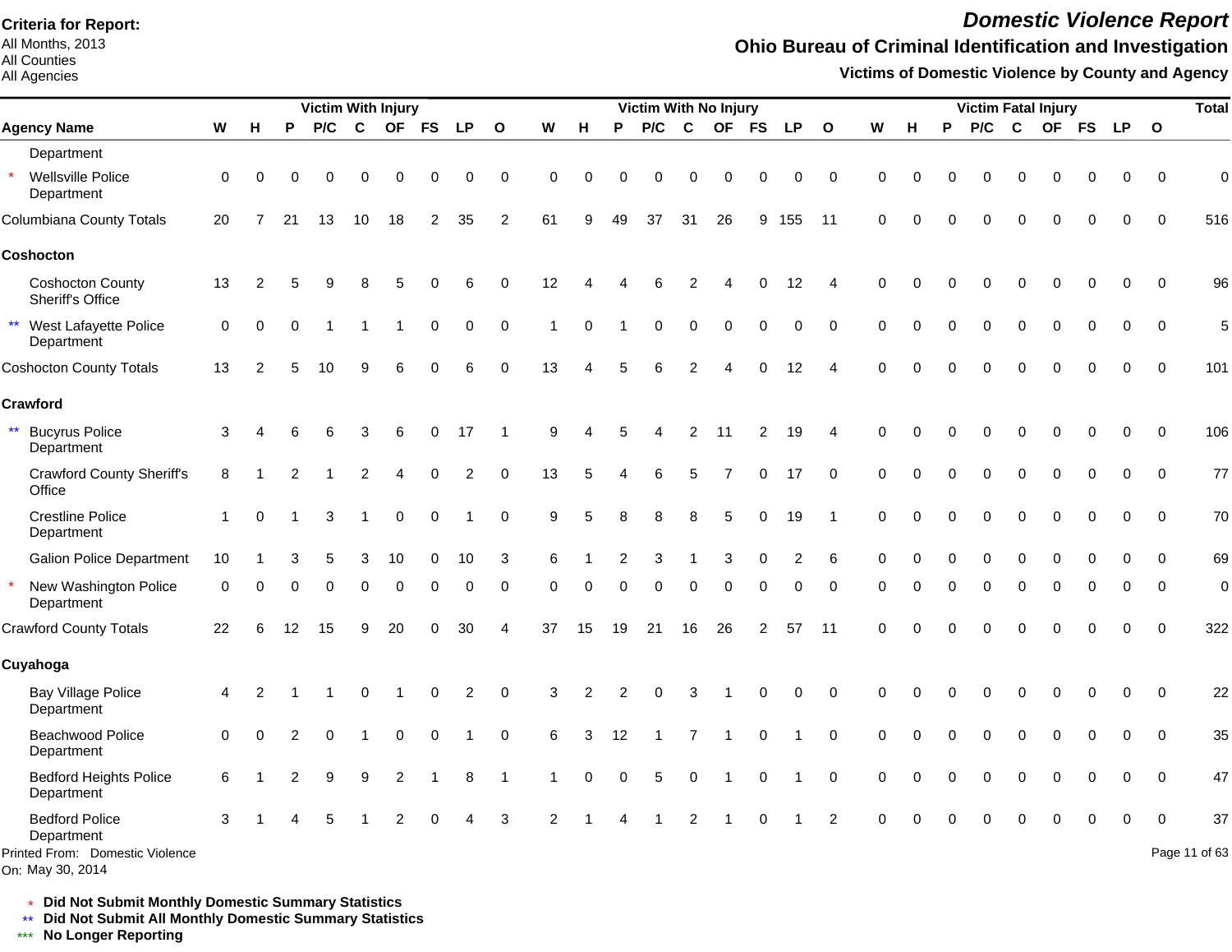All Months, 2013 All Counties

#### All Agencies

## *Domestic Violence Report*

## **Ohio Bureau of Criminal Identification and Investigation**

**Victims of Domestic Violence by County and Agency**

|                                                                                            |             |          |          | <b>Victim With Injury</b> |             |          |          |           |                         |                |          |                | <b>Victim With No Injury</b> |                |             |             |             |                |             |          |          |          |          | <b>Victim Fatal Injury</b> |          |           |              | <b>Total</b>        |
|--------------------------------------------------------------------------------------------|-------------|----------|----------|---------------------------|-------------|----------|----------|-----------|-------------------------|----------------|----------|----------------|------------------------------|----------------|-------------|-------------|-------------|----------------|-------------|----------|----------|----------|----------|----------------------------|----------|-----------|--------------|---------------------|
| <b>Agency Name</b>                                                                         | W           | н        | P        | P/C                       | $\mathbf c$ |          | OF FS    | <b>LP</b> | $\overline{\mathbf{o}}$ | W              | H        | P              | P/C                          | $\mathbf c$    | <b>OF</b>   | <b>FS</b>   | <b>LP</b>   | $\mathbf{o}$   | W           | н        | P        | P/C      | C        | OF FS                      |          | <b>LP</b> | $\mathbf{o}$ |                     |
| Department                                                                                 |             |          |          |                           |             |          |          |           |                         |                |          |                |                              |                |             |             |             |                |             |          |          |          |          |                            |          |           |              |                     |
| $\star$<br>Wellsville Police<br>Department                                                 | $\Omega$    | $\Omega$ |          | n                         | 0           | $\Omega$ | 0        | 0         | $\mathbf 0$             | 0              | $\Omega$ | O              | $\Omega$                     | 0              | $\Omega$    | 0           | 0           | $\mathbf 0$    | $\Omega$    | C        |          | 0        |          |                            |          | 0         | $\Omega$     | $\mathbf 0$         |
| Columbiana County Totals                                                                   | 20          | 7        | 21       | 13                        | 10          | 18       | 2        | 35        | 2                       | 61             |          | 49             | 37                           | 31             | 26          | 9           | 155         | 11             | $\Omega$    | ∩        |          | U        |          |                            |          |           | $\Omega$     | 516                 |
| Coshocton                                                                                  |             |          |          |                           |             |          |          |           |                         |                |          |                |                              |                |             |             |             |                |             |          |          |          |          |                            |          |           |              |                     |
| <b>Coshocton County</b><br>Sheriff's Office                                                | 13          | 2        | 5        |                           | 8           |          |          | 6         | $\Omega$                | 12             |          |                | 6                            | 2              |             | $\Omega$    | 12          | 4              | $\Omega$    | $\Omega$ |          | O        | ∩        | O                          |          | 0         | $\Omega$     | 96                  |
| $\star\star$<br>West Lafayette Police<br>Department                                        | $\mathbf 0$ | $\Omega$ | $\Omega$ |                           |             |          | 0        | 0         | $\pmb{0}$               | 1              | $\Omega$ |                | $\Omega$                     | 0              | $\mathbf 0$ | 0           | 0           | $\mathbf 0$    | $\mathbf 0$ | $\Omega$ |          | O        |          |                            |          | 0         | $\mathbf 0$  | 5                   |
| <b>Coshocton County Totals</b>                                                             | 13          | 2        |          | 10                        |             |          | U        | 6         | $\Omega$                | 13             |          |                | 6                            | $\overline{2}$ |             | $\Omega$    | 12          | $\overline{4}$ | $\Omega$    | $\Omega$ |          |          |          |                            |          |           | $\Omega$     | 101                 |
| Crawford                                                                                   |             |          |          |                           |             |          |          |           |                         |                |          |                |                              |                |             |             |             |                |             |          |          |          |          |                            |          |           |              |                     |
| $\star\star$<br><b>Bucyrus Police</b><br>Department                                        | 3           |          |          |                           | 3           | 6        | 0        | 17        |                         | 9              |          | 5              |                              | 2              | 11          | 2           | 19          | 4              | $\Omega$    | $\Omega$ |          |          |          |                            |          | 0         | $\Omega$     | 106                 |
| <b>Crawford County Sheriff's</b><br>Office                                                 | 8           |          |          |                           | 2           |          | $\Omega$ | 2         | $\mathbf 0$             | 13             | 5        |                | 6                            | 5              | 7           | $\mathbf 0$ | 17          | $\mathbf 0$    | $\mathbf 0$ | $\Omega$ |          | $\Omega$ | $\Omega$ |                            | $\Omega$ | $\Omega$  | $\mathbf 0$  | 77                  |
| <b>Crestline Police</b><br>Department                                                      |             | $\Omega$ |          | 3                         |             | 0        | 0        | 1         | $\mathbf 0$             | 9              | 5        |                | 8                            | 8              | 5           | 0           | 19          | -1             | $\mathbf 0$ | $\Omega$ |          | O        | $\Omega$ |                            |          | 0         | 0            | 70                  |
| <b>Galion Police Department</b>                                                            | 10          |          |          |                           | 3           | 10       | $\Omega$ | 10        | 3                       | 6              |          |                | 3                            |                | 3           | $\Omega$    | 2           | 6              | $\Omega$    | n        |          |          |          |                            |          | O         | $\Omega$     | 69                  |
| New Washington Police<br>Department                                                        | $\Omega$    | ∩        | 0        | $\Omega$                  | $\Omega$    | $\Omega$ | $\Omega$ | $\Omega$  | $\mathbf 0$             | $\Omega$       | $\Omega$ | $\Omega$       | $\Omega$                     | $\Omega$       | $\Omega$    | $\Omega$    | $\Omega$    | $\Omega$       | $\Omega$    | $\Omega$ | $\Omega$ | $\Omega$ | $\Omega$ | $\Omega$                   | $\Omega$ | 0         | $\Omega$     | $\mathbf 0$         |
| <b>Crawford County Totals</b>                                                              | 22          | 6        | 12       | 15                        | 9           | 20       | 0        | 30        | 4                       | 37             | 15       | 19             | 21                           | 16             | 26          | 2           | 57          | 11             | $\Omega$    | $\Omega$ | ∩        | O        | ∩        | ∩                          |          | 0         | $\Omega$     | 322                 |
| Cuyahoga                                                                                   |             |          |          |                           |             |          |          |           |                         |                |          |                |                              |                |             |             |             |                |             |          |          |          |          |                            |          |           |              |                     |
| <b>Bay Village Police</b><br>Department                                                    | 4           | 2        |          |                           | $\Omega$    |          | 0        | 2         | $\mathbf 0$             | 3              | 2        | $\overline{2}$ | $\mathbf 0$                  | 3              |             | $\Omega$    | $\mathbf 0$ | $\mathbf 0$    | $\Omega$    | $\Omega$ |          | 0        | ∩        | O                          |          | 0         | $\Omega$     | 22                  |
| Beachwood Police<br>Department                                                             | $\Omega$    | $\Omega$ | 2        |                           |             | $\Omega$ | 0        |           | $\mathbf 0$             | 6              | 3        | 12             |                              |                |             | $\mathbf 0$ |             | $\mathbf 0$    | $\mathbf 0$ | $\Omega$ |          | 0        |          |                            |          | 0         | $\Omega$     | 35                  |
| <b>Bedford Heights Police</b><br>Department                                                | 6           |          | 2        |                           | 9           | 2        |          | 8         | 1                       |                | $\Omega$ | $\Omega$       | 5                            | $\mathbf 0$    |             | $\mathbf 0$ |             | $\mathbf 0$    | $\mathbf 0$ | $\Omega$ |          | O        |          |                            |          | 0         | $\Omega$     | 47                  |
| <b>Bedford Police</b><br>Department<br>Printed From: Domestic Violence<br>On: May 30, 2014 | 3           |          |          |                           |             | 2        |          |           | 3                       | $\mathfrak{p}$ |          |                |                              | $\mathcal{P}$  |             |             |             | $\mathcal{P}$  | $\Omega$    |          |          |          |          |                            |          |           | $\Omega$     | 37<br>Page 11 of 63 |

\* **Did Not Submit Monthly Domestic Summary Statistics**

**Did Not Submit All Monthly Domestic Summary Statistics**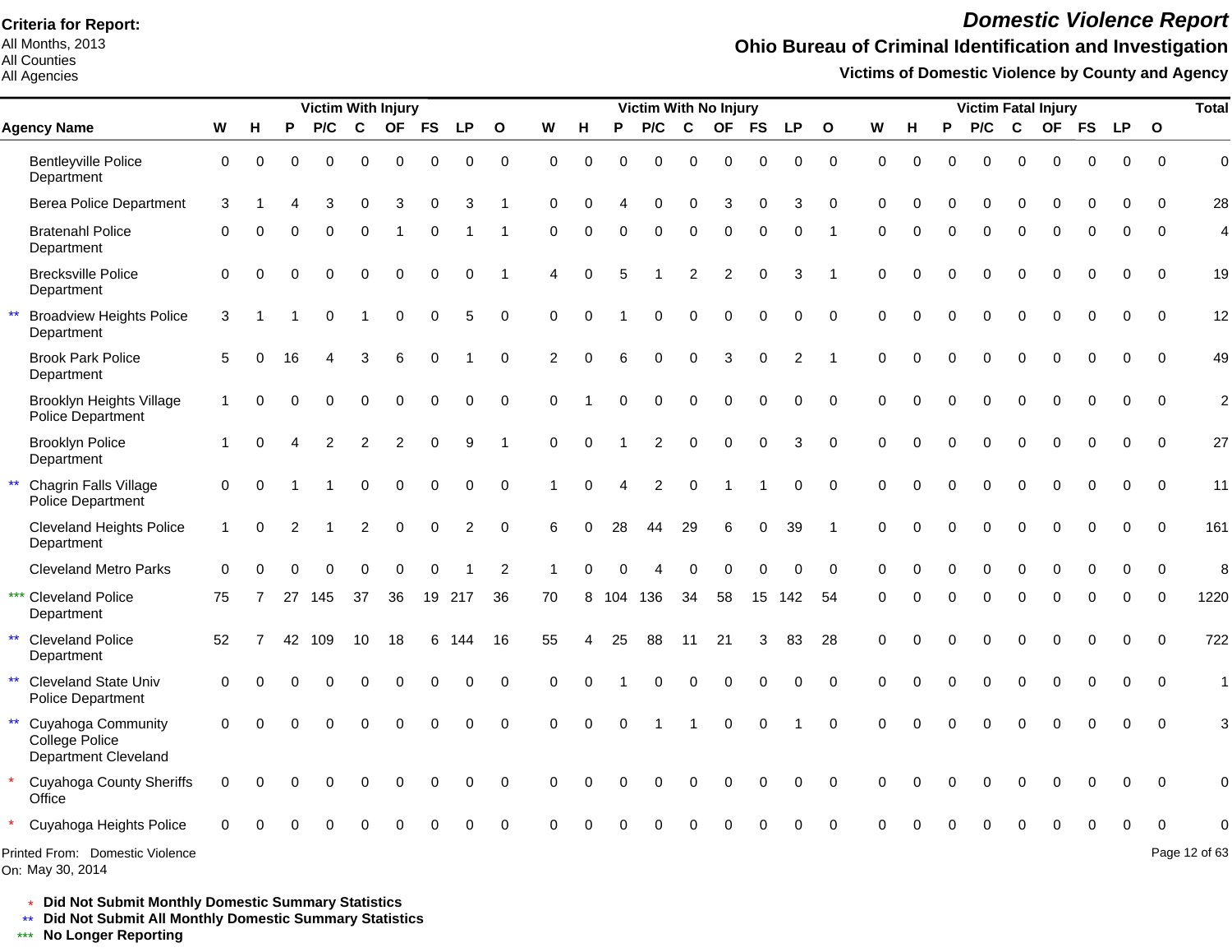All Months, 2013 All Counties

#### All Agencies

## *Domestic Violence Report*

## **Ohio Bureau of Criminal Identification and Investigation**

**Victims of Domestic Violence by County and Agency**

|                            |                                                              |                      |          |    | <b>Victim With Injury</b> |                |                |           |          |              |          |          |          | Victim With No Injury |                |           |             |                |              |          |          |          | <b>Victim Fatal Injury</b> |             |             |             |             |              | <b>Total</b>   |
|----------------------------|--------------------------------------------------------------|----------------------|----------|----|---------------------------|----------------|----------------|-----------|----------|--------------|----------|----------|----------|-----------------------|----------------|-----------|-------------|----------------|--------------|----------|----------|----------|----------------------------|-------------|-------------|-------------|-------------|--------------|----------------|
| <b>Agency Name</b>         |                                                              | W                    | н        | P  | P/C                       | C              | <b>OF</b>      | <b>FS</b> | LP       | $\mathbf{o}$ | W        | н        | P        | P/C                   | C              | <b>OF</b> | <b>FS</b>   | <b>LP</b>      | $\mathbf{o}$ | W        | н        | P        | P/C                        | C           | <b>OF</b>   | <b>FS</b>   | <b>LP</b>   | $\mathbf{o}$ |                |
| Department                 | <b>Bentleyville Police</b>                                   | 0                    | $\Omega$ |    | 0                         | $\Omega$       | 0              | ∩         | 0        | $\mathbf 0$  | $\Omega$ | 0        | $\Omega$ | $\Omega$              | $\Omega$       | $\Omega$  | $\Omega$    | $\Omega$       | $\mathbf 0$  | $\Omega$ | $\Omega$ | 0        | $\Omega$                   | $\Omega$    | $\Omega$    | 0           | $\mathbf 0$ | $\Omega$     | $\overline{0}$ |
|                            | <b>Berea Police Department</b>                               | 3                    |          |    | 3                         | $\Omega$       | 3              | $\Omega$  | 3        |              | $\Omega$ |          |          | $\Omega$              | $\Omega$       | 3         | $\Omega$    | 3              | $\Omega$     | $\Omega$ |          |          | 0                          | $\Omega$    | $\Omega$    | O           |             | <sup>0</sup> | 28             |
| Department                 | <b>Bratenahl Police</b>                                      | $\Omega$             |          |    | $\Omega$                  | $\Omega$       |                | $\Omega$  |          |              | $\Omega$ | $\Omega$ | $\Omega$ | 0                     | $\mathbf 0$    | $\Omega$  | $\Omega$    | $\Omega$       |              | $\Omega$ | O        | $\Omega$ | $\Omega$                   | $\Omega$    | $\Omega$    | $\Omega$    | $\Omega$    | $\Omega$     | $\overline{4}$ |
| Department                 | <b>Brecksville Police</b>                                    | 0                    | O        |    | 0                         | $\Omega$       | 0              | $\Omega$  | 0        |              | 4        | 0        | 5        |                       | $\overline{2}$ | 2         | $\Omega$    | 3              |              | $\Omega$ | O        | $\Omega$ | $\Omega$                   | $\mathbf 0$ | $\Omega$    | $\mathbf 0$ | 0           | $\Omega$     | 19             |
| Department                 | <b>Broadview Heights Police</b>                              | 3                    |          |    | $\Omega$                  |                | $\Omega$       | $\Omega$  | 5        | $\Omega$     | $\Omega$ | $\Omega$ |          | 0                     | $\Omega$       | $\Omega$  | $\mathbf 0$ | $\Omega$       | $\Omega$     | $\Omega$ |          | 0        | $\Omega$                   | $\Omega$    | $\Omega$    | $\Omega$    | $\Omega$    | $\Omega$     | 12             |
| Department                 | <b>Brook Park Police</b>                                     | 5                    |          | 16 |                           | 3              | 6              | $\Omega$  |          | $\Omega$     | 2        | $\Omega$ | 6        | 0                     | $\mathbf 0$    | 3         | $\mathbf 0$ | $\overline{2}$ |              | $\Omega$ |          | $\Omega$ | $\Omega$                   | $\mathbf 0$ | $\Omega$    | $\Omega$    | $\Omega$    | $\Omega$     | 49             |
|                            | <b>Brooklyn Heights Village</b><br><b>Police Department</b>  | $\mathbf{1}$         | $\Omega$ |    | 0                         | $\mathbf 0$    | 0              | $\Omega$  | 0        | $\Omega$     | $\Omega$ |          | $\Omega$ | 0                     | $\mathbf 0$    | 0         | $\mathbf 0$ | $\Omega$       | $\Omega$     | $\Omega$ |          | 0        | $\mathbf 0$                | $\mathbf 0$ | $\mathbf 0$ | $\mathbf 0$ | 0           | $\mathbf{0}$ | $\overline{c}$ |
| Department                 | <b>Brooklyn Police</b>                                       | $\blacktriangleleft$ |          |    | $\overline{2}$            | $\overline{2}$ | $\overline{2}$ | $\Omega$  | 9        |              | $\Omega$ | $\Omega$ |          | $\overline{2}$        | $\mathbf 0$    | $\Omega$  | $\mathbf 0$ | 3              | $\Omega$     | $\Omega$ |          | $\Omega$ | $\mathbf 0$                | $\Omega$    | $\Omega$    | 0           | $\Omega$    | $\Omega$     | 27             |
|                            | Chagrin Falls Village<br>Police Department                   | $\mathbf 0$          | $\Omega$ |    |                           | $\Omega$       | 0              | $\Omega$  | $\Omega$ | $\Omega$     |          | 0        |          | 2                     | $\Omega$       |           |             | $\Omega$       | $\Omega$     | $\Omega$ |          | $\Omega$ | $\Omega$                   | $\Omega$    | $\Omega$    | 0           | $\Omega$    | $\Omega$     | 11             |
| Department                 | <b>Cleveland Heights Police</b>                              | $\mathbf{1}$         | $\Omega$ | 2  |                           | $\overline{c}$ | $\Omega$       | $\Omega$  | 2        | $\Omega$     | 6        | 0        | 28       | 44                    | 29             | 6         | $\mathbf 0$ | 39             |              | $\Omega$ |          | 0        | $\Omega$                   | $\Omega$    | $\Omega$    | $\mathbf 0$ | 0           | $\Omega$     | 161            |
|                            | <b>Cleveland Metro Parks</b>                                 | $\Omega$             |          |    | O                         | ∩              | $\Omega$       | $\Omega$  |          | 2            |          |          |          |                       | $\Omega$       | $\Omega$  | $\Omega$    | $\Omega$       | $\Omega$     | $\Omega$ |          | 0        | $\Omega$                   | $\Omega$    | $\Omega$    | 0           | $\Omega$    | $\Omega$     | 8              |
| Department                 | *** Cleveland Police                                         | 75                   |          | 27 | 145                       | 37             | 36             | 19        | 217      | 36           | 70       | 8        | 104 136  |                       | 34             | 58        | 15          | 142            | 54           | $\Omega$ |          | $\Omega$ | $\Omega$                   | $\Omega$    | $\Omega$    | $\Omega$    | $\Omega$    | $\Omega$     | 1220           |
| $\star\star$<br>Department | <b>Cleveland Police</b>                                      | 52                   |          | 42 | 109                       | 10             | 18             | 6         | 144      | 16           | 55       |          | 25       | 88                    | 11             | 21        | 3           | 83             | 28           | $\Omega$ |          | 0        | $\Omega$                   | $\Omega$    | $\Omega$    | 0           | $\Omega$    | $\Omega$     | 722            |
| $\star\star$               | <b>Cleveland State Univ</b><br><b>Police Department</b>      | $\Omega$             |          |    |                           |                |                |           | 0        | $\Omega$     | $\Omega$ |          |          | $\Omega$              | $\Omega$       | $\Omega$  | $\Omega$    | $\Omega$       | $\Omega$     | $\Omega$ |          | $\Omega$ | $\Omega$                   | $\Omega$    | $\Omega$    | 0           | $\Omega$    | $\Omega$     | $\mathbf{1}$   |
| $\star\star$               | Cuyahoga Community<br>College Police<br>Department Cleveland | $\overline{0}$       |          |    |                           |                |                |           | O        | $\Omega$     | $\Omega$ | $\Omega$ | $\Omega$ |                       |                | $\Omega$  | $\Omega$    |                | $\Omega$     | $\Omega$ |          | $\Omega$ | $\Omega$                   | $\Omega$    |             |             |             | $\mathbf{0}$ | 3              |
| Office                     | <b>Cuyahoga County Sheriffs</b>                              | 0                    | ∩        |    |                           |                |                |           | O        | $\Omega$     | $\Omega$ |          |          |                       | $\Omega$       | O         | 0           | O              | $\Omega$     | $\Omega$ |          |          | ∩                          | O           | $\Omega$    | 0           | $\Omega$    | $\Omega$     | $\Omega$       |
|                            | Cuyahoga Heights Police                                      | ∩                    |          |    |                           |                |                |           |          |              |          |          |          |                       |                |           |             |                |              |          |          |          |                            |             |             |             |             |              |                |
|                            | Printed From: Domestic Violence                              |                      |          |    |                           |                |                |           |          |              |          |          |          |                       |                |           |             |                |              |          |          |          |                            |             |             |             |             |              | Page 12 of 63  |

On: May 30, 2014

\* **Did Not Submit Monthly Domestic Summary Statistics**

**Did Not Submit All Monthly Domestic Summary Statistics**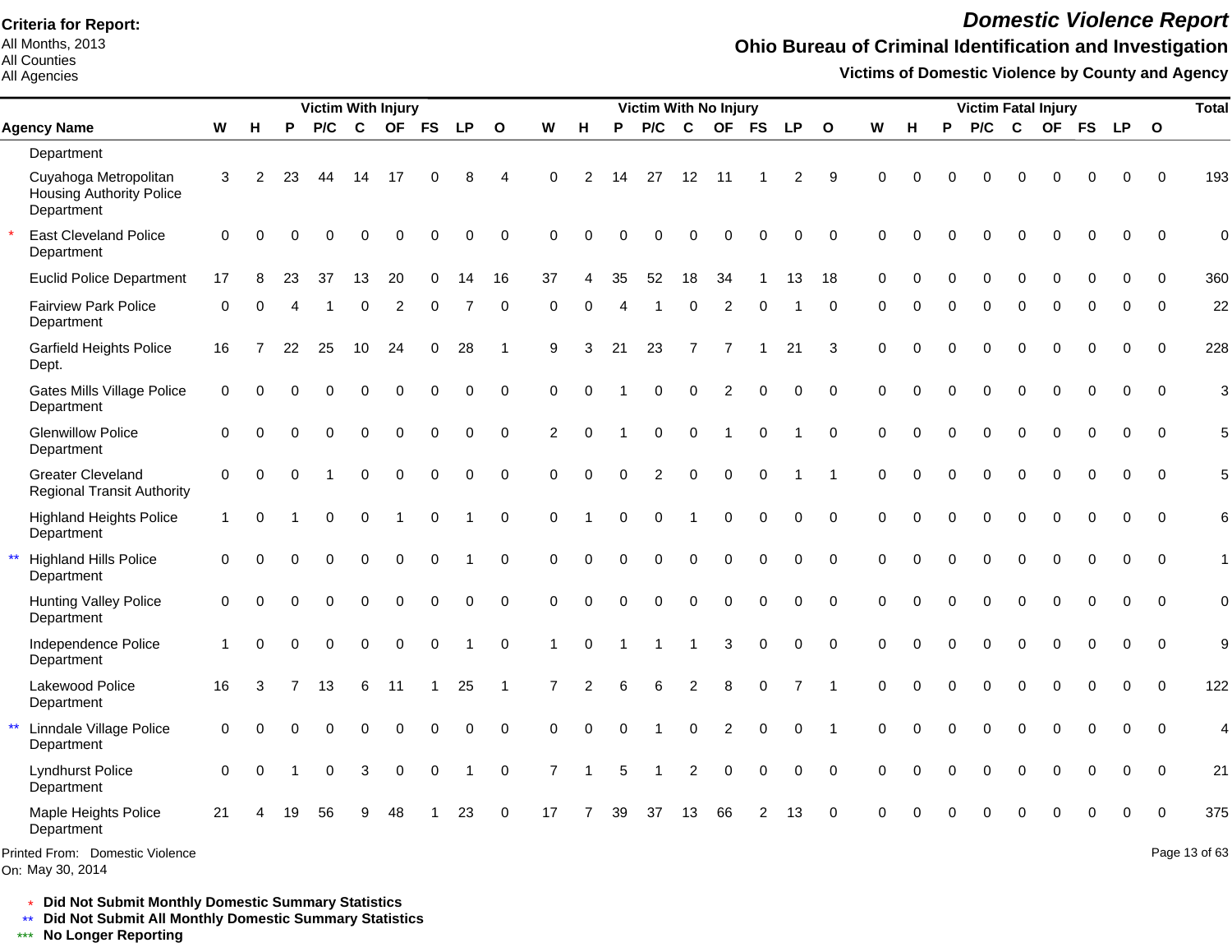All Months, 2013 All Counties

All Agencies

## *Domestic Violence Report*

## **Ohio Bureau of Criminal Identification and Investigation**

**Victims of Domestic Violence by County and Agency**

|                                                                        |              |          |                | <b>Victim With Injury</b> |             |             |             |             |                |                |          |          | <b>Victim With No Injury</b> |                |                |                |           |              |             |          |             | <b>Victim Fatal Injury</b> |             |             |             |             |              | <b>Total</b>  |
|------------------------------------------------------------------------|--------------|----------|----------------|---------------------------|-------------|-------------|-------------|-------------|----------------|----------------|----------|----------|------------------------------|----------------|----------------|----------------|-----------|--------------|-------------|----------|-------------|----------------------------|-------------|-------------|-------------|-------------|--------------|---------------|
| <b>Agency Name</b>                                                     | W            | н        | P              | P/C                       | $\mathbf c$ | <b>OF</b>   | <b>FS</b>   | <b>LP</b>   | $\mathbf{o}$   | W              | н        | P        | P/C                          | C              | <b>OF</b>      | <b>FS</b>      | <b>LP</b> | $\mathbf{o}$ | W           | н        | P           | P/C                        | C           |             |             | OF FS LP    | $\mathbf{o}$ |               |
| Department                                                             |              |          |                |                           |             |             |             |             |                |                |          |          |                              |                |                |                |           |              |             |          |             |                            |             |             |             |             |              |               |
| Cuyahoga Metropolitan<br><b>Housing Authority Police</b><br>Department | 3            | 2        | 23             | 44                        | 14          | -17         |             | 8           | Δ              | $\Omega$       | 2        | 14       | 27                           | 12             | -11            |                | 2         | 9            | $\Omega$    | O        |             | O                          | 0           | $\Omega$    | 0           | 0           | $\Omega$     | 193           |
| <b>East Cleveland Police</b><br>Department                             | 0            | $\Omega$ |                | O                         | $\Omega$    | O           |             | O           | $\Omega$       | $\Omega$       |          |          | n                            | ∩              | ∩              | $\Omega$       | 0         | $\mathbf 0$  | $\Omega$    | $\Omega$ | n           | $\Omega$                   | $\Omega$    | $\Omega$    | 0           | 0           | $\Omega$     | $\mathbf 0$   |
| <b>Euclid Police Department</b>                                        | 17           | 8        | 23             | 37                        | 13          | 20          |             | 14          | 16             | 37             |          | 35       | 52                           | 18             | 34             |                | 13        | 18           | $\Omega$    |          |             |                            | $\Omega$    |             |             |             | $\Omega$     | 360           |
| <b>Fairview Park Police</b><br>Department                              | 0            | 0        | 4              |                           | 0           | 2           | 0           |             | $\mathbf 0$    | $\Omega$       | $\Omega$ |          |                              | $\Omega$       | 2              | $\mathbf 0$    |           | 0            | $\Omega$    | $\Omega$ | $\Omega$    | 0                          | $\mathbf 0$ | $\Omega$    | 0           | 0           | $\Omega$     | 22            |
| Garfield Heights Police<br>Dept.                                       | 16           | 7        | 22             | 25                        | 10          | 24          | 0           | 28          | $\overline{1}$ | 9              | 3        | 21       | 23                           | $\overline{7}$ | $\overline{7}$ |                | 21        | 3            | $\mathbf 0$ | $\Omega$ | $\Omega$    | $\Omega$                   | $\Omega$    | $\Omega$    | $\mathbf 0$ | 0           | $\mathbf 0$  | 228           |
| <b>Gates Mills Village Police</b><br>Department                        | 0            | $\Omega$ | $\Omega$       | $\Omega$                  | 0           | $\pmb{0}$   | $\pmb{0}$   | 0           | $\pmb{0}$      | $\Omega$       | $\Omega$ |          | 0                            | $\mathbf 0$    | 2              | $\Omega$       | 0         | $\mathbf 0$  | $\Omega$    | $\Omega$ | 0           | 0                          | $\mathbf 0$ | $\Omega$    | 0           | $\pmb{0}$   | $\Omega$     | 3             |
| <b>Glenwillow Police</b><br>Department                                 | $\Omega$     | $\Omega$ | $\Omega$       | $\mathbf 0$               | $\mathbf 0$ | $\mathbf 0$ | $\Omega$    | 0           | $\mathbf 0$    | 2              | $\Omega$ |          | $\Omega$                     | $\Omega$       | -1             | $\mathbf 0$    | 1         | $\Omega$     | $\Omega$    | $\Omega$ | $\Omega$    | $\mathbf 0$                | $\mathbf 0$ | $\Omega$    | $\mathbf 0$ | $\Omega$    | $\Omega$     | 5             |
| <b>Greater Cleveland</b><br><b>Regional Transit Authority</b>          | 0            | $\Omega$ | $\Omega$       |                           | $\Omega$    | $\Omega$    | $\mathbf 0$ | 0           | $\mathbf 0$    | $\Omega$       | $\Omega$ | $\Omega$ | $\overline{2}$               | $\Omega$       | 0              | $\mathbf 0$    |           | -1           | $\Omega$    | $\Omega$ | $\Omega$    | $\Omega$                   | $\mathbf 0$ | $\Omega$    | $\Omega$    | $\Omega$    | $\Omega$     | 5             |
| <b>Highland Heights Police</b><br>Department                           | $\mathbf{1}$ | $\Omega$ |                | $\Omega$                  | $\mathbf 0$ |             | $\mathbf 0$ |             | $\mathbf 0$    | $\Omega$       |          | $\Omega$ | $\Omega$                     | -1             | 0              | $\mathbf 0$    | 0         | $\mathbf 0$  | $\Omega$    | $\Omega$ | $\Omega$    | $\Omega$                   | $\mathbf 0$ | $\mathbf 0$ | $\mathbf 0$ | $\mathbf 0$ | $\Omega$     | 6             |
| $\star\star$<br><b>Highland Hills Police</b><br>Department             | $\Omega$     | $\Omega$ | $\Omega$       | $\Omega$                  | $\Omega$    | $\Omega$    | $\Omega$    |             | $\Omega$       | $\Omega$       | $\Omega$ |          | $\Omega$                     | $\Omega$       | $\Omega$       | $\Omega$       | $\Omega$  | $\Omega$     | $\Omega$    | $\Omega$ | $\Omega$    | $\Omega$                   | $\Omega$    | $\Omega$    | $\Omega$    | $\Omega$    | $\Omega$     | 1             |
| <b>Hunting Valley Police</b><br>Department                             | $\Omega$     | $\Omega$ | $\Omega$       | $\Omega$                  | $\Omega$    | $\Omega$    | $\Omega$    | 0           | $\Omega$       | $\Omega$       | $\Omega$ | $\Omega$ | $\Omega$                     | $\Omega$       | $\mathbf 0$    | $\mathbf 0$    | 0         | $\Omega$     | $\Omega$    | $\Omega$ | $\Omega$    | $\Omega$                   | $\Omega$    | $\Omega$    | $\Omega$    | $\Omega$    | $\Omega$     | 0             |
| Independence Police<br>Department                                      | $\mathbf{1}$ | $\Omega$ | $\Omega$       | $\mathbf 0$               | $\mathbf 0$ | $\mathsf 0$ | $\mathbf 0$ |             | $\mathbf 0$    | $\mathbf 1$    | $\Omega$ |          | 1                            | $\overline{1}$ | 3              | $\pmb{0}$      | 0         | $\Omega$     | $\Omega$    | $\Omega$ | $\Omega$    | $\mathbf 0$                | $\mathbf 0$ | $\mathbf 0$ | $\mathbf 0$ | 0           | $\mathbf{0}$ | 9             |
| Lakewood Police<br>Department                                          | 16           | 3        | $\overline{7}$ | 13                        | 6           | 11          | $\mathbf 1$ | 25          | -1             | $\overline{7}$ | 2        | 6        | 6                            | $\overline{c}$ | 8              | $\pmb{0}$      | 7         |              | $\Omega$    | $\Omega$ | $\mathbf 0$ | $\mathbf 0$                | $\mathbf 0$ | $\mathbf 0$ | $\mathbf 0$ | 0           | $\Omega$     | 122           |
| $\star\star$<br>Linndale Village Police<br>Department                  | 0            | $\Omega$ | O              | $\Omega$                  | $\Omega$    | $\mathbf 0$ | $\Omega$    | $\mathbf 0$ | $\Omega$       | $\Omega$       | $\Omega$ | $\Omega$ |                              | $\mathbf 0$    | 2              | $\mathbf 0$    | 0         | -1           | $\Omega$    | $\Omega$ | $\Omega$    | $\Omega$                   | $\mathbf 0$ | $\mathbf 0$ | $\Omega$    | $\Omega$    | $\Omega$     | 4             |
| <b>Lyndhurst Police</b><br>Department                                  | 0            | $\Omega$ |                | 0                         | 3           | 0           | 0           | 1           | 0              | $\overline{7}$ | 1        | 5        | -1                           | 2              | 0              | 0              | 0         | $\mathbf 0$  | $\Omega$    | $\Omega$ | $\Omega$    | $\Omega$                   | $\mathbf 0$ | $\mathbf 0$ | $\mathbf 0$ | 0           | 0            | 21            |
| Maple Heights Police<br>Department                                     | 21           | $\Delta$ | 19             | 56                        | 9           | 48          |             | 23          | $\mathbf 0$    | 17             |          | 39       | 37                           | 13             | 66             | $\overline{2}$ | 13        | $\mathbf 0$  | $\Omega$    |          |             |                            |             |             | 0           | 0           | $\Omega$     | 375           |
| Printed From: Domestic Violence                                        |              |          |                |                           |             |             |             |             |                |                |          |          |                              |                |                |                |           |              |             |          |             |                            |             |             |             |             |              | Page 13 of 63 |

On: May 30, 2014

\* **Did Not Submit Monthly Domestic Summary Statistics**

**Did Not Submit All Monthly Domestic Summary Statistics**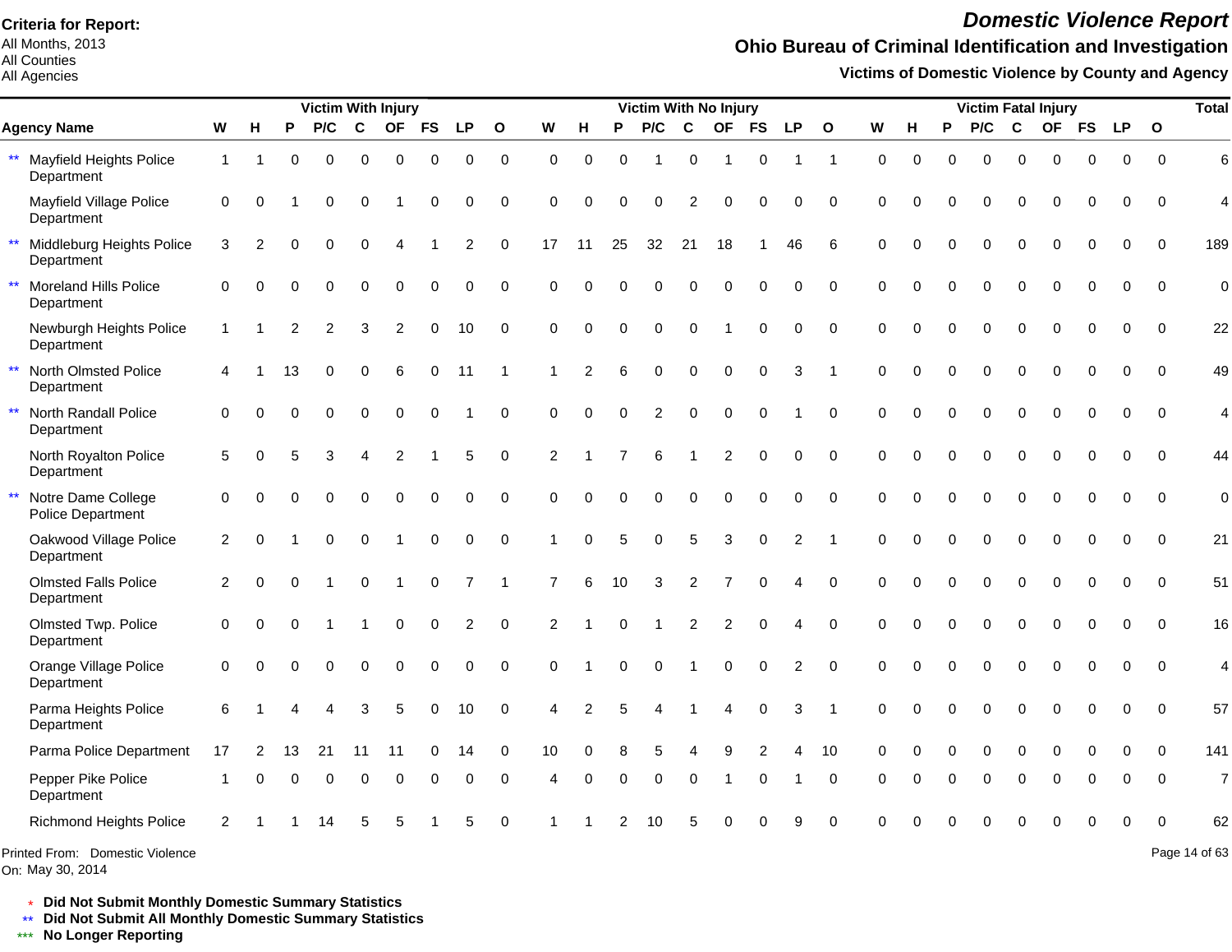All Months, 2013 All Counties

All Agencies

## *Domestic Violence Report*

## **Ohio Bureau of Criminal Identification and Investigation**

**Victims of Domestic Violence by County and Agency**

|                                                              |                |                |                | <b>Victim With Injury</b> |             |                |             |                |                  |                |             |                | <b>Victim With No Injury</b> |                |                |             |                |                         |          |          |          |          |             | <b>Victim Fatal Injury</b> |             |             |              | <b>Total</b>   |
|--------------------------------------------------------------|----------------|----------------|----------------|---------------------------|-------------|----------------|-------------|----------------|------------------|----------------|-------------|----------------|------------------------------|----------------|----------------|-------------|----------------|-------------------------|----------|----------|----------|----------|-------------|----------------------------|-------------|-------------|--------------|----------------|
| <b>Agency Name</b>                                           | W              | н              | P              | P/C                       | C           | <b>OF</b>      | <b>FS</b>   | LP             | $\mathbf{o}$     | W              | H           | P              | P/C                          | $\mathbf c$    | <b>OF</b>      | <b>FS</b>   | <b>LP</b>      | $\mathbf{o}$            | W        | н        | P        | P/C      | C           | <b>OF</b>                  | <b>FS</b>   | <b>LP</b>   | $\mathbf{o}$ |                |
| $\star\star$<br><b>Mayfield Heights Police</b><br>Department | $\mathbf{1}$   |                | $\Omega$       | $\Omega$                  | $\Omega$    | $\Omega$       | 0           | $\mathbf 0$    | $\mathbf 0$      | $\Omega$       | $\Omega$    | $\Omega$       |                              | $\Omega$       | -1             | $\mathbf 0$ | 1              | $\mathbf 1$             | $\Omega$ | $\Omega$ | $\Omega$ | $\Omega$ | $\Omega$    | $\Omega$                   | $\Omega$    | $\Omega$    | $\Omega$     | 6              |
| Mayfield Village Police<br>Department                        | 0              | $\Omega$       |                | $\Omega$                  | 0           |                | 0           | $\mathbf 0$    | $\mathbf 0$      | 0              | $\Omega$    | $\Omega$       | $\mathbf 0$                  | $\overline{2}$ | $\mathbf 0$    | 0           | 0              | $\Omega$                | $\Omega$ | $\Omega$ | $\Omega$ | 0        | $\mathbf 0$ | 0                          | $\mathbf 0$ | 0           | $\mathbf 0$  | $\overline{4}$ |
| $\star\star$<br>Middleburg Heights Police<br>Department      | 3              | $\overline{2}$ | $\Omega$       | $\Omega$                  | $\Omega$    | $\Delta$       |             | $\overline{c}$ | $\mathbf 0$      | 17             | 11          | 25             | 32                           | 21             | 18             |             | 46             | 6                       | $\Omega$ | $\Omega$ | $\Omega$ | $\Omega$ | $\Omega$    | $\Omega$                   | $\mathbf 0$ | $\Omega$    | $\Omega$     | 189            |
| $\star\star$<br>Moreland Hills Police<br>Department          | $\mathbf 0$    | $\Omega$       | O              | $\Omega$                  | 0           | $\mathbf 0$    | 0           | $\mathbf 0$    | 0                | 0              | $\Omega$    | $\Omega$       | 0                            | $\mathbf 0$    | $\mathbf 0$    | $\pmb{0}$   | 0              | $\Omega$                | $\Omega$ | $\Omega$ | $\Omega$ | $\Omega$ | $\mathbf 0$ | 0                          | $\mathbf 0$ | 0           | $\mathbf 0$  | $\overline{0}$ |
| Newburgh Heights Police<br>Department                        | $\mathbf{1}$   |                | $\mathfrak{p}$ | 2                         | 3           | 2              | 0           | 10             | $\mathbf 0$      | $\Omega$       | $\mathbf 0$ | $\mathbf 0$    | $\mathbf 0$                  | $\mathbf 0$    |                | 0           | $\mathbf 0$    | $\Omega$                | $\Omega$ | $\Omega$ | $\Omega$ | $\Omega$ | $\mathbf 0$ | 0                          | $\mathbf 0$ | $\mathbf 0$ | $\mathbf 0$  | 22             |
| $\star\star$<br>North Olmsted Police<br>Department           | 4              |                | 13             | $\Omega$                  | 0           | 6              | $\mathbf 0$ | 11             | -1               | 1              | 2           | 6              | $\Omega$                     | $\Omega$       | $\Omega$       | $\mathbf 0$ | 3              | $\mathbf 1$             | $\Omega$ | $\Omega$ | $\Omega$ | $\Omega$ | $\mathbf 0$ | $\Omega$                   | $\mathbf 0$ | $\Omega$    | $\mathbf 0$  | 49             |
| $\star\star$<br>North Randall Police<br>Department           | 0              | $\Omega$       | $\Omega$       | $\Omega$                  | $\mathbf 0$ | $\mathbf 0$    | $\mathbf 0$ |                | $\mathbf 0$      | $\Omega$       | $\Omega$    | $\Omega$       | 2                            | $\mathbf 0$    | $\mathbf 0$    | $\mathbf 0$ |                | $\mathbf 0$             | $\Omega$ | $\Omega$ | $\Omega$ | $\Omega$ | $\mathbf 0$ | 0                          | $\pmb{0}$   | $\mathbf 0$ | $\mathbf 0$  | 4              |
| North Royalton Police<br>Department                          | 5              | $\Omega$       | 5              | 3                         | 4           | 2              | 1           | 5              | $\mathbf 0$      | $\overline{2}$ |             | $\overline{7}$ | 6                            | 1              | $\overline{2}$ | $\Omega$    | $\Omega$       | $\Omega$                | $\Omega$ | $\Omega$ | $\Omega$ | $\Omega$ | $\Omega$    | $\Omega$                   | $\Omega$    | $\Omega$    | $\Omega$     | 44             |
| $\star\star$<br>Notre Dame College<br>Police Department      | 0              |                |                | $\Omega$                  | $\Omega$    | $\mathbf 0$    | 0           | 0              | $\mathbf 0$      | $\Omega$       | $\Omega$    | $\Omega$       | $\Omega$                     | $\Omega$       | $\mathbf 0$    | 0           | $\mathbf 0$    | $\mathbf 0$             | $\Omega$ | $\Omega$ | $\Omega$ | $\Omega$ | $\mathbf 0$ | 0                          | $\mathbf 0$ | $\mathbf 0$ | $\mathbf 0$  | $\mathbf 0$    |
| Oakwood Village Police<br>Department                         | $\overline{2}$ | $\Omega$       |                | $\Omega$                  | 0           | $\overline{1}$ | $\mathbf 0$ | $\mathbf 0$    | $\mathbf 0$      | 1              | $\Omega$    | 5              | $\Omega$                     | 5              | 3              | $\mathbf 0$ | $\overline{2}$ | $\overline{1}$          | $\Omega$ | $\Omega$ | $\Omega$ | 0        | $\mathbf 0$ | 0                          | $\mathbf 0$ | $\mathbf 0$ | $\mathbf 0$  | 21             |
| <b>Olmsted Falls Police</b><br>Department                    | $\overline{c}$ | $\Omega$       | O              |                           | 0           | -1             | 0           | $\overline{7}$ | $\mathbf{1}$     | 7              | 6           | 10             | 3                            | $\overline{2}$ | $\overline{7}$ | $\Omega$    | 4              | $\Omega$                | $\Omega$ | $\Omega$ | $\Omega$ | 0        | $\mathbf 0$ | 0                          | $\pmb{0}$   | 0           | $\mathbf 0$  | 51             |
| Olmsted Twp. Police<br>Department                            | $\mathbf 0$    | 0              | $\Omega$       |                           |             | $\mathbf 0$    | 0           | $\overline{2}$ | $\boldsymbol{0}$ | 2              |             | $\Omega$       |                              | $\overline{2}$ | $\overline{2}$ | $\mathbf 0$ | 4              | $\mathbf 0$             | $\Omega$ | $\Omega$ | $\Omega$ | 0        | $\mathbf 0$ | 0                          | 0           | $\mathbf 0$ | $\mathbf 0$  | 16             |
| Orange Village Police<br>Department                          | $\mathbf 0$    | $\Omega$       | $\Omega$       | $\Omega$                  | 0           | $\mathbf 0$    | 0           | $\mathbf 0$    | $\mathbf 0$      | $\Omega$       |             | $\Omega$       | $\Omega$                     |                | $\mathbf 0$    | $\mathbf 0$ | $\overline{2}$ | $\Omega$                | $\Omega$ | $\Omega$ | $\Omega$ | 0        | $\mathbf 0$ | 0                          | $\mathbf 0$ | $\mathbf 0$ | $\Omega$     | 4              |
| Parma Heights Police<br>Department                           | 6              |                |                |                           | 3           | 5              | 0           | 10             | $\mathbf 0$      | Δ              | 2           | 5              |                              |                |                | 0           | 3              | $\overline{\mathbf{1}}$ | $\Omega$ | $\Omega$ | $\Omega$ | 0        | $\mathbf 0$ | 0                          | 0           | $\mathbf 0$ | $\mathbf 0$  | 57             |
| Parma Police Department                                      | 17             | 2              | 13             | 21                        | 11          | 11             | 0           | 14             | 0                | 10             | $\Omega$    | 8              | 5                            | 4              | 9              | 2           | 4              | 10                      | $\Omega$ | O        | $\Omega$ | 0        | $\mathbf 0$ | $\Omega$                   | $\mathbf 0$ | $\mathbf 0$ | $\Omega$     | 141            |
| Pepper Pike Police<br>Department                             |                | $\Omega$       | $\Omega$       | $\Omega$                  | 0           | $\mathbf 0$    | 0           | 0              | $\mathbf 0$      | 4              | $\Omega$    | 0              | $\Omega$                     | $\Omega$       |                | $\Omega$    |                | $\Omega$                |          |          | $\Omega$ | $\Omega$ | $\Omega$    | 0                          | $\mathbf 0$ | $\mathbf 0$ | $\Omega$     | $\overline{7}$ |
| <b>Richmond Heights Police</b>                               | $\overline{2}$ |                |                | 14                        | 5           | 5              |             | 5              | 0                |                |             |                | 10                           | 5              | Ω              |             | g              | $\Omega$                |          |          |          |          | $\Omega$    | 0                          | 0           | $\Omega$    | $\Omega$     | 62             |
| Printed From: Domestic Violence<br>On: May 30, 2014          |                |                |                |                           |             |                |             |                |                  |                |             |                |                              |                |                |             |                |                         |          |          |          |          |             |                            |             |             |              | Page 14 of 63  |

\* **Did Not Submit Monthly Domestic Summary Statistics**

**Did Not Submit All Monthly Domestic Summary Statistics**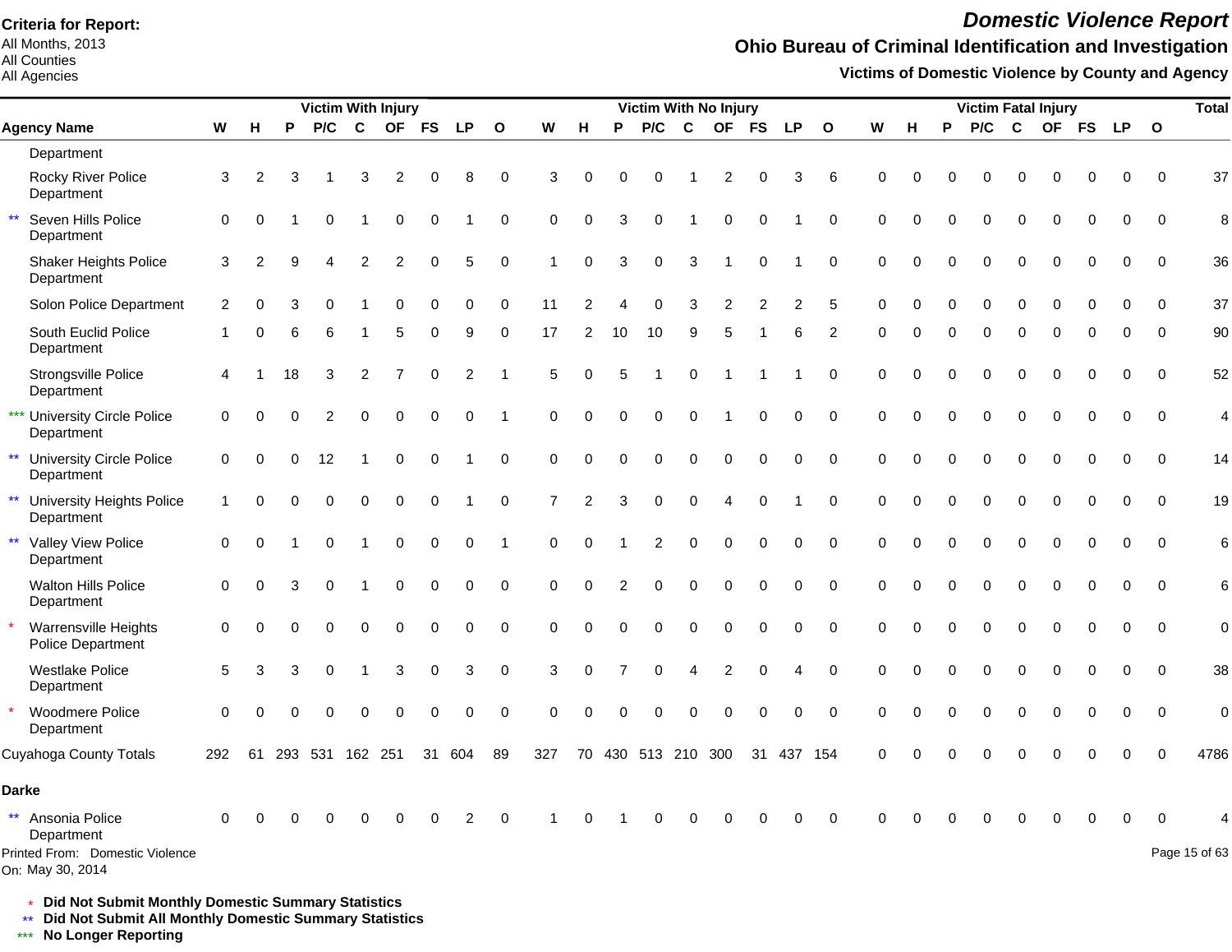All Months, 2013 All Counties

#### All Agencies

## *Domestic Violence Report*

### **Ohio Bureau of Criminal Identification and Investigation**

**Victims of Domestic Violence by County and Agency**

|                                                               |          |                |          |             | <b>Victim With Injury</b> |                |             |                |                  |                |                |                |                 |                        | Victim With No Injury |             |             |              |             |          |             | <b>Victim Fatal Injury</b> |              |          |             |                  |                | <b>Total</b>   |
|---------------------------------------------------------------|----------|----------------|----------|-------------|---------------------------|----------------|-------------|----------------|------------------|----------------|----------------|----------------|-----------------|------------------------|-----------------------|-------------|-------------|--------------|-------------|----------|-------------|----------------------------|--------------|----------|-------------|------------------|----------------|----------------|
| <b>Agency Name</b>                                            | W        | H              | P        | P/C         | C                         | <b>OF</b>      | <b>FS</b>   | <b>LP</b>      | $\mathbf{o}$     | W              | н              | P              | P/C             | C                      | <b>OF</b>             | <b>FS</b>   | <b>LP</b>   | $\mathbf{o}$ | W           | н        | P           | P/C                        | $\mathbf{C}$ |          | OF FS       | <b>LP</b>        | $\mathbf{o}$   |                |
| Department                                                    |          |                |          |             |                           |                |             |                |                  |                |                |                |                 |                        |                       |             |             |              |             |          |             |                            |              |          |             |                  |                |                |
| <b>Rocky River Police</b><br>Department                       | 3        | 2              | 3        |             | 3                         | $\overline{c}$ | $\Omega$    | 8              | $\mathbf 0$      | 3              | $\Omega$       | $\Omega$       | 0               |                        | $\overline{c}$        | $\Omega$    | 3           | 6            | $\Omega$    | $\Omega$ |             | 0                          | $\Omega$     | $\Omega$ | $\mathbf 0$ | $\mathbf 0$      | $\mathbf 0$    | 37             |
| $\star\star$<br>Seven Hills Police<br>Department              | 0        | 0              |          | $\Omega$    |                           | $\mathbf 0$    | 0           |                | $\mathbf 0$      | $\Omega$       | $\Omega$       | 3              | 0               |                        | $\boldsymbol{0}$      | 0           |             | $\Omega$     | $\Omega$    | $\Omega$ | $\Omega$    | $\Omega$                   | $\Omega$     | $\Omega$ | $\Omega$    | $\Omega$         | $\Omega$       | 8              |
| <b>Shaker Heights Police</b><br>Department                    | 3        | $\overline{2}$ | 9        |             | $\overline{2}$            | 2              | 0           | 5              | $\mathbf 0$      |                | 0              | 3              | 0               | 3                      |                       | $\mathbf 0$ |             | $\mathbf 0$  | $\Omega$    |          |             | 0                          | $\Omega$     | 0        | $\Omega$    | 0                | $\mathbf 0$    | 36             |
| Solon Police Department                                       | 2        | O              |          |             |                           | $\Omega$       | $\Omega$    | 0              | 0                | 11             |                |                | 0               | 3                      |                       |             | 2           |              |             |          |             |                            | 0            |          |             | O                | $\Omega$       | 37             |
| South Euclid Police<br>Department                             |          | ∩              | 6        | 6           |                           | 5              | $\Omega$    | 9              | 0                | 17             | $\overline{2}$ | 10             | 10              | 9                      | 5                     |             | 6           | 2            | $\Omega$    | $\Omega$ | $\Omega$    | 0                          | $\Omega$     | $\Omega$ | 0           | 0                | $\Omega$       | 90             |
| Strongsville Police<br>Department                             | Δ        |                | 18       | 3           | 2                         | 7              | $\Omega$    | $\overline{c}$ | -1               | 5              | $\Omega$       |                |                 | $\Omega$               |                       |             |             | $\mathbf 0$  | $\mathbf 0$ | 0        | $\Omega$    | 0                          | $\Omega$     | $\Omega$ | $\mathbf 0$ | $\mathbf 0$      | $\overline{0}$ | 52             |
| *** University Circle Police<br>Department                    | 0        | $\Omega$       | $\Omega$ | 2           | $\Omega$                  | $\Omega$       | $\mathbf 0$ | $\mathbf 0$    | $\overline{1}$   | $\Omega$       | $\Omega$       | $\Omega$       | 0               | $\Omega$               |                       | $\mathbf 0$ | $\mathbf 0$ | $\mathbf 0$  | $\Omega$    | $\Omega$ | $\Omega$    | 0                          | $\Omega$     | $\Omega$ | $\mathbf 0$ | $\mathbf 0$      | $\mathbf 0$    | 4              |
| $\star\star$<br><b>University Circle Police</b><br>Department | $\Omega$ | $\Omega$       | $\Omega$ | 12          |                           | $\mathbf 0$    | $\Omega$    |                | $\boldsymbol{0}$ | $\Omega$       | $\Omega$       | $\Omega$       | 0               | $\Omega$               | $\Omega$              | $\Omega$    | 0           | $\pmb{0}$    | $\Omega$    | $\Omega$ | $\Omega$    | $\Omega$                   | $\Omega$     | $\Omega$ | $\Omega$    | $\boldsymbol{0}$ | $\mathbf 0$    | 14             |
| ** University Heights Police<br>Department                    |          | $\Omega$       |          | $\Omega$    | $\mathbf 0$               | $\mathbf 0$    | $\mathbf 0$ |                | $\pmb{0}$        | $\overline{7}$ | $\overline{2}$ | 3              | 0               | $\mathbf 0$            | 4                     | $\Omega$    |             | $\mathbf 0$  | $\Omega$    | $\Omega$ | $\Omega$    | 0                          | $\Omega$     | 0        | $\mathbf 0$ | $\mathbf 0$      | $\mathbf 0$    | 19             |
| ** Valley View Police<br>Department                           | $\Omega$ | $\Omega$       |          | $\Omega$    |                           | $\mathbf 0$    | $\mathbf 0$ | $\mathbf 0$    | $\mathbf{1}$     | $\Omega$       | $\Omega$       |                | $\overline{2}$  | $\Omega$               | 0                     | $\mathbf 0$ | 0           | $\mathbf 0$  | $\Omega$    | $\Omega$ | $\Omega$    | 0                          | $\Omega$     | 0        | $\mathbf 0$ | $\mathbf 0$      | $\mathbf 0$    | 6              |
| Walton Hills Police<br>Department                             | 0        | $\Omega$       | 3        | 0           |                           | $\mathbf 0$    | $\mathbf 0$ | 0              | $\pmb{0}$        | $\mathbf 0$    | $\Omega$       | $\overline{2}$ | 0               | $\mathbf 0$            | $\mathbf 0$           | $\mathbf 0$ | 0           | $\mathbf 0$  | $\mathbf 0$ | $\Omega$ | $\mathbf 0$ | 0                          | $\mathbf 0$  | 0        | $\mathbf 0$ | $\mathbf 0$      | $\mathbf 0$    | 6              |
| Warrensville Heights<br>$\star$<br>Police Department          | 0        | $\Omega$       | $\Omega$ | $\mathbf 0$ | $\mathbf 0$               | $\mathbf 0$    | $\mathbf 0$ | 0              | $\mathbf 0$      | $\mathbf 0$    | $\Omega$       | $\Omega$       | 0               | $\Omega$               | $\Omega$              | $\Omega$    | 0           | $\mathbf 0$  | $\Omega$    | $\Omega$ | $\Omega$    | 0                          | $\mathbf 0$  | 0        | $\mathbf 0$ | $\mathbf 0$      | $\mathbf 0$    | $\overline{0}$ |
| <b>Westlake Police</b><br>Department                          | 5        | 3              |          | 0           |                           | 3              | $\mathbf 0$ | 3              | $\mathbf 0$      | 3              | $\Omega$       |                | 0               | $\boldsymbol{\Lambda}$ | 2                     | $\Omega$    | 4           | $\mathbf 0$  | $\Omega$    |          | $\Omega$    | 0                          | $\Omega$     | 0        | 0           | 0                | $\mathbf 0$    | 38             |
| Woodmere Police<br>Department                                 | $\Omega$ | $\Omega$       |          | $\Omega$    | $\Omega$                  | $\Omega$       | $\Omega$    | 0              | $\Omega$         | $\Omega$       | $\Omega$       |                | O               | $\Omega$               | $\Omega$              | $\Omega$    | $\Omega$    | $\Omega$     | $\Omega$    |          | $\Omega$    | $\Omega$                   | $\Omega$     | $\Omega$ | $\Omega$    | $\Omega$         | $\Omega$       | $\overline{0}$ |
| Cuyahoga County Totals                                        | 292      | 61             |          |             | 293 531 162 251           |                | 31          | 604            | 89               | 327            | 70             |                | 430 513 210 300 |                        |                       | 31          | 437 154     |              | $\Omega$    | $\Omega$ | $\Omega$    | $\Omega$                   | $\Omega$     | O        | O           | O                | $\Omega$       | 4786           |
| <b>Darke</b>                                                  |          |                |          |             |                           |                |             |                |                  |                |                |                |                 |                        |                       |             |             |              |             |          |             |                            |              |          |             |                  |                |                |
| ** Ansonia Police<br>Department                               | $\Omega$ | ∩              |          |             |                           |                |             | 2              | 0                |                |                |                |                 |                        |                       |             | U           | $\Omega$     |             |          |             |                            |              |          | ∩           | $\Omega$         | $\Omega$       |                |
| Printed From: Domestic Violence<br>On: May 30, 2014           |          |                |          |             |                           |                |             |                |                  |                |                |                |                 |                        |                       |             |             |              |             |          |             |                            |              |          |             |                  |                | Page 15 of 63  |

\* **Did Not Submit Monthly Domestic Summary Statistics**

**Did Not Submit All Monthly Domestic Summary Statistics**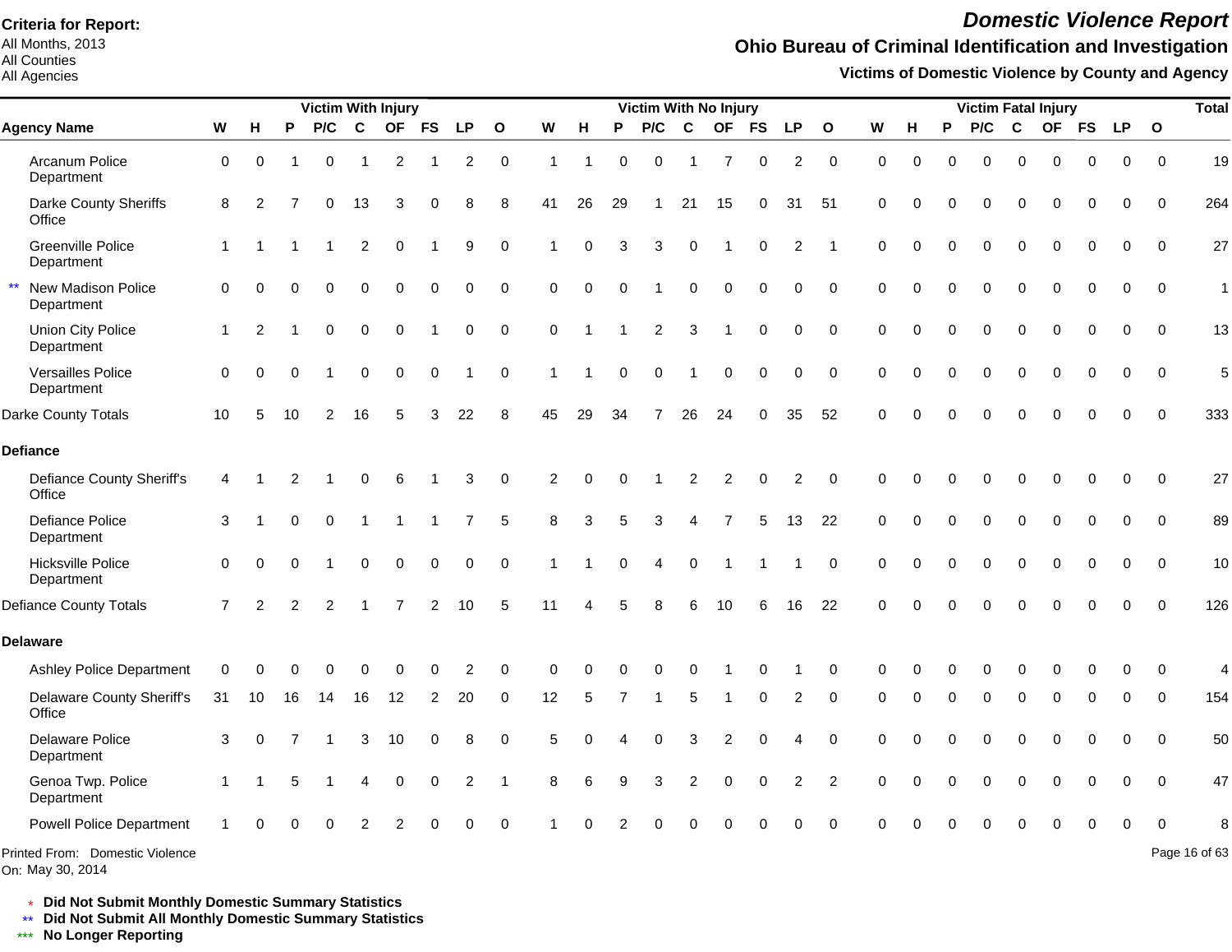All Months, 2013 All Counties

#### All Agencies

## *Domestic Violence Report*

## **Ohio Bureau of Criminal Identification and Investigation**

**Victims of Domestic Violence by County and Agency**

|                                                     |                |                |          | <b>Victim With Injury</b> |                |                |                |                |              |                |          |          | <b>Victim With No Injury</b> |                |                |             |                |                |             |          |          | <b>Victim Fatal Injury</b> |             |             |             |             |              | <b>Total</b>  |
|-----------------------------------------------------|----------------|----------------|----------|---------------------------|----------------|----------------|----------------|----------------|--------------|----------------|----------|----------|------------------------------|----------------|----------------|-------------|----------------|----------------|-------------|----------|----------|----------------------------|-------------|-------------|-------------|-------------|--------------|---------------|
| <b>Agency Name</b>                                  | W              | H              | P        | P/C                       | $\mathbf c$    |                | OF FS          | <b>LP</b>      | $\mathbf{o}$ | W              | H        | P        | P/C                          | $\mathbf c$    | <b>OF</b>      | <b>FS</b>   | <b>LP</b>      | $\mathbf{o}$   | W           | н        | P        | P/C                        | C           |             | OF FS       | <b>LP</b>   | $\mathbf{o}$ |               |
| Arcanum Police<br>Department                        | $\mathbf 0$    | $\Omega$       |          | $\Omega$                  |                | $\overline{c}$ |                | $\overline{c}$ | $\mathbf 0$  | $\overline{1}$ | 1        | $\Omega$ | $\Omega$                     | 1              | $\overline{7}$ | $\mathbf 0$ | 2              | $\mathbf 0$    | $\mathbf 0$ | $\Omega$ | 0        | $\Omega$                   | $\Omega$    | $\Omega$    | $\mathbf 0$ | $\Omega$    | $\Omega$     | 19            |
| Darke County Sheriffs<br>Office                     | 8              | 2              |          | 0                         | 13             | 3              | 0              | 8              | 8            | 41             | 26       | 29       | $\mathbf{1}$                 | 21             | 15             | 0           | 31             | 51             | $\mathbf 0$ | O        | O        | 0                          | ŋ           | $\Omega$    | 0           | 0           | $\Omega$     | 264           |
| <b>Greenville Police</b><br>Department              | $\mathbf{1}$   |                |          |                           | 2              | 0              | 1              | 9              | $\Omega$     |                | $\Omega$ | 3        | 3                            | $\Omega$       |                | $\mathbf 0$ | 2              |                | $\Omega$    | $\Omega$ | 0        | $\Omega$                   | $\Omega$    | $\Omega$    | 0           | $\Omega$    | $\Omega$     | 27            |
| New Madison Police<br>Department                    | $\Omega$       | $\Omega$       | $\Omega$ | $\Omega$                  | $\mathbf 0$    | $\Omega$       | $\mathbf 0$    | 0              | $\mathbf 0$  | $\mathbf 0$    | $\Omega$ | $\Omega$ |                              | $\overline{0}$ | $\mathbf 0$    | $\mathbf 0$ | $\mathbf 0$    | $\mathbf 0$    | $\Omega$    | $\Omega$ | 0        | $\Omega$                   | $\Omega$    | $\Omega$    | 0           | 0           | $\mathbf 0$  | 1             |
| Union City Police<br>Department                     | -1             | $\overline{2}$ |          | 0                         | $\mathbf 0$    | $\Omega$       |                | 0              | $\mathbf 0$  | $\mathbf 0$    |          |          | $\overline{2}$               | 3              |                | $\Omega$    | $\Omega$       | $\Omega$       | $\Omega$    | $\Omega$ | $\Omega$ | $\Omega$                   | $\Omega$    | $\Omega$    | $\Omega$    | $\Omega$    | $\Omega$     | 13            |
| Versailles Police<br>Department                     | $\Omega$       | 0              | $\Omega$ |                           | $\mathbf 0$    | 0              | $\pmb{0}$      | 1              | $\mathbf 0$  |                |          | $\Omega$ | $\mathbf 0$                  |                | $\mathbf 0$    | $\mathbf 0$ | $\mathbf 0$    | $\mathbf 0$    | $\Omega$    | $\Omega$ | 0        | $\Omega$                   | $\mathbf 0$ | $\Omega$    | $\mathbf 0$ | 0           | $\Omega$     | 5             |
| Darke County Totals                                 | 10             | 5              | 10       | 2                         | 16             | 5              | 3              | 22             | 8            | 45             | 29       | 34       | $\overline{7}$               | 26             | 24             | 0           | 35             | 52             | $\Omega$    |          | 0        | $\Omega$                   | $\Omega$    | $\Omega$    | 0           | $\Omega$    | $\Omega$     | 333           |
| <b>Defiance</b>                                     |                |                |          |                           |                |                |                |                |              |                |          |          |                              |                |                |             |                |                |             |          |          |                            |             |             |             |             |              |               |
| <b>Defiance County Sheriff's</b><br>Office          | 4              |                | 2        |                           | 0              | 6              |                | 3              | $\mathbf 0$  | 2              | $\Omega$ | $\Omega$ |                              | $\overline{2}$ | $\overline{2}$ | $\mathbf 0$ | $\overline{c}$ | $\mathbf 0$    | $\Omega$    |          |          | $\Omega$                   | $\Omega$    | $\Omega$    | 0           | 0           | $\Omega$     | 27            |
| <b>Defiance Police</b><br>Department                | 3              |                | $\Omega$ | 0                         |                |                |                | $\overline{7}$ | 5            | 8              | 3        | 5        | 3                            | 4              | 7              | 5           | 13             | 22             | $\mathbf 0$ | $\Omega$ | 0        | 0                          | $\mathbf 0$ | $\mathbf 0$ | 0           | $\mathbf 0$ | $\mathbf 0$  | 89            |
| <b>Hicksville Police</b><br>Department              | $\Omega$       | 0              | $\Omega$ |                           | $\mathbf 0$    | 0              | $\mathbf 0$    | 0              | $\mathbf 0$  |                |          | 0        | 4                            | $\mathbf 0$    |                |             |                | $\mathbf 0$    | $\Omega$    | $\Omega$ | 0        | $\mathbf 0$                | 0           | $\Omega$    | $\mathbf 0$ | $\Omega$    | $\Omega$     | 10            |
| <b>Defiance County Totals</b>                       | $\overline{7}$ | 2              | 2        | 2                         |                | $\overline{7}$ | 2              | 10             | 5            | 11             |          |          | 8                            | 6              | 10             | 6           | 16             | 22             | $\Omega$    | O        | 0        | $\Omega$                   | $\Omega$    | 0           | 0           | $\Omega$    | $\Omega$     | 126           |
| <b>Delaware</b>                                     |                |                |          |                           |                |                |                |                |              |                |          |          |                              |                |                |             |                |                |             |          |          |                            |             |             |             |             |              |               |
| <b>Ashley Police Department</b>                     | $\Omega$       |                |          |                           | ∩              | U              | $\Omega$       | 2              | $\Omega$     | $\Omega$       |          |          | O                            | $\bigcap$      |                | 0           |                | $\Omega$       | $\Omega$    |          | O        | $\Omega$                   | $\Omega$    |             | ŋ           | $\Omega$    | $\Omega$     | 4             |
| <b>Delaware County Sheriff's</b><br>Office          | 31             | 10             | 16       | 14                        | 16             | 12             | $\overline{2}$ | 20             | $\Omega$     | 12             | 5        |          | 1                            | 5              |                | 0           | 2              | $\Omega$       | $\Omega$    | $\Omega$ | 0        | $\mathbf 0$                | 0           | $\Omega$    | 0           | 0           | $\mathbf{0}$ | 154           |
| <b>Delaware Police</b><br>Department                | 3              | $\Omega$       | 7        | -1                        | 3              | 10             | 0              | 8              | $\mathbf 0$  | 5              |          |          | 0                            | 3              | $\overline{c}$ | 0           | 4              | $\mathbf 0$    | $\Omega$    |          | 0        | 0                          | $\mathbf 0$ | $\mathbf 0$ | 0           | 0           | $\Omega$     | 50            |
| Genoa Twp. Police<br>Department                     |                |                | 5        |                           | $\overline{4}$ | 0              | 0              | $\overline{2}$ |              | 8              | 6        | 9        | 3                            | $\overline{2}$ | $\mathbf 0$    | $\mathbf 0$ | $\overline{2}$ | $\overline{2}$ | $\Omega$    |          | 0        | $\mathbf 0$                | $\Omega$    | $\Omega$    | 0           | $\Omega$    | $\Omega$     | 47            |
| <b>Powell Police Department</b>                     |                |                |          | 0                         | $\overline{2}$ | 2              |                | $\Omega$       | $\Omega$     |                |          |          | O                            |                |                |             |                | C              |             |          |          | ∩                          |             |             | 0           |             |              |               |
| Printed From: Domestic Violence<br>On: May 30, 2014 |                |                |          |                           |                |                |                |                |              |                |          |          |                              |                |                |             |                |                |             |          |          |                            |             |             |             |             |              | Page 16 of 63 |

\* **Did Not Submit Monthly Domestic Summary Statistics**

**Did Not Submit All Monthly Domestic Summary Statistics**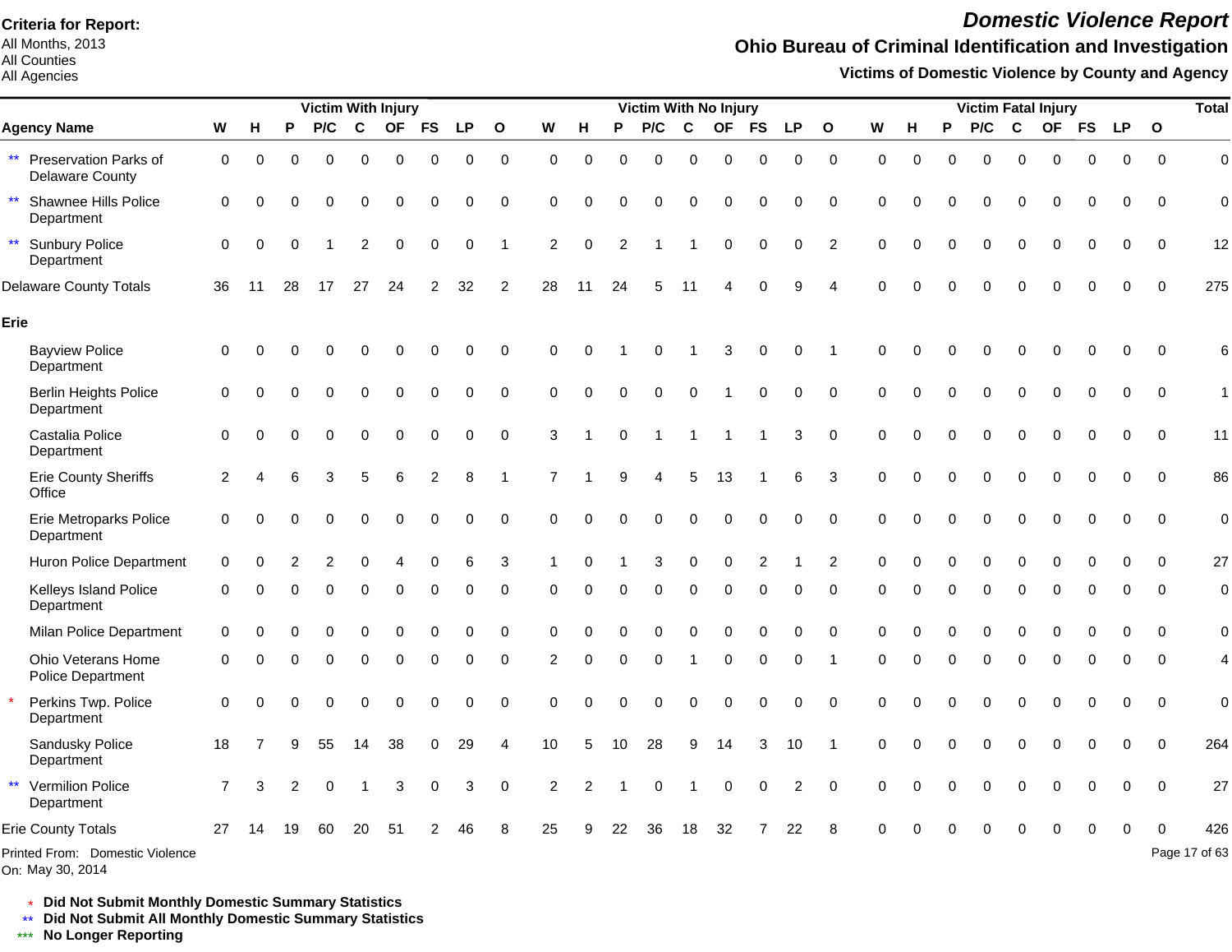All Months, 2013 All Counties

### All Agencies

## *Domestic Violence Report*

## **Ohio Bureau of Criminal Identification and Investigation**

**Victims of Domestic Violence by County and Agency**

|                                                                 |                |          |          | <b>Victim With Injury</b> |             |             |                |             |                |                |             |             | <b>Victim With No Injury</b> |             |                |             |                |                |             |          |          |          |                  | <b>Victim Fatal Injury</b> |             |             |                | <b>Total</b>   |
|-----------------------------------------------------------------|----------------|----------|----------|---------------------------|-------------|-------------|----------------|-------------|----------------|----------------|-------------|-------------|------------------------------|-------------|----------------|-------------|----------------|----------------|-------------|----------|----------|----------|------------------|----------------------------|-------------|-------------|----------------|----------------|
| <b>Agency Name</b>                                              | W              | н        | P        | P/C                       | $\mathbf c$ | <b>OF</b>   | <b>FS</b>      | <b>LP</b>   | $\mathbf{o}$   | W              | H           | P           | P/C                          | $\mathbf c$ | <b>OF</b>      | <b>FS</b>   | <b>LP</b>      | $\mathbf{o}$   | W           | н        | P        | P/C      | C                | OF FS                      |             | <b>LP</b>   | $\mathbf{o}$   |                |
| $\star\star$<br>Preservation Parks of<br><b>Delaware County</b> | $\mathbf 0$    | 0        | $\Omega$ | $\Omega$                  | 0           | 0           | 0              | $\mathbf 0$ | $\mathbf 0$    | 0              | 0           | 0           | $\mathbf 0$                  | $\mathbf 0$ | 0              | 0           | 0              | $\mathbf 0$    | $\mathbf 0$ | $\Omega$ | $\Omega$ | $\Omega$ | $\mathbf 0$      | 0                          | $\mathbf 0$ | $\mathbf 0$ | $\Omega$       | $\mathbf 0$    |
| $\star\star$<br>Shawnee Hills Police<br>Department              | $\mathbf 0$    | $\Omega$ | U        | $\Omega$                  | 0           | $\Omega$    | 0              | 0           | $\mathbf 0$    | $\Omega$       | $\Omega$    | $\Omega$    | $\Omega$                     | $\Omega$    | $\Omega$       | $\Omega$    | $\Omega$       | $\Omega$       | $\Omega$    | U        |          | 0        | $\Omega$         | 0                          | 0           | $\Omega$    | $\Omega$       | $\mathbf 0$    |
| $\star\star$<br><b>Sunbury Police</b><br>Department             | $\mathbf 0$    | $\Omega$ | $\Omega$ |                           | 2           | $\mathbf 0$ | 0              | $\mathbf 0$ | 1              | $\overline{c}$ | $\mathbf 0$ | 2           |                              |             | $\mathbf 0$    | $\mathbf 0$ | $\mathbf 0$    | $\overline{2}$ | $\Omega$    | $\Omega$ | $\Omega$ | $\Omega$ | $\Omega$         | $\Omega$                   | $\mathbf 0$ | 0           | $\mathbf 0$    | 12             |
| <b>Delaware County Totals</b>                                   | 36             | 11       | 28       | 17                        | 27          | 24          | $\overline{2}$ | 32          | $\overline{2}$ | 28             | 11          | 24          | 5                            | 11          | Δ              | $\Omega$    | 9              | Δ              | $\Omega$    | $\Omega$ | $\Omega$ | $\Omega$ | $\Omega$         | $\Omega$                   | $\mathbf 0$ | $\mathbf 0$ | $\mathbf 0$    | 275            |
| Erie                                                            |                |          |          |                           |             |             |                |             |                |                |             |             |                              |             |                |             |                |                |             |          |          |          |                  |                            |             |             |                |                |
| <b>Bayview Police</b><br>Department                             | $\mathbf 0$    | $\Omega$ |          |                           | 0           | ∩           | 0              | 0           | 0              | 0              | $\Omega$    |             | $\Omega$                     |             | 3              | $\mathbf 0$ | 0              | -1             | $\Omega$    | U        |          |          | $\Omega$         | $\Omega$                   | $\Omega$    | 0           | $\Omega$       | 6              |
| <b>Berlin Heights Police</b><br>Department                      | 0              |          |          | $\Omega$                  | $\Omega$    | $\Omega$    | 0              | $\mathbf 0$ | 0              | $\Omega$       | $\Omega$    | $\Omega$    | $\mathbf 0$                  | $\mathbf 0$ |                | 0           | 0              | $\mathbf 0$    | $\Omega$    | $\Omega$ | $\Omega$ | $\Omega$ | $\mathbf 0$      | 0                          | $\mathbf 0$ | $\mathbf 0$ | $\mathbf 0$    | 1              |
| Castalia Police<br>Department                                   | 0              |          |          | $\Omega$                  | $\Omega$    | $\mathbf 0$ | 0              | $\mathbf 0$ | $\mathbf 0$    | 3              |             | $\Omega$    |                              | 1           | $\overline{1}$ | 1           | 3              | $\mathbf 0$    | $\Omega$    | $\Omega$ | $\Omega$ | $\Omega$ | $\mathbf 0$      | 0                          | $\mathbf 0$ | $\mathbf 0$ | $\mathbf 0$    | 11             |
| <b>Erie County Sheriffs</b><br>Office                           | 2              |          | 6        | 3                         | 5           | 6           | $\overline{c}$ | 8           | $\mathbf{1}$   | 7              |             | 9           | 4                            | 5           | 13             |             | 6              | 3              | 0           | $\Omega$ | $\Omega$ | 0        | $\boldsymbol{0}$ | 0                          | $\pmb{0}$   | $\mathbf 0$ | $\mathbf 0$    | 86             |
| <b>Erie Metroparks Police</b><br>Department                     | $\mathbf 0$    |          |          | $\Omega$                  | $\Omega$    | $\Omega$    | 0              | 0           | $\mathbf 0$    | $\Omega$       | $\Omega$    | $\Omega$    | $\Omega$                     | $\mathbf 0$ | $\mathbf 0$    | 0           | $\mathbf 0$    | $\mathbf 0$    | $\Omega$    | $\Omega$ |          | $\Omega$ | $\Omega$         | 0                          | 0           | $\mathbf 0$ | $\mathbf 0$    | $\overline{0}$ |
| Huron Police Department                                         | $\mathbf 0$    | 0        |          | 2                         | 0           | 4           | 0              | 6           | 3              | 1              | 0           |             | 3                            | $\mathbf 0$ | 0              | 2           |                | $\overline{2}$ | $\Omega$    | $\Omega$ | $\Omega$ | 0        | $\mathbf 0$      | 0                          | $\mathbf 0$ | 0           | $\mathbf 0$    | 27             |
| Kelleys Island Police<br>Department                             | 0              | ∩        |          |                           | 0           | $\Omega$    | 0              | 0           | 0              | 0              | $\Omega$    | O           | $\Omega$                     | $\mathbf 0$ | $\Omega$       | 0           | 0              | $\Omega$       | $\Omega$    | O        | O        | $\Omega$ | $\Omega$         | $\Omega$                   | $\Omega$    | 0           | $\Omega$       | $\mathbf 0$    |
| Milan Police Department                                         | 0              |          |          |                           |             |             |                | 0           | $\Omega$       | $\Omega$       |             |             |                              |             | Ω              |             | O              | $\Omega$       | $\Omega$    |          |          |          | $\Omega$         | U                          | 0           | O           | $\Omega$       | $\mathbf 0$    |
| Ohio Veterans Home<br>Police Department                         | $\Omega$       | n        | U        | $\Omega$                  | 0           | $\Omega$    | 0              | $\Omega$    | 0              | 2              | $\Omega$    | $\Omega$    | $\Omega$                     | -1          | $\Omega$       | $\Omega$    | $\Omega$       | -1             | 0           | $\Omega$ | $\Omega$ | 0        | $\Omega$         | $\Omega$                   | $\Omega$    | $\Omega$    | $\Omega$       | 4              |
| Perkins Twp. Police<br>Department                               | $\mathbf 0$    | $\Omega$ | U        | $\Omega$                  | $\Omega$    | $\Omega$    | 0              | 0           | 0              | $\Omega$       | $\Omega$    | $\Omega$    | $\Omega$                     | $\mathbf 0$ | $\Omega$       | $\mathbf 0$ | 0              | $\Omega$       | $\Omega$    | $\Omega$ | ∩        | $\Omega$ | $\mathbf 0$      | 0                          | $\mathbf 0$ | 0           | $\mathbf 0$    | $\mathbf 0$    |
| Sandusky Police<br>Department                                   | 18             |          |          | 55                        | 14          | 38          | 0              | 29          | 4              | 10             | 5           | 10          | 28                           | 9           | 14             | 3           | 10             | -1             | 0           | $\Omega$ | $\Omega$ | $\Omega$ | $\mathbf 0$      | 0                          | 0           | 0           | $\mathbf 0$    | 264            |
| $\star\star$<br>Vermilion Police<br>Department                  | $\overline{7}$ | 3        | 2        | $\mathbf 0$               | 1           | 3           | 0              | 3           | $\mathbf 0$    | $\overline{c}$ | 2           | $\mathbf 1$ | $\mathbf 0$                  |             | $\mathbf 0$    | $\mathbf 0$ | $\overline{2}$ | $\overline{0}$ | $\Omega$    | $\Omega$ | $\Omega$ | 0        | $\Omega$         | $\Omega$                   | $\mathbf 0$ | $\mathbf 0$ | $\overline{0}$ | 27             |
| <b>Erie County Totals</b>                                       | 27             | 14       | 19       | 60                        | 20          | 51          | 2              | 46          | 8              | 25             | 9           | 22          | 36                           | 18          | 32             |             | 22             | 8              |             |          |          |          | $\Omega$         | 0                          | 0           | $\mathbf 0$ | $\mathbf 0$    | 426            |
| Printed From: Domestic Violence<br>On: May 30, 2014             |                |          |          |                           |             |             |                |             |                |                |             |             |                              |             |                |             |                |                |             |          |          |          |                  |                            |             |             |                | Page 17 of 63  |

\* **Did Not Submit Monthly Domestic Summary Statistics**

**Did Not Submit All Monthly Domestic Summary Statistics**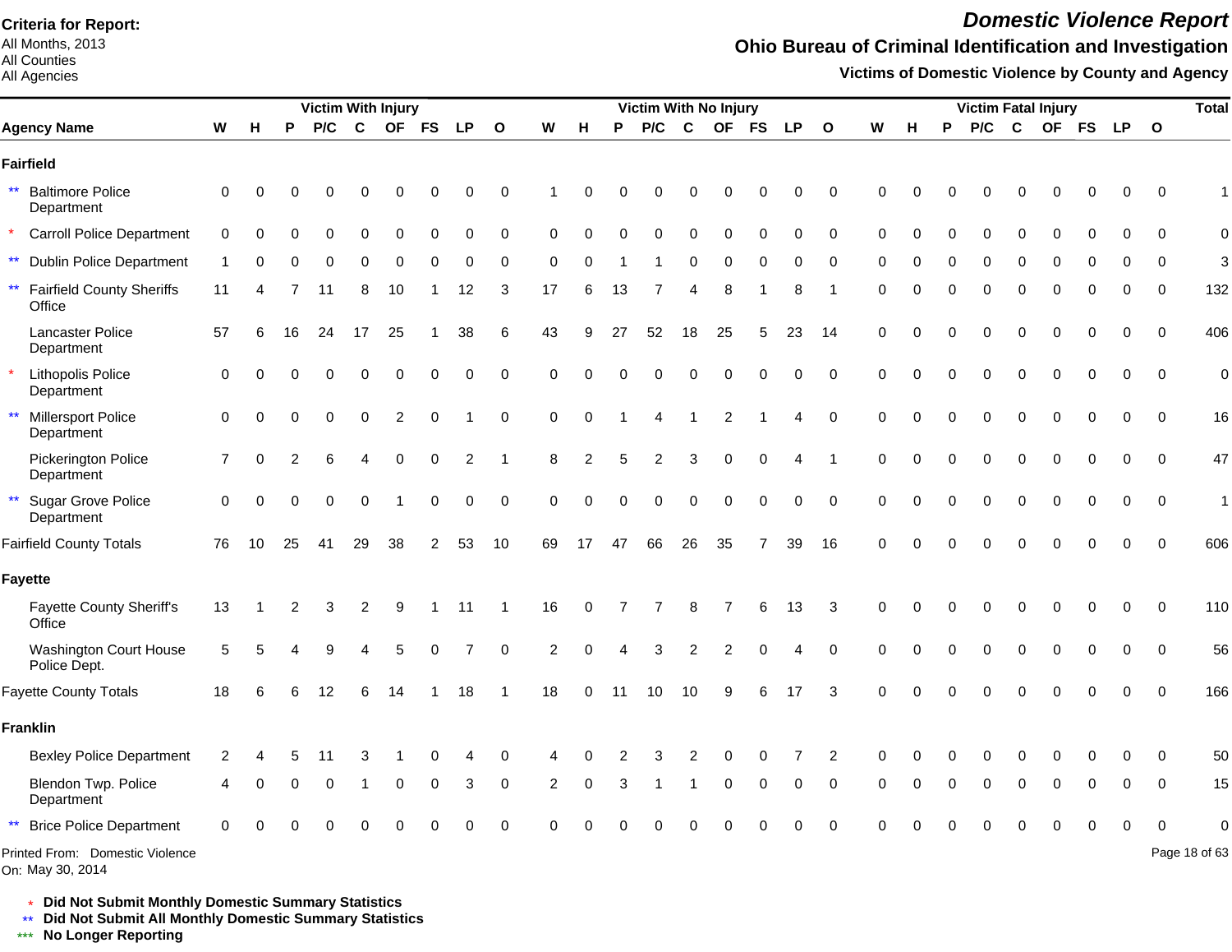All Months, 2013 All Counties

#### All Agencies

*Domestic Violence Report*

## **Ohio Bureau of Criminal Identification and Investigation**

**Victims of Domestic Violence by County and Agency**

|                                                            |                |          |    | Victim With Injury |    |                |           |                |              |    |          |    | Victim With No Injury |             |                |           |           |                |          |          |   |     |             | <b>Victim Fatal Injury</b> |           |           |              | <b>Total</b>     |
|------------------------------------------------------------|----------------|----------|----|--------------------|----|----------------|-----------|----------------|--------------|----|----------|----|-----------------------|-------------|----------------|-----------|-----------|----------------|----------|----------|---|-----|-------------|----------------------------|-----------|-----------|--------------|------------------|
| <b>Agency Name</b>                                         | W              | Н        | P  | P/C                | C  | <b>OF</b>      | <b>FS</b> | LP             | $\mathbf{o}$ | W  | н        | P  | P/C                   | $\mathbf c$ | <b>OF</b>      | <b>FS</b> | <b>LP</b> | $\mathbf{o}$   | W        | н        | P | P/C | $\mathbf c$ | <b>OF</b>                  | <b>FS</b> | <b>LP</b> | $\mathbf{o}$ |                  |
| <b>Fairfield</b>                                           |                |          |    |                    |    |                |           |                |              |    |          |    |                       |             |                |           |           |                |          |          |   |     |             |                            |           |           |              |                  |
| $\star\star$<br><b>Baltimore Police</b><br>Department      | $\Omega$       |          |    |                    |    |                |           |                | 0            |    | O        |    |                       |             |                | 0         | 0         | 0              | $\Omega$ | O        |   |     |             |                            |           | 0         | $\Omega$     |                  |
| <b>Carroll Police Department</b>                           | 0              | ∩        |    |                    | U  | ∩              | U         | $\Omega$       | 0            | 0  | ∩        | O  | O                     | $\Omega$    | $\Omega$       | $\Omega$  | $\Omega$  | $\mathbf 0$    | 0        | $\Omega$ | ∩ | O   | ∩           |                            |           | 0         | $\Omega$     | $\mathbf 0$      |
| $\star\star$<br><b>Dublin Police Department</b>            |                |          |    |                    | 0  | 0              | ი         | 0              | 0            | 0  |          |    |                       | O           | $\Omega$       | O         | Ω         | 0              | 0        | C        |   | 0   | ∩           |                            |           | 0         | $\Omega$     | 3                |
| $\star\star$<br><b>Fairfield County Sheriffs</b><br>Office | 11             |          |    | 11                 | 8  | 10             |           | 12             | 3            | 17 | 6        | 13 |                       |             | 8              |           | 8         |                | 0        | O        |   | 0   | $\Omega$    | O                          |           | 0         | 0            | 132              |
| <b>Lancaster Police</b><br>Department                      | 57             | 6        | 16 | 24                 | 17 | 25             |           | 38             | 6            | 43 | 9        | 27 | 52                    | 18          | 25             | 5         | 23        | 14             | 0        | O        |   | 0   |             | በ                          |           | 0         | $\mathbf 0$  | 406              |
| Lithopolis Police<br>Department                            | $\Omega$       |          |    |                    |    | O              | 0         | $\Omega$       | $\pmb{0}$    | 0  |          |    |                       |             | $\Omega$       | $\Omega$  | 0         | 0              | 0        | O        |   | 0   | $\Omega$    | 0                          |           | 0         | $\Omega$     | $\boldsymbol{0}$ |
| <b>Millersport Police</b><br>$\star\star$<br>Department    | 0              |          |    | $\Omega$           | 0  | $\overline{2}$ | 0         |                | $\mathbf 0$  | 0  | $\Omega$ |    |                       |             | $\overline{2}$ |           | 4         | $\mathbf 0$    | $\Omega$ | $\Omega$ |   | 0   | $\Omega$    | 0                          |           | 0         | $\mathbf 0$  | 16               |
| Pickerington Police<br>Department                          | $\overline{7}$ |          |    |                    |    | $\Omega$       | $\Omega$  | $\overline{2}$ | -1           | 8  | 2        |    | 2                     | 3           | $\Omega$       | 0         |           |                | 0        | C        |   | 0   | $\Omega$    | 0                          |           | 0         | $\Omega$     | 47               |
| <b>Sugar Grove Police</b><br>$\star\star$<br>Department    | $\mathbf 0$    | $\Omega$ | U  | $\Omega$           | 0  |                | 0         | $\mathbf 0$    | $\pmb{0}$    | 0  | $\Omega$ | O  | 0                     | 0           | $\overline{0}$ | 0         | 0         | $\mathbf 0$    | $\Omega$ | O        |   | 0   | $\Omega$    | O                          |           | 0         | $\mathbf 0$  | $\mathbf{1}$     |
| <b>Fairfield County Totals</b>                             | 76             | 10       | 25 | 41                 | 29 | 38             | 2         | 53             | 10           | 69 | 17       | 47 | 66                    | 26          | 35             | 7         | 39        | 16             | $\Omega$ | C        |   | ი   |             |                            |           | 0         | $\Omega$     | 606              |
| <b>Fayette</b>                                             |                |          |    |                    |    |                |           |                |              |    |          |    |                       |             |                |           |           |                |          |          |   |     |             |                            |           |           |              |                  |
| <b>Fayette County Sheriff's</b><br>Office                  | 13             |          | 2  |                    | 2  | 9              |           |                |              | 16 | $\Omega$ |    |                       | 8           |                | 6         | 13        | 3              | $\Omega$ |          |   |     |             |                            |           | n         | $\Omega$     | 110              |
| <b>Washington Court House</b><br>Police Dept.              | 5              |          |    |                    |    |                |           |                | $\Omega$     | 2  | $\Omega$ |    | 3                     |             |                |           |           | $\Omega$       | $\Omega$ |          |   |     |             |                            |           | O         | $\Omega$     | 56               |
| <b>Fayette County Totals</b>                               | 18             |          |    |                    |    |                |           | 18             |              | 18 | $\Omega$ | 11 | 10                    | 10          | g              |           | 17        | 3              | $\Omega$ | n        |   |     |             |                            |           | O         | $\Omega$     | 166              |
| <b>Franklin</b>                                            |                |          |    |                    |    |                |           |                |              |    |          |    |                       |             |                |           |           |                |          |          |   |     |             |                            |           |           |              |                  |
| <b>Bexley Police Department</b>                            | 2              |          |    |                    |    |                |           |                | 0            |    |          |    |                       |             |                |           |           | $\overline{2}$ | 0        |          |   |     |             |                            |           |           | $\Omega$     | 50               |
| Blendon Twp. Police<br>Department                          |                |          |    | $\Omega$           |    | $\Omega$       | 0         | 3              | 0            | 2  | $\Omega$ | 3  |                       |             | $\Omega$       | 0         | $\Omega$  | 0              | 0        | n        |   | 0   | ∩           | ∩                          |           | 0         | 0            | 15               |
| <b>Brice Police Department</b>                             |                |          |    |                    |    |                |           |                | $\Omega$     |    |          |    |                       |             |                |           |           | $\Omega$       |          |          |   |     |             |                            |           | O         |              | O                |
| Printed From: Domestic Violence<br>On: May 30, 2014        |                |          |    |                    |    |                |           |                |              |    |          |    |                       |             |                |           |           |                |          |          |   |     |             |                            |           |           |              | Page 18 of 63    |

\* **Did Not Submit Monthly Domestic Summary Statistics**

**Did Not Submit All Monthly Domestic Summary Statistics**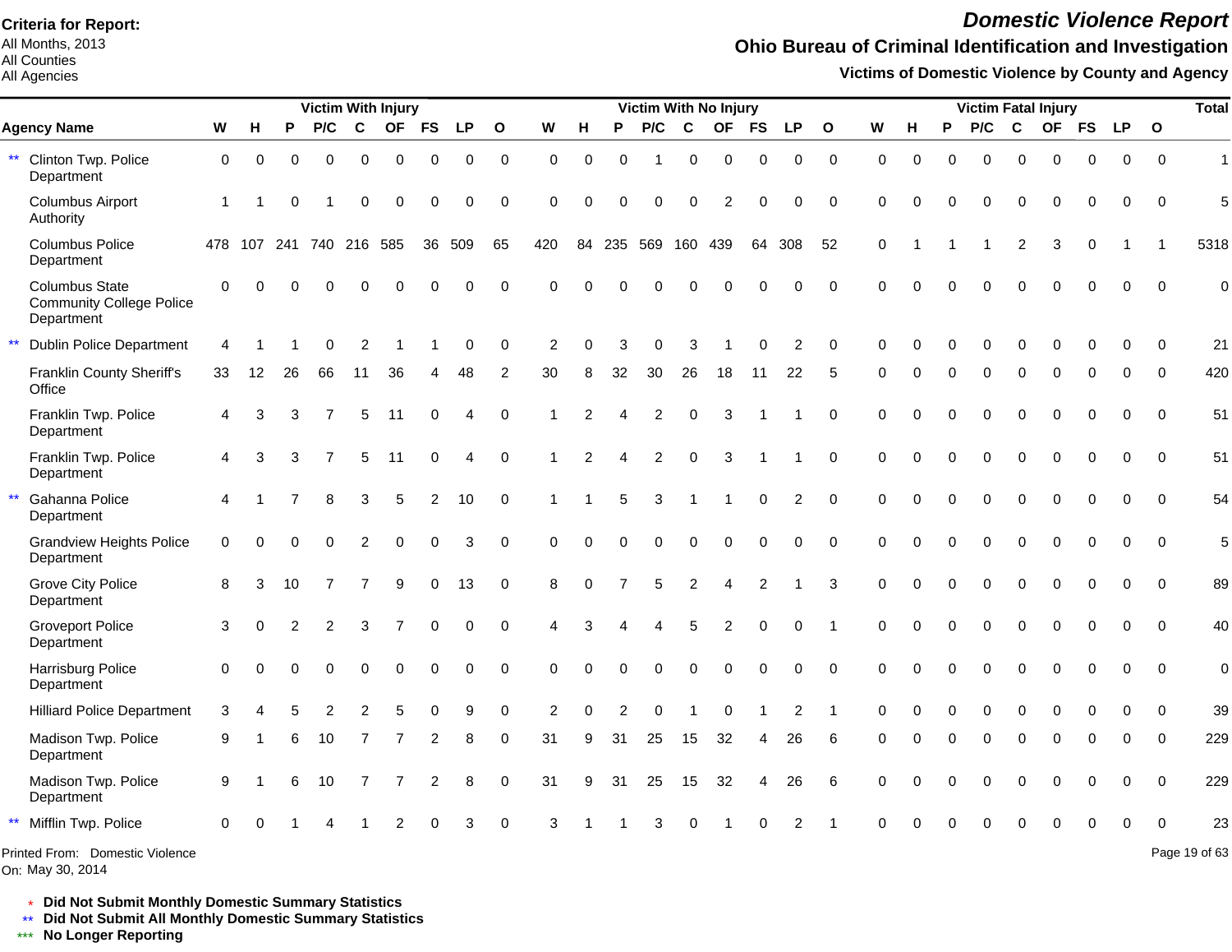All Months, 2013 All Counties

#### All Agencies

## *Domestic Violence Report*

## **Ohio Bureau of Criminal Identification and Investigation**

**Victims of Domestic Violence by County and Agency**

|                                                                        |             |          |          |                | <b>Victim With Injury</b> |             |                |             |              |                |                |                | Victim With No Injury |             |                |                |                |              |          |          |          |          |          | <b>Victim Fatal Injury</b> |          |           |             | <b>Total</b>  |
|------------------------------------------------------------------------|-------------|----------|----------|----------------|---------------------------|-------------|----------------|-------------|--------------|----------------|----------------|----------------|-----------------------|-------------|----------------|----------------|----------------|--------------|----------|----------|----------|----------|----------|----------------------------|----------|-----------|-------------|---------------|
| <b>Agency Name</b>                                                     | W           | H        | P        | P/C            | $\mathbf c$               | <b>OF</b>   | <b>FS</b>      | <b>LP</b>   | $\mathbf{o}$ | W              | н              | P              | P/C                   | $\mathbf c$ | <b>OF</b>      | <b>FS</b>      | <b>LP</b>      | $\mathbf{o}$ | W        | н        | P        | P/C      | C        | OF FS                      |          | <b>LP</b> | $\mathbf 0$ |               |
| ** Clinton Twp. Police<br>Department                                   | $\mathbf 0$ | 0        | $\Omega$ | $\Omega$       | $\Omega$                  | $\mathbf 0$ | $\mathbf 0$    | $\mathbf 0$ | $\mathbf 0$  | $\Omega$       | $\mathbf 0$    | $\Omega$       |                       | 0           | $\mathbf 0$    | 0              | 0              | $\mathbf 0$  | $\Omega$ | $\Omega$ | $\Omega$ | $\Omega$ | $\Omega$ | $\Omega$                   | $\Omega$ | $\Omega$  | $\Omega$    | $\mathbf{1}$  |
| <b>Columbus Airport</b><br>Authority                                   | 1           |          | O        |                | $\Omega$                  | $\Omega$    | $\Omega$       | $\mathbf 0$ | $\mathbf 0$  | $\Omega$       | $\Omega$       | $\Omega$       | $\Omega$              | $\Omega$    | $\overline{2}$ | $\Omega$       | 0              | $\Omega$     | $\Omega$ | ∩        |          | O        | $\Omega$ | $\Omega$                   | $\Omega$ | $\Omega$  | $\Omega$    | 5             |
| <b>Columbus Police</b><br>Department                                   |             |          |          |                | 478 107 241 740 216 585   |             | 36             | 509         | 65           | 420            |                |                | 84 235 569 160 439    |             |                | 64             | 308            | 52           | $\Omega$ |          |          |          | 2        | 3                          | $\Omega$ |           | -1          | 5318          |
| <b>Columbus State</b><br><b>Community College Police</b><br>Department | $\mathbf 0$ | $\Omega$ |          |                |                           |             |                | $\Omega$    | $\mathbf 0$  | $\Omega$       |                |                |                       |             |                |                | 0              | $\Omega$     | $\Omega$ |          |          |          |          |                            |          | 0         | $\Omega$    | $\mathbf 0$   |
| $\star\star$<br><b>Dublin Police Department</b>                        | 4           |          |          |                | 2                         |             |                | 0           | 0            | $\overline{2}$ | $\Omega$       |                | 0                     | З           |                |                | 2              | $\Omega$     | $\Omega$ |          |          |          |          |                            |          |           | $\Omega$    | 21            |
| Franklin County Sheriff's<br>Office                                    | 33          | 12       | 26       | 66             | 11                        | 36          |                | 48          | 2            | 30             | 8              | 32             | 30                    | 26          | 18             | 11             | 22             | 5            | $\Omega$ | $\Omega$ | $\Omega$ | $\Omega$ | $\Omega$ | $\Omega$                   | $\Omega$ | $\Omega$  | $\Omega$    | 420           |
| Franklin Twp. Police<br>Department                                     | 4           | 3        | 3        |                | 5                         | 11          | $\Omega$       | 4           | $\mathbf 0$  | 1              | $\overline{2}$ | 4              | 2                     | $\Omega$    | 3              |                |                | $\Omega$     | $\Omega$ | $\Omega$ | $\Omega$ | 0        | $\Omega$ | $\Omega$                   | $\Omega$ | $\Omega$  | $\Omega$    | 51            |
| Franklin Twp. Police<br>Department                                     | 4           | 3        | 3        |                | 5                         | -11         | $\Omega$       | Δ           | $\mathbf 0$  | 1              | 2              | Δ              | 2                     | $\Omega$    | 3              |                |                | $\Omega$     | $\Omega$ | $\Omega$ |          | 0        | $\Omega$ | $\Omega$                   | $\Omega$ | 0         | $\Omega$    | 51            |
| $\star\star$<br>Gahanna Police<br>Department                           | 4           |          |          | 8              | 3                         | 5           | $\overline{2}$ | 10          | $\mathbf 0$  |                |                | 5              | 3                     |             |                | $\Omega$       | 2              | $\Omega$     | $\Omega$ | $\Omega$ |          | $\Omega$ | $\Omega$ | $\Omega$                   | $\Omega$ | $\Omega$  | $\Omega$    | 54            |
| <b>Grandview Heights Police</b><br>Department                          | $\Omega$    | $\Omega$ | $\Omega$ | $\Omega$       | 2                         | $\mathbf 0$ | $\Omega$       | 3           | $\Omega$     | $\Omega$       | $\Omega$       | $\Omega$       | $\Omega$              | $\mathbf 0$ | $\mathbf 0$    | $\Omega$       | 0              | $\Omega$     | $\Omega$ | $\Omega$ |          | 0        | $\Omega$ | $\Omega$                   | $\Omega$ | 0         | $\Omega$    | 5             |
| <b>Grove City Police</b><br>Department                                 | 8           | 3        | 10       | $\overline{7}$ | 7                         | 9           | $\mathbf 0$    | 13          | $\mathbf 0$  | 8              | $\Omega$       | $\overline{7}$ | 5                     | 2           | $\overline{4}$ | $\overline{2}$ |                | 3            | $\Omega$ | $\Omega$ |          | 0        | $\Omega$ | $\Omega$                   | $\Omega$ | $\Omega$  | $\Omega$    | 89            |
| <b>Groveport Police</b><br>Department                                  | 3           | $\Omega$ | 2        | 2              | 3                         |             | $\Omega$       | $\Omega$    | $\mathbf 0$  | Δ              | 3              |                | 4                     | 5           | 2              | $\Omega$       | $\Omega$       |              | $\Omega$ | $\Omega$ |          | 0        | $\Omega$ | $\Omega$                   | $\Omega$ | $\Omega$  | $\Omega$    | 40            |
| Harrisburg Police<br>Department                                        | $\mathbf 0$ | $\Omega$ |          | $\Omega$       | $\Omega$                  | $\Omega$    | $\Omega$       | $\mathbf 0$ | 0            | $\Omega$       | $\Omega$       | $\Omega$       | $\Omega$              | $\Omega$    | $\Omega$       | $\Omega$       | 0              | $\Omega$     | $\Omega$ | $\Omega$ | $\Omega$ | 0        | $\Omega$ | $\Omega$                   | $\Omega$ | $\Omega$  | $\Omega$    | $\mathbf 0$   |
| <b>Hilliard Police Department</b>                                      | 3           |          |          |                | 2                         | 5           | $\Omega$       | 9           | 0            | 2              | $\Omega$       |                | U                     |             | $\Omega$       |                | $\overline{2}$ | -1           | $\Omega$ |          |          | 0        | $\Omega$ | $\Omega$                   |          | 0         | $\Omega$    | 39            |
| Madison Twp. Police<br>Department                                      | 9           |          | 6        | 10             | 7                         | 7           | 2              | 8           | 0            | 31             | 9              | 31             | 25                    | 15          | 32             | 4              | 26             | 6            | $\Omega$ |          | $\Omega$ | $\Omega$ | $\Omega$ | $\Omega$                   | $\Omega$ | 0         | $\Omega$    | 229           |
| Madison Twp. Police<br>Department                                      | 9           |          | 6        | 10             | 7                         |             | 2              | 8           | $\mathbf 0$  | 31             | 9              | 31             | 25                    | 15          | 32             | 4              | 26             | 6            | $\Omega$ | O        |          | O        | $\Omega$ | $\Omega$                   | $\Omega$ | $\Omega$  | $\Omega$    | 229           |
| $\star\star$<br>Mifflin Twp. Police                                    | $\Omega$    |          |          |                |                           |             |                | 3           | $\Omega$     | 3              |                |                | 3                     | ∩           |                |                | 2              |              | ∩        |          |          |          |          |                            |          |           | $\Omega$    | 23            |
| Printed From: Domestic Violence                                        |             |          |          |                |                           |             |                |             |              |                |                |                |                       |             |                |                |                |              |          |          |          |          |          |                            |          |           |             | Page 19 of 63 |

On: May 30, 2014

Page 19 of 63

\* **Did Not Submit Monthly Domestic Summary Statistics**

**Did Not Submit All Monthly Domestic Summary Statistics**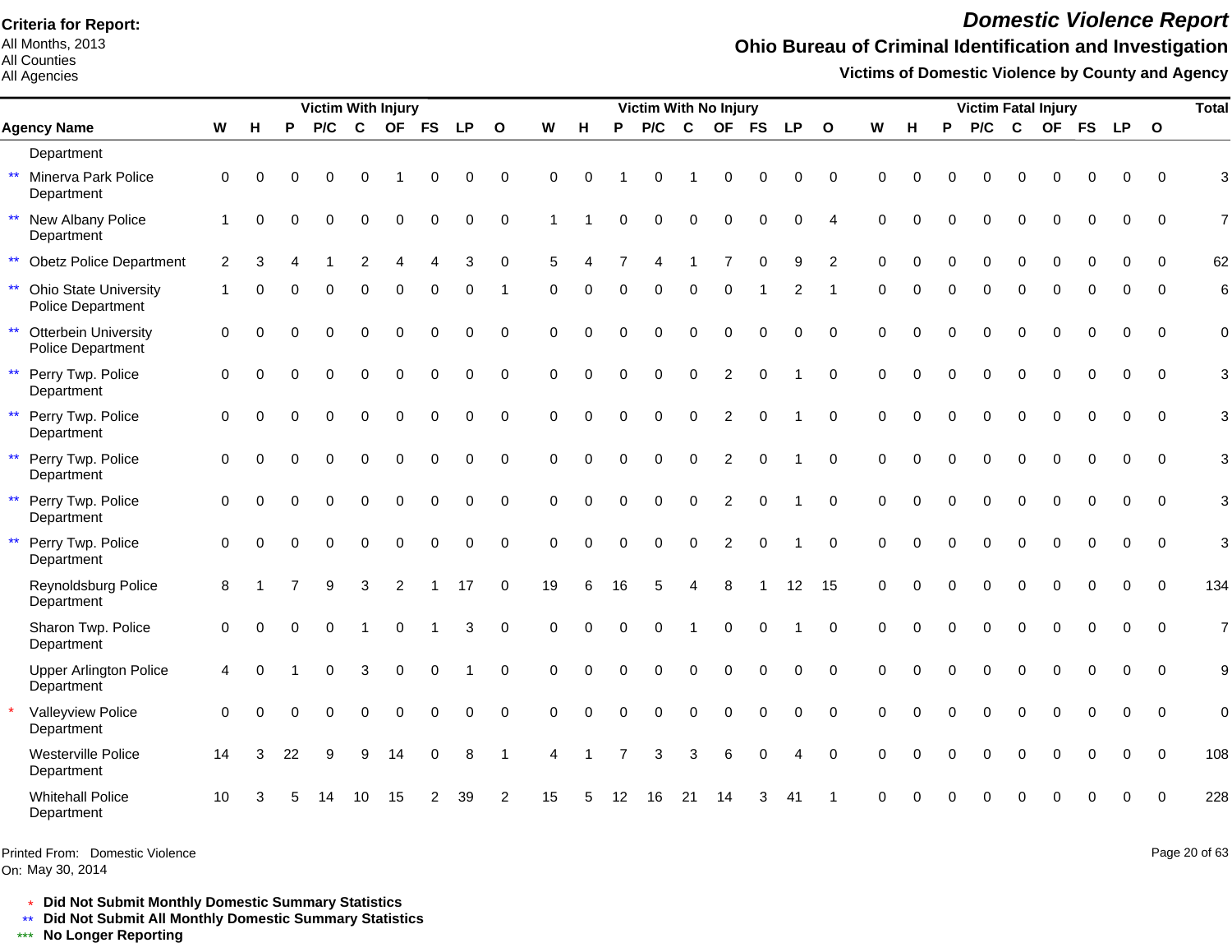All Months, 2013 All Counties

All Agencies

# *Domestic Violence Report*

## **Ohio Bureau of Criminal Identification and Investigation**

**Victims of Domestic Violence by County and Agency**

|                                                                   |                |          |    | Victim With Injury |          |                |           |           |                |          |          |          | Victim With No Injury |             |                |             |             |                |             |          |          | <b>Victim Fatal Injury</b> |          |           |           |             |                         | <b>Total</b>     |
|-------------------------------------------------------------------|----------------|----------|----|--------------------|----------|----------------|-----------|-----------|----------------|----------|----------|----------|-----------------------|-------------|----------------|-------------|-------------|----------------|-------------|----------|----------|----------------------------|----------|-----------|-----------|-------------|-------------------------|------------------|
| <b>Agency Name</b>                                                | W              | н        | P  | P/C                | C        | <b>OF</b>      | <b>FS</b> | <b>LP</b> | $\mathbf{o}$   | W        | H        | P        | P/C                   | $\mathbf c$ | <b>OF</b>      | <b>FS</b>   | <b>LP</b>   | $\mathbf{o}$   | W           | н        | P        | P/C                        | C        | <b>OF</b> | <b>FS</b> | <b>LP</b>   | $\overline{\mathbf{O}}$ |                  |
| Department                                                        |                |          |    |                    |          |                |           |           |                |          |          |          |                       |             |                |             |             |                |             |          |          |                            |          |           |           |             |                         |                  |
| Minerva Park Police<br>$\star\star$<br>Department                 | $\Omega$       | $\Omega$ | O  |                    | 0        |                | 0         | ∩         | 0              | $\Omega$ | $\Omega$ |          | $\Omega$              |             | $\Omega$       | 0           | 0           | $\mathbf 0$    | $\Omega$    | $\Omega$ | $\Omega$ | 0                          |          |           |           | 0           | $\Omega$                | 3                |
| New Albany Police<br>$\star\star$<br>Department                   |                | $\Omega$ | ∩  |                    |          | $\Omega$       | $\Omega$  | $\Omega$  | $\mathbf 0$    |          |          | O        | $\Omega$              | 0           | $\Omega$       | $\Omega$    | 0           | $\overline{4}$ | $\Omega$    | $\Omega$ |          | O                          | $\Omega$ | $\Omega$  |           | 0           | $\mathbf 0$             | $\overline{7}$   |
| $\star\star$<br><b>Obetz Police Department</b>                    | $\overline{2}$ | 3        |    |                    |          |                |           | 3         | $\Omega$       | 5        |          |          |                       |             |                | $\Omega$    | 9           | $\overline{2}$ | $\Omega$    | $\Omega$ | $\Omega$ | U                          | $\Omega$ | $\Omega$  | $\Omega$  | 0           | $\Omega$                | 62               |
| $\star\star$<br><b>Ohio State University</b><br>Police Department |                | ∩        |    |                    | U        | $\Omega$       | 0         | ∩         |                | 0        | $\Omega$ | 0        | 0                     | 0           | $\Omega$       |             |             |                | $\Omega$    | $\Omega$ | ∩        | ∩                          | $\Omega$ | U         |           | 0           | $\Omega$                | $6\phantom{1}6$  |
| <b>Otterbein University</b><br>$\star\star$<br>Police Department  | $\mathbf 0$    | $\Omega$ |    |                    | 0        | $\Omega$       | 0         | $\Omega$  | $\mathbf 0$    | 0        | $\Omega$ | $\Omega$ | $\Omega$              | $\Omega$    | $\Omega$       | $\mathbf 0$ | $\mathbf 0$ | $\mathbf 0$    | $\mathbf 0$ | $\Omega$ | $\Omega$ | $\Omega$                   | $\Omega$ | $\Omega$  |           | 0           | $\Omega$                | $\mathbf 0$      |
| $\star\star$<br>Perry Twp. Police<br>Department                   | $\mathbf 0$    | $\Omega$ |    |                    | 0        | $\Omega$       | $\Omega$  | $\Omega$  | $\mathbf 0$    | 0        | $\Omega$ | $\Omega$ | $\Omega$              | 0           | $\overline{2}$ | $\Omega$    |             | $\mathbf 0$    | $\Omega$    | $\Omega$ | $\Omega$ | $\Omega$                   | $\Omega$ | $\Omega$  | ∩         | 0           | $\Omega$                | 3                |
| $\star\star$<br>Perry Twp. Police<br>Department                   | $\mathbf 0$    | $\Omega$ |    |                    | 0        | $\Omega$       | $\Omega$  | $\Omega$  | $\Omega$       | $\Omega$ | $\Omega$ | $\Omega$ | $\Omega$              | $\Omega$    | $\overline{2}$ | $\Omega$    |             | $\Omega$       | $\Omega$    | $\Omega$ | $\Omega$ | $\Omega$                   | $\Omega$ | $\Omega$  |           | 0           | $\Omega$                | 3                |
| $\star\star$<br>Perry Twp. Police<br>Department                   | $\Omega$       |          |    |                    | 0        | $\Omega$       | $\Omega$  | $\Omega$  | $\mathbf 0$    | $\Omega$ | $\Omega$ | $\Omega$ | $\Omega$              | $\Omega$    | $\overline{c}$ | $\Omega$    |             | $\Omega$       | $\Omega$    | $\Omega$ |          | $\Omega$                   | $\Omega$ | $\Omega$  |           |             | $\Omega$                | 3                |
| $\star\star$<br>Perry Twp. Police<br>Department                   | $\mathbf 0$    | $\Omega$ |    |                    | $\Omega$ | $\Omega$       | $\Omega$  | $\Omega$  | $\Omega$       | $\Omega$ | $\Omega$ | $\Omega$ | $\Omega$              | $\Omega$    | 2              | $\Omega$    |             | $\Omega$       | $\Omega$    | $\Omega$ | $\Omega$ | $\Omega$                   | $\Omega$ | $\Omega$  | $\Omega$  | $\Omega$    | $\Omega$                | 3                |
| $\star\star$<br>Perry Twp. Police<br>Department                   | $\Omega$       | ∩        | O  | $\Omega$           | $\Omega$ | $\Omega$       | $\Omega$  | $\Omega$  | $\mathbf 0$    | $\Omega$ | $\Omega$ | $\Omega$ | $\Omega$              | $\Omega$    | 2              | $\mathbf 0$ |             | $\Omega$       | $\Omega$    | $\Omega$ | $\Omega$ | $\Omega$                   | $\Omega$ | $\Omega$  | $\Omega$  | $\Omega$    | $\Omega$                | 3                |
| Reynoldsburg Police<br>Department                                 | 8              |          |    |                    | 3        | $\overline{2}$ |           | 17        | $\Omega$       | 19       | 6        | 16       |                       |             | 8              |             | 12          | 15             | $\Omega$    | $\Omega$ | $\Omega$ | $\Omega$                   | $\Omega$ | 0         |           | 0           | $\Omega$                | 134              |
| Sharon Twp. Police<br>Department                                  | $\mathbf 0$    | ∩        |    |                    |          | $\Omega$       |           | 3         | $\mathbf 0$    | $\Omega$ | $\Omega$ | $\Omega$ | $\Omega$              |             | $\Omega$       | O           |             | $\Omega$       | $\Omega$    | $\Omega$ | $\Omega$ | $\Omega$                   | $\Omega$ | $\Omega$  | $\Omega$  | 0           | $\Omega$                | $\overline{7}$   |
| <b>Upper Arlington Police</b><br>Department                       | $\overline{4}$ | ∩        |    |                    | 3        | $\Omega$       | $\Omega$  |           | $\Omega$       | $\Omega$ | $\Omega$ | U        |                       | $\Omega$    | $\Omega$       | $\Omega$    | 0           | $\Omega$       | $\Omega$    | $\Omega$ |          | $\Omega$                   | $\Omega$ | $\Omega$  |           | 0           | $\Omega$                | $\boldsymbol{9}$ |
| Valleyview Police<br>Department                                   | $\Omega$       | $\Omega$ |    | $\Omega$           | 0        | $\Omega$       | $\Omega$  | $\Omega$  | $\mathbf 0$    | $\Omega$ | $\Omega$ | $\Omega$ | $\Omega$              | 0           | $\mathbf 0$    | $\Omega$    | $\mathbf 0$ | $\Omega$       | $\Omega$    | $\Omega$ | $\Omega$ | $\Omega$                   | $\Omega$ | $\Omega$  | $\Omega$  | $\mathbf 0$ | $\Omega$                | $\mathbf 0$      |
| Westerville Police<br>Department                                  | 14             | 3        | 22 | 9                  | 9        | 14             | 0         | 8         |                | Δ        |          |          | 3                     | 3           | 6              | 0           | Δ           | $\mathbf 0$    | $\Omega$    | $\Omega$ | $\Omega$ | 0                          | ∩        | U         | $\Omega$  | $\Omega$    | $\Omega$                | 108              |
| <b>Whitehall Police</b><br>Department                             | 10             | З        |    |                    | 10       | 15             | 2         | 39        | $\overline{c}$ | 15       | 5        | 12       | 16                    | 21          | 14             |             | 41          |                |             |          |          |                            |          |           |           | ი           | $\Omega$                | 228              |

Printed From: Domestic Violence

On: May 30, 2014

Page 20 of 63

\* **Did Not Submit Monthly Domestic Summary Statistics**

**Did Not Submit All Monthly Domestic Summary Statistics**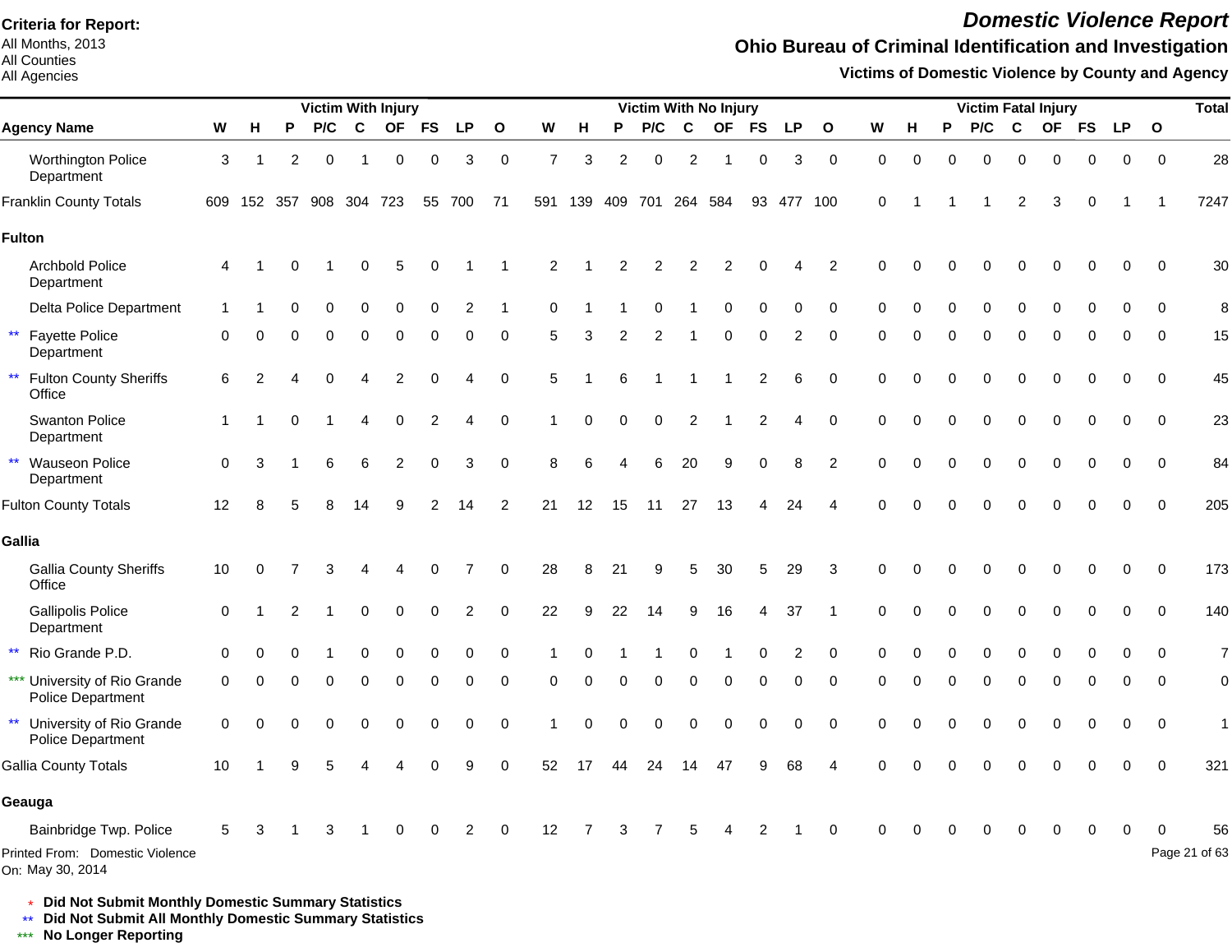All Months, 2013 All Counties

#### All Agencies

## *Domestic Violence Report*

### **Ohio Bureau of Criminal Identification and Investigation**

**Victims of Domestic Violence by County and Agency**

|                                                         |             |                         |          |     |             | <b>Victim With Injury</b> |           |           |              |                |          |                |                 |                | Victim With No Injury |          |                |              |             |          |          |          |             | <b>Victim Fatal Injury</b> |          |           |              | <b>Total</b>   |
|---------------------------------------------------------|-------------|-------------------------|----------|-----|-------------|---------------------------|-----------|-----------|--------------|----------------|----------|----------------|-----------------|----------------|-----------------------|----------|----------------|--------------|-------------|----------|----------|----------|-------------|----------------------------|----------|-----------|--------------|----------------|
| <b>Agency Name</b>                                      | W           | н                       | P        | P/C | $\mathbf c$ | <b>OF</b>                 | <b>FS</b> | <b>LP</b> | $\mathbf{o}$ | W              | н        | P              | P/C             | $\mathbf c$    |                       | OF FS    | <b>LP</b>      | $\mathbf{o}$ | W           | Н        | P        | P/C      | $\mathbf c$ | OF FS                      |          | <b>LP</b> | $\mathbf{o}$ |                |
| <b>Worthington Police</b><br>Department                 | 3           |                         | 2        | 0   | -1          | 0                         | $\Omega$  | 3         | $\mathbf 0$  | $\overline{7}$ | 3        | $\overline{c}$ | 0               | $\overline{2}$ | -1                    | 0        | 3              | $\mathbf 0$  | 0           | 0        | $\Omega$ | $\Omega$ | 0           | $\Omega$                   | 0        | 0         | $\mathbf 0$  | 28             |
| <b>Franklin County Totals</b>                           |             | 609 152 357 908 304 723 |          |     |             |                           |           | 55 700    | 71           |                | 591 139  |                | 409 701 264 584 |                |                       |          | 93 477 100     |              | $\Omega$    |          |          |          | 2           | 3                          | 0        |           |              | 7247           |
| <b>Fulton</b>                                           |             |                         |          |     |             |                           |           |           |              |                |          |                |                 |                |                       |          |                |              |             |          |          |          |             |                            |          |           |              |                |
| <b>Archbold Police</b><br>Department                    | 4           |                         |          |     |             | 5                         |           |           |              | 2              |          | 2              | 2               | 2              | 2                     | 0        |                | 2            | $\Omega$    |          |          |          |             |                            | 0        | $\Omega$  | $\Omega$     | 30             |
| Delta Police Department                                 |             |                         |          |     |             |                           |           | 2         |              | ∩              |          |                |                 |                | 0                     | 0        | 0              | $\Omega$     | ∩           |          |          |          | ∩           |                            | O        | ∩         | $\Omega$     | 8              |
| $\star\star$<br><b>Fayette Police</b><br>Department     | $\Omega$    | n                       | ∩        | U   | ∩           | O                         | $\Omega$  | 0         | $\Omega$     | 5              | з        | 2              | 2               |                | $\Omega$              | $\Omega$ | 2              | $\Omega$     | $\Omega$    |          | $\Omega$ | $\Omega$ | $\Omega$    | $\Omega$                   | $\Omega$ | $\Omega$  | $\Omega$     | 15             |
| $\star\star$<br><b>Fulton County Sheriffs</b><br>Office | 6           |                         |          | 0   |             |                           |           |           | $\mathbf 0$  | 5              |          |                |                 |                |                       | 2        | 6              | $\mathbf 0$  | $\mathbf 0$ |          | $\Omega$ | 0        | $\Omega$    | $\Omega$                   | $\Omega$ | $\Omega$  | $\Omega$     | 45             |
| <b>Swanton Police</b><br>Department                     | $\mathbf 1$ |                         | $\Omega$ |     | 4           | 0                         | 2         | 4         | $\mathbf 0$  |                | 0        | $\Omega$       | 0               | 2              |                       | 2        | 4              | $\mathbf 0$  | 0           | O        | O        | $\Omega$ | 0           | 0                          | 0        | 0         | $\mathbf 0$  | 23             |
| ** Wauseon Police<br>Department                         | $\mathbf 0$ | 3                       |          | 6   |             | 2                         | $\Omega$  | 3         | $\Omega$     | 8              | 6        |                | 6               | 20             | 9                     | $\Omega$ | 8              | 2            | $\Omega$    | $\Omega$ | $\Omega$ | $\Omega$ | $\Omega$    | $\Omega$                   | 0        | $\Omega$  | $\Omega$     | 84             |
| <b>Fulton County Totals</b>                             | 12          | 8                       |          | 8   | 14          | 9                         |           | 14        | 2            | 21             | 12       | 15             | 11              | 27             | 13                    |          | 24             |              | $\Omega$    | $\Omega$ | $\Omega$ | $\Omega$ | $\Omega$    | $\Omega$                   | 0        | $\Omega$  | $\Omega$     | 205            |
| Gallia                                                  |             |                         |          |     |             |                           |           |           |              |                |          |                |                 |                |                       |          |                |              |             |          |          |          |             |                            |          |           |              |                |
| <b>Gallia County Sheriffs</b><br>Office                 | 10          | $\Omega$                |          | 3   |             |                           |           |           | $\Omega$     | 28             | 8        | 21             | 9               | 5              | 30                    | 5        | 29             | 3            | $\Omega$    |          |          |          | C           |                            | 0        | $\Omega$  | $\Omega$     | 173            |
| <b>Gallipolis Police</b><br>Department                  | $\mathbf 0$ |                         |          |     |             |                           |           | 2         | $\Omega$     | 22             | 9        | 22             | 14              | 9              | 16                    |          | 37             |              | $\Omega$    |          |          | $\Omega$ | $\Omega$    |                            |          |           | $\Omega$     | 140            |
| ** Rio Grande P.D.                                      | $\Omega$    |                         |          |     |             |                           |           |           | $\Omega$     |                |          |                |                 |                |                       |          | $\overline{2}$ | $\Omega$     |             |          |          |          |             |                            |          |           | 0            | $\overline{7}$ |
| *** University of Rio Grande<br>Police Department       | 0           | 0                       | ∩        | 0   | ∩           | $\Omega$                  | $\Omega$  | 0         | $\Omega$     | 0              | $\Omega$ | $\Omega$       | $\Omega$        | $\Omega$       | $\Omega$              | $\Omega$ | 0              | $\mathbf 0$  | $\Omega$    | $\Omega$ | $\Omega$ | $\Omega$ | $\Omega$    | $\Omega$                   | 0        | 0         | $\Omega$     | $\mathbf 0$    |
| ** University of Rio Grande<br>Police Department        | 0           | $\Omega$                |          | 0   |             |                           |           | 0         | $\mathbf 0$  |                | O        | $\Omega$       | $\Omega$        | $\Omega$       | 0                     | 0        | 0              | $\mathbf 0$  | $\Omega$    |          |          | O        | $\Omega$    | $\Omega$                   | 0        | 0         | 0            | $\mathbf{1}$   |
| <b>Gallia County Totals</b>                             | 10          |                         |          |     |             |                           |           |           | $\Omega$     | 52             | 17       |                |                 |                | 47                    | 9        | 68             |              |             |          |          |          |             |                            |          |           | $\Omega$     | 321            |
| Geauga                                                  |             |                         |          |     |             |                           |           |           |              |                |          |                |                 |                |                       |          |                |              |             |          |          |          |             |                            |          |           |              |                |
| Bainbridge Twp. Police                                  | 5           |                         |          |     |             |                           |           | 2         | $\Omega$     | 12             |          | 3              | 7               | 5              |                       | 2        |                | $\Omega$     | ∩           |          |          |          | O           |                            | 0        |           |              | 56             |
| Printed From: Domestic Violence<br>On: May 30, 2014     |             |                         |          |     |             |                           |           |           |              |                |          |                |                 |                |                       |          |                |              |             |          |          |          |             |                            |          |           |              | Page 21 of 63  |

\* **Did Not Submit Monthly Domestic Summary Statistics**

**Did Not Submit All Monthly Domestic Summary Statistics**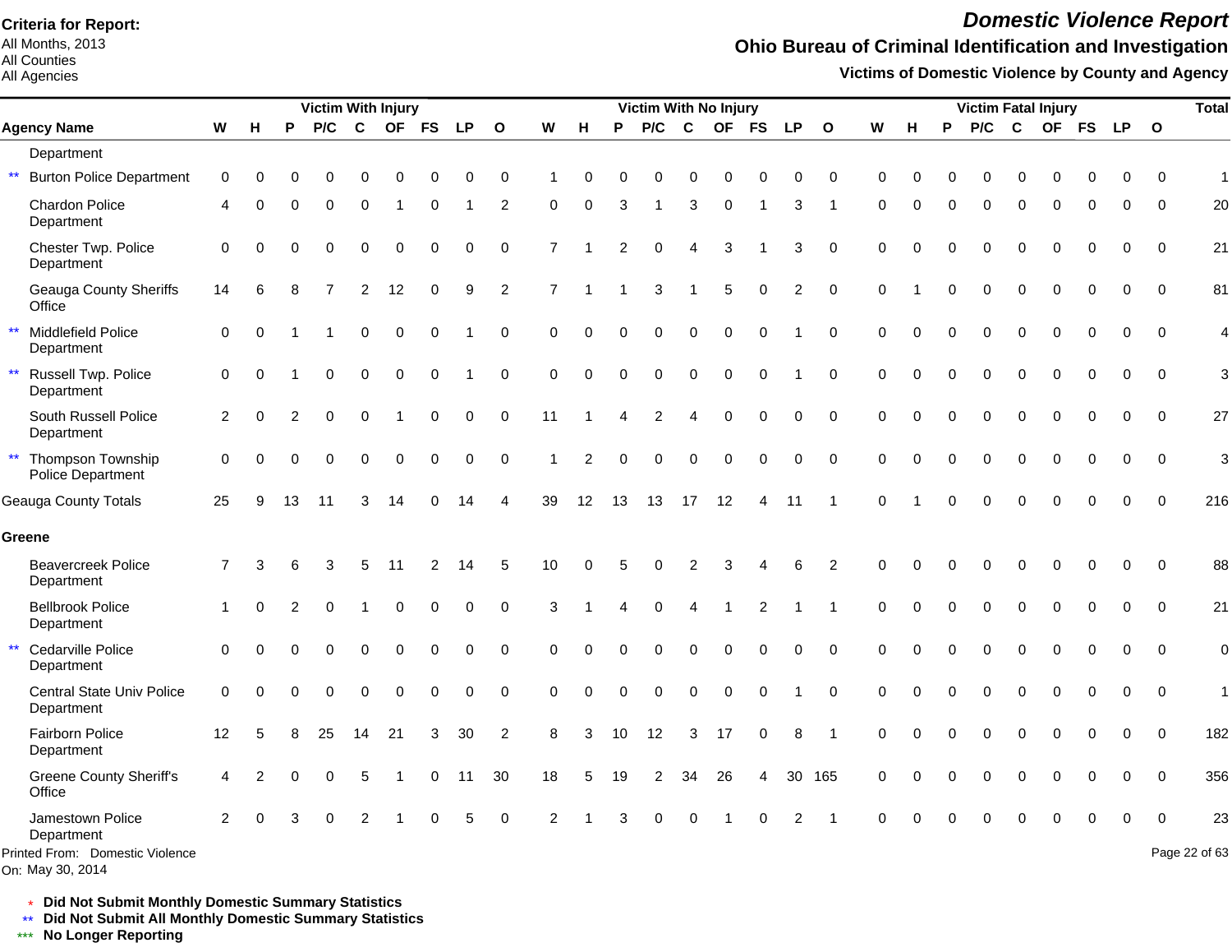All Months, 2013 All Counties

#### All Agencies

*Domestic Violence Report*

### **Ohio Bureau of Criminal Identification and Investigation**

**Victims of Domestic Violence by County and Agency**

|                                                                   |                |          |          | <b>Victim With Injury</b> |                |             |           |           |                |                |                |          | Victim With No Injury |                |                |             |           |                |          |          |          | <b>Victim Fatal Injury</b> |             |           |           |             |              | <b>Total</b>        |
|-------------------------------------------------------------------|----------------|----------|----------|---------------------------|----------------|-------------|-----------|-----------|----------------|----------------|----------------|----------|-----------------------|----------------|----------------|-------------|-----------|----------------|----------|----------|----------|----------------------------|-------------|-----------|-----------|-------------|--------------|---------------------|
| <b>Agency Name</b>                                                | W              | Н        | P        | P/C                       | $\mathbf c$    | <b>OF</b>   | <b>FS</b> | <b>LP</b> | $\mathbf{o}$   | W              | н              | P        | P/C                   | $\mathbf c$    | <b>OF</b>      | <b>FS</b>   | <b>LP</b> | $\mathbf{o}$   | W        | н        | P        | P/C                        | $\mathbf c$ | <b>OF</b> | <b>FS</b> | <b>LP</b>   | $\mathbf{o}$ |                     |
| Department                                                        |                |          |          |                           |                |             |           |           |                |                |                |          |                       |                |                |             |           |                |          |          |          |                            |             |           |           |             |              |                     |
| $\star\star$<br><b>Burton Police Department</b>                   | 0              | 0        | O        |                           | 0              | 0           | ი         | $\Omega$  | 0              |                | 0              | 0        | $\Omega$              | 0              | 0              | 0           | $\Omega$  | 0              | 0        | $\Omega$ |          | 0                          |             |           |           | o           | ∩            | $\mathbf{1}$        |
| Chardon Police<br>Department                                      | 4              | ∩        | U        | 0                         | 0              |             | 0         |           | 2              | 0              | $\Omega$       | 3        |                       | 3              | $\mathbf 0$    |             | 3         | 1              | $\Omega$ | $\Omega$ | $\Omega$ | 0                          | $\Omega$    | 0         | ∩         | 0           | $\mathbf 0$  | 20                  |
| Chester Twp. Police<br>Department                                 | 0              |          |          | $\Omega$                  | 0              | $\Omega$    | $\Omega$  | 0         | $\mathbf 0$    | $\overline{7}$ |                |          | $\Omega$              | 4              | 3              |             | 3         | $\mathbf 0$    | $\Omega$ | $\Omega$ |          | 0                          | $\Omega$    | O         |           | 0           | $\mathbf 0$  | 21                  |
| <b>Geauga County Sheriffs</b><br>Office                           | 14             | 6        |          |                           | $\overline{2}$ | 12          | 0         | 9         | $\overline{c}$ | $\overline{7}$ |                |          | 3                     |                | 5              | 0           | 2         | $\pmb{0}$      | $\Omega$ |          |          | 0                          | $\Omega$    | $\Omega$  | $\Omega$  | 0           | 0            | 81                  |
| Middlefield Police<br>$\star\star$<br>Department                  | $\mathbf 0$    | $\Omega$ |          |                           | 0              | $\mathbf 0$ | 0         |           | $\pmb{0}$      | 0              | $\Omega$       | $\Omega$ | $\Omega$              | $\mathbf 0$    | $\mathbf 0$    | $\mathbf 0$ |           | $\mathbf 0$    | $\Omega$ | $\Omega$ |          | 0                          | $\Omega$    | $\Omega$  | $\Omega$  | 0           | $\mathbf 0$  | $\overline{4}$      |
| $\star\star$<br>Russell Twp. Police<br>Department                 | 0              | $\Omega$ |          | $\Omega$                  | $\Omega$       | $\mathbf 0$ | 0         |           | $\pmb{0}$      | $\Omega$       | $\Omega$       | $\Omega$ | $\Omega$              | $\Omega$       | $\Omega$       | 0           |           | 0              | $\Omega$ | $\Omega$ | $\Omega$ | 0                          | $\Omega$    | $\Omega$  | $\Omega$  | 0           | $\Omega$     | 3                   |
| South Russell Police<br>Department                                | $\overline{c}$ | $\Omega$ |          | $\Omega$                  | $\Omega$       |             | $\Omega$  | 0         | 0              | 11             |                |          | $\overline{2}$        | 4              | $\Omega$       | $\Omega$    | 0         | $\pmb{0}$      | $\Omega$ | $\Omega$ | $\Omega$ | 0                          | $\Omega$    | $\Omega$  | $\Omega$  | 0           | $\mathbf 0$  | 27                  |
| Thompson Township<br>$\star\star$<br>Police Department            | $\Omega$       | $\Omega$ | $\Omega$ | $\Omega$                  | 0              | $\mathbf 0$ | $\Omega$  | $\Omega$  | $\mathbf 0$    |                | $\overline{2}$ | $\Omega$ | $\Omega$              | $\mathbf 0$    | $\mathbf 0$    | $\Omega$    | 0         | $\mathbf 0$    | $\Omega$ | $\Omega$ | $\Omega$ | 0                          | $\Omega$    | $\Omega$  | $\Omega$  | $\mathbf 0$ | $\mathbf 0$  | 3                   |
| <b>Geauga County Totals</b>                                       | 25             | 9        | 13       | 11                        | 3              | 14          | 0         | 14        | 4              | 39             | 12             | 13       | 13                    | 17             | 12             | 4           | 11        | -1             | $\Omega$ |          | $\Omega$ | 0                          | $\Omega$    | $\Omega$  | $\Omega$  | $\mathbf 0$ | $\mathbf 0$  | 216                 |
| Greene                                                            |                |          |          |                           |                |             |           |           |                |                |                |          |                       |                |                |             |           |                |          |          |          |                            |             |           |           |             |              |                     |
| <b>Beavercreek Police</b><br>Department                           | $\overline{7}$ | 3        | 6        | 3                         | 5              | 11          | 2         | 14        | 5              | 10             | $\Omega$       | 5        | $\Omega$              | $\overline{2}$ | 3              | Δ           | 6         | $\overline{2}$ | $\Omega$ | $\Omega$ |          | $\Omega$                   | $\Omega$    | 0         |           | 0           | $\mathbf 0$  | 88                  |
| <b>Bellbrook Police</b><br>Department                             |                | $\Omega$ | 2        |                           |                | $\Omega$    | $\Omega$  | $\Omega$  | $\mathbf 0$    | 3              |                |          | $\Omega$              |                |                | 2           |           |                | $\Omega$ | $\Omega$ | $\Omega$ | 0                          | $\Omega$    | $\Omega$  |           | 0           | $\mathbf 0$  | 21                  |
| $\star\star$<br>Cedarville Police<br>Department                   | $\Omega$       |          |          | $\Omega$                  | $\Omega$       | $\Omega$    | 0         | $\Omega$  | $\mathbf 0$    | $\Omega$       | $\Omega$       | $\Omega$ | $\Omega$              | $\mathbf 0$    | $\overline{0}$ | $\Omega$    | $\Omega$  | $\Omega$       | $\Omega$ | $\Omega$ |          | 0                          |             | $\Omega$  |           | 0           | $\Omega$     | $\mathbf 0$         |
| Central State Univ Police<br>Department                           | $\mathbf 0$    | $\Omega$ | ∩        | $\Omega$                  | 0              | $\Omega$    | 0         | $\Omega$  | 0              | 0              | $\Omega$       | $\Omega$ | $\Omega$              | 0              | $\mathbf 0$    | 0           |           | 0              | 0        | $\Omega$ | $\Omega$ | O                          | $\Omega$    | O         |           | 0           | $\mathbf 0$  | $\mathbf{1}$        |
| Fairborn Police<br>Department                                     | 12             | 5        |          | 25                        | 14             | 21          | 3         | 30        | 2              | 8              | 3              | 10       | 12                    | 3              | 17             | $\mathbf 0$ | 8         | -1             | 0        | $\Omega$ | $\Omega$ | 0                          | $\Omega$    | $\Omega$  |           | 0           | $\Omega$     | 182                 |
| <b>Greene County Sheriff's</b><br>Office                          | 4              | 2        |          |                           | 5              |             | 0         | -11       | 30             | 18             | 5              | 19       | 2                     | 34             | 26             | 4           |           | 30 165         | $\Omega$ | $\Omega$ | $\Omega$ | 0                          |             |           |           | 0           | $\Omega$     | 356                 |
| Jamestown Police<br>Department<br>Printed From: Domestic Violence | $\overline{2}$ |          |          |                           | 2              |             |           |           | $\mathbf 0$    | 2              |                | ঽ        |                       | $\Omega$       |                |             | 2         |                | $\Omega$ |          |          |                            |             |           |           |             | $\Omega$     | 23<br>Page 22 of 63 |
| On: May 30, 2014                                                  |                |          |          |                           |                |             |           |           |                |                |                |          |                       |                |                |             |           |                |          |          |          |                            |             |           |           |             |              |                     |

\* **Did Not Submit Monthly Domestic Summary Statistics**

**Did Not Submit All Monthly Domestic Summary Statistics**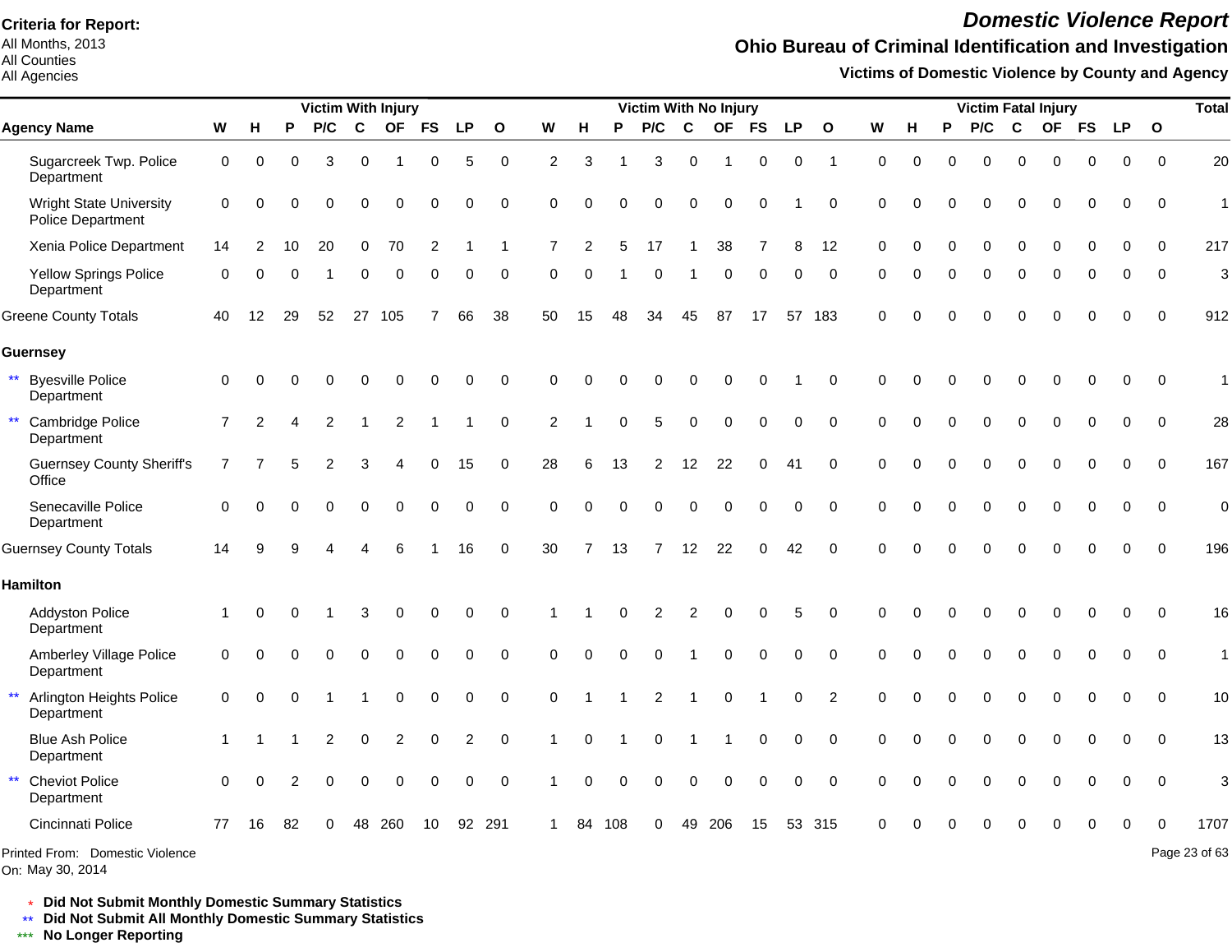All Months, 2013 All Counties

#### All Agencies

## *Domestic Violence Report*

## **Ohio Bureau of Criminal Identification and Investigation**

**Victims of Domestic Violence by County and Agency**

|                                                        |                |                   |          |     |          | <b>Victim With Injury</b> |                |           |             |                |    |          | Victim With No Injury |                |             |             |           |                |          |          |          |          |          | <b>Victim Fatal Injury</b> |             |             |              | <b>Total</b>  |
|--------------------------------------------------------|----------------|-------------------|----------|-----|----------|---------------------------|----------------|-----------|-------------|----------------|----|----------|-----------------------|----------------|-------------|-------------|-----------|----------------|----------|----------|----------|----------|----------|----------------------------|-------------|-------------|--------------|---------------|
| <b>Agency Name</b>                                     | W              | н                 | P        | P/C | C        | <b>OF</b>                 | <b>FS</b>      | <b>LP</b> | $\Omega$    | W              | н  | P        | P/C                   | C              | <b>OF</b>   | <b>FS</b>   | <b>LP</b> | $\mathbf{o}$   | W        | н        | P        | P/C      | C        | <b>OF</b>                  | <b>FS</b>   | <b>LP</b>   | $\mathbf{o}$ |               |
| Sugarcreek Twp. Police<br>Department                   | 0              | $\Omega$          | $\Omega$ | 3   | $\Omega$ |                           | $\Omega$       | 5         | $\mathbf 0$ | 2              | 3  |          | 3                     | $\Omega$       | 1           | 0           | 0         | $\overline{1}$ | $\Omega$ | $\Omega$ | $\Omega$ | $\Omega$ | $\Omega$ | $\Omega$                   | $\Omega$    | 0           | $\Omega$     | 20            |
| <b>Wright State University</b><br>Police Department    | $\Omega$       |                   |          |     |          |                           |                | 0         | $\Omega$    | $\Omega$       |    |          |                       | ∩              |             | $\Omega$    |           | $\Omega$       | $\Omega$ |          |          |          |          |                            | U           | O           | $\Omega$     | 1             |
| Xenia Police Department                                | 14             |                   | 10       | 20  | $\Omega$ | 70                        | $\overline{2}$ |           |             |                |    |          | 17                    |                | 38          |             | 8         | 12             |          |          |          |          | $\Omega$ |                            |             | $\Omega$    | $\Omega$     | 217           |
| <b>Yellow Springs Police</b><br>Department             | $\Omega$       |                   |          |     | ∩        | $\Omega$                  | $\Omega$       | 0         | $\Omega$    | ∩              |    |          | $\Omega$              |                | $\mathbf 0$ | 0           | 0         | $\Omega$       | $\Omega$ |          | 0        | $\Omega$ | $\Omega$ | $\Omega$                   | $\Omega$    | $\Omega$    | $\Omega$     | 3             |
| <b>Greene County Totals</b>                            | 40             | $12 \overline{ }$ | 29       | 52  | 27       | 105                       |                | 66        | 38          | 50             | 15 | 48       | 34                    | 45             | 87          | 17          |           | 57 183         | $\Omega$ |          |          |          | $\Omega$ |                            | O           | $\Omega$    | $\Omega$     | 912           |
| <b>Guernsey</b>                                        |                |                   |          |     |          |                           |                |           |             |                |    |          |                       |                |             |             |           |                |          |          |          |          |          |                            |             |             |              |               |
| <b>Byesville Police</b><br>Department                  | $\mathbf 0$    |                   |          |     | $\Omega$ |                           |                | 0         | $\Omega$    | $\Omega$       |    |          |                       | O              |             | $\Omega$    |           | $\Omega$       | $\Omega$ |          |          | 0        | $\Omega$ | 0                          | 0           | $\mathbf 0$ | $\Omega$     | $\mathbf 1$   |
| $\star\star$<br>Cambridge Police<br>Department         | $\overline{7}$ | $\overline{2}$    |          | 2   |          | 2                         |                |           | $\Omega$    | $\overline{2}$ |    | ∩        | 5                     | 0              | 0           | 0           | 0         | $\Omega$       | $\Omega$ |          |          | $\Omega$ | $\Omega$ | $\Omega$                   | $\Omega$    | $\Omega$    | $\Omega$     | 28            |
| <b>Guernsey County Sheriff's</b><br>Office             | 7              |                   |          |     |          |                           |                | 15        | $\Omega$    | 28             | 6  | 13       | 2                     | 12             | 22          | $\mathbf 0$ | 41        | $\Omega$       | $\Omega$ |          |          | $\Omega$ | $\Omega$ | $\Omega$                   | $\Omega$    | $\Omega$    | $\Omega$     | 167           |
| Senecaville Police<br>Department                       | $\Omega$       |                   |          |     |          |                           |                | $\Omega$  | $\Omega$    | $\Omega$       | 0  | $\Omega$ | O                     | $\Omega$       | $\Omega$    | $\mathbf 0$ | 0         | $\Omega$       | $\Omega$ | O        |          | $\Omega$ | $\Omega$ | $\Omega$                   | $\mathbf 0$ | $\mathbf 0$ | $\mathbf 0$  | $\mathbf 0$   |
| <b>Guernsey County Totals</b>                          | 14             |                   |          |     |          |                           |                | 16        | $\mathbf 0$ | 30             |    | 13       | $\overline{7}$        | 12             | 22          | 0           | 42        | $\mathbf 0$    |          |          |          |          |          |                            |             | $\Omega$    | $\Omega$     | 196           |
| <b>Hamilton</b>                                        |                |                   |          |     |          |                           |                |           |             |                |    |          |                       |                |             |             |           |                |          |          |          |          |          |                            |             |             |              |               |
| <b>Addyston Police</b><br>Department                   |                |                   |          |     | 3        |                           |                | 0         | $\Omega$    |                |    |          | 2                     | $\overline{2}$ | 0           | $\Omega$    | 5         | $\Omega$       | ∩        |          |          |          |          |                            | ი           | $\Omega$    | $\Omega$     | 16            |
| Amberley Village Police<br>Department                  | $\Omega$       |                   |          |     |          |                           |                | 0         | $\Omega$    | $\Omega$       |    |          |                       |                | 0           | $\Omega$    | 0         | $\Omega$       | $\Omega$ |          |          | $\Omega$ | $\Omega$ | $\Omega$                   | $\Omega$    | $\Omega$    | $\Omega$     | $\mathbf{1}$  |
| $\star\star$<br>Arlington Heights Police<br>Department | $\mathbf 0$    |                   |          |     |          |                           |                | 0         | $\Omega$    | $\Omega$       |    |          | 2                     |                | O           |             | 0         | $\overline{2}$ | $\Omega$ |          |          | O        | $\Omega$ | O                          | $\Omega$    | $\Omega$    | $\Omega$     | 10            |
| <b>Blue Ash Police</b><br>Department                   |                |                   |          |     | $\Omega$ |                           |                | 2         | $\Omega$    |                | O  |          | O                     |                |             | $\Omega$    | 0         | $\Omega$       | $\Omega$ |          |          |          | $\Omega$ | O                          | $\Omega$    | $\Omega$    | $\Omega$     | 13            |
| <b>Cheviot Police</b><br>Department                    | $\Omega$       |                   |          | O   |          |                           |                | 0         | $\Omega$    |                |    |          | $\Omega$              | $\Omega$       | $\Omega$    | $\mathbf 0$ | 0         | $\Omega$       | $\Omega$ |          |          |          | $\Omega$ | O                          | $\Omega$    | $\Omega$    | $\Omega$     | 3             |
| Cincinnati Police                                      | 77             | 16                | 82       |     | 48       | 260                       | 10             | 92        | 291         |                | 84 | 108      | U                     | 49             | 206         | 15          | 53        | -315           |          |          |          |          |          |                            |             |             | ∩            | 1707          |
| Printed From: Domestic Violence                        |                |                   |          |     |          |                           |                |           |             |                |    |          |                       |                |             |             |           |                |          |          |          |          |          |                            |             |             |              | Page 23 of 63 |

On: May 30, 2014

\* **Did Not Submit Monthly Domestic Summary Statistics**

**Did Not Submit All Monthly Domestic Summary Statistics**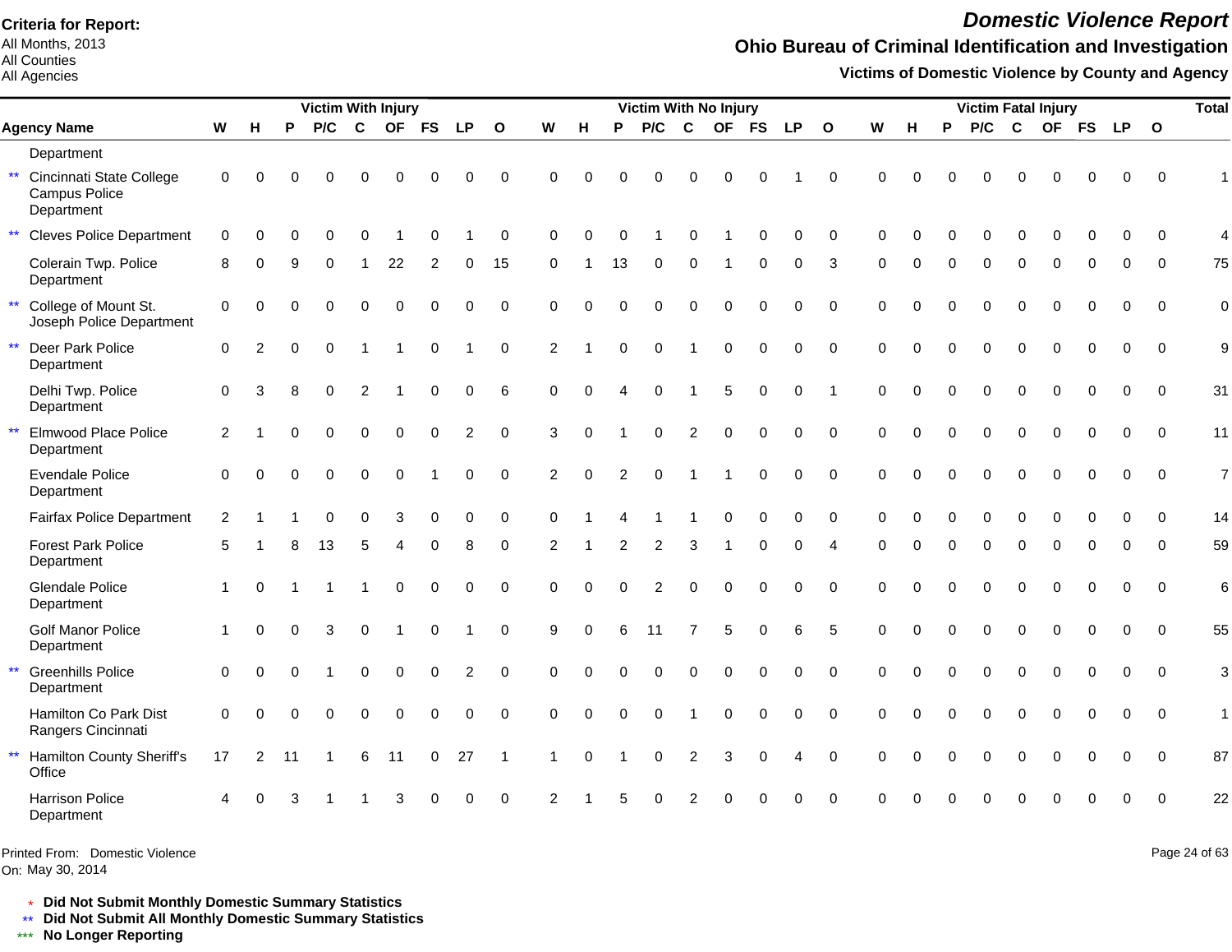All Months, 2013 All Counties

### All Agencies

## *Domestic Violence Report*

### **Ohio Bureau of Criminal Identification and Investigation**

**Victims of Domestic Violence by County and Agency**

|              |                                                         |                |                |          | <b>Victim With Injury</b> |              |                |             |             |              |                |             |                | Victim With No Injury |                |           |             |             |                        |             |          |          | <b>Victim Fatal Injury</b> |              |             |             |             |             | <b>Total</b>   |
|--------------|---------------------------------------------------------|----------------|----------------|----------|---------------------------|--------------|----------------|-------------|-------------|--------------|----------------|-------------|----------------|-----------------------|----------------|-----------|-------------|-------------|------------------------|-------------|----------|----------|----------------------------|--------------|-------------|-------------|-------------|-------------|----------------|
|              | <b>Agency Name</b>                                      | W              | H              | P        | P/C                       | $\mathbf c$  | <b>OF</b>      | <b>FS</b>   | <b>LP</b>   | $\mathbf{o}$ | W              | н           | P              | P/C                   | $\mathbf{C}$   | <b>OF</b> | <b>FS</b>   | <b>LP</b>   | $\mathbf{o}$           | W           | н        | P        | P/C                        | $\mathbf{C}$ | <b>OF</b>   | <b>FS</b>   | LP          | $\mathbf 0$ |                |
|              | Department                                              |                |                |          |                           |              |                |             |             |              |                |             |                |                       |                |           |             |             |                        |             |          |          |                            |              |             |             |             |             |                |
| $\star\star$ | Cincinnati State College<br>Campus Police<br>Department | 0              | $\Omega$       |          |                           | U            | C              |             | 0           | $\Omega$     | $\Omega$       | O           |                | U                     |                |           |             |             | $\Omega$               | $\Omega$    |          |          | O                          | O            |             | በ           | O           | $\Omega$    |                |
| $\star\star$ | <b>Cleves Police Department</b>                         | $\mathbf 0$    | $\Omega$       | $\Omega$ | $\Omega$                  | $\Omega$     |                | $\Omega$    |             | $\Omega$     | $\Omega$       | $\Omega$    |                |                       |                |           | $\Omega$    | $\Omega$    | $\Omega$               | $\Omega$    | $\Omega$ | $\Omega$ | $\Omega$                   | $\Omega$     | $\Omega$    | $\Omega$    | $\Omega$    | $\Omega$    | $\overline{4}$ |
|              | Colerain Twp. Police<br>Department                      | 8              | $\Omega$       | 9        | 0                         | $\mathbf{1}$ | 22             | 2           | 0           | 15           | $\Omega$       |             | 13             | 0                     | $\mathbf 0$    | -1        | $\mathbf 0$ | 0           | 3                      | 0           | $\Omega$ | $\Omega$ | 0                          | $\mathbf 0$  | 0           | $\Omega$    | $\Omega$    | $\Omega$    | 75             |
| $\star\star$ | College of Mount St.<br>Joseph Police Department        | $\mathbf 0$    | $\Omega$       |          | 0                         | $\Omega$     | $\mathbf 0$    | $\Omega$    | $\Omega$    | $\mathbf 0$  | $\Omega$       | O           |                | 0                     | $\Omega$       | 0         | $\Omega$    | 0           | $\Omega$               | $\Omega$    | O        | $\Omega$ | $\Omega$                   | $\Omega$     | $\Omega$    | $\Omega$    | $\Omega$    | $\Omega$    | $\overline{0}$ |
| $\star\star$ | Deer Park Police<br>Department                          | 0              | $\overline{2}$ | $\Omega$ | $\mathbf 0$               | -1           |                | 0           |             | $\mathbf 0$  | $\overline{2}$ |             | $\Omega$       | $\mathbf 0$           |                | $\Omega$  | $\Omega$    | 0           | $\mathbf 0$            | $\mathbf 0$ | $\Omega$ | $\Omega$ | $\Omega$                   | $\mathbf 0$  | 0           | $\mathbf 0$ | $\Omega$    | $\Omega$    | 9              |
|              | Delhi Twp. Police<br>Department                         | $\Omega$       | 3              | 8        | $\Omega$                  | 2            |                | $\Omega$    | $\Omega$    | 6            | $\Omega$       | $\Omega$    | $\overline{A}$ | $\Omega$              |                | 5         | $\Omega$    | $\Omega$    | $\overline{1}$         | $\Omega$    | $\Omega$ | $\Omega$ | $\overline{0}$             | $\mathbf{0}$ | $\Omega$    | $\Omega$    | $\Omega$    | $\Omega$    | 31             |
| $\star\star$ | Elmwood Place Police<br>Department                      | $\overline{2}$ |                | $\Omega$ | $\Omega$                  | $\mathbf 0$  | $\mathbf 0$    | $\Omega$    | 2           | $\Omega$     | 3              | $\Omega$    |                | $\mathbf 0$           | $\overline{2}$ | $\Omega$  | $\Omega$    | $\Omega$    | $\Omega$               | $\Omega$    | $\Omega$ | $\Omega$ | $\overline{0}$             | $\Omega$     | $\Omega$    | $\Omega$    | $\Omega$    | $\Omega$    | 11             |
|              | <b>Evendale Police</b><br>Department                    | $\Omega$       | $\Omega$       | $\Omega$ | $\mathbf{0}$              | $\mathbf 0$  | $\mathbf 0$    |             | $\mathbf 0$ | $\Omega$     | $\overline{2}$ | $\mathbf 0$ | 2              | $\mathbf 0$           | $\mathbf{1}$   | -1        | $\mathbf 0$ | $\mathbf 0$ | $\Omega$               | $\Omega$    | $\Omega$ | $\Omega$ | $\Omega$                   | $\Omega$     | 0           | $\mathbf 0$ | $\mathbf 0$ | $\Omega$    | $\overline{7}$ |
|              | <b>Fairfax Police Department</b>                        | $\overline{2}$ |                |          | $\Omega$                  | $\Omega$     | 3              | $\Omega$    | 0           | $\Omega$     | $\Omega$       |             |                |                       |                | $\Omega$  | $\Omega$    | $\Omega$    | $\Omega$               | $\Omega$    | 0        |          | 0                          | $\Omega$     | $\Omega$    | $\Omega$    | $\Omega$    | $\Omega$    | 14             |
|              | <b>Forest Park Police</b><br>Department                 | 5              |                |          | 13                        | 5            | $\Delta$       | $\Omega$    | 8           | $\Omega$     | 2              |             | $\mathfrak{p}$ | 2                     | 3              |           | $\Omega$    | $\Omega$    | $\boldsymbol{\Lambda}$ | $\Omega$    | $\Omega$ | $\Omega$ | $\Omega$                   | $\Omega$     | $\Omega$    | $\Omega$    | $\Omega$    | $\Omega$    | 59             |
|              | <b>Glendale Police</b><br>Department                    | $\mathbf{1}$   | $\Omega$       |          |                           |              | $\Omega$       | $\Omega$    | $\Omega$    | $\Omega$     | $\Omega$       | $\Omega$    | $\Omega$       | 2                     | $\Omega$       | $\Omega$  | $\Omega$    | $\Omega$    | $\Omega$               | $\Omega$    | $\Omega$ | $\Omega$ | $\Omega$                   | $\Omega$     | $\Omega$    | $\Omega$    | $\Omega$    | $\Omega$    | 6              |
|              | <b>Golf Manor Police</b><br>Department                  | $\mathbf{1}$   | $\Omega$       | $\Omega$ | 3                         | $\mathbf 0$  | $\overline{1}$ | $\mathbf 0$ |             | $\mathbf 0$  | 9              | $\Omega$    | 6              | 11                    | $\overline{7}$ | 5         | $\mathbf 0$ | 6           | 5                      | $\Omega$    | $\Omega$ | $\Omega$ | $\Omega$                   | $\mathbf 0$  | 0           | $\mathbf 0$ | $\Omega$    | $\Omega$    | 55             |
| $\star\star$ | <b>Greenhills Police</b><br>Department                  | $\mathbf 0$    | $\Omega$       | $\Omega$ |                           | $\mathbf 0$  | $\mathbf 0$    | $\mathbf 0$ | 2           | $\mathbf 0$  | $\Omega$       | $\Omega$    | $\Omega$       | $\Omega$              | $\Omega$       | $\Omega$  | $\Omega$    | $\Omega$    | $\Omega$               | $\mathbf 0$ | $\Omega$ | $\Omega$ | $\Omega$                   | $\mathbf 0$  | $\mathbf 0$ | $\Omega$    | $\mathbf 0$ | $\mathbf 0$ | 3              |
|              | Hamilton Co Park Dist<br>Rangers Cincinnati             | $\Omega$       | $\Omega$       |          | $\Omega$                  | $\mathbf 0$  | $\mathbf 0$    | $\mathbf 0$ | $\mathbf 0$ | $\mathbf 0$  | $\Omega$       | $\Omega$    | $\Omega$       | 0                     |                | $\Omega$  | $\mathbf 0$ | $\mathbf 0$ | $\mathbf 0$            | $\mathbf 0$ | $\Omega$ | $\Omega$ | $\Omega$                   | $\mathbf 0$  | 0           | $\mathbf 0$ | $\mathbf 0$ | $\mathbf 0$ | 1              |
| $\star\star$ | Hamilton County Sheriff's<br>Office                     | 17             | 2              | 11       |                           | 6            | 11             | $\mathbf 0$ | 27          | -1           |                | $\Omega$    |                | 0                     | $\overline{c}$ | 3         | $\mathbf 0$ | 4           | $\mathbf 0$            | $\Omega$    | $\Omega$ | $\Omega$ | 0                          | $\mathbf 0$  | 0           | $\mathbf 0$ | $\mathbf 0$ | $\mathbf 0$ | 87             |
|              | <b>Harrison Police</b><br>Department                    | 4              | $\Omega$       |          |                           |              | 3              |             | $\Omega$    | $\Omega$     | $\mathcal{P}$  |             |                |                       |                | U         |             | $\Omega$    | $\Omega$               | $\Omega$    |          |          | O                          | $\Omega$     | $\Omega$    | $\Omega$    | $\Omega$    | $\Omega$    | 22             |

Printed From: Domestic Violence

On: May 30, 2014

Page 24 of 63

\* **Did Not Submit Monthly Domestic Summary Statistics**

**Did Not Submit All Monthly Domestic Summary Statistics**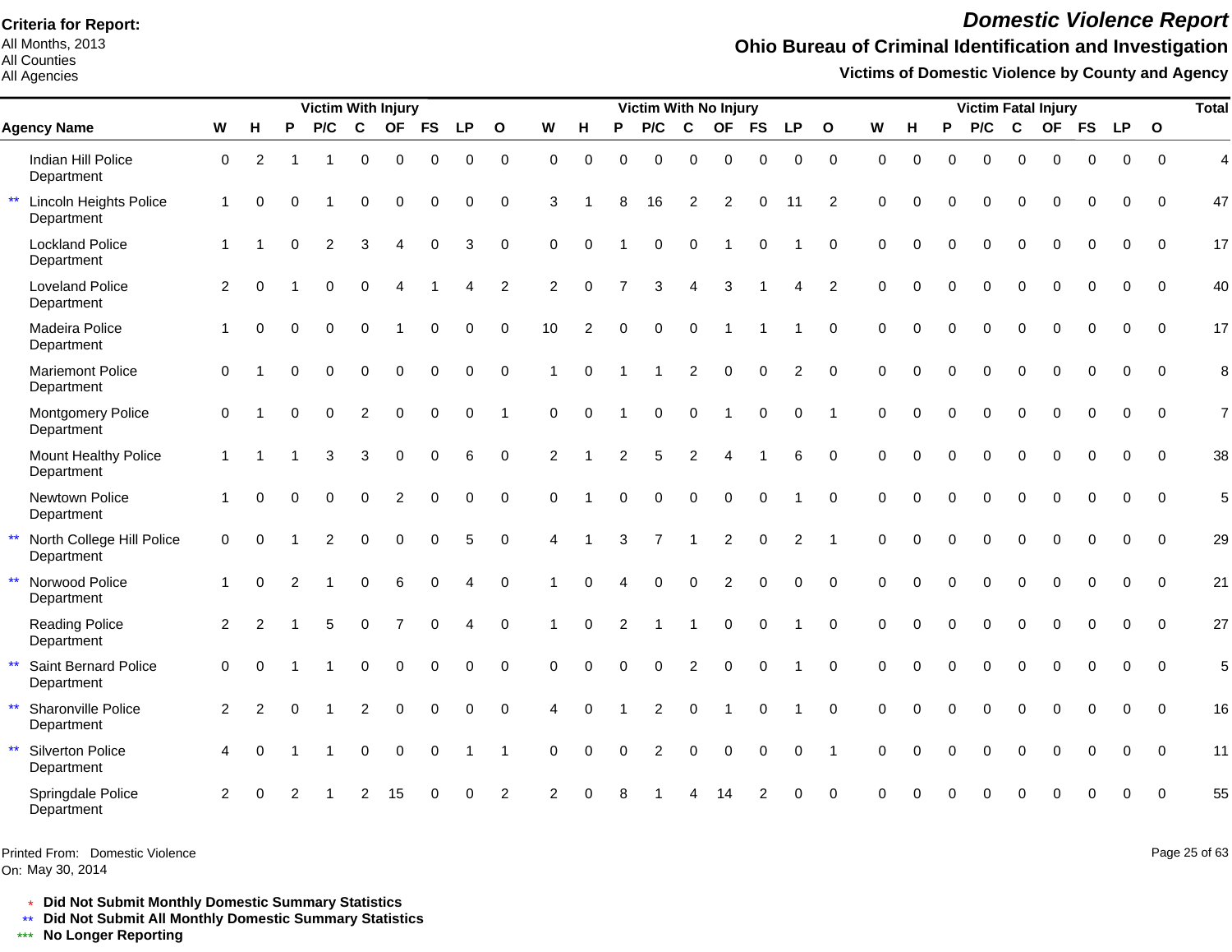All Months, 2013 All Counties

All Agencies

# *Domestic Violence Report*

## **Ohio Bureau of Criminal Identification and Investigation**

**Victims of Domestic Violence by County and Agency**

|                                                             |                      |                |               | <b>Victim With Injury</b> |                |                |             |           |                |                |          |                | Victim With No Injury |                |                  |             |                |                |             |             |          |          |          | <b>Victim Fatal Injury</b> |           |           |              | <b>Total</b>   |
|-------------------------------------------------------------|----------------------|----------------|---------------|---------------------------|----------------|----------------|-------------|-----------|----------------|----------------|----------|----------------|-----------------------|----------------|------------------|-------------|----------------|----------------|-------------|-------------|----------|----------|----------|----------------------------|-----------|-----------|--------------|----------------|
| <b>Agency Name</b>                                          | W                    | H              | P             | P/C                       | C              | <b>OF</b>      | <b>FS</b>   | <b>LP</b> | $\mathbf{o}$   | W              | H        | P              | P/C                   | $\mathbf c$    | <b>OF</b>        | <b>FS</b>   | <b>LP</b>      | $\mathbf{o}$   | W           | н           | P        | P/C      | C        | <b>OF</b>                  | <b>FS</b> | <b>LP</b> | $\mathbf{o}$ |                |
| Indian Hill Police<br>Department                            | $\mathbf 0$          | 2              |               | -1                        | $\mathbf 0$    | $\mathbf 0$    | $\mathbf 0$ | $\Omega$  | $\pmb{0}$      | 0              | $\Omega$ | $\Omega$       | $\Omega$              | 0              | $\boldsymbol{0}$ | $\mathbf 0$ | 0              | $\mathbf 0$    | $\mathbf 0$ | $\mathbf 0$ | $\Omega$ | $\Omega$ | 0        | 0                          | $\Omega$  | 0         | $\Omega$     | $\overline{4}$ |
| $\star\star$<br><b>Lincoln Heights Police</b><br>Department | $\mathbf{1}$         | $\Omega$       | 0             |                           | $\Omega$       | $\Omega$       | $\Omega$    | $\Omega$  | $\mathbf 0$    | 3              |          | 8              | 16                    | $\overline{2}$ | $\overline{2}$   | $\Omega$    | 11             | 2              | $\Omega$    | $\Omega$    | $\Omega$ | $\Omega$ | $\Omega$ | $\Omega$                   | $\Omega$  | 0         | $\Omega$     | 47             |
| <b>Lockland Police</b><br>Department                        | $\mathbf 1$          |                | $\Omega$      | 2                         | 3              | Δ              | $\Omega$    | 3         | $\mathbf 0$    | $\Omega$       | $\Omega$ |                | $\Omega$              | $\Omega$       |                  | $\Omega$    |                | $\mathbf 0$    | $\Omega$    | $\Omega$    | $\Omega$ | $\Omega$ | $\Omega$ | $\Omega$                   |           | 0         | $\Omega$     | 17             |
| <b>Loveland Police</b><br>Department                        | 2                    | $\Omega$       |               | $\Omega$                  | $\Omega$       | Δ              |             | Δ         | 2              | $\overline{2}$ | $\Omega$ | $\overline{7}$ | 3                     | 4              | 3                |             | 4              | $\overline{2}$ | $\Omega$    | $\Omega$    | $\Omega$ | $\Omega$ | $\Omega$ | $\Omega$                   | $\Omega$  | 0         | $\Omega$     | 40             |
| Madeira Police<br>Department                                | $\blacktriangleleft$ | $\Omega$       | $\Omega$      | $\Omega$                  | $\Omega$       |                | $\Omega$    | $\Omega$  | $\mathbf 0$    | 10             | 2        | $\Omega$       | $\Omega$              | $\Omega$       |                  |             |                | $\mathbf 0$    | $\Omega$    | $\Omega$    | $\Omega$ | $\Omega$ | $\Omega$ | $\Omega$                   | $\Omega$  | $\Omega$  | $\Omega$     | 17             |
| <b>Mariemont Police</b><br>Department                       | $\Omega$             |                | O             |                           | 0              | $\Omega$       | $\Omega$    | $\Omega$  | $\pmb{0}$      |                | $\Omega$ |                |                       | 2              | $\Omega$         | $\Omega$    | $\overline{c}$ | $\pmb{0}$      | $\Omega$    | $\Omega$    | $\Omega$ | $\Omega$ | $\Omega$ | $\Omega$                   |           | 0         | $\Omega$     | 8              |
| Montgomery Police<br>Department                             | $\mathbf 0$          |                | O             | $\Omega$                  | $\overline{c}$ | $\Omega$       | $\mathbf 0$ | $\Omega$  | 1              | $\mathbf 0$    | $\Omega$ |                | $\Omega$              | $\Omega$       |                  | $\mathbf 0$ | $\Omega$       | -1             | $\Omega$    | $\Omega$    | $\Omega$ | $\Omega$ | $\Omega$ | $\Omega$                   | $\Omega$  | $\Omega$  | $\Omega$     | $\overline{7}$ |
| Mount Healthy Police<br>Department                          | $\mathbf{1}$         |                |               | 3                         | 3              | $\Omega$       | $\Omega$    | 6         | $\mathbf 0$    | $\overline{2}$ |          | 2              | 5                     | 2              | $\Delta$         |             | 6              | $\Omega$       | $\Omega$    | $\Omega$    |          | $\Omega$ | $\Omega$ | $\Omega$                   | $\Omega$  | 0         | $\Omega$     | 38             |
| Newtown Police<br>Department                                | $\blacktriangleleft$ | $\Omega$       | $\Omega$      | $\Omega$                  | $\Omega$       | $\overline{2}$ | $\Omega$    | $\Omega$  | $\mathbf 0$    | $\Omega$       |          | $\Omega$       | $\Omega$              | 0              | $\mathbf 0$      | $\mathbf 0$ |                | $\mathbf 0$    | $\Omega$    | $\Omega$    | $\Omega$ | $\Omega$ | $\Omega$ | $\Omega$                   | $\Omega$  | $\Omega$  | $\Omega$     | 5              |
| $\star\star$<br>North College Hill Police<br>Department     | $\mathbf 0$          | $\Omega$       |               | 2                         | $\Omega$       | $\Omega$       | $\mathbf 0$ | 5         | $\mathbf 0$    | 4              | -1       | 3              |                       | $\mathbf{1}$   | $\overline{c}$   | $\mathbf 0$ | 2              | $\overline{1}$ | $\Omega$    | $\Omega$    | $\Omega$ | $\Omega$ | $\Omega$ | $\Omega$                   | $\Omega$  | $\Omega$  | $\Omega$     | 29             |
| $\star\star$<br>Norwood Police<br>Department                |                      | $\Omega$       | $\mathcal{P}$ |                           | 0              | 6              | $\Omega$    |           | $\mathbf 0$    |                | $\Omega$ |                | $\Omega$              | 0              | $\overline{2}$   | 0           | $\Omega$       | $\mathbf 0$    | $\Omega$    | $\Omega$    | $\Omega$ | $\Omega$ | $\Omega$ | $\Omega$                   | $\Omega$  | 0         | $\mathbf 0$  | 21             |
| <b>Reading Police</b><br>Department                         | 2                    | $\overline{2}$ |               |                           | $\Omega$       |                | $\Omega$    |           | $\Omega$       |                | $\Omega$ | 2              |                       |                | $\Omega$         | $\Omega$    |                | $\Omega$       | $\Omega$    | $\Omega$    | $\Omega$ | $\Omega$ | $\Omega$ | $\Omega$                   | $\Omega$  | 0         | $\Omega$     | 27             |
| $\star\star$<br>Saint Bernard Police<br>Department          | $\Omega$             | $\Omega$       |               |                           | 0              | $\Omega$       | $\Omega$    | $\Omega$  | $\Omega$       | $\Omega$       | $\Omega$ | $\Omega$       | $\Omega$              | 2              | $\Omega$         | $\Omega$    |                | $\Omega$       | $\Omega$    | $\Omega$    |          | 0        | $\Omega$ | $\Omega$                   |           | 0         | $\Omega$     | 5              |
| $\star\star$<br>Sharonville Police<br>Department            | 2                    | 2              | $\Omega$      |                           | $\overline{2}$ | $\Omega$       | $\Omega$    | $\Omega$  | $\mathbf 0$    | 4              | $\Omega$ |                | 2                     | 0              |                  | $\Omega$    |                | $\Omega$       | $\Omega$    | $\Omega$    | $\Omega$ | $\Omega$ | $\Omega$ | $\Omega$                   |           | 0         | $\Omega$     | 16             |
| $\star\star$<br>Silverton Police<br>Department              | 4                    | $\Omega$       |               |                           | $\Omega$       | $\Omega$       | $\mathbf 0$ |           | -1             | 0              | $\Omega$ | $\Omega$       | 2                     | $\Omega$       | $\Omega$         | $\Omega$    | $\mathbf 0$    | $\overline{1}$ | $\Omega$    | $\Omega$    | $\Omega$ | $\Omega$ | $\Omega$ | $\Omega$                   | $\Omega$  | $\Omega$  | $\Omega$     | 11             |
| Springdale Police<br>Department                             | 2                    |                |               |                           | 2              | 15             |             |           | $\overline{c}$ | 2              |          |                |                       |                |                  |             |                | 0              | ∩           |             |          |          |          |                            |           | 0         | $\mathbf 0$  | 55             |

Printed From: Domestic Violence

On: May 30, 2014

Page 25 of 63

\* **Did Not Submit Monthly Domestic Summary Statistics**

**Did Not Submit All Monthly Domestic Summary Statistics**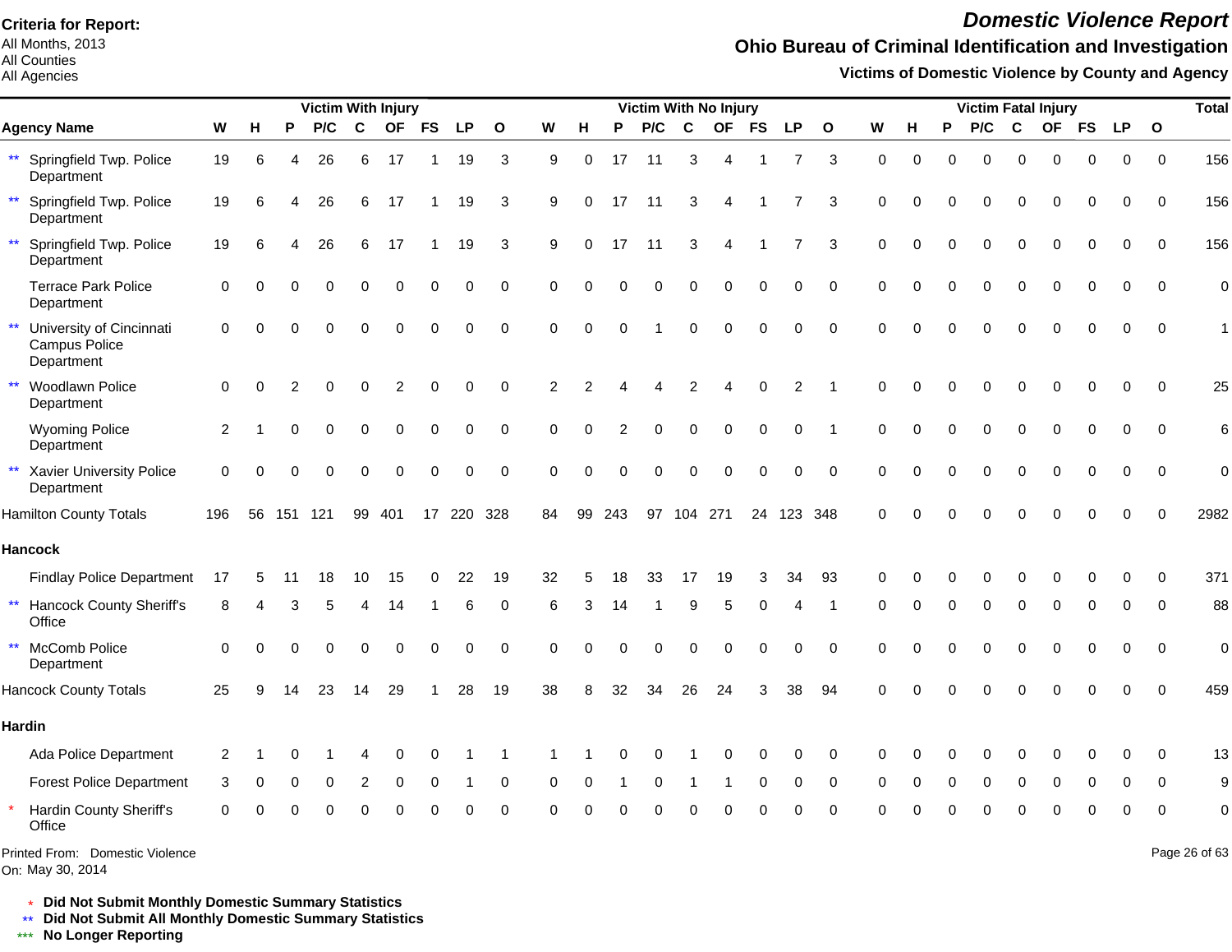All Months, 2013 All Counties

#### All Agencies

## *Domestic Violence Report*

## **Ohio Bureau of Criminal Identification and Investigation**

**Victims of Domestic Violence by County and Agency**

|                                                                         |             |          |     | <b>Victim With Injury</b> |    |           |                  |           |                |                |                |          |          |             | Victim With No Injury  |           |                |              |             |             |          |          |          | <b>Victim Fatal Injury</b> |           |           |              | <b>Total</b>    |
|-------------------------------------------------------------------------|-------------|----------|-----|---------------------------|----|-----------|------------------|-----------|----------------|----------------|----------------|----------|----------|-------------|------------------------|-----------|----------------|--------------|-------------|-------------|----------|----------|----------|----------------------------|-----------|-----------|--------------|-----------------|
| <b>Agency Name</b>                                                      | W           | н        | P   | P/C                       | C  | <b>OF</b> | <b>FS</b>        | <b>LP</b> | $\mathbf{o}$   | W              | н              | P        | P/C      | $\mathbf c$ | <b>OF</b>              | <b>FS</b> | <b>LP</b>      | $\mathbf{o}$ | W           | н           | P        | P/C      | C        | <b>OF</b>                  | <b>FS</b> | <b>LP</b> | $\mathbf{o}$ |                 |
| Springfield Twp. Police<br>$***$<br>Department                          | 19          | 6        | Δ   | 26                        | 6  | 17        | -1               | 19        | 3              | 9              | 0              | 17       | 11       | 3           | $\overline{4}$         | -1        | 7              | 3            | $\mathbf 0$ | $\mathbf 0$ | $\Omega$ | $\Omega$ | $\Omega$ | 0                          | $\Omega$  | 0         | $\mathbf 0$  | 156             |
| $***$<br>Springfield Twp. Police<br>Department                          | 19          | 6        |     | 26                        | 6  | 17        | -1               | 19        | 3              | 9              | $\Omega$       | 17       | 11       | 3           | $\overline{A}$         |           |                | 3            | 0           | $\Omega$    | $\Omega$ | O        | $\Omega$ | Ω                          |           | 0         | 0            | 156             |
| $\star\star$<br>Springfield Twp. Police<br>Department                   | 19          | 6        |     | 26                        | 6  | 17        | 1                | 19        | 3              | 9              | $\Omega$       | 17       | 11       | 3           | $\boldsymbol{\Lambda}$ | -1        | 7              | 3            | $\Omega$    | $\Omega$    | $\Omega$ | $\Omega$ | $\Omega$ | $\Omega$                   | $\Omega$  | 0         | $\mathbf 0$  | 156             |
| <b>Terrace Park Police</b><br>Department                                | 0           |          |     |                           |    | $\Omega$  | $\Omega$         | $\Omega$  | $\mathbf 0$    | $\Omega$       | $\Omega$       | $\Omega$ | 0        | $\Omega$    | $\Omega$               | $\Omega$  | 0              | $\mathbf 0$  | $\Omega$    | $\Omega$    |          | U        |          |                            |           | 0         | $\mathbf 0$  | $\mathbf 0$     |
| $\star\star$<br>University of Cincinnati<br>Campus Police<br>Department | $\Omega$    |          |     |                           |    |           |                  | ∩         | $\pmb{0}$      | $\Omega$       | $\Omega$       |          |          | $\Omega$    | $\Omega$               | $\Omega$  | 0              | $\pmb{0}$    | $\Omega$    | $\Omega$    |          |          |          |                            |           | 0         | $\Omega$     |                 |
| $\star\star$<br>Woodlawn Police<br>Department                           | $\mathbf 0$ | $\Omega$ | 2   |                           | 0  | 2         | $\Omega$         | $\Omega$  | $\mathbf 0$    | $\overline{2}$ | $\overline{2}$ |          |          | 2           | Δ                      | $\Omega$  | $\overline{c}$ |              | $\Omega$    | $\Omega$    |          | O        |          | Ω                          |           | 0         | $\Omega$     | 25              |
| <b>Wyoming Police</b><br>Department                                     | 2           |          |     |                           | 0  | $\Omega$  | 0                | 0         | 0              | $\Omega$       | $\Omega$       |          | $\Omega$ | $\Omega$    | $\Omega$               | 0         | 0              |              | $\Omega$    | $\Omega$    |          | $\Omega$ | ∩        | U                          | $\Omega$  | 0         | $\mathbf 0$  | $6\phantom{1}6$ |
| $\star\star$<br><b>Xavier University Police</b><br>Department           | $\Omega$    |          |     |                           |    |           | $\Omega$         | $\Omega$  | $\mathbf 0$    | $\Omega$       | $\Omega$       |          | $\Omega$ | $\Omega$    | $\Omega$               | $\Omega$  | $\Omega$       | $\Omega$     | $\Omega$    | $\Omega$    |          | O        |          | Ω                          |           | 0         | $\mathbf 0$  | $\Omega$        |
| <b>Hamilton County Totals</b>                                           | 196         | 56       | 151 | 121                       | 99 | 401       | 17 <sup>17</sup> | 220 328   |                | 84             | 99             | 243      | 97       |             | 104 271                | 24        | 123 348        |              | $\Omega$    |             |          |          |          |                            |           |           | ∩            | 2982            |
| <b>Hancock</b>                                                          |             |          |     |                           |    |           |                  |           |                |                |                |          |          |             |                        |           |                |              |             |             |          |          |          |                            |           |           |              |                 |
| <b>Findlay Police Department</b>                                        | 17          |          |     | 18                        | 10 | 15        | 0                | 22        | 19             | 32             |                |          | 33       | 17          | 19                     | 3         | 34             | 93           | O           |             |          |          |          |                            |           |           | ∩            | 371             |
| $\star\star$<br><b>Hancock County Sheriff's</b><br>Office               | 8           |          |     |                           |    | 14        |                  | 6         | $\Omega$       | 6              | З              | 14       |          | 9           | 5                      | 0         |                |              | O           |             |          | 0        | $\Omega$ | $\Omega$                   | ∩         | 0         | $\Omega$     | 88              |
| McComb Police<br>$\star\star$<br>Department                             | $\Omega$    | $\Omega$ | 0   | $\Omega$                  | 0  | $\Omega$  | $\Omega$         | $\Omega$  | $\mathbf 0$    | $\Omega$       | $\Omega$       | $\Omega$ | $\Omega$ | $\Omega$    | $\Omega$               | 0         | $\Omega$       | $\Omega$     | $\Omega$    | $\bigcap$   |          | 0        | $\Omega$ | Ω                          |           | 0         | $\Omega$     | $\mathbf 0$     |
| <b>Hancock County Totals</b>                                            | 25          | q        | 14  | 23                        | 14 | 29        |                  | 28        | 19             | 38             | 8              | 32       | 34       | 26          | 24                     | 3         | 38             | 94           | $\Omega$    |             |          |          |          |                            |           | 0         | $\Omega$     | 459             |
| <b>Hardin</b>                                                           |             |          |     |                           |    |           |                  |           |                |                |                |          |          |             |                        |           |                |              |             |             |          |          |          |                            |           |           |              |                 |
| Ada Police Department                                                   | 2           |          |     |                           |    | O         | $\Omega$         |           |                |                |                |          | O        |             | C                      | O         | $\Omega$       | $\mathbf 0$  | $\Omega$    | $\Omega$    |          | 0        | O        | Ω                          |           | 0         | $\Omega$     | 13              |
| <b>Forest Police Department</b>                                         | 3           | 0        |     | $\Omega$                  | 2  | $\Omega$  | $\Omega$         |           | 0              | $\Omega$       | $\Omega$       |          | 0        |             |                        | 0         | 0              | $\mathbf 0$  | $\Omega$    | ∩           | 0        | 0        | $\Omega$ | 0                          | O         | 0         | $\Omega$     | 9               |
| Hardin County Sheriff's<br>Office                                       | U           |          |     |                           |    |           |                  |           | $\overline{0}$ | O              |                |          |          |             |                        |           |                | $\Omega$     |             |             |          |          |          |                            |           | 0         | $\Omega$     | $\mathbf 0$     |
| Printed From: Domestic Violence<br>On: May 30, 2014                     |             |          |     |                           |    |           |                  |           |                |                |                |          |          |             |                        |           |                |              |             |             |          |          |          |                            |           |           |              | Page 26 of 63   |

\* **Did Not Submit Monthly Domestic Summary Statistics**

**Did Not Submit All Monthly Domestic Summary Statistics**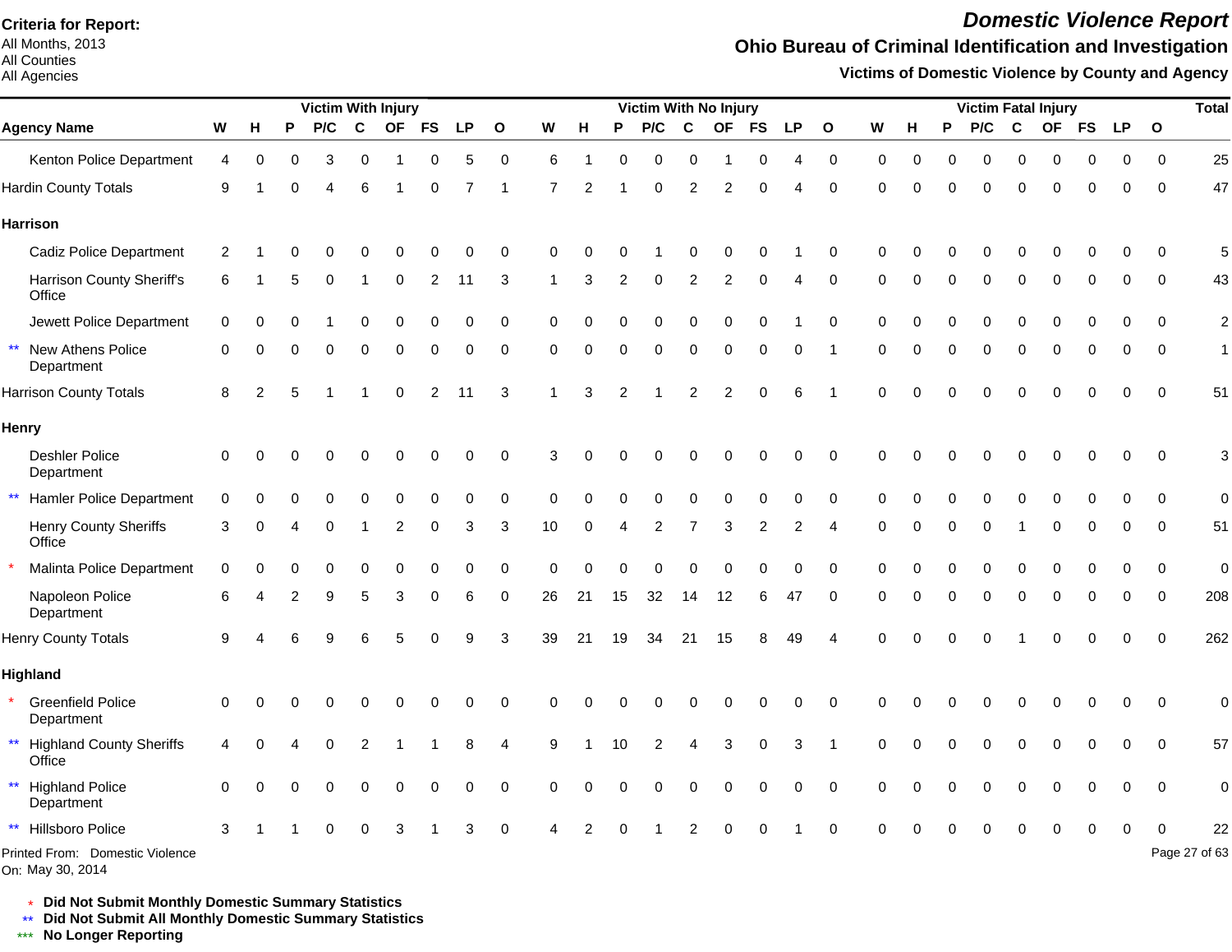All Months, 2013 All Counties

#### All Agencies

## *Domestic Violence Report*

### **Ohio Bureau of Criminal Identification and Investigation**

**Victims of Domestic Violence by County and Agency**

|                                                      |                |                |   | Victim With Injury |   |           |           |           |              |          |          |    | Victim With No Injury |             |           |           |                |              |                |          |   |          |             | <b>Victim Fatal Injury</b> |           |           |              | <b>Total</b>     |
|------------------------------------------------------|----------------|----------------|---|--------------------|---|-----------|-----------|-----------|--------------|----------|----------|----|-----------------------|-------------|-----------|-----------|----------------|--------------|----------------|----------|---|----------|-------------|----------------------------|-----------|-----------|--------------|------------------|
| <b>Agency Name</b>                                   | W              | н              | P | P/C                | C | <b>OF</b> | <b>FS</b> | <b>LP</b> | $\mathbf{o}$ | W        | Н        | P  | P/C                   | $\mathbf c$ | <b>OF</b> | <b>FS</b> | <b>LP</b>      | $\mathbf{o}$ | W              | н        | P | P/C      | $\mathbf c$ | <b>OF</b>                  | <b>FS</b> | <b>LP</b> | $\mathbf{o}$ |                  |
| Kenton Police Department                             | $\overline{4}$ | 0              |   |                    | 0 |           |           | 5         | 0            | 6        |          |    | O                     | 0           |           | 0         |                | $\pmb{0}$    | 0              | $\Omega$ |   | 0        | 0           | $\Omega$                   | $\Omega$  | 0         | $\mathbf 0$  | 25               |
| <b>Hardin County Totals</b>                          | 9              |                |   |                    | 6 |           |           |           |              |          |          |    |                       |             | 2         | U         |                | $\Omega$     | $\Omega$       | ∩        |   | O        | $\Omega$    | $\Omega$                   | $\Omega$  | $\Omega$  | $\mathbf 0$  | 47               |
| <b>Harrison</b>                                      |                |                |   |                    |   |           |           |           |              |          |          |    |                       |             |           |           |                |              |                |          |   |          |             |                            |           |           |              |                  |
| <b>Cadiz Police Department</b>                       | 2              |                |   |                    |   |           |           |           | 0            | n        |          |    |                       |             |           |           |                | 0            | 0              |          |   |          |             |                            |           |           | $\Omega$     | 5                |
| Harrison County Sheriff's<br>Office                  | 6              |                | 5 |                    |   | $\Omega$  | 2         | 11        | 3            |          | 3        | 2  |                       |             | 2         | 0         |                | 0            | 0              | ∩        |   | 0        | $\Omega$    | $\Omega$                   | 0         | $\Omega$  | 0            | 43               |
| Jewett Police Department                             | 0              | $\Omega$       |   |                    |   |           | $\Omega$  | $\Omega$  | 0            | 0        |          |    |                       |             | ∩         | $\Omega$  |                | 0            | $\Omega$       |          |   |          | $\Omega$    | $\Omega$                   | $\Omega$  | $\Omega$  | $\Omega$     | $\boldsymbol{2}$ |
| $\star\star$<br>New Athens Police<br>Department      | $\mathbf 0$    | $\Omega$       | ∩ |                    | O | ∩         | O         | $\Omega$  | 0            | $\Omega$ | $\Omega$ | 0  | $\Omega$              | $\Omega$    | $\Omega$  | 0         | 0              |              | $\Omega$       | ∩        | U | $\Omega$ | $\Omega$    | $\mathbf 0$                | $\Omega$  | $\Omega$  | $\mathbf 0$  | $\mathbf{1}$     |
| <b>Harrison County Totals</b>                        | 8              | $\overline{2}$ | 5 |                    |   | ∩         | 2         | 11        | 3            |          | 3        |    |                       |             | 2         | U         | 6              |              | $\Omega$       | ∩        |   |          | $\Omega$    | $\Omega$                   | $\Omega$  | $\Omega$  | $\mathbf 0$  | 51               |
| Henry                                                |                |                |   |                    |   |           |           |           |              |          |          |    |                       |             |           |           |                |              |                |          |   |          |             |                            |           |           |              |                  |
| <b>Deshler Police</b><br>Department                  | 0              | 0              |   |                    |   |           |           |           | 0            | 3        |          |    |                       |             |           |           | ი              | 0            | 0              |          |   |          |             |                            |           | U         | 0            | $\mathbf{3}$     |
| $\star\star$<br><b>Hamler Police Department</b>      | $\Omega$       |                |   |                    |   |           |           |           | $\Omega$     | O        |          |    |                       |             |           |           |                | $\Omega$     | $\Omega$       |          |   |          |             |                            |           |           | $\Omega$     | $\pmb{0}$        |
| <b>Henry County Sheriffs</b><br>Office               | 3              | $\Omega$       |   | ∩                  |   | 2         | 0         | 3         | 3            | 10       | $\Omega$ |    | 2                     |             | 3         | 2         | $\overline{2}$ | 4            | 0              | $\Omega$ | O | 0        |             | $\Omega$                   | $\Omega$  | 0         | 0            | 51               |
| Malinta Police Department                            | $\mathbf 0$    |                |   |                    |   |           |           |           | 0            | O        |          |    |                       |             |           |           | 0              | 0            | $\Omega$       |          |   |          |             |                            |           | U         | 0            | $\pmb{0}$        |
| Napoleon Police<br>Department                        | 6              |                |   |                    |   | 3         | O         | 6         | 0            | 26       | 21       | 15 | 32                    | 14          | 12        | 6         | 47             | 0            | $\Omega$       | ∩        | O | $\Omega$ | $\Omega$    | $\mathbf 0$                | 0         | 0         | $\mathbf 0$  | 208              |
| <b>Henry County Totals</b>                           | 9              |                |   |                    |   |           |           |           | 3            | 39       | 21       | 19 | 34                    | 21          | 15        |           | 49             | 4            | $\overline{0}$ | $\Omega$ |   | $\Omega$ |             | $\Omega$                   | ∩         | $\Omega$  | $\Omega$     | 262              |
| <b>Highland</b>                                      |                |                |   |                    |   |           |           |           |              |          |          |    |                       |             |           |           |                |              |                |          |   |          |             |                            |           |           |              |                  |
| <b>Greenfield Police</b><br>Department               | $\Omega$       |                |   |                    |   |           |           |           | O            |          |          |    |                       |             |           |           |                | $\Omega$     | 0              |          |   |          |             |                            |           | O         | $\mathbf 0$  | $\pmb{0}$        |
| ** Highland County Sheriffs<br>Office                | 4              |                |   |                    |   |           |           |           | 4            | 9        |          |    |                       |             | 3         | U         | 3              |              | U              |          |   |          |             |                            | $\Omega$  | O         | $\Omega$     | 57               |
| $\star\star$<br><b>Highland Police</b><br>Department | $\Omega$       |                |   |                    |   |           |           |           | 0            | O        |          |    |                       |             | O         |           | 0              | 0            | U              |          |   |          | O           |                            | ∩         | 0         | $\mathbf 0$  | $\pmb{0}$        |
| Hillsboro Police                                     | 3              |                |   |                    |   |           |           |           |              |          |          |    |                       |             |           |           |                |              |                |          |   |          |             |                            |           |           |              | 22               |
| Printed From: Domestic Violence                      |                |                |   |                    |   |           |           |           |              |          |          |    |                       |             |           |           |                |              |                |          |   |          |             |                            |           |           |              | Page 27 of 63    |

On: May 30, 2014

\* **Did Not Submit Monthly Domestic Summary Statistics**

**Did Not Submit All Monthly Domestic Summary Statistics**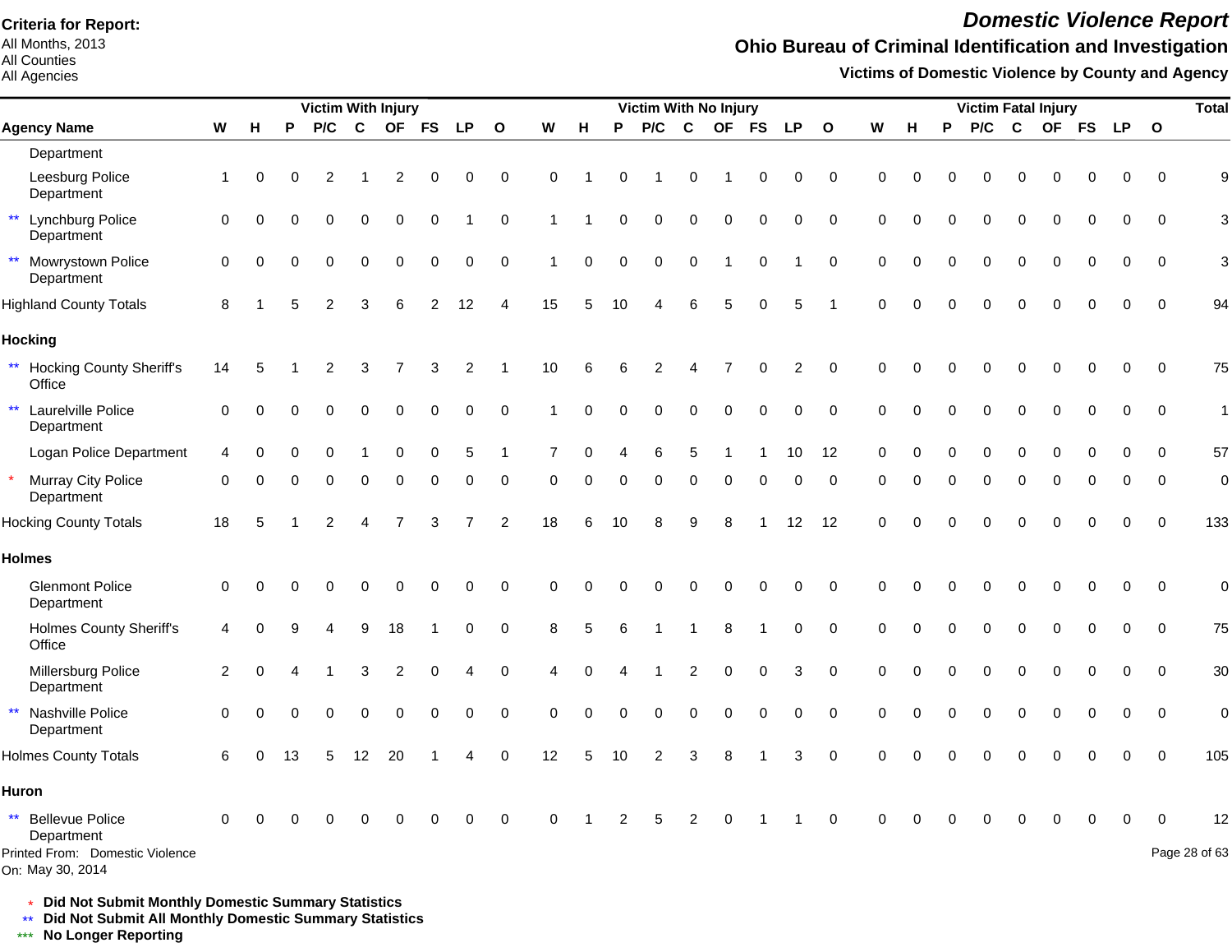All Months, 2013 All Counties

All Agencies

## *Domestic Violence Report*

## **Ohio Bureau of Criminal Identification and Investigation**

**Victims of Domestic Violence by County and Agency**

|                                                  |                |          |          | <b>Victim With Injury</b> |             |                |                |             |              |                      |             |                 | Victim With No Injury |                |             |             |                   |              |             |             |          | <b>Victim Fatal Injury</b> |          |           |           |             |              | <b>Total</b>     |
|--------------------------------------------------|----------------|----------|----------|---------------------------|-------------|----------------|----------------|-------------|--------------|----------------------|-------------|-----------------|-----------------------|----------------|-------------|-------------|-------------------|--------------|-------------|-------------|----------|----------------------------|----------|-----------|-----------|-------------|--------------|------------------|
| <b>Agency Name</b>                               | W              | H        | P        | P/C                       | $\mathbf c$ | <b>OF</b>      | <b>FS</b>      | <b>LP</b>   | $\mathbf{o}$ | W                    | н           | P               | P/C                   | $\mathbf c$    | <b>OF</b>   | <b>FS</b>   | <b>LP</b>         | $\mathbf{o}$ | W           | н           | P        | P/C                        | C        | <b>OF</b> | <b>FS</b> | <b>LP</b>   | $\mathbf{o}$ |                  |
| Department                                       |                |          |          |                           |             |                |                |             |              |                      |             |                 |                       |                |             |             |                   |              |             |             |          |                            |          |           |           |             |              |                  |
| Leesburg Police<br>Department                    | $\mathbf{1}$   | $\Omega$ | $\Omega$ | 2                         |             | 2              | 0              | 0           | $\pmb{0}$    | $\Omega$             |             | $\Omega$        |                       | $\Omega$       |             | 0           | 0                 | $\mathbf 0$  | $\Omega$    | $\Omega$    |          | 0                          | $\Omega$ | 0         | $\Omega$  | 0           | $\Omega$     | $\boldsymbol{9}$ |
| ** Lynchburg Police<br>Department                | $\mathbf 0$    | $\Omega$ |          | $\Omega$                  | 0           | $\mathbf 0$    | 0              |             | $\mathbf 0$  | 1                    |             | $\Omega$        | $\mathbf 0$           | 0              | $\mathbf 0$ | $\mathbf 0$ | $\mathbf 0$       | $\mathbf 0$  | $\mathbf 0$ | $\Omega$    |          | 0                          | $\Omega$ | $\Omega$  | $\Omega$  | 0           | $\mathbf 0$  | 3                |
| ** Mowrystown Police<br>Department               | $\mathbf 0$    | $\Omega$ |          | $\Omega$                  | $\Omega$    | $\Omega$       | $\Omega$       | $\Omega$    | $\Omega$     | $\blacktriangleleft$ | $\mathbf 0$ | $\Omega$        | $\mathbf 0$           | $\Omega$       |             | $\Omega$    |                   | $\Omega$     | $\Omega$    | $\Omega$    |          | $\Omega$                   | ∩        | $\Omega$  |           | 0           | $\Omega$     | 3                |
| <b>Highland County Totals</b>                    | 8              |          | 5        | 2                         | 3           | 6              | $\overline{2}$ | 12          | 4            | 15                   | 5           | 10              |                       | 6              | 5           | $\Omega$    | 5                 |              | $\Omega$    | $\cap$      |          |                            |          |           |           | $\Omega$    | $\Omega$     | 94               |
| <b>Hocking</b>                                   |                |          |          |                           |             |                |                |             |              |                      |             |                 |                       |                |             |             |                   |              |             |             |          |                            |          |           |           |             |              |                  |
| ** Hocking County Sheriff's<br>Office            | 14             | 5        |          | 2                         | 3           |                | 3              | 2           |              | $10$                 | 6           | 6               | 2                     | 4              |             | 0           | $\overline{c}$    | $\mathbf 0$  | $\mathbf 0$ | $\Omega$    |          |                            |          |           |           | 0           | $\mathbf 0$  | 75               |
| $\star\star$<br>Laurelville Police<br>Department | $\Omega$       | $\Omega$ | 0        | 0                         | 0           | $\Omega$       | $\Omega$       | 0           | $\mathbf 0$  |                      | $\Omega$    | O               | $\Omega$              | $\Omega$       | $\Omega$    | 0           | 0                 | 0            | $\Omega$    | $\Omega$    |          | O                          | $\Omega$ | O         | $\Omega$  | $\Omega$    | $\mathbf 0$  | $\mathbf{1}$     |
| Logan Police Department                          | 4              |          |          |                           |             | $\mathbf 0$    | 0              | 5           | $\mathbf 1$  | $\overline{7}$       | $\Omega$    |                 | 6                     | 5              |             |             | 10                | 12           | $\mathbf 0$ | $\mathbf 0$ |          | 0                          | $\Omega$ | $\Omega$  |           | 0           | $\Omega$     | 57               |
| * Murray City Police<br>Department               | $\Omega$       | $\Omega$ |          | ∩                         | $\Omega$    | $\mathbf 0$    | 0              | $\mathbf 0$ | $\mathbf 0$  | 0                    | 0           | $\Omega$        | $\Omega$              | $\mathbf 0$    | $\mathbf 0$ | $\mathbf 0$ | 0                 | $\mathbf 0$  | $\Omega$    | $\Omega$    | $\Omega$ | 0                          | $\Omega$ | $\Omega$  |           | 0           | $\Omega$     | $\mathbf 0$      |
| <b>Hocking County Totals</b>                     | 18             | 5        |          | $\overline{2}$            | 4           | $\overline{7}$ | 3              |             | 2            | 18                   | 6           | 10 <sup>°</sup> | 8                     | 9              | 8           |             | $12 \overline{ }$ | 12           | $\Omega$    | $\Omega$    |          | O                          |          |           |           | 0           | $\Omega$     | 133              |
| <b>Holmes</b>                                    |                |          |          |                           |             |                |                |             |              |                      |             |                 |                       |                |             |             |                   |              |             |             |          |                            |          |           |           |             |              |                  |
| <b>Glenmont Police</b><br>Department             | $\mathbf 0$    | $\Omega$ |          |                           | 0           | $\Omega$       | 0              | $\Omega$    | $\mathbf 0$  | $\Omega$             | $\Omega$    | O               | $\Omega$              | 0              | 0           | 0           | 0                 | $\mathbf 0$  | $\Omega$    | $\Omega$    |          | 0                          | $\Omega$ | 0         |           | 0           | $\Omega$     | $\mathbf 0$      |
| <b>Holmes County Sheriff's</b><br>Office         | $\overline{4}$ |          |          |                           | 9           | 18             |                | 0           | $\pmb{0}$    | 8                    | 5           | 6               |                       |                | 8           | -1          | 0                 | $\mathbf 0$  | $\mathbf 0$ | $\Omega$    | $\Omega$ | $\Omega$                   | 0        | 0         | $\Omega$  | 0           | $\Omega$     | 75               |
| Millersburg Police<br>Department                 | 2              | $\Omega$ |          |                           | 3           | 2              | $\Omega$       | 4           | $\mathbf 0$  | 4                    | $\Omega$    |                 |                       | $\overline{2}$ | $\mathbf 0$ | $\mathbf 0$ | 3                 | $\mathbf 0$  | $\mathbf 0$ | $\Omega$    |          | 0                          | $\Omega$ | 0         | $\Omega$  | 0           | $\Omega$     | 30               |
| $\star\star$<br>Nashville Police<br>Department   | $\mathbf 0$    | $\Omega$ |          |                           | $\Omega$    | $\Omega$       | $\Omega$       | 0           | $\mathbf 0$  | 0                    | $\Omega$    | $\Omega$        | $\Omega$              | $\Omega$       | $\Omega$    | $\Omega$    | $\Omega$          | $\mathbf 0$  | $\mathbf 0$ | $\Omega$    |          | O                          | $\Omega$ | $\Omega$  | $\Omega$  | $\mathbf 0$ | $\mathbf 0$  | $\mathbf 0$      |
| <b>Holmes County Totals</b>                      | 6              |          | 13       |                           | 12          | 20             |                |             | $\Omega$     | 12                   | 5           | 10              |                       | 3              | 8           |             | 3                 | $\mathbf 0$  | $\Omega$    |             |          |                            |          |           |           |             |              | 105              |
| Huron                                            |                |          |          |                           |             |                |                |             |              |                      |             |                 |                       |                |             |             |                   |              |             |             |          |                            |          |           |           |             |              |                  |
| ** Bellevue Police<br>Department                 | $\Omega$       |          |          |                           |             |                |                | $\Omega$    | $\mathbf 0$  | $\Omega$             |             | 2               | 5                     | 2              | $\Omega$    |             |                   | $\mathbf 0$  | $\Omega$    | ∩           |          |                            |          |           |           | 0           | $\Omega$     | 12               |
| Printed From: Domestic Violence                  |                |          |          |                           |             |                |                |             |              |                      |             |                 |                       |                |             |             |                   |              |             |             |          |                            |          |           |           |             |              | Page 28 of 63    |

On: May 30, 2014

\* **Did Not Submit Monthly Domestic Summary Statistics**

**Did Not Submit All Monthly Domestic Summary Statistics**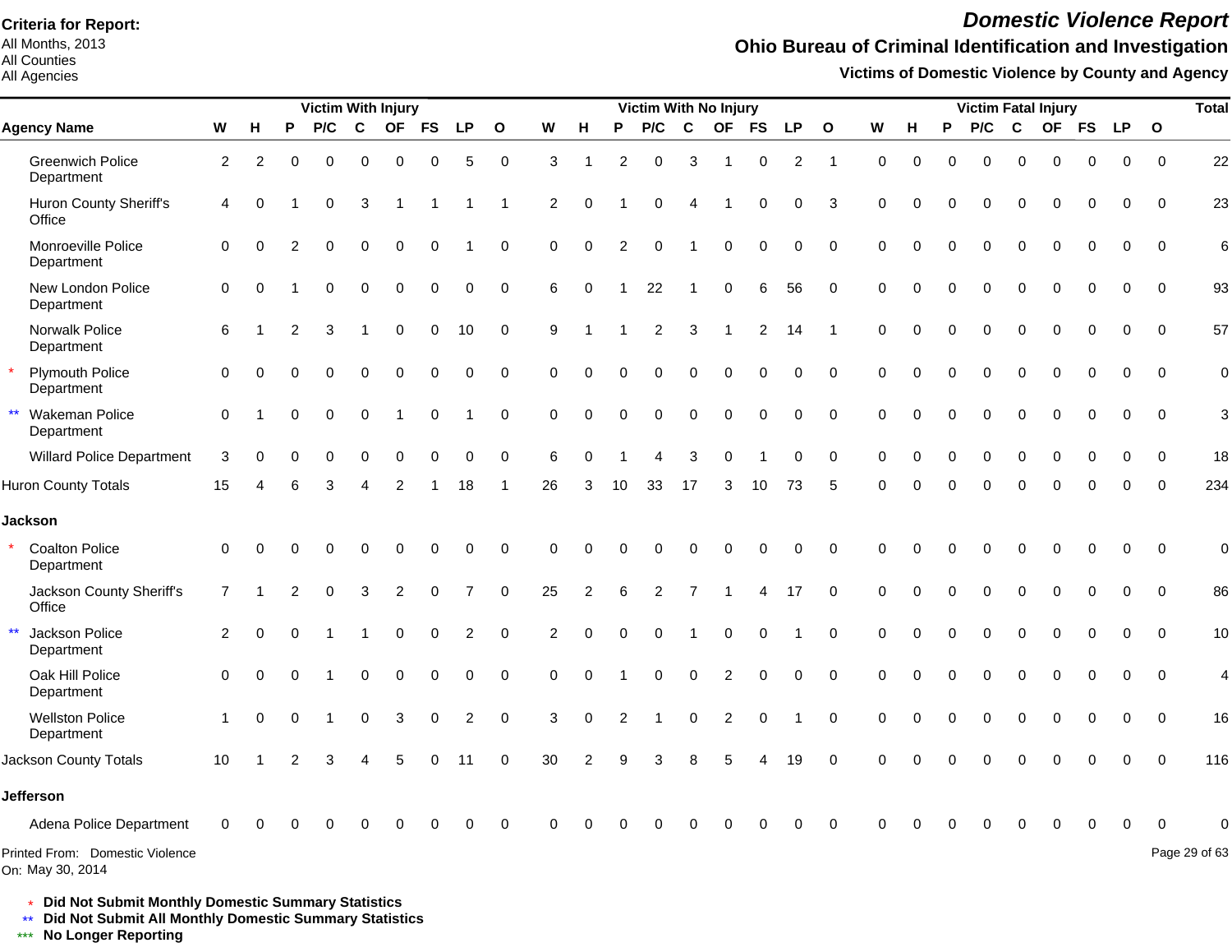All Months, 2013 All Counties

#### All Agencies

## *Domestic Violence Report*

### **Ohio Bureau of Criminal Identification and Investigation**

**Victims of Domestic Violence by County and Agency**

|                                                     |                |          |                | <b>Victim With Injury</b> |             |                |             |                      |              |                |                |                | Victim With No Injury |                         |                         |                |                |                |             |          |          | <b>Victim Fatal Injury</b> |             |             |             |             |             | <b>Total</b>   |
|-----------------------------------------------------|----------------|----------|----------------|---------------------------|-------------|----------------|-------------|----------------------|--------------|----------------|----------------|----------------|-----------------------|-------------------------|-------------------------|----------------|----------------|----------------|-------------|----------|----------|----------------------------|-------------|-------------|-------------|-------------|-------------|----------------|
| <b>Agency Name</b>                                  | ${\bf W}$      | н        | P              | P/C                       | C           | <b>OF</b>      | <b>FS</b>   | <b>LP</b>            | $\mathbf{o}$ | ${\bf W}$      | н              | Ρ              | P/C                   | C                       | <b>OF</b>               | <b>FS</b>      | <b>LP</b>      | $\mathbf{o}$   | W           | н        | P        | P/C                        | $\mathbf c$ | <b>OF</b>   | <b>FS</b>   | LP          | $\mathbf 0$ |                |
| <b>Greenwich Police</b><br>Department               | $\overline{2}$ | 2        | $\Omega$       | $\Omega$                  | $\Omega$    | $\Omega$       | $\Omega$    | 5                    | $\mathbf 0$  | 3              | -1             | $\overline{2}$ | 0                     | 3                       |                         | $\mathbf 0$    | $\overline{2}$ | -1             | $\Omega$    | $\Omega$ | $\Omega$ | $\Omega$                   | $\Omega$    | $\Omega$    | $\Omega$    | $\Omega$    | $\Omega$    | 22             |
| Huron County Sheriff's<br>Office                    | $\overline{4}$ | $\Omega$ |                | 0                         | 3           | -1             |             |                      | -1           | 2              | $\mathbf 0$    |                | 0                     | $\overline{4}$          |                         | 0              | 0              | 3              | $\mathbf 0$ | $\Omega$ | O        | $\Omega$                   | $\Omega$    | 0           | 0           | 0           | $\mathbf 0$ | 23             |
| Monroeville Police<br>Department                    | $\Omega$       | 0        | 2              | $\Omega$                  | $\Omega$    | $\mathbf 0$    | $\mathbf 0$ |                      | $\mathbf 0$  | $\mathbf 0$    | $\mathbf 0$    | 2              | $\Omega$              | $\overline{\mathbf{1}}$ | 0                       | $\mathbf 0$    | $\mathbf 0$    | $\mathbf 0$    | $\Omega$    | $\Omega$ | $\Omega$ | $\Omega$                   | $\Omega$    | $\Omega$    | $\mathbf 0$ | $\Omega$    | $\mathbf 0$ | 6              |
| New London Police<br>Department                     | $\mathbf 0$    | $\Omega$ |                | 0                         | $\mathbf 0$ | 0              | 0           | 0                    | $\mathbf 0$  | 6              | $\mathbf 0$    |                | 22                    | 1                       | 0                       | 6              | 56             | $\mathbf 0$    | 0           | $\Omega$ | $\Omega$ | $\mathbf 0$                | $\mathbf 0$ | $\mathbf 0$ | $\mathbf 0$ | $\mathbf 0$ | $\mathbf 0$ | 93             |
| Norwalk Police<br>Department                        | 6              |          | 2              | 3                         |             | $\mathbf 0$    | $\mathbf 0$ | 10                   | $\mathbf 0$  | 9              | -1             |                | $\overline{c}$        | $\mathbf{3}$            | 1                       | $\overline{2}$ | 14             | $\overline{1}$ | $\mathbf 0$ | $\Omega$ | 0        | 0                          | $\mathbf 0$ | $\Omega$    | $\mathbf 0$ | $\mathbf 0$ | $\mathbf 0$ | 57             |
| <b>Plymouth Police</b><br>Department                | $\Omega$       |          | $\Omega$       | $\Omega$                  | $\Omega$    | $\mathbf 0$    | $\mathbf 0$ | 0                    | $\mathbf 0$  | $\Omega$       | $\Omega$       | $\mathbf 0$    | 0                     | $\mathbf 0$             | $\Omega$                | $\mathbf 0$    | 0              | $\mathbf 0$    | $\Omega$    | $\Omega$ | $\Omega$ | $\Omega$                   | $\Omega$    | $\Omega$    | $\mathbf 0$ | $\mathbf 0$ | $\mathbf 0$ | $\mathbf 0$    |
| Wakeman Police<br>Department                        | $\Omega$       |          | $\Omega$       | $\mathbf 0$               | $\mathbf 0$ | $\overline{1}$ | 0           | $\blacktriangleleft$ | $\mathbf 0$  | $\mathbf 0$    | $\mathbf 0$    | 0              | 0                     | $\pmb{0}$               | 0                       | $\pmb{0}$      | $\pmb{0}$      | $\mathbf 0$    | $\mathbf 0$ | $\Omega$ | $\Omega$ | $\mathbf 0$                | $\mathbf 0$ | $\mathbf 0$ | $\mathbf 0$ | $\mathbf 0$ | $\mathbf 0$ | 3              |
| <b>Willard Police Department</b>                    | 3              | 0        | $\Omega$       | $\Omega$                  | $\mathbf 0$ | 0              | $\mathbf 0$ | 0                    | $\mathbf 0$  | 6              | $\Omega$       |                | 4                     | 3                       | $\Omega$                |                | $\Omega$       | $\Omega$       | $\mathbf 0$ | $\Omega$ | $\Omega$ | $\Omega$                   | $\Omega$    | $\Omega$    | $\Omega$    | $\Omega$    | $\mathbf 0$ | 18             |
| <b>Huron County Totals</b>                          | 15             |          |                | 3                         |             | 2              |             | 18                   | -1           | 26             | 3              | 10             | 33                    | 17                      | 3                       | 10             | 73             | 5              | $\Omega$    | $\Omega$ | $\Omega$ | $\Omega$                   | $\Omega$    | $\Omega$    | $\Omega$    | $\Omega$    | $\Omega$    | 234            |
| <b>Jackson</b>                                      |                |          |                |                           |             |                |             |                      |              |                |                |                |                       |                         |                         |                |                |                |             |          |          |                            |             |             |             |             |             |                |
| <b>Coalton Police</b><br>Department                 | $\Omega$       | O        |                | 0                         | $\Omega$    | 0              | 0           | 0                    | $\mathbf 0$  | $\Omega$       | $\Omega$       | $\Omega$       | $\Omega$              | $\Omega$                | $\Omega$                | 0              | 0              | $\Omega$       | $\Omega$    |          |          | $\Omega$                   | $\Omega$    | $\Omega$    | 0           | $\Omega$    | $\Omega$    | $\mathbf 0$    |
| Jackson County Sheriff's<br>Office                  | $\overline{7}$ |          | $\overline{2}$ | $\Omega$                  | 3           | $\overline{2}$ | $\mathbf 0$ | $\overline{7}$       | $\Omega$     | 25             | $\overline{2}$ | 6              | $\overline{2}$        | $\overline{7}$          |                         | 4              | 17             | $\Omega$       | $\Omega$    |          | $\Omega$ | $\Omega$                   | $\Omega$    | $\Omega$    | $\Omega$    | $\Omega$    | $\Omega$    | 86             |
| $\star\star$<br>Jackson Police<br>Department        | 2              | $\Omega$ |                |                           |             | 0              | $\mathbf 0$ | $\overline{c}$       | $\mathbf 0$  | $\overline{2}$ | $\mathbf 0$    | $\Omega$       | 0                     | $\overline{1}$          | 0                       | $\mathbf 0$    |                | $\Omega$       | $\mathbf 0$ |          | $\Omega$ | $\Omega$                   | $\Omega$    | $\Omega$    | $\Omega$    | $\Omega$    | $\Omega$    | 10             |
| Oak Hill Police<br>Department                       | $\Omega$       | $\Omega$ |                |                           | $\mathbf 0$ | $\mathbf 0$    | $\mathbf 0$ | 0                    | $\Omega$     | $\Omega$       | $\Omega$       |                | 0                     | $\mathbf 0$             | $\overline{c}$          | 0              | 0              | $\Omega$       | $\Omega$    |          | $\Omega$ | $\Omega$                   | $\Omega$    | $\Omega$    | $\Omega$    | $\Omega$    | $\Omega$    | $\overline{4}$ |
| <b>Wellston Police</b><br>Department                | $\mathbf{1}$   | $\Omega$ | $\Omega$       |                           | $\mathbf 0$ | 3              | 0           | $\overline{c}$       | $\mathbf 0$  | 3              | 0              | 2              |                       | $\pmb{0}$               | $\overline{\mathbf{c}}$ | 0              |                | $\mathbf 0$    | $\mathbf 0$ |          | $\Omega$ | $\Omega$                   | $\mathbf 0$ | 0           | 0           | 0           | $\mathbf 0$ | 16             |
| Jackson County Totals                               | 10             |          |                | 3                         |             | 5              | $\Omega$    | 11                   | $\Omega$     | 30             | 2              | $\mathbf{Q}$   | 3                     | 8                       |                         |                | 19             | $\Omega$       | $\Omega$    |          |          |                            | $\Omega$    |             |             |             | $\Omega$    | 116            |
| <b>Jefferson</b>                                    |                |          |                |                           |             |                |             |                      |              |                |                |                |                       |                         |                         |                |                |                |             |          |          |                            |             |             |             |             |             |                |
| Adena Police Department                             |                |          |                |                           |             |                |             | 0                    | $\Omega$     | $\Omega$       |                |                |                       | Ω                       |                         |                |                | $\Omega$       |             |          |          |                            | $\Omega$    | 0           | 0           | $\mathbf 0$ | $\Omega$    | $\Omega$       |
| Printed From: Domestic Violence<br>On: May 30, 2014 |                |          |                |                           |             |                |             |                      |              |                |                |                |                       |                         |                         |                |                |                |             |          |          |                            |             |             |             |             |             | Page 29 of 63  |

\* **Did Not Submit Monthly Domestic Summary Statistics**

**Did Not Submit All Monthly Domestic Summary Statistics**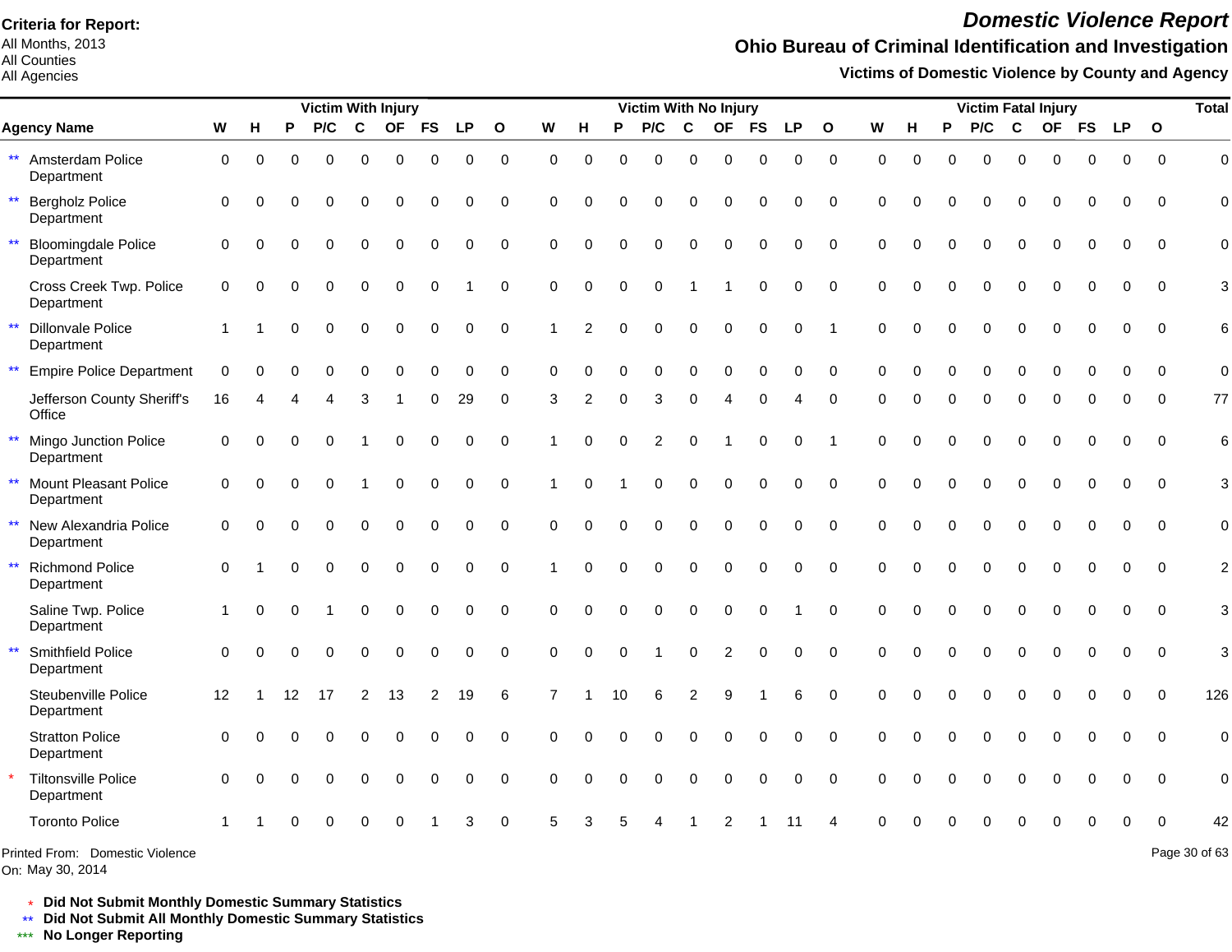All Months, 2013 All Counties

All Agencies

## *Domestic Violence Report*

## **Ohio Bureau of Criminal Identification and Investigation**

**Victims of Domestic Violence by County and Agency**

|                                                          |             |          |          | Victim With Injury |             |             |                |             |                     |                |                |          | Victim With No Injury |                  |                  |                  |             |                |             |          |          | <b>Victim Fatal Injury</b> |              |             |             |           |              | <b>Total</b>   |
|----------------------------------------------------------|-------------|----------|----------|--------------------|-------------|-------------|----------------|-------------|---------------------|----------------|----------------|----------|-----------------------|------------------|------------------|------------------|-------------|----------------|-------------|----------|----------|----------------------------|--------------|-------------|-------------|-----------|--------------|----------------|
| <b>Agency Name</b>                                       | W           | н        | P        | P/C                | $\mathbf c$ | <b>OF</b>   | <b>FS</b>      | <b>LP</b>   | $\mathbf{o}$        | W              | H              | P        | P/C                   | C                | <b>OF</b>        | <b>FS</b>        | <b>LP</b>   | $\mathbf{o}$   | W           | н.       | P        | P/C                        | $\mathbf{C}$ | <b>OF</b>   | <b>FS</b>   | <b>LP</b> | $\mathbf{o}$ |                |
| $\star\star$<br>Amsterdam Police<br>Department           | $\mathbf 0$ | $\Omega$ | O        | $\Omega$           | 0           | $\mathbf 0$ | $\mathbf 0$    | $\mathbf 0$ | $\mathsf{O}\xspace$ | 0              | $\mathbf 0$    | 0        | $\mathbf 0$           | $\mathbf 0$      | $\mathbf 0$      | $\mathbf 0$      | 0           | $\mathbf 0$    | $\mathbf 0$ | $\Omega$ | $\Omega$ | $\Omega$                   | $\Omega$     | $\mathbf 0$ | $\Omega$    | 0         | $\mathbf 0$  | $\mathbf 0$    |
| $\star\star$<br><b>Bergholz Police</b><br>Department     | 0           | $\Omega$ | O        | $\Omega$           | 0           | $\Omega$    | $\Omega$       | $\Omega$    | 0                   | $\Omega$       | $\Omega$       | $\Omega$ | $\Omega$              | $\Omega$         | $\Omega$         | $\Omega$         | $\Omega$    | $\Omega$       | $\Omega$    | $\Omega$ |          | 0                          | $\Omega$     | $\Omega$    | $\Omega$    | $\Omega$  | $\Omega$     | $\Omega$       |
| $\star\star$<br><b>Bloomingdale Police</b><br>Department | $\Omega$    | $\Omega$ |          | $\Omega$           | 0           | $\Omega$    | $\mathbf 0$    | $\mathbf 0$ | $\mathbf 0$         | $\Omega$       | $\Omega$       | $\Omega$ | $\Omega$              | $\Omega$         | $\Omega$         | $\mathbf 0$      | 0           | 0              | $\Omega$    | $\Omega$ |          | $\Omega$                   | $\Omega$     | $\Omega$    | $\Omega$    | 0         | $\Omega$     | $\mathbf 0$    |
| Cross Creek Twp. Police<br>Department                    | $\Omega$    | $\Omega$ | $\Omega$ | $\Omega$           | 0           | $\mathbf 0$ | $\mathbf 0$    |             | 0                   | 0              | $\mathbf 0$    | 0        | $\mathbf 0$           |                  |                  | $\mathbf 0$      | $\mathbf 0$ | $\mathbf 0$    | $\Omega$    | $\Omega$ | $\Omega$ | 0                          | $\Omega$     | $\mathbf 0$ | $\mathbf 0$ | 0         | $\mathbf 0$  | 3              |
| $\star\star$<br><b>Dillonvale Police</b><br>Department   |             |          | O        | $\Omega$           | 0           | $\mathbf 0$ | 0              | $\mathbf 0$ | 0                   |                | $\mathcal{P}$  | $\Omega$ | $\Omega$              | $\mathbf 0$      | $\mathbf 0$      | $\boldsymbol{0}$ | $\mathbf 0$ | $\overline{1}$ | $\Omega$    | $\Omega$ |          | 0                          | $\mathbf 0$  | 0           | $\Omega$    | 0         | $\mathbf 0$  | 6              |
| $\star\star$<br><b>Empire Police Department</b>          | $\mathbf 0$ | $\Omega$ | O        | $\Omega$           | 0           | $\Omega$    | $\Omega$       | $\mathbf 0$ | $\mathbf 0$         | $\Omega$       | $\Omega$       | $\Omega$ | $\mathbf 0$           | $\mathbf 0$      | $\mathbf 0$      | $\mathbf 0$      | $\mathbf 0$ | $\mathbf 0$    | $\Omega$    | $\Omega$ | 0        | 0                          | $\mathbf 0$  | $\Omega$    | $\Omega$    | 0         | $\mathbf 0$  | $\mathbf 0$    |
| Jefferson County Sheriff's<br>Office                     | 16          |          |          |                    | 3           |             | 0              | 29          | 0                   | 3              | $\overline{2}$ | O        | 3                     | $\Omega$         | Δ                | 0                |             | 0              | $\Omega$    |          |          | 0                          | O            | O           |             |           | $\Omega$     | 77             |
| $\star\star$<br>Mingo Junction Police<br>Department      | $\Omega$    | $\Omega$ | $\Omega$ |                    |             | $\Omega$    | $\Omega$       | $\pmb{0}$   | $\pmb{0}$           |                | $\Omega$       | $\Omega$ | $\overline{c}$        | 0                |                  | 0                | $\Omega$    | 1              | $\Omega$    | $\Omega$ |          | $\Omega$                   | $\Omega$     | $\Omega$    | $\Omega$    | $\Omega$  | $\Omega$     | $6\phantom{a}$ |
| $\star\star$<br>Mount Pleasant Police<br>Department      | $\Omega$    | $\Omega$ | $\Omega$ | $\Omega$           |             | $\Omega$    | $\mathbf 0$    | $\Omega$    | $\Omega$            | 1              | $\Omega$       |          | $\Omega$              | $\Omega$         | $\Omega$         | $\Omega$         | $\Omega$    | $\Omega$       | $\Omega$    | $\Omega$ | $\Omega$ | $\Omega$                   | $\Omega$     | $\Omega$    | $\Omega$    | $\Omega$  | $\Omega$     | 3              |
| $\star\star$<br>New Alexandria Police<br>Department      | $\mathbf 0$ | $\Omega$ | O        | $\Omega$           | 0           | $\Omega$    | $\mathbf 0$    | $\Omega$    | $\Omega$            | $\Omega$       | $\Omega$       | $\Omega$ | $\Omega$              | $\Omega$         | $\Omega$         | $\mathbf 0$      | 0           | $\Omega$       | $\Omega$    | $\Omega$ | $\Omega$ | $\Omega$                   | $\Omega$     | $\Omega$    | $\Omega$    | $\Omega$  | $\mathbf 0$  | $\mathbf 0$    |
| $**$<br><b>Richmond Police</b><br>Department             | $\mathbf 0$ |          | O        | $\Omega$           | $\mathbf 0$ | $\mathbf 0$ | $\mathbf 0$    | $\mathbf 0$ | $\mathbf 0$         | 1              | $\mathbf 0$    | $\Omega$ | $\mathbf 0$           | $\mathbf 0$      | $\mathbf 0$      | $\mathbf 0$      | $\mathbf 0$ | $\mathbf 0$    | $\Omega$    | $\Omega$ | $\Omega$ | $\Omega$                   | $\Omega$     | $\Omega$    | $\mathbf 0$ | 0         | $\mathbf 0$  | $\overline{c}$ |
| Saline Twp. Police<br>Department                         |             | $\Omega$ | $\Omega$ |                    | 0           | $\mathbf 0$ | $\pmb{0}$      | $\mathbf 0$ | $\pmb{0}$           | $\Omega$       | $\Omega$       | $\Omega$ | $\Omega$              | $\mathbf 0$      | $\mathbf 0$      | $\mathbf 0$      |             | $\mathbf 0$    | $\Omega$    | $\Omega$ | $\Omega$ | 0                          | $\Omega$     | $\Omega$    | $\mathbf 0$ | 0         | $\mathbf 0$  | 3              |
| $\star\star$<br>Smithfield Police<br>Department          | $\Omega$    |          | $\Omega$ | $\Omega$           | 0           | $\mathbf 0$ | $\pmb{0}$      | $\pmb{0}$   | $\mathsf{O}$        | 0              | $\mathbf 0$    | 0        |                       | $\boldsymbol{0}$ | $\overline{2}$   | $\boldsymbol{0}$ | $\mathbf 0$ | $\mathbf 0$    | $\Omega$    | $\Omega$ |          | 0                          | $\mathbf 0$  | $\mathbf 0$ | $\mathbf 0$ | 0         | $\mathbf 0$  | 3              |
| Steubenville Police<br>Department                        | 12          |          | 12       | 17                 | 2           | 13          | $\overline{c}$ | 19          | $\,6$               | $\overline{7}$ |                | 10       | $\,6\,$               | $\overline{c}$   | $\boldsymbol{9}$ |                  | 6           | $\Omega$       | $\Omega$    | $\Omega$ |          | 0                          | $\Omega$     | 0           | $\Omega$    | $\Omega$  | $\Omega$     | 126            |
| <b>Stratton Police</b><br>Department                     | $\Omega$    | ∩        | O        |                    | 0           | $\Omega$    | 0              | $\Omega$    | $\mathbf 0$         | $\Omega$       | $\Omega$       | $\Omega$ | $\Omega$              | $\Omega$         | $\Omega$         | $\mathbf 0$      | $\Omega$    | $\Omega$       | $\Omega$    | $\Omega$ |          | 0                          | $\Omega$     | 0           | $\Omega$    | $\Omega$  | $\Omega$     | $\mathbf 0$    |
| <b>Tiltonsville Police</b><br>Department                 | $\Omega$    | ∩        | O        | $\Omega$           | 0           | $\Omega$    | $\Omega$       | $\Omega$    | $\Omega$            | $\Omega$       | $\Omega$       | $\Omega$ | $\Omega$              | $\Omega$         | $\Omega$         | $\Omega$         | $\Omega$    | $\Omega$       | $\Omega$    | ∩        |          | 0                          | $\Omega$     | $\Omega$    | $\Omega$    | $\Omega$  | $\Omega$     | $\mathbf 0$    |
| <b>Toronto Police</b>                                    |             |          |          |                    |             |             |                | 3           | $\Omega$            | 5              | З              |          |                       |                  |                  |                  |             |                | ∩           |          |          |                            |              |             | $\Omega$    | $\Omega$  | $\Omega$     | 42             |
| Printed From: Domestic Violence                          |             |          |          |                    |             |             |                |             |                     |                |                |          |                       |                  |                  |                  |             |                |             |          |          |                            |              |             |             |           |              | Page 30 of 63  |

On: May 30, 2014

Page 30 of 63

\* **Did Not Submit Monthly Domestic Summary Statistics**

**Did Not Submit All Monthly Domestic Summary Statistics**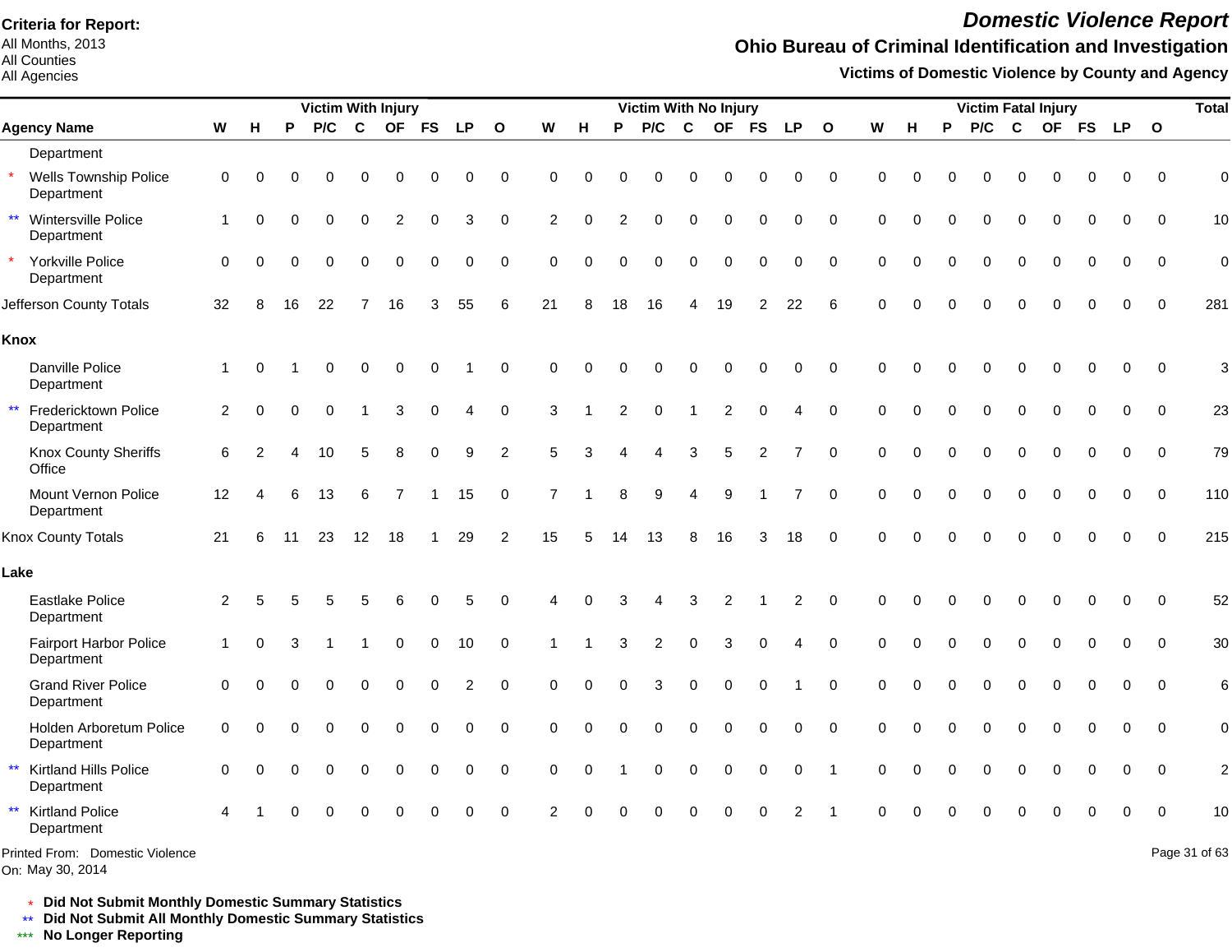All Months, 2013 All Counties

#### All Agencies

## *Domestic Violence Report*

## **Ohio Bureau of Criminal Identification and Investigation**

**Victims of Domestic Violence by County and Agency**

|                                                       |                |          |          | <b>Victim With Injury</b> |                |                |             |             |                         |                |             |                | Victim With No Injury |          |                |                |                |                 |             |          |          |          |          | <b>Victim Fatal Injury</b> |          |             |                         | <b>Total</b>    |
|-------------------------------------------------------|----------------|----------|----------|---------------------------|----------------|----------------|-------------|-------------|-------------------------|----------------|-------------|----------------|-----------------------|----------|----------------|----------------|----------------|-----------------|-------------|----------|----------|----------|----------|----------------------------|----------|-------------|-------------------------|-----------------|
| <b>Agency Name</b>                                    | W              | н        | P        | P/C                       | $\mathbf c$    |                | OF FS       | <b>LP</b>   | $\overline{\mathbf{o}}$ | W              | H           | P              | P/C                   | C        | <b>OF</b>      | <b>FS</b>      | <b>LP</b>      | $\mathbf{o}$    | W           | н        | P        | P/C      | C        | OF FS                      |          | <b>LP</b>   | $\overline{\mathbf{O}}$ |                 |
| Department                                            |                |          |          |                           |                |                |             |             |                         |                |             |                |                       |          |                |                |                |                 |             |          |          |          |          |                            |          |             |                         |                 |
| $\star$<br><b>Wells Township Police</b><br>Department | $\mathbf 0$    | $\Omega$ | ∩        |                           | 0              | $\Omega$       | 0           | $\Omega$    | $\mathbf 0$             | 0              | $\Omega$    | 0              | $\Omega$              | 0        | $\Omega$       | 0              | $\Omega$       | $\mathbf 0$     | $\Omega$    | $\Omega$ |          | 0        | $\Omega$ | $\Omega$                   | ∩        | 0           | $\Omega$                | $\mathbf 0$     |
| $\star\star$<br>Wintersville Police<br>Department     | $\mathbf{1}$   | $\Omega$ | $\Omega$ |                           | 0              | $\overline{2}$ | $\mathbf 0$ | 3           | $\mathbf 0$             | $\overline{2}$ | $\mathbf 0$ | $\overline{2}$ | $\mathbf 0$           | 0        | $\mathbf 0$    | 0              | $\Omega$       | $\mathbf 0$     | $\mathbf 0$ | $\Omega$ |          | $\Omega$ | $\Omega$ | $\Omega$                   | $\Omega$ | $\Omega$    | $\mathbf 0$             | 10              |
| Yorkville Police<br>Department                        | $\mathbf 0$    | $\Omega$ | 0        | $\Omega$                  | $\Omega$       | $\Omega$       | $\mathbf 0$ | $\mathbf 0$ | $\mathbf 0$             | $\mathbf 0$    | $\mathbf 0$ | $\Omega$       | $\mathbf 0$           | 0        | $\mathbf 0$    | $\mathbf 0$    | $\mathbf 0$    | $\mathbf 0$     | $\mathbf 0$ | $\Omega$ | $\Omega$ | $\Omega$ | $\Omega$ | $\Omega$                   | $\Omega$ | $\mathbf 0$ | $\mathbf 0$             | $\mathbf 0$     |
| Jefferson County Totals                               | 32             | 8        | 16       | 22                        | $\overline{7}$ | 16             | 3           | 55          | $\,6$                   | 21             | 8           | 18             | 16                    | 4        | 19             | $\overline{c}$ | 22             | $6\phantom{1}6$ | $\Omega$    | $\Omega$ |          |          |          |                            |          | 0           | $\mathbf 0$             | 281             |
| Knox                                                  |                |          |          |                           |                |                |             |             |                         |                |             |                |                       |          |                |                |                |                 |             |          |          |          |          |                            |          |             |                         |                 |
| Danville Police<br>Department                         | $\mathbf{1}$   | $\Omega$ |          |                           | 0              | $\mathbf 0$    | $\mathbf 0$ |             | 0                       | 0              | $\Omega$    | 0              | $\Omega$              | 0        | $\mathbf 0$    | $\mathbf 0$    | 0              | $\mathbf 0$     | $\Omega$    | $\Omega$ |          |          | $\Omega$ | 0                          | $\Omega$ | $\mathbf 0$ | $\mathbf 0$             | 3               |
| $\star\star$<br>Fredericktown Police<br>Department    | $\overline{2}$ | $\Omega$ | O        |                           |                | 3              | $\mathbf 0$ | 4           | $\mathbf 0$             | 3              |             | $\overline{2}$ | $\mathbf 0$           |          | $\overline{2}$ | $\mathbf 0$    | 4              | $\mathbf 0$     | $\mathbf 0$ | $\Omega$ | $\Omega$ | $\Omega$ | $\Omega$ | $\Omega$                   | $\Omega$ | $\mathbf 0$ | $\mathbf 0$             | 23              |
| Knox County Sheriffs<br>Office                        | 6              | 2        | Δ        | 10                        | 5              | 8              | $\mathbf 0$ | 9           | $\overline{2}$          | 5              | 3           | Δ              | 4                     | 3        | 5              | $\overline{2}$ | 7              | $\Omega$        | $\Omega$    | $\Omega$ | $\Omega$ | $\Omega$ | $\Omega$ | $\Omega$                   | $\Omega$ | $\Omega$    | $\Omega$                | 79              |
| Mount Vernon Police<br>Department                     | 12             | 4        | 6        | 13                        | 6              |                | -1          | 15          | $\mathbf 0$             | $\overline{7}$ |             | 8              | 9                     | 4        | 9              |                |                | $\mathbf 0$     | $\mathbf 0$ | $\Omega$ | $\Omega$ | $\Omega$ | $\Omega$ | $\Omega$                   |          | $\Omega$    | $\Omega$                | 110             |
| Knox County Totals                                    | 21             | 6        | 11       | 23                        | 12             | 18             | -1          | 29          | 2                       | 15             | 5           | 14             | 13                    | 8        | 16             | 3              | 18             | $\Omega$        | $\Omega$    | $\Omega$ | $\Omega$ | $\Omega$ | $\Omega$ | $\Omega$                   |          | $\Omega$    | $\Omega$                | 215             |
| Lake                                                  |                |          |          |                           |                |                |             |             |                         |                |             |                |                       |          |                |                |                |                 |             |          |          |          |          |                            |          |             |                         |                 |
| Eastlake Police<br>Department                         | 2              | 5        |          |                           |                | 6              | 0           | 5           | $\Omega$                | 4              | $\Omega$    |                |                       | 3        | 2              |                | $\overline{c}$ | $\Omega$        | $\Omega$    | $\Omega$ |          |          | $\Omega$ | U                          |          | 0           | $\Omega$                | 52              |
| Fairport Harbor Police<br>Department                  | $\mathbf{1}$   | $\Omega$ |          |                           |                | $\Omega$       | 0           | 10          | 0                       |                |             | 3              | 2                     | 0        | 3              | $\Omega$       | Δ              | $\Omega$        | $\Omega$    | $\Omega$ |          | $\Omega$ | $\Omega$ | $\Omega$                   |          | 0           | $\Omega$                | 30              |
| <b>Grand River Police</b><br>Department               | $\Omega$       | $\Omega$ |          |                           | 0              | $\Omega$       | $\Omega$    | 2           | $\mathbf 0$             | $\mathbf 0$    | $\Omega$    | $\Omega$       | 3                     | 0        | $\mathbf 0$    | $\mathbf 0$    |                | $\mathbf 0$     | $\Omega$    | $\Omega$ | $\Omega$ | $\Omega$ | $\Omega$ | $\Omega$                   | $\Omega$ | $\Omega$    | $\Omega$                | $6\phantom{1}6$ |
| Holden Arboretum Police<br>Department                 | $\mathbf 0$    | $\Omega$ | $\Omega$ | $\Omega$                  | $\Omega$       | $\Omega$       | $\Omega$    | $\Omega$    | $\mathbf 0$             | $\Omega$       | $\Omega$    | $\Omega$       | $\Omega$              | $\Omega$ | $\Omega$       | $\Omega$       | $\Omega$       | $\mathbf 0$     | $\Omega$    | $\Omega$ | $\Omega$ | $\Omega$ | $\Omega$ | $\Omega$                   | $\Omega$ | $\Omega$    | $\Omega$                | $\mathbf 0$     |
| $\star\star$<br>Kirtland Hills Police<br>Department   | $\mathbf 0$    | $\Omega$ | $\Omega$ |                           | 0              | $\Omega$       | 0           | $\Omega$    | $\pmb{0}$               | $\mathbf 0$    | $\mathbf 0$ |                | $\Omega$              | 0        | $\mathbf 0$    | $\mathbf 0$    | $\mathbf 0$    | $\overline{1}$  | $\mathbf 0$ | $\Omega$ | $\Omega$ | $\Omega$ | $\Omega$ | $\Omega$                   | $\Omega$ | $\mathbf 0$ | $\Omega$                | $\overline{c}$  |
| $\star\star$<br><b>Kirtland Police</b><br>Department  |                |          |          |                           | 0              | $\Omega$       | $\Omega$    | $\Omega$    | $\mathbf 0$             | $\overline{2}$ | $\Omega$    | O              |                       |          | $\Omega$       | $\Omega$       | 2              |                 | $\Omega$    | $\Omega$ |          |          |          |                            |          | $\Omega$    | $\mathbf 0$             | 10              |
| Printed From: Domestic Violence                       |                |          |          |                           |                |                |             |             |                         |                |             |                |                       |          |                |                |                |                 |             |          |          |          |          |                            |          |             |                         | Page 31 of 63   |

On: May 30, 2014

\* **Did Not Submit Monthly Domestic Summary Statistics**

**Did Not Submit All Monthly Domestic Summary Statistics**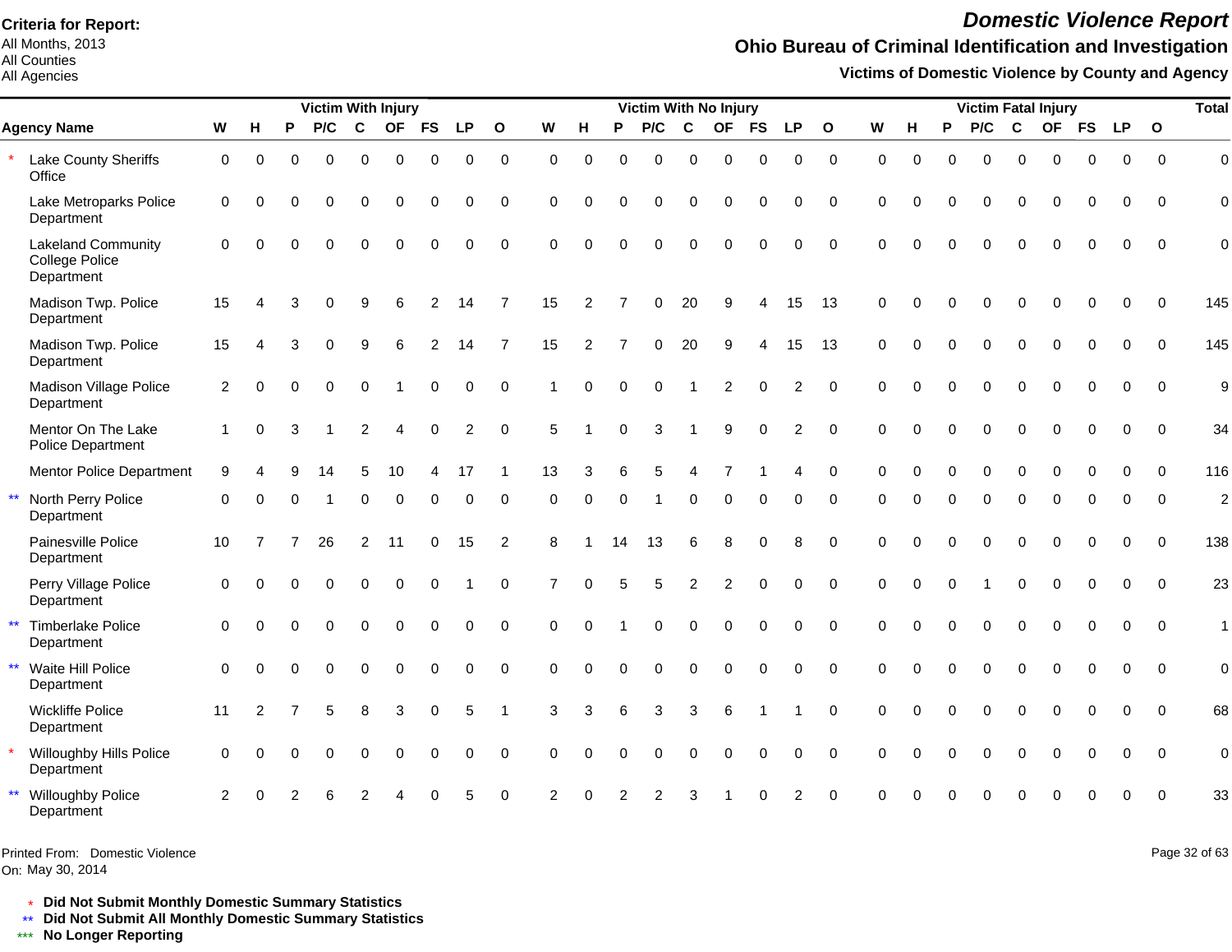All Months, 2013 All Counties

#### All Agencies

# *Domestic Violence Report*

## **Ohio Bureau of Criminal Identification and Investigation**

**Victims of Domestic Violence by County and Agency**

|              |                                                           |                |          |              | <b>Victim With Injury</b> |                |             |           |                |                |             |                |          | Victim With No Injury |                |           |           |                |              |          |          |          |                |             | <b>Victim Fatal Injury</b> |             |             |              | <b>Total</b>   |
|--------------|-----------------------------------------------------------|----------------|----------|--------------|---------------------------|----------------|-------------|-----------|----------------|----------------|-------------|----------------|----------|-----------------------|----------------|-----------|-----------|----------------|--------------|----------|----------|----------|----------------|-------------|----------------------------|-------------|-------------|--------------|----------------|
|              | <b>Agency Name</b>                                        | W              | Н        | P            | P/C                       | $\mathbf c$    | <b>OF</b>   | <b>FS</b> | <b>LP</b>      | $\mathbf{o}$   | W           | н              | P        | P/C                   | C              | <b>OF</b> | <b>FS</b> | <b>LP</b>      | $\mathbf{o}$ | W        | н        | P        | P/C            | $\mathbf c$ | <b>OF</b>                  | <b>FS</b>   | <b>LP</b>   | $\mathbf{o}$ |                |
|              | Lake County Sheriffs<br>Office                            | 0              | 0        | O            | $\Omega$                  | 0              | $\mathbf 0$ | 0         | $\mathbf 0$    | $\mathbf 0$    | $\mathbf 0$ | $\Omega$       | 0        | 0                     | $\Omega$       | 0         | $\Omega$  | 0              | $\mathbf 0$  | $\Omega$ | $\Omega$ | $\Omega$ | 0              | $\mathbf 0$ | 0                          | $\mathbf 0$ | $\mathbf 0$ | $\Omega$     | $\mathbf 0$    |
|              | Lake Metroparks Police<br>Department                      | $\mathbf 0$    | ∩        | ∩            | $\Omega$                  | $\Omega$       | $\Omega$    | $\Omega$  | $\Omega$       | $\Omega$       | $\Omega$    | $\Omega$       | ∩        | O                     | ∩              | O         | $\Omega$  | 0              | $\Omega$     | $\Omega$ | U        | ∩        | $\Omega$       | $\Omega$    | $\Omega$                   | $\Omega$    | $\Omega$    | $\Omega$     | $\Omega$       |
|              | <b>Lakeland Community</b><br>College Police<br>Department | $\Omega$       | $\Omega$ | O            | $\Omega$                  | $\Omega$       | $\Omega$    | $\Omega$  | $\Omega$       | $\Omega$       | $\Omega$    | $\Omega$       | $\Omega$ | $\Omega$              | $\Omega$       | $\Omega$  | $\Omega$  | 0              | $\Omega$     | $\Omega$ | $\Omega$ | $\Omega$ | $\Omega$       | $\Omega$    | $\Omega$                   | $\Omega$    | $\Omega$    | $\Omega$     | $\mathbf 0$    |
|              | Madison Twp. Police<br>Department                         | 15             |          |              |                           |                |             |           | 14             | 7              | 15          | $\overline{2}$ |          | 0                     | 20             | a         |           | 15             | 13           | $\Omega$ | $\Omega$ | ŋ        |                | ∩           | U                          | $\Omega$    | $\Omega$    | ∩            | 145            |
|              | Madison Twp. Police<br>Department                         | 15             |          |              |                           | 9              | 6           | 2         | 14             | $\overline{7}$ | 15          | 2              |          | 0                     | 20             | 9         |           | 15             | 13           | $\Omega$ | $\Omega$ | $\Omega$ | $\Omega$       | $\Omega$    | $\Omega$                   | $\Omega$    | $\Omega$    | $\Omega$     | 145            |
|              | Madison Village Police<br>Department                      | 2              | $\Omega$ |              | $\Omega$                  | $\Omega$       |             | $\Omega$  | $\Omega$       | $\Omega$       |             | $\Omega$       | $\Omega$ | $\Omega$              |                | 2         | $\Omega$  | 2              | $\Omega$     | $\Omega$ | $\Omega$ | $\Omega$ | $\Omega$       | $\Omega$    | $\Omega$                   | $\Omega$    | $\Omega$    | $\Omega$     | 9              |
|              | Mentor On The Lake<br>Police Department                   |                | $\Omega$ |              |                           | $\mathfrak{p}$ |             |           | $\overline{c}$ | $\Omega$       | 5           |                |          | 3                     |                | q         |           | $\overline{c}$ | $\Omega$     | $\Omega$ |          |          |                |             |                            | O           | $\Omega$    | $\Omega$     | 34             |
|              | <b>Mentor Police Department</b>                           | 9              |          |              |                           | 5              | 10          | 4         | 17             |                | 13          | 3              | 6        | 5                     |                |           |           | Δ              | $\Omega$     | $\Omega$ | $\Omega$ | 0        | 0              | $\mathbf 0$ | $\mathbf 0$                | 0           | 0           | $\Omega$     | 116            |
| $\star\star$ | North Perry Police<br>Department                          | $\Omega$       |          |              |                           | U              | $\Omega$    | O         | O              | $\Omega$       | $\Omega$    | $\Omega$       | $\Omega$ |                       | ∩              | O         |           |                | $\Omega$     | ∩        |          | ŋ        | 0              | $\Omega$    | $\Omega$                   | O           | $\Omega$    | $\Omega$     | $\overline{2}$ |
|              | Painesville Police<br>Department                          | 10             |          |              | 26                        | $\overline{c}$ | 11          | 0         | 15             | 2              | 8           |                | 14       | 13                    | 6              | 8         | $\Omega$  | 8              | $\Omega$     | $\Omega$ | $\Omega$ | $\Omega$ | $\Omega$       | $\Omega$    | $\Omega$                   | $\Omega$    | $\Omega$    | $\Omega$     | 138            |
|              | Perry Village Police<br>Department                        | $\Omega$       |          |              | $\Omega$                  | $\Omega$       | $\Omega$    | $\Omega$  |                | $\Omega$       | 7           | $\Omega$       | 5        | 5                     | $\overline{2}$ | 2         | $\Omega$  | $\Omega$       | $\Omega$     | $\Omega$ | $\Omega$ |          |                | $\Omega$    | $\Omega$                   | $\Omega$    | $\Omega$    | $\Omega$     | 23             |
| $\star\star$ | <b>Timberlake Police</b><br>Department                    | $\mathbf 0$    | $\Omega$ | $\Omega$     | $\Omega$                  | $\Omega$       | $\Omega$    | $\Omega$  | $\mathbf 0$    | $\mathbf 0$    | $\Omega$    | $\Omega$       |          | 0                     | $\Omega$       | $\Omega$  | $\Omega$  | 0              | $\Omega$     | $\Omega$ | $\Omega$ | $\Omega$ | $\overline{0}$ | $\Omega$    | $\Omega$                   | $\Omega$    | $\Omega$    | $\Omega$     | $\mathbf{1}$   |
| $\star\star$ | Waite Hill Police<br>Department                           | $\Omega$       | $\Omega$ | <sup>0</sup> | $\Omega$                  | $\Omega$       | $\Omega$    | $\Omega$  | $\Omega$       | $\Omega$       | $\Omega$    | $\Omega$       | $\Omega$ | $\Omega$              | ∩              | $\Omega$  | $\Omega$  | 0              | $\Omega$     | $\Omega$ | U        | $\Omega$ | $\Omega$       | $\Omega$    | $\Omega$                   | $\Omega$    | $\Omega$    | $\Omega$     | $\mathbf 0$    |
|              | <b>Wickliffe Police</b><br>Department                     | 11             | 2        |              |                           | 8              | 3           | $\Omega$  | 5              |                | 3           | 3              | 6        | 3                     | 3              | 6         |           |                | $\Omega$     | $\Omega$ | $\Omega$ |          | $\Omega$       | $\Omega$    | $\Omega$                   | $\Omega$    | $\Omega$    | $\Omega$     | 68             |
|              | Willoughby Hills Police<br>Department                     | $\mathbf 0$    |          |              | $\Omega$                  | $\Omega$       | $\Omega$    | O         | $\Omega$       | $\Omega$       | $\Omega$    | $\Omega$       |          | 0                     | $\Omega$       | $\Omega$  | $\Omega$  | 0              | $\Omega$     | $\Omega$ |          |          | $\Omega$       | $\Omega$    | $\Omega$                   | $\Omega$    | $\Omega$    | $\Omega$     | $\mathbf 0$    |
|              | <b>Willoughby Police</b><br>Department                    | $\overline{2}$ |          |              |                           |                |             |           |                | $\Omega$       |             |                |          |                       |                |           |           |                | $\Omega$     |          |          |          |                |             |                            |             | $\Omega$    |              | 33             |

Printed From: Domestic Violence

On: May 30, 2014

Page 32 of 63

\* **Did Not Submit Monthly Domestic Summary Statistics**

**Did Not Submit All Monthly Domestic Summary Statistics**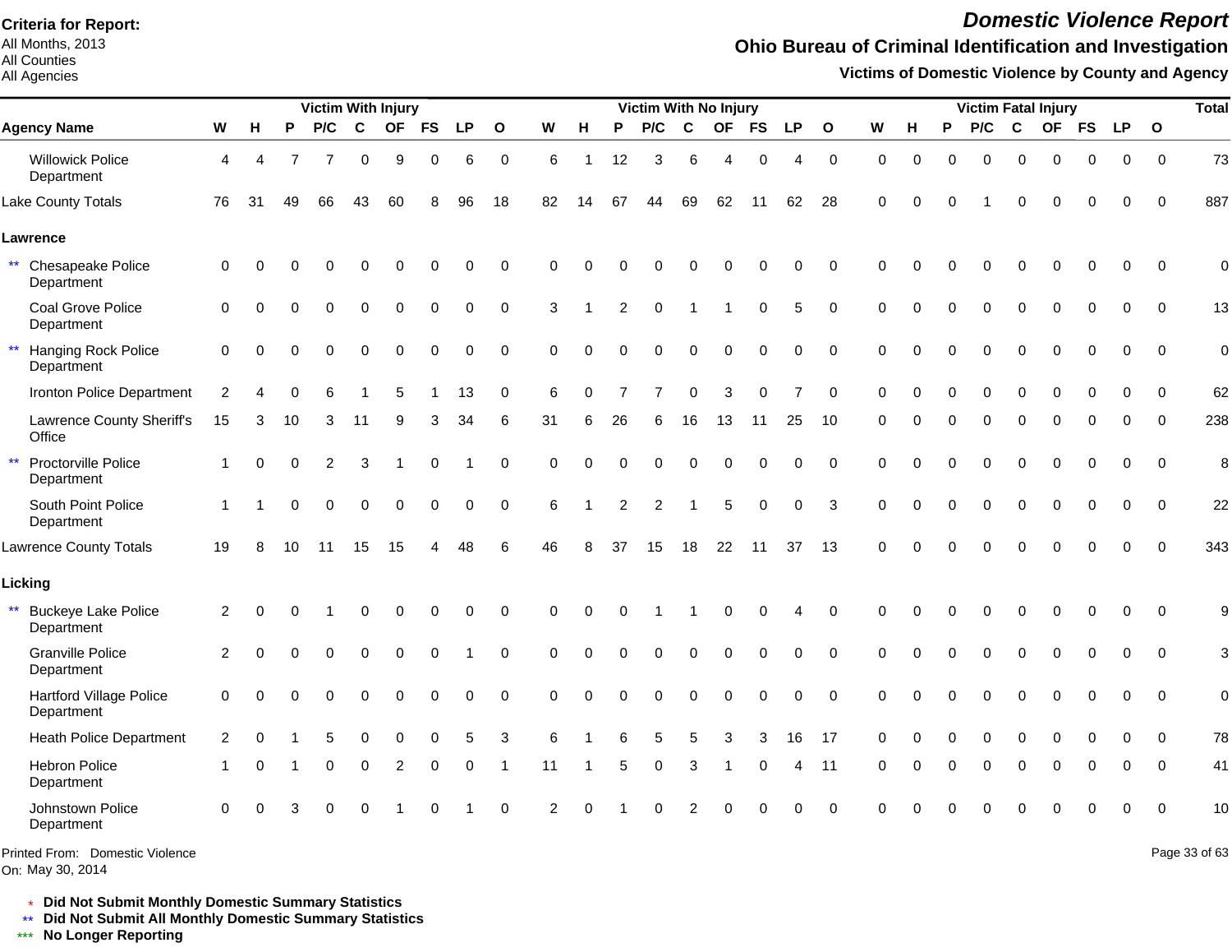All Months, 2013 All Counties

All Agencies

## *Domestic Violence Report*

## **Ohio Bureau of Criminal Identification and Investigation**

**Victims of Domestic Violence by County and Agency**

|                                                   |              |             |          | <b>Victim With Injury</b> |             |                |             |           |              |                |                |    | Victim With No Injury |               |             |                  |                |              |             |             |             | <b>Victim Fatal Injury</b> |             |             |             |             |              | <b>Total</b>  |
|---------------------------------------------------|--------------|-------------|----------|---------------------------|-------------|----------------|-------------|-----------|--------------|----------------|----------------|----|-----------------------|---------------|-------------|------------------|----------------|--------------|-------------|-------------|-------------|----------------------------|-------------|-------------|-------------|-------------|--------------|---------------|
| <b>Agency Name</b>                                | W            | н           | P        | P/C                       | $\mathbf c$ | OF             | <b>FS</b>   | <b>LP</b> | $\mathbf{o}$ | W              | н              | P  | P/C                   | $\mathbf c$   | <b>OF</b>   | <b>FS</b>        | <b>LP</b>      | $\mathbf{o}$ | W           | H           | P           | P/C                        | $\mathbf c$ |             | OF FS       | <b>LP</b>   | $\mathbf{o}$ |               |
| <b>Willowick Police</b><br>Department             | 4            | 4           |          | 7                         | $\mathbf 0$ | 9              | $\mathbf 0$ | 6         | $\mathbf 0$  | 6              | $\overline{1}$ | 12 | 3                     | 6             | 4           | $\mathbf 0$      | 4              | $\mathbf 0$  | $\mathbf 0$ | $\mathbf 0$ | $\Omega$    | $\mathbf 0$                | $\mathbf 0$ | $\mathbf 0$ | 0           | $\mathbf 0$ | $\mathbf 0$  | 73            |
| Lake County Totals                                | 76           | 31          | 49       | 66                        | 43          | 60             |             | 96        | 18           | 82             | 14             | 67 | 44                    | 69            | 62          | 11               | 62             | 28           | $\Omega$    |             | 0           |                            | $\Omega$    | $\Omega$    | 0           | $\Omega$    | $\Omega$     | 887           |
| Lawrence                                          |              |             |          |                           |             |                |             |           |              |                |                |    |                       |               |             |                  |                |              |             |             |             |                            |             |             |             |             |              |               |
| $\star\star$<br>Chesapeake Police<br>Department   | 0            | $\Omega$    |          | 0                         | 0           | 0              | $\mathbf 0$ | 0         | 0            | ∩              |                |    |                       |               |             | $\Omega$         | 0              | $\mathbf 0$  | $\Omega$    | O           |             |                            | $\Omega$    | 0           | $\mathbf 0$ | $\mathbf 0$ | $\mathbf 0$  | $\mathbf 0$   |
| Coal Grove Police<br>Department                   | $\Omega$     | $\Omega$    | $\Omega$ | 0                         | $\mathbf 0$ | $\mathbf 0$    | $\mathbf 0$ | 0         | $\mathbf 0$  | 3              |                | 2  | $\Omega$              |               | 1           | $\mathbf 0$      | 5              | $\mathbf 0$  | $\Omega$    | $\Omega$    | $\Omega$    | $\mathbf 0$                | $\mathbf 0$ | $\Omega$    | $\mathbf 0$ | 0           | $\Omega$     | 13            |
| $\star\star$<br>Hanging Rock Police<br>Department | 0            | $\Omega$    | O        | $\mathbf 0$               | 0           | $\mathbf 0$    | $\mathbf 0$ | 0         | $\mathbf 0$  | $\Omega$       | O              |    | 0                     | $\mathbf 0$   | $\mathbf 0$ | 0                | 0              | $\mathbf 0$  | $\mathbf 0$ | $\Omega$    | $\mathbf 0$ | 0                          | $\mathbf 0$ | $\mathbf 0$ | $\mathbf 0$ | $\mathbf 0$ | $\Omega$     | $\mathbf 0$   |
| Ironton Police Department                         | 2            |             |          | ิค                        |             | 5              |             | 13        | $\mathbf 0$  | 6              | 0              |    | 7                     | $\Omega$      | 3           | $\Omega$         | $\overline{7}$ | $\Omega$     | $\Omega$    | O           | $\Omega$    | $\Omega$                   | $\Omega$    | 0           | $\Omega$    | $\Omega$    | $\Omega$     | 62            |
| Lawrence County Sheriff's<br>Office               | 15           | 3           | 10       | 3                         | 11          | 9              | 3           | 34        | 6            | 31             | 6              | 26 | 6                     | 16            | 13          | 11               | 25             | 10           | $\Omega$    | O           | 0           | 0                          | $\mathbf 0$ | $\Omega$    | 0           | 0           | $\Omega$     | 238           |
| $\star\star$<br>Proctorville Police<br>Department | $\mathbf{1}$ | $\mathbf 0$ | $\Omega$ | $\overline{2}$            | 3           |                | 0           |           | 0            | $\Omega$       |                |    | 0                     | $\mathbf 0$   | $\mathbf 0$ | $\pmb{0}$        | 0              | $\mathbf 0$  | $\Omega$    |             | $\Omega$    | $\mathbf 0$                | $\mathbf 0$ | 0           | 0           | 0           | $\Omega$     | 8             |
| South Point Police<br>Department                  | 1            |             | O        | $\Omega$                  | $\Omega$    | $\mathbf 0$    | $\mathbf 0$ | $\Omega$  | $\Omega$     | 6              |                | 2  | 2                     |               | 5           | $\mathbf 0$      | 0              | 3            | $\Omega$    | O           | $\Omega$    | $\Omega$                   | $\Omega$    | $\Omega$    | $\Omega$    | $\Omega$    | $\Omega$     | 22            |
| <b>Lawrence County Totals</b>                     | 19           | 8           | 10       | 11                        | 15          | 15             |             | 48        | 6            | 46             |                | 37 | 15                    | 18            | 22          | 11               | 37             | 13           | $\Omega$    |             |             | $\Omega$                   | $\Omega$    | ∩           | O           | $\Omega$    | $\Omega$     | 343           |
| Licking                                           |              |             |          |                           |             |                |             |           |              |                |                |    |                       |               |             |                  |                |              |             |             |             |                            |             |             |             |             |              |               |
| $***$<br><b>Buckeye Lake Police</b><br>Department | 2            | $\Omega$    | $\Omega$ |                           | 0           | $\Omega$       | 0           | 0         | 0            | 0              | O              |    |                       |               | 0           | $\Omega$         | 4              | 0            | $\Omega$    |             |             |                            | 0           | $\Omega$    | 0           | 0           | $\Omega$     | 9             |
| <b>Granville Police</b><br>Department             | 2            | ∩           |          | 0                         | $\Omega$    | $\Omega$       | $\Omega$    |           | $\Omega$     | $\Omega$       | O              |    | 0                     | $\Omega$      | $\Omega$    | 0                | 0              | $\Omega$     | $\Omega$    | $\Omega$    |             | $\Omega$                   | $\Omega$    | $\Omega$    | $\Omega$    | $\Omega$    | $\Omega$     | 3             |
| <b>Hartford Village Police</b><br>Department      | 0            | $\Omega$    |          | $\Omega$                  | 0           | 0              | $\Omega$    | 0         | $\mathbf 0$  | $\Omega$       |                |    | 0                     | $\mathbf 0$   | 0           | $\boldsymbol{0}$ | 0              | $\pmb{0}$    | $\Omega$    | $\Omega$    |             | $\Omega$                   | $\mathbf 0$ | 0           | 0           | 0           | $\mathbf 0$  | $\mathbf 0$   |
| <b>Heath Police Department</b>                    | 2            | $\Omega$    |          | 5                         | 0           | 0              | $\Omega$    | 5         | 3            | 6              |                |    | 5                     | 5             | 3           | 3                | 16             | 17           | $\Omega$    | O           | 0           | 0                          | $\mathbf 0$ | $\Omega$    | 0           | 0           | $\mathbf{0}$ | 78            |
| Hebron Police<br>Department                       |              | $\Omega$    |          | $\Omega$                  | $\Omega$    | $\overline{2}$ | 0           | 0         | -1           | 11             |                | 5  | $\Omega$              | 3             | 1           | $\Omega$         | 4              | 11           | $\Omega$    |             | $\Omega$    | $\Omega$                   | $\Omega$    | $\Omega$    | 0           | $\Omega$    | $\Omega$     | 41            |
| Johnstown Police<br>Department                    | $\Omega$     | $\Omega$    |          |                           | $\Omega$    |                |             |           | $\Omega$     | $\mathfrak{p}$ |                |    |                       | $\mathcal{P}$ | $\Omega$    | $\Omega$         | 0              | $\Omega$     |             |             |             |                            |             |             |             |             | $\Omega$     | 10            |
| Printed From: Domestic Violence                   |              |             |          |                           |             |                |             |           |              |                |                |    |                       |               |             |                  |                |              |             |             |             |                            |             |             |             |             |              | Page 33 of 63 |

\* **Did Not Submit Monthly Domestic Summary Statistics**

**Did Not Submit All Monthly Domestic Summary Statistics**

<u>\*\*</u> Did Not Submit All M∗<br><mark>\*\*\*</mark> No Longer Reporting

On: May 30, 2014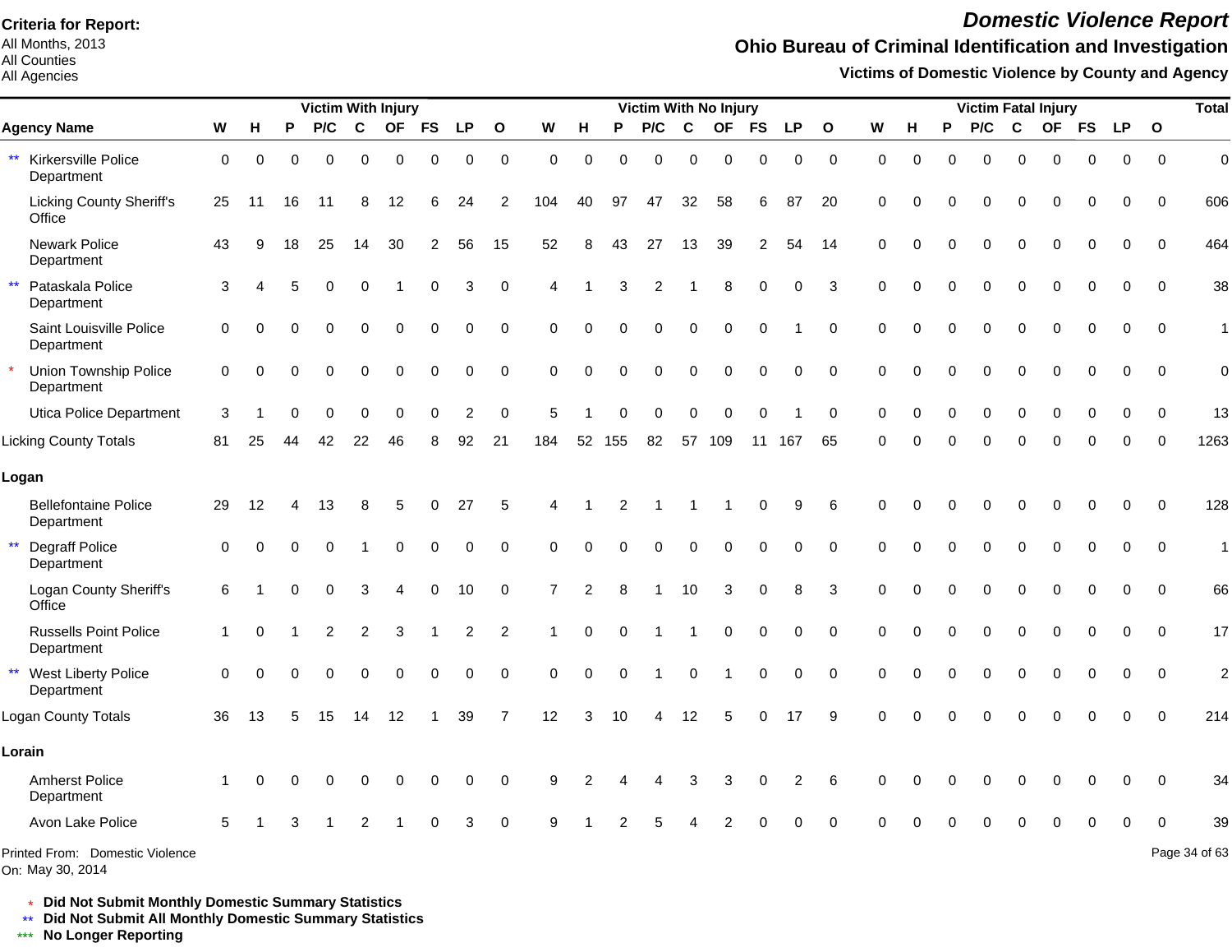All Months, 2013 All Counties

#### All Agencies

## *Domestic Violence Report*

## **Ohio Bureau of Criminal Identification and Investigation**

**Victims of Domestic Violence by County and Agency**

|                                            |             |          |          | <b>Victim With Injury</b> |                |           |                |           |                     |                |          |          | <b>Victim With No Injury</b> |             |           |                |             |              |             |          |          |          |             | <b>Victim Fatal Injury</b> |          |           |                | <b>Total</b>   |
|--------------------------------------------|-------------|----------|----------|---------------------------|----------------|-----------|----------------|-----------|---------------------|----------------|----------|----------|------------------------------|-------------|-----------|----------------|-------------|--------------|-------------|----------|----------|----------|-------------|----------------------------|----------|-----------|----------------|----------------|
| <b>Agency Name</b>                         | W           | н        | P        | P/C                       | $\mathbf c$    | <b>OF</b> | <b>FS</b>      | <b>LP</b> | $\mathbf{o}$        | W              | н        | P        | P/C                          | C           | <b>OF</b> | <b>FS</b>      | <b>LP</b>   | $\mathbf{o}$ | W           | н        | P        | P/C      | $\mathbf c$ |                            | OF FS    | <b>LP</b> | $\overline{O}$ |                |
| Kirkersville Police<br>Department          | $\mathbf 0$ | $\Omega$ | $\Omega$ | $\Omega$                  | $\Omega$       | $\Omega$  | $\Omega$       | 0         | $\Omega$            | $\Omega$       | $\Omega$ | $\Omega$ | $\Omega$                     | $\Omega$    | $\Omega$  | $\Omega$       | $\Omega$    | $\Omega$     | $\Omega$    | $\Omega$ | $\Omega$ | $\Omega$ | $\Omega$    | $\Omega$                   | $\Omega$ | $\Omega$  | $\Omega$       | $\overline{0}$ |
| <b>Licking County Sheriff's</b><br>Office  | 25          | 11       | 16       | 11                        | 8              | 12        |                | 24        | 2                   | 104            | 40       | 97       | 47                           | 32          | 58        | 6              | 87          | 20           | $\mathbf 0$ | U        | ŋ        | $\Omega$ | $\Omega$    | $\Omega$                   | 0        | 0         | $\Omega$       | 606            |
| <b>Newark Police</b><br>Department         | 43          | q        | 18       | 25                        | 14             | 30        | $\overline{2}$ | 56        | 15                  | 52             | 8        | 43       | 27                           | 13          | 39        | $\overline{2}$ | 54          | -14          | $\Omega$    |          | O        | $\Omega$ | $\Omega$    | $\Omega$                   | 0        | 0         | $\Omega$       | 464            |
| Pataskala Police<br>Department             | 3           |          |          | $\Omega$                  | $\Omega$       |           | 0              | 3         | $\mathsf{O}\xspace$ |                |          | 3        | 2                            |             | 8         | $\Omega$       | $\mathbf 0$ | 3            | $\Omega$    |          |          | $\Omega$ | $\Omega$    | $\Omega$                   | 0        | 0         | $\mathbf{0}$   | 38             |
| Saint Louisville Police<br>Department      | $\Omega$    |          |          |                           | $\Omega$       | 0         | $\Omega$       | 0         | $\mathbf 0$         | $\Omega$       | $\Omega$ | $\Omega$ | 0                            | $\Omega$    | $\Omega$  | 0              |             | $\Omega$     | $\Omega$    |          | 0        | $\Omega$ | 0           | $\Omega$                   | 0        | 0         | $\Omega$       | $\mathbf{1}$   |
| Union Township Police<br>Department        | $\Omega$    |          |          | 0                         | $\Omega$       | 0         | $\Omega$       | 0         | $\Omega$            | $\Omega$       | $\Omega$ | $\Omega$ | 0                            | $\Omega$    | $\Omega$  | $\mathbf 0$    | $\mathbf 0$ | $\Omega$     | $\Omega$    |          | $\Omega$ | $\Omega$ | $\Omega$    | $\Omega$                   | 0        | 0         | $\Omega$       | $\mathbf 0$    |
| Utica Police Department                    | 3           |          |          | 0                         | $\Omega$       | 0         | $\Omega$       | 2         | $\Omega$            | 5              |          | ∩        | $\Omega$                     | $\Omega$    | $\Omega$  | $\Omega$       |             | $\Omega$     | $\Omega$    |          | $\Omega$ | $\Omega$ | $\Omega$    | $\Omega$                   | O        | ∩         | $\Omega$       | 13             |
| <b>Licking County Totals</b>               | 81          | 25       |          | 42                        | 22             | 46        |                | 92        | 21                  | 184            | 52       | 155      | 82                           | 57          | 109       | 11             | 167         | 65           | O           |          |          | $\Omega$ | O           |                            |          |           |                | 1263           |
| Logan                                      |             |          |          |                           |                |           |                |           |                     |                |          |          |                              |             |           |                |             |              |             |          |          |          |             |                            |          |           |                |                |
| <b>Bellefontaine Police</b><br>Department  | 29          | 12       |          | 13                        | 8              | 5         | $\Omega$       | 27        | 5                   |                |          | 2        |                              |             |           | 0              | 9           | 6            | $\Omega$    |          |          |          | O           | ∩                          | 0        | $\Omega$  | $\Omega$       | 128            |
| <b>Degraff Police</b><br>Department        | $\Omega$    |          |          | 0                         |                | 0         | $\Omega$       | $\Omega$  | $\Omega$            | $\Omega$       | 0        | $\Omega$ | $\Omega$                     | $\Omega$    | 0         | $\Omega$       | 0           | $\Omega$     | $\Omega$    |          | ŋ        | O        | $\Omega$    | $\Omega$                   | $\Omega$ | 0         | $\Omega$       | $\mathbf{1}$   |
| Logan County Sheriff's<br>Office           | 6           |          |          | 0                         | 3              |           | $\Omega$       | 10        | $\Omega$            | $\overline{7}$ | 2        |          |                              | 10          | 3         | $\mathbf 0$    | 8           | 3            | $\Omega$    | $\Omega$ | O        | $\Omega$ | $\Omega$    | $\Omega$                   | $\Omega$ | $\Omega$  | $\Omega$       | 66             |
| <b>Russells Point Police</b><br>Department | 1           |          |          | 2                         | $\overline{c}$ | 3         |                | 2         | $\overline{2}$      |                | $\Omega$ | $\Omega$ |                              |             | $\Omega$  | $\Omega$       | $\Omega$    | $\Omega$     | $\Omega$    |          |          |          | $\Omega$    | $\Omega$                   | 0        | $\Omega$  | $\Omega$       | 17             |
| West Liberty Police<br>Department          | $\Omega$    |          |          |                           |                |           | $\Omega$       | 0         | $\mathbf 0$         | $\Omega$       | 0        | $\Omega$ |                              | $\mathbf 0$ |           | 0              | $\mathbf 0$ | $\mathbf 0$  | $\Omega$    |          |          | $\Omega$ | $\Omega$    |                            | 0        | 0         | $\Omega$       | $\overline{2}$ |
| <b>Logan County Totals</b>                 | 36          | 13       | 5        | 15                        | 14             | 12        |                | 39        | $\overline{7}$      | 12             | 3        | 10       | 4                            | 12          | 5         | $\mathbf 0$    | 17          | 9            | $\Omega$    |          | 0        | $\Omega$ | 0           | $\Omega$                   | 0        | $\Omega$  | $\Omega$       | 214            |
| Lorain                                     |             |          |          |                           |                |           |                |           |                     |                |          |          |                              |             |           |                |             |              |             |          |          |          |             |                            |          |           |                |                |
| <b>Amherst Police</b><br>Department        |             |          |          |                           |                |           |                | O         | $\Omega$            |                |          |          |                              |             |           | 0              | 2           | 6            |             |          |          |          |             |                            | ი        | ∩         | $\Omega$       | 34             |
| Avon Lake Police                           | 5           |          |          |                           |                |           |                | 3         | $\Omega$            |                |          |          |                              |             |           |                |             |              |             |          |          |          |             |                            |          |           | $\Omega$       | 39             |
| Printed From: Domestic Violence            |             |          |          |                           |                |           |                |           |                     |                |          |          |                              |             |           |                |             |              |             |          |          |          |             |                            |          |           |                | Page 34 of 63  |

On: May 30, 2014

\* **Did Not Submit Monthly Domestic Summary Statistics**

**Did Not Submit All Monthly Domestic Summary Statistics**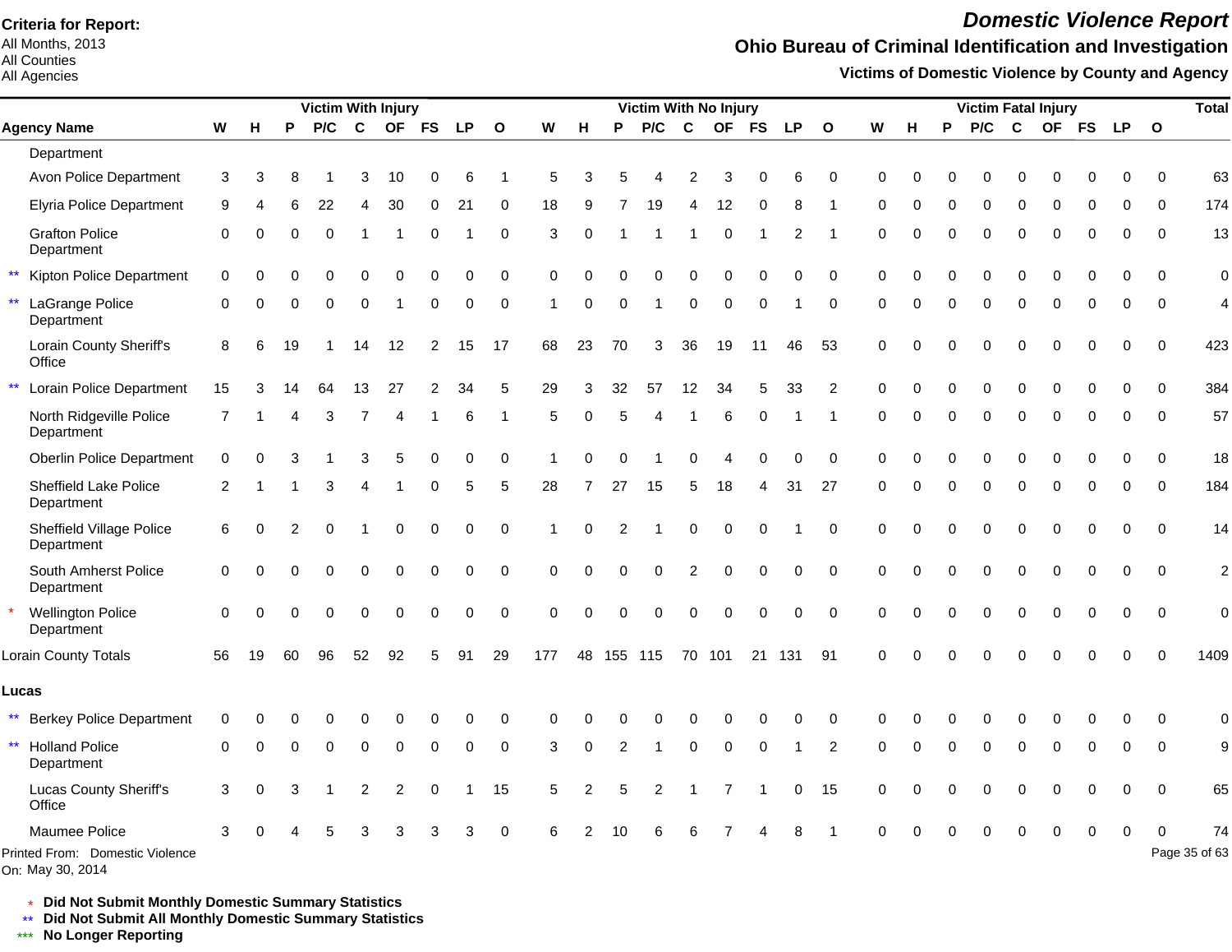All Months, 2013 All Counties

#### All Agencies

## *Domestic Violence Report*

### **Ohio Bureau of Criminal Identification and Investigation**

**Victims of Domestic Violence by County and Agency**

|                                                     |                |          |          | <b>Victim With Injury</b> |                  |                |                |                |              |          |                |            | Victim With No Injury |                |             |             |             |                |             |          |          | <b>Victim Fatal Injury</b> |              |             |             |             |          | <b>Total</b>   |
|-----------------------------------------------------|----------------|----------|----------|---------------------------|------------------|----------------|----------------|----------------|--------------|----------|----------------|------------|-----------------------|----------------|-------------|-------------|-------------|----------------|-------------|----------|----------|----------------------------|--------------|-------------|-------------|-------------|----------|----------------|
| <b>Agency Name</b>                                  | W              | н        | P        | P/C                       | $\mathbf{C}$     |                | OF FS          | <b>LP</b>      | $\mathbf{o}$ | W        | н              | P          | P/C                   | $\mathbf{C}$   |             | OF FS       | <b>LP</b>   | $\mathbf{o}$   | W           | н        | P        | P/C                        | $\mathbf{C}$ |             |             | OF FS LP O  |          |                |
| Department                                          |                |          |          |                           |                  |                |                |                |              |          |                |            |                       |                |             |             |             |                |             |          |          |                            |              |             |             |             |          |                |
| Avon Police Department                              | 3              | 3        |          |                           | 3                | 10             |                | 6              |              | 5        |                |            |                       |                |             |             | 6           | $\Omega$       | $\Omega$    |          |          |                            |              |             |             |             | $\Omega$ | 63             |
| Elyria Police Department                            | 9              |          |          | 22                        |                  | 30             | 0              | 2 <sup>1</sup> | 0            | 18       | я              |            | 19                    | Δ              | 12          | $\Omega$    | 8           |                | $\Omega$    |          | 0        | $\Omega$                   | $\Omega$     | ∩           | O           | ∩           | $\Omega$ | 174            |
| <b>Grafton Police</b><br>Department                 | $\Omega$       | 0        | $\Omega$ | $\Omega$                  |                  |                | $\Omega$       |                | $\Omega$     | 3        | $\Omega$       |            |                       |                | $\Omega$    |             | 2           |                | $\Omega$    | O        | $\Omega$ | $\Omega$                   | $\Omega$     | $\Omega$    | $\Omega$    | $\Omega$    | $\Omega$ | 13             |
| $\star\star$<br>Kipton Police Department            | $\Omega$       | ∩        | ∩        | 0                         | $\Omega$         | U              | $\Omega$       | O              | $\Omega$     | $\Omega$ | O              | O          | O                     | $\Omega$       | $\Omega$    | 0           | ∩           | $\Omega$       | $\Omega$    | O        | U        | $\Omega$                   | $\Omega$     | $\Omega$    | $\Omega$    | $\Omega$    | $\Omega$ | $\overline{0}$ |
| LaGrange Police<br>Department                       | $\Omega$       | 0        | $\Omega$ | $\Omega$                  | $\Omega$         |                | 0              | $\Omega$       | $\Omega$     |          | $\Omega$       | $\Omega$   | $\mathbf 1$           | $\Omega$       | $\Omega$    | $\Omega$    |             | $\Omega$       | $\Omega$    | $\Omega$ | 0        | $\Omega$                   | $\mathbf 0$  | $\Omega$    | $\Omega$    | 0           | $\Omega$ | $\overline{4}$ |
| Lorain County Sheriff's<br>Office                   | 8              | 6        | 19       | -1                        | 14               | 12             | $\overline{2}$ | 15             | 17           | 68       | 23             | 70         | 3                     | 36             | 19          | 11          | 46          | 53             | $\mathbf 0$ | O        | $\Omega$ | 0                          | 0            | $\Omega$    | $\mathbf 0$ | $\Omega$    | $\Omega$ | 423            |
| $\star\star$<br>Lorain Police Department            | 15             |          |          | 64                        | 13               | 27             | 2              | 34             | 5            | 29       | 3              | 32         | 57                    | 12             | 34          | 5           | 33          | $\overline{2}$ | $\Omega$    |          | O        | $\Omega$                   | $\Omega$     | $\Omega$    | $\Omega$    | $\Omega$    | $\Omega$ | 384            |
| North Ridgeville Police<br>Department               | 7              |          | 4        | 3                         | $\overline{7}$   | Δ              |                | 6              | -1           | 5        | $\Omega$       | 5          | 4                     |                | 6           | $\Omega$    |             |                | $\Omega$    | O        | 0        | $\Omega$                   | $\mathbf 0$  | ∩           | $\Omega$    | ∩           | $\Omega$ | 57             |
| <b>Oberlin Police Department</b>                    | $\Omega$       | 0        | 3        |                           | 3                | 5              | O              | $\Omega$       | $\Omega$     |          |                |            |                       | ∩              |             | O           | ∩           | $\Omega$       | $\Omega$    | $\Omega$ | $\Omega$ | $\Omega$                   | $\Omega$     | $\Omega$    | $\Omega$    | ∩           | $\Omega$ | 18             |
| <b>Sheffield Lake Police</b><br>Department          | $\overline{2}$ | -1       |          | 3                         | $\overline{4}$   | 1              | 0              | 5              | 5            | 28       | 7              | 27         | 15                    | 5              | 18          | 4           | 31          | 27             | $\Omega$    | $\Omega$ | 0        | 0                          | $\mathbf 0$  | $\mathbf 0$ | $\mathbf 0$ | $\Omega$    | $\Omega$ | 184            |
| Sheffield Village Police<br>Department              | 6              | 0        | 2        | $\Omega$                  |                  | 0              | $\mathbf 0$    | 0              | $\Omega$     |          | $\Omega$       | 2          |                       | $\overline{0}$ | $\mathbf 0$ | $\mathbf 0$ |             | $\Omega$       | $\Omega$    | $\Omega$ | 0        | $\Omega$                   | $\mathbf 0$  | $\Omega$    | $\Omega$    | $\Omega$    | $\Omega$ | 14             |
| South Amherst Police<br>Department                  | $\Omega$       | 0        | $\Omega$ | $\Omega$                  | $\Omega$         | 0              | $\Omega$       | 0              | $\Omega$     | $\Omega$ | $\Omega$       | $\Omega$   | $\Omega$              | $\overline{2}$ | $\mathbf 0$ | $\mathbf 0$ | $\mathbf 0$ | $\Omega$       | $\mathbf 0$ | $\Omega$ | 0        | $\Omega$                   | $\mathbf 0$  | $\mathbf 0$ | $\mathbf 0$ | $\mathbf 0$ | $\Omega$ | $\overline{c}$ |
| <b>Wellington Police</b><br>Department              | $\Omega$       | $\Omega$ | $\Omega$ | 0                         | $\mathbf 0$      | $\Omega$       | $\mathbf 0$    | 0              | $\pmb{0}$    | $\Omega$ | $\Omega$       | $\Omega$   | 0                     | $\Omega$       | $\Omega$    | $\mathbf 0$ | $\mathbf 0$ | $\Omega$       | $\Omega$    | $\Omega$ | 0        | $\Omega$                   | $\Omega$     | $\Omega$    | 0           | 0           | $\Omega$ | $\mathbf 0$    |
| Lorain County Totals                                | 56             | 19       | 60       | 96                        | 52               | 92             | 5              | 91             | 29           | 177      |                | 48 155 115 |                       |                | 70 101      |             | 21 131 91   |                | $\Omega$    |          |          |                            |              |             |             |             | $\Omega$ | 1409           |
| Lucas                                               |                |          |          |                           |                  |                |                |                |              |          |                |            |                       |                |             |             |             |                |             |          |          |                            |              |             |             |             |          |                |
| $***$<br><b>Berkey Police Department</b>            | $\Omega$       |          |          |                           |                  |                | 0              | 0              | 0            |          |                |            |                       |                |             | 0           | 0           | $\Omega$       | ∩           |          |          | 0                          | 0            |             | 0           | 0           | 0        | 0              |
| $\star\star$<br><b>Holland Police</b><br>Department | $\Omega$       |          | $\Omega$ | $\Omega$                  | $\Omega$         | $\Omega$       | $\mathbf 0$    | $\Omega$       | $\Omega$     | 3        | 0              | 2          | 1                     | $\Omega$       | $\Omega$    | $\mathbf 0$ |             | $\overline{2}$ | ∩           | U        | $\Omega$ | $\Omega$                   | $\Omega$     | $\Omega$    | 0           | $\Omega$    | $\Omega$ | 9              |
| <b>Lucas County Sheriff's</b><br>Office             | 3              | 0        | 3        |                           | $\boldsymbol{2}$ | $\overline{2}$ | 0              |                | 15           | 5        | $\mathfrak{p}$ | 5          | $\overline{2}$        |                | 7           |             | 0           | 15             | $\Omega$    |          | 0        | $\mathbf 0$                | $\Omega$     | $\Omega$    | 0           | $\Omega$    | $\Omega$ | 65             |
| Maumee Police                                       | 3              |          |          |                           |                  |                |                |                | $\Omega$     |          |                |            |                       |                |             |             |             |                |             |          |          |                            |              |             | 0           | $\Omega$    | $\Omega$ | 74             |
| Printed From: Domestic Violence                     |                |          |          |                           |                  |                |                |                |              |          |                |            |                       |                |             |             |             |                |             |          |          |                            |              |             |             |             |          | Page 35 of 63  |

On: May 30, 2014

\* **Did Not Submit Monthly Domestic Summary Statistics**

**Did Not Submit All Monthly Domestic Summary Statistics**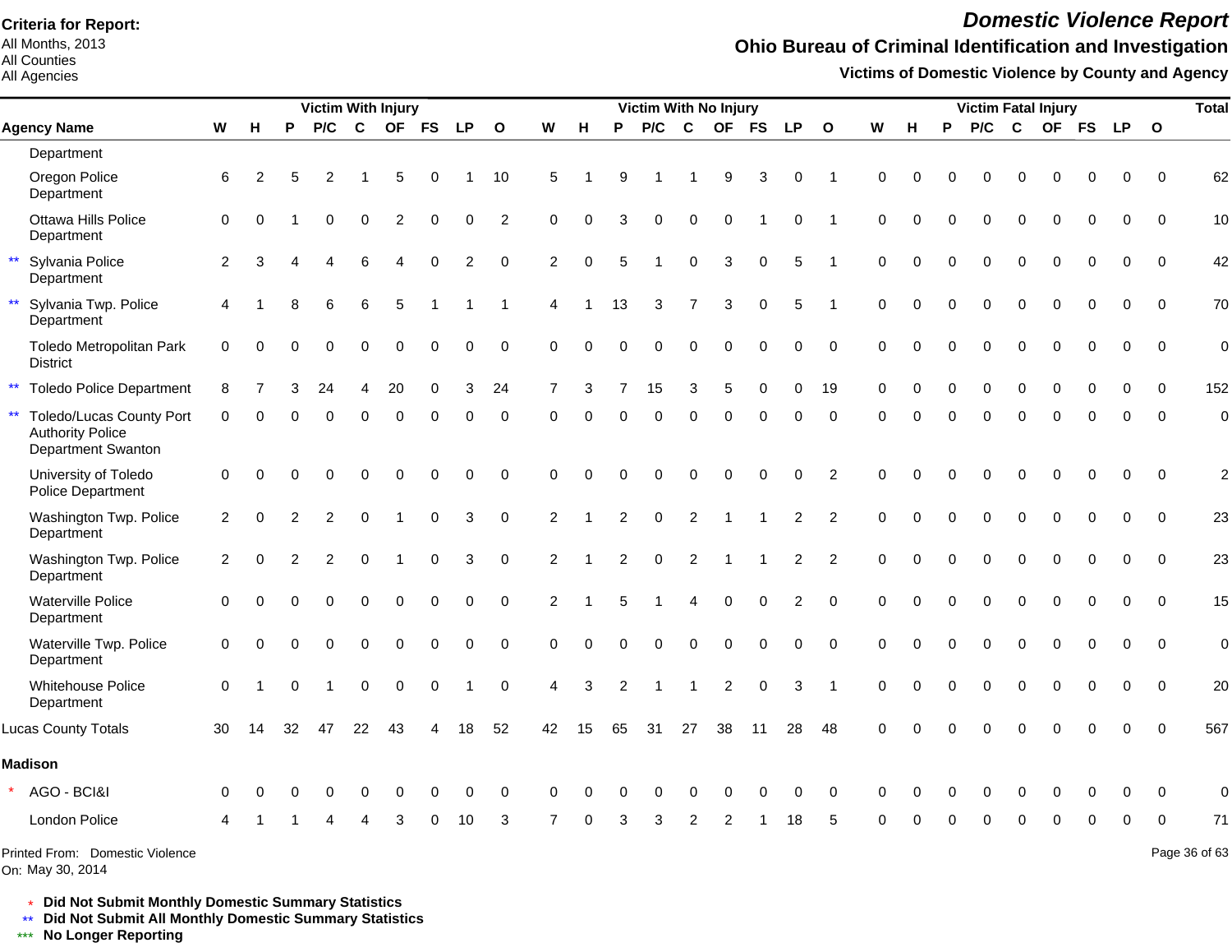All Months, 2013 All Counties

#### All Agencies

## *Domestic Violence Report*

## **Ohio Bureau of Criminal Identification and Investigation**

**Victims of Domestic Violence by County and Agency**

|              |                                                                           |                |                |          | <b>Victim With Injury</b> |                        |                |             |           |                |                |                      |                |             |                  | <b>Victim With No Injury</b> |                  |                |                |             |          |          | <b>Victim Fatal Injury</b> |             |             |             |            |              | <b>Total</b>   |
|--------------|---------------------------------------------------------------------------|----------------|----------------|----------|---------------------------|------------------------|----------------|-------------|-----------|----------------|----------------|----------------------|----------------|-------------|------------------|------------------------------|------------------|----------------|----------------|-------------|----------|----------|----------------------------|-------------|-------------|-------------|------------|--------------|----------------|
|              | <b>Agency Name</b>                                                        | W              | н              | P        | P/C                       | $\mathbf{C}$           | OF FS          |             | <b>LP</b> | $\mathbf{o}$   | W              | н                    | P              | P/C         | $\mathbf c$      |                              | OF FS            | <b>LP</b>      | $\mathbf{o}$   | W           | н        | P        | P/C                        | $\mathbf c$ |             |             | OF FS LP O |              |                |
|              | Department                                                                |                |                |          |                           |                        |                |             |           |                |                |                      |                |             |                  |                              |                  |                |                |             |          |          |                            |             |             |             |            |              |                |
|              | Oregon Police<br>Department                                               | 6              | $\overline{2}$ | 5        | 2                         |                        | 5              | 0           |           | 10             | 5              |                      | 9              |             |                  | 9                            | 3                | $\Omega$       |                | $\Omega$    |          | O        | $\Omega$                   | 0           |             | 0           | $\Omega$   | $\Omega$     | 62             |
|              | Ottawa Hills Police<br>Department                                         | $\mathbf 0$    | $\Omega$       |          | 0                         | $\pmb{0}$              | $\overline{c}$ | $\pmb{0}$   | 0         | $\overline{2}$ | $\Omega$       | $\Omega$             | 3              | 0           | $\boldsymbol{0}$ | $\mathbf 0$                  |                  | $\mathbf 0$    |                | $\mathbf 0$ | $\Omega$ | 0        | 0                          | $\mathbf 0$ | $\mathbf 0$ | $\mathbf 0$ | 0          | $\Omega$     | 10             |
| $\star\star$ | Sylvania Police<br>Department                                             | $\overline{2}$ | 3              |          | 4                         | 6                      | 4              | $\Omega$    | 2         | $\Omega$       | 2              | $\Omega$             | 5              | 1           | $\mathbf 0$      | 3                            | $\mathbf 0$      | 5              |                | $\Omega$    | $\Omega$ | $\Omega$ | $\Omega$                   | $\mathbf 0$ | $\Omega$    | $\Omega$    | $\Omega$   | $\Omega$     | 42             |
| $\star\star$ | Sylvania Twp. Police<br>Department                                        | $\overline{4}$ |                | 8        | 6                         | $\,6$                  | 5              |             |           |                | $\overline{4}$ | $\blacktriangleleft$ | 13             | 3           | $\overline{7}$   | 3                            | $\mathbf 0$      | 5              |                | $\mathbf 0$ | $\Omega$ | $\Omega$ | $\Omega$                   | $\mathbf 0$ | $\Omega$    | 0           | 0          | $\Omega$     | 70             |
|              | Toledo Metropolitan Park<br><b>District</b>                               | 0              | $\Omega$       | $\Omega$ | $\Omega$                  | $\Omega$               | $\Omega$       | 0           | 0         | $\mathbf 0$    | $\Omega$       | $\Omega$             | $\Omega$       | $\Omega$    | $\Omega$         | $\Omega$                     | $\mathbf 0$      | $\mathbf 0$    | $\Omega$       | $\Omega$    | $\Omega$ | $\Omega$ | $\Omega$                   | $\Omega$    | $\Omega$    | $\pmb{0}$   | $\pmb{0}$  | $\Omega$     | $\mathbf 0$    |
| $\star\star$ | <b>Toledo Police Department</b>                                           | 8              |                |          | 24                        | $\boldsymbol{\Lambda}$ | 20             | 0           | 3         | 24             | $\overline{7}$ | 3                    | $\overline{7}$ | 15          | 3                | 5                            | 0                | $\Omega$       | 19             | $\Omega$    | O        | 0        | $\Omega$                   | $\mathbf 0$ | $\Omega$    | $\Omega$    | $\Omega$   | $\Omega$     | 152            |
| $\star\star$ | Toledo/Lucas County Port<br><b>Authority Police</b><br>Department Swanton | $\Omega$       | 0              | $\Omega$ | $\Omega$                  | $\Omega$               | $\Omega$       | $\mathbf 0$ | $\Omega$  | $\mathbf 0$    | $\Omega$       | $\Omega$             | $\Omega$       | $\Omega$    | $\Omega$         | $\Omega$                     | $\mathbf 0$      | $\Omega$       | $\Omega$       | $\Omega$    | $\Omega$ | $\Omega$ | $\Omega$                   | $\mathbf 0$ | $\Omega$    | $\mathbf 0$ | $\Omega$   | $\Omega$     | $\overline{0}$ |
|              | University of Toledo<br>Police Department                                 | $\mathbf 0$    | $\Omega$       | $\Omega$ | $\Omega$                  | $\Omega$               | $\Omega$       | $\pmb{0}$   | $\Omega$  | $\Omega$       | $\Omega$       | $\Omega$             | $\Omega$       | $\Omega$    | $\Omega$         | $\Omega$                     | $\Omega$         | $\Omega$       | $\overline{2}$ | $\Omega$    | $\Omega$ | $\Omega$ | $\Omega$                   | $\Omega$    | $\Omega$    | 0           | $\Omega$   | $\Omega$     | $\overline{2}$ |
|              | Washington Twp. Police<br>Department                                      | $\overline{2}$ | $\Omega$       | 2        | $\overline{2}$            | $\Omega$               |                | $\Omega$    | 3         | $\Omega$       | 2              |                      | 2              | $\mathbf 0$ | $\overline{2}$   |                              |                  | 2              | 2              | $\Omega$    | $\Omega$ | 0        | $\Omega$                   | $\Omega$    | $\Omega$    | $\Omega$    | $\Omega$   | $\Omega$     | 23             |
|              | Washington Twp. Police<br>Department                                      | 2              | 0              | 2        | $\overline{2}$            | $\Omega$               |                | 0           | 3         | $\mathbf 0$    | $\overline{2}$ |                      | 2              | $\Omega$    | $\overline{2}$   |                              |                  | $\overline{2}$ | $\overline{2}$ | $\Omega$    | $\Omega$ | $\Omega$ | $\Omega$                   | $\Omega$    | $\Omega$    | $\Omega$    | $\Omega$   | $\Omega$     | 23             |
|              | <b>Waterville Police</b><br>Department                                    | $\Omega$       | $\Omega$       | $\Omega$ | $\Omega$                  | $\mathbf 0$            | 0              | $\mathbf 0$ | 0         | $\Omega$       | 2              |                      | 5              |             | $\overline{4}$   | $\mathbf 0$                  | $\Omega$         | $\overline{c}$ | $\Omega$       | $\Omega$    | $\Omega$ | $\Omega$ | $\Omega$                   | $\Omega$    | $\Omega$    | $\Omega$    | $\Omega$   | $\Omega$     | 15             |
|              | Waterville Twp. Police<br>Department                                      | $\mathbf 0$    | $\Omega$       | $\Omega$ | $\Omega$                  | $\pmb{0}$              | 0              | $\pmb{0}$   | 0         | $\mathbf 0$    | $\Omega$       | $\Omega$             | 0              | 0           | $\mathbf 0$      | $\pmb{0}$                    | $\boldsymbol{0}$ | $\mathbf 0$    | $\Omega$       | $\mathbf 0$ | $\Omega$ | 0        | $\mathbf 0$                | $\pmb{0}$   | $\mathbf 0$ | $\mathbf 0$ | 0          | $\mathbf 0$  | $\mathbf 0$    |
|              | <b>Whitehouse Police</b><br>Department                                    | $\Omega$       | -1             | $\Omega$ | $\overline{1}$            | $\boldsymbol{0}$       | $\pmb{0}$      | $\mathbf 0$ | 1         | $\mathbf 0$    | $\overline{4}$ | 3                    | $\overline{2}$ | 1           | $\overline{1}$   | $\overline{2}$               | $\mathbf 0$      | 3              | $\overline{1}$ | $\Omega$    | $\Omega$ | 0        | $\mathbf 0$                | 0           | $\Omega$    | $\Omega$    | $\Omega$   | $\Omega$     | 20             |
|              | <b>Lucas County Totals</b>                                                | 30             | 14             | 32       | 47                        | 22                     | 43             | 4           | 18        | 52             | 42             | 15                   | 65             | 31          | 27               | 38                           | 11               | 28             | 48             | $\Omega$    |          |          |                            |             |             | 0           | $\Omega$   | $\Omega$     | 567            |
|              | <b>Madison</b>                                                            |                |                |          |                           |                        |                |             |           |                |                |                      |                |             |                  |                              |                  |                |                |             |          |          |                            |             |             |             |            |              |                |
|              | AGO - BCI&I                                                               | $\Omega$       |                |          |                           | O                      | U              | $\Omega$    | 0         | 0              | $\Omega$       |                      | 0              | 0           | $\Omega$         |                              | $\Omega$         | 0              | $\Omega$       | $\Omega$    |          | O        |                            |             |             | 0           | $\Omega$   | <sup>0</sup> | 0              |
|              | London Police                                                             | Δ              |                |          |                           |                        |                | ∩           | 10        | 3              |                | U                    | з              | 3           | 2                | 2                            |                  | 18             | 5              | ∩           |          | U        | ∩                          | $\Omega$    | ∩           | 0           | 0          | $\Omega$     | 71             |
|              | Printed From: Domestic Violence                                           |                |                |          |                           |                        |                |             |           |                |                |                      |                |             |                  |                              |                  |                |                |             |          |          |                            |             |             |             |            |              | Page 36 of 63  |

On: May 30, 2014

\* **Did Not Submit Monthly Domestic Summary Statistics**

**Did Not Submit All Monthly Domestic Summary Statistics**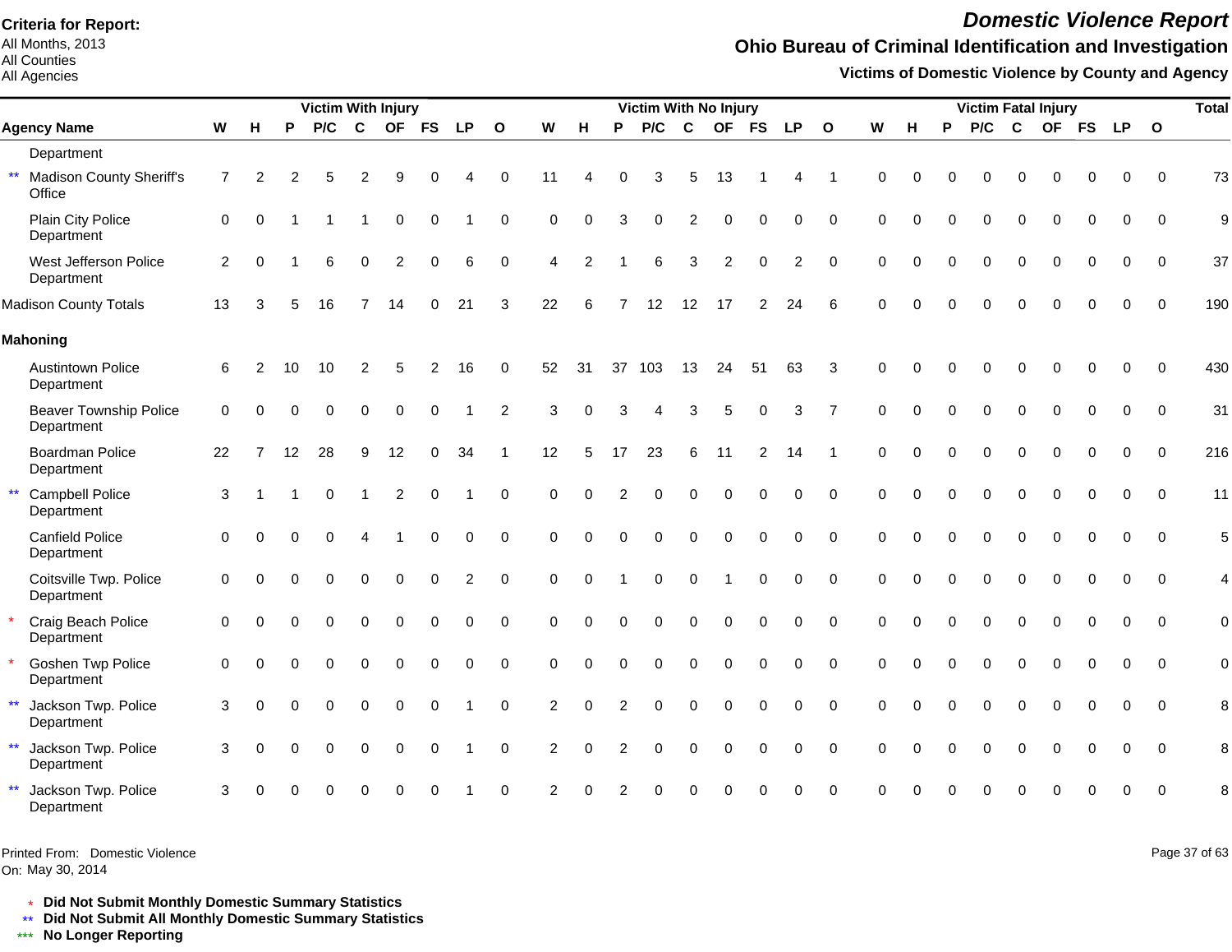All Months, 2013 All Counties

#### All Agencies

### *Domestic Violence Report*

## **Ohio Bureau of Criminal Identification and Investigation**

**Victims of Domestic Violence by County and Agency**

|                                                           |                |          |          | <b>Victim With Injury</b> |          |                |             |                |                |                |          |                | Victim With No Injury |                |                |             |                |                |             |          |          | <b>Victim Fatal Injury</b> |          |          |          |             |              | <b>Total</b> |
|-----------------------------------------------------------|----------------|----------|----------|---------------------------|----------|----------------|-------------|----------------|----------------|----------------|----------|----------------|-----------------------|----------------|----------------|-------------|----------------|----------------|-------------|----------|----------|----------------------------|----------|----------|----------|-------------|--------------|--------------|
| <b>Agency Name</b>                                        | W              | Н        | P        | P/C                       | C        |                | OF FS       | <b>LP</b>      | $\mathbf{o}$   | W              | H        | P              | P/C                   | C              |                | OF FS       | LP             | $\mathbf{o}$   | W           | н        | P        | P/C                        | C        |          | OF FS    | <b>LP</b>   | $\mathbf{o}$ |              |
| Department                                                |                |          |          |                           |          |                |             |                |                |                |          |                |                       |                |                |             |                |                |             |          |          |                            |          |          |          |             |              |              |
| $\star\star$<br><b>Madison County Sheriff's</b><br>Office | $\overline{7}$ | 2        | 2        | 5                         | 2        | 9              | U           |                | $\Omega$       | 11             | 4        | 0              | 3                     | 5              | 13             |             |                |                | $\Omega$    | $\Omega$ |          | ∩                          |          |          |          | 0           | $\Omega$     | 73           |
| Plain City Police<br>Department                           | $\mathbf 0$    | $\Omega$ |          |                           |          | $\Omega$       | 0           |                | $\mathbf 0$    | 0              | $\Omega$ | 3              | $\Omega$              | $\overline{2}$ | $\overline{0}$ | $\Omega$    | $\mathbf 0$    | $\mathbf 0$    | $\Omega$    | $\Omega$ |          | 0                          | $\Omega$ | $\Omega$ | $\Omega$ | $\mathbf 0$ | $\mathbf 0$  | 9            |
| West Jefferson Police<br>Department                       | 2              | $\Omega$ |          | 6                         | $\Omega$ | $\overline{2}$ | $\Omega$    | 6              | $\mathbf 0$    | 4              | 2        |                | 6                     | 3              | $\overline{2}$ | $\Omega$    | $\overline{2}$ | $\mathbf 0$    | $\mathbf 0$ | $\Omega$ |          | 0                          | $\Omega$ |          |          | 0           | $\Omega$     | 37           |
| <b>Madison County Totals</b>                              | 13             | 3        |          | 16                        |          | 14             | 0           | 21             | 3              | 22             | 6        | $\overline{7}$ | 12                    | 12             | 17             | 2           | 24             | 6              | $\Omega$    | $\cap$   |          |                            |          |          |          |             | $\Omega$     | 190          |
| <b>Mahoning</b>                                           |                |          |          |                           |          |                |             |                |                |                |          |                |                       |                |                |             |                |                |             |          |          |                            |          |          |          |             |              |              |
| <b>Austintown Police</b><br>Department                    | 6              | 2        | 10       | 10                        | 2        | 5              | 2           | 16             | 0              | 52             | 31       |                | 37 103                | 13             | 24             | 51          | 63             | 3              | $\Omega$    |          |          |                            |          |          |          |             | $\Omega$     | 430          |
| Beaver Township Police<br>Department                      | $\Omega$       | $\Omega$ | $\Omega$ | $\Omega$                  | $\Omega$ | $\mathbf 0$    | $\Omega$    |                | $\overline{2}$ | 3              | $\Omega$ | 3              |                       | 3              | 5              | $\Omega$    | 3              | $\overline{7}$ | $\Omega$    | $\Omega$ | $\Omega$ | 0                          | $\Omega$ | $\Omega$ | $\Omega$ | 0           | $\mathbf 0$  | 31           |
| <b>Boardman Police</b><br>Department                      | 22             |          | 12       | 28                        | 9        | 12             | $\Omega$    | 34             |                | 12             | 5        | 17             | 23                    | 6              | 11             | 2           | 14             |                | $\Omega$    | $\Omega$ |          | 0                          | $\Omega$ | $\Omega$ |          | 0           | $\Omega$     | 216          |
| <b>Campbell Police</b><br>$\star\star$<br>Department      | 3              |          |          | $\Omega$                  |          | 2              | $\Omega$    |                | $\Omega$       | $\Omega$       | $\Omega$ |                |                       | $\Omega$       | $\Omega$       | $\Omega$    | $\Omega$       | $\Omega$       | $\Omega$    | $\Omega$ |          | $\Omega$                   | $\Omega$ | $\Omega$ |          |             | $\Omega$     | 11           |
| <b>Canfield Police</b><br>Department                      | $\Omega$       | ∩        | 0        | $\Omega$                  | Δ        |                | $\Omega$    | $\Omega$       | $\mathbf 0$    | $\Omega$       | $\Omega$ | $\Omega$       | $\Omega$              | $\Omega$       | $\Omega$       | $\Omega$    | $\Omega$       | $\Omega$       | $\Omega$    | $\Omega$ | $\Omega$ | $\Omega$                   | $\Omega$ | $\Omega$ |          | 0           | $\Omega$     | 5            |
| Coitsville Twp. Police<br>Department                      | $\mathbf{0}$   | $\Omega$ | 0        | $\Omega$                  | $\Omega$ | $\mathbf 0$    | $\mathbf 0$ | $\overline{c}$ | $\mathbf 0$    | $\Omega$       | $\Omega$ |                | $\Omega$              | $\Omega$       |                | $\mathbf 0$ | 0              | $\mathbf 0$    | $\Omega$    | $\Omega$ |          | 0                          | $\Omega$ | $\Omega$ |          | 0           | $\Omega$     | 4            |
| Craig Beach Police<br>Department                          | $\mathbf 0$    |          |          | $\Omega$                  | 0        | $\mathbf 0$    | 0           | 0              | $\mathbf 0$    | 0              | $\Omega$ | $\Omega$       | $\Omega$              | $\mathbf 0$    | $\overline{0}$ | $\mathbf 0$ | 0              | $\mathbf 0$    | $\mathbf 0$ | $\Omega$ |          | 0                          | $\Omega$ | $\Omega$ |          | 0           | $\Omega$     | $\mathbf 0$  |
| <b>Goshen Twp Police</b><br>Department                    | $\mathbf{0}$   | $\Omega$ |          | $\Omega$                  | $\Omega$ | $\Omega$       | $\Omega$    | $\Omega$       | $\Omega$       | $\Omega$       | $\Omega$ | $\Omega$       | $\Omega$              | $\Omega$       | $\Omega$       | $\Omega$    | $\Omega$       | $\Omega$       | $\Omega$    | $\Omega$ |          | $\Omega$                   | $\Omega$ | $\Omega$ | $\Omega$ | $\Omega$    | $\Omega$     | $\mathbf 0$  |
| $\star\star$<br>Jackson Twp. Police<br>Department         | 3              | $\Omega$ |          |                           | $\Omega$ | $\Omega$       | $\Omega$    |                | $\Omega$       | 2              | $\Omega$ |                |                       | $\Omega$       | $\Omega$       | $\Omega$    | $\Omega$       | $\Omega$       | $\Omega$    | $\Omega$ |          | 0                          | $\Omega$ | O        |          | 0           | $\Omega$     | 8            |
| $\star\star$<br>Jackson Twp. Police<br>Department         | 3              | $\Omega$ | 0        | $\Omega$                  | 0        | $\mathbf 0$    | 0           |                | $\mathbf 0$    | $\overline{2}$ | $\Omega$ | 2              | $\Omega$              | $\Omega$       | $\mathbf 0$    | $\mathbf 0$ | $\mathbf 0$    | $\mathbf 0$    | $\mathbf 0$ | $\Omega$ | $\Omega$ | $\Omega$                   | $\Omega$ | 0        | $\Omega$ | $\Omega$    | $\Omega$     | 8            |
| $\star\star$<br>Jackson Twp. Police<br>Department         | 3              |          |          |                           |          |                |             |                | 0              |                |          |                |                       |                |                |             | 0              | $\mathbf 0$    | O           |          |          |                            |          |          |          |             | $\Omega$     | 8            |

Printed From: Domestic Violence

On: May 30, 2014

Page 37 of 63

\* **Did Not Submit Monthly Domestic Summary Statistics**

**Did Not Submit All Monthly Domestic Summary Statistics**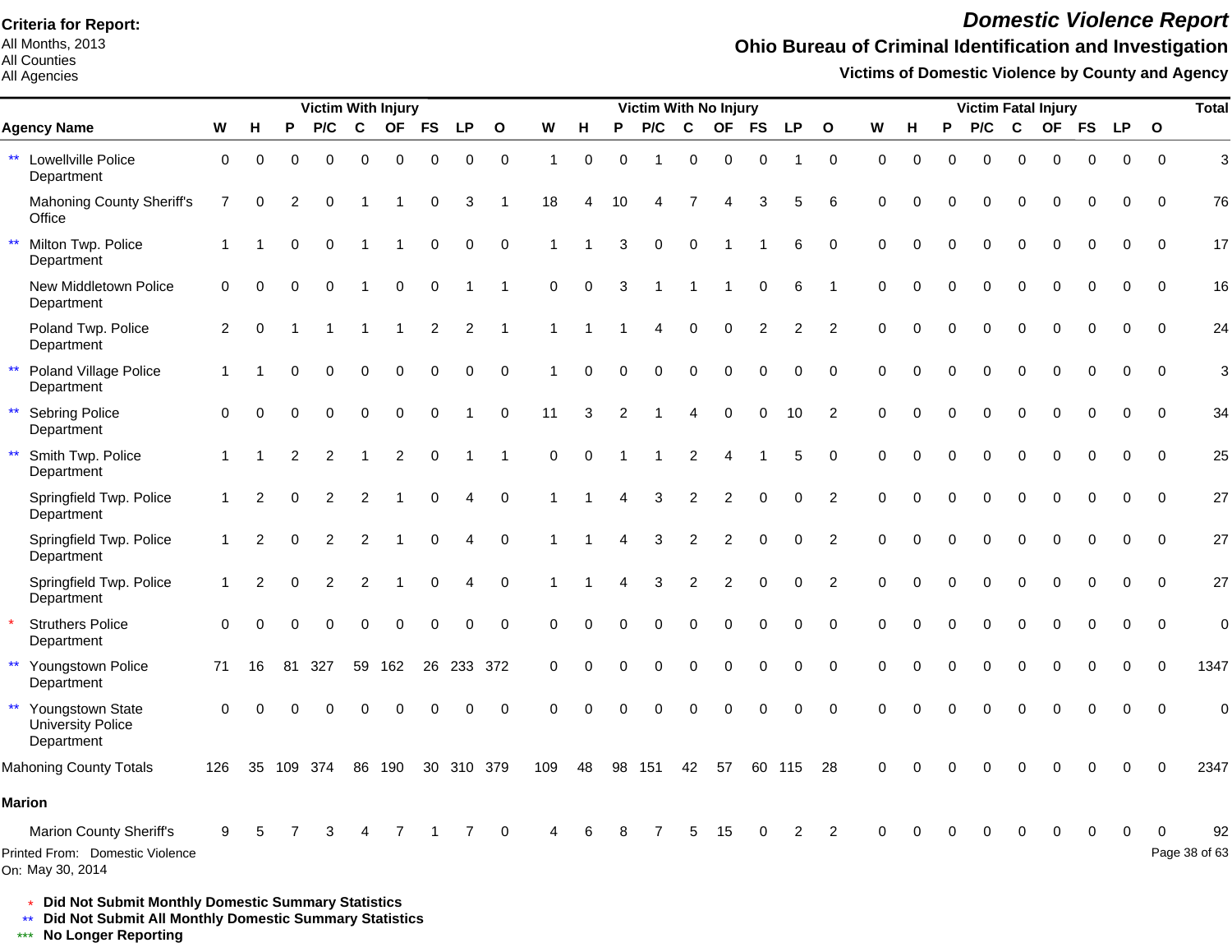All Months, 2013 All Counties

#### All Agencies

## *Domestic Violence Report*

## **Ohio Bureau of Criminal Identification and Investigation**

**Victims of Domestic Violence by County and Agency**

|              |                                                                                |                |                |                | <b>Victim With Injury</b> |                |                |                |             |                |                  |                |             | Victim With No Injury |                  |                         |                |                |                |             |          |          | <b>Victim Fatal Injury</b> |                  |           |                     |                  |                | <b>Total</b>        |
|--------------|--------------------------------------------------------------------------------|----------------|----------------|----------------|---------------------------|----------------|----------------|----------------|-------------|----------------|------------------|----------------|-------------|-----------------------|------------------|-------------------------|----------------|----------------|----------------|-------------|----------|----------|----------------------------|------------------|-----------|---------------------|------------------|----------------|---------------------|
|              | <b>Agency Name</b>                                                             | W              | н              | P              | P/C                       | C              | <b>OF</b>      | <b>FS</b>      | <b>LP</b>   | $\mathbf{o}$   | W                | н              | P           | P/C                   | $\mathbf c$      | <b>OF</b>               | <b>FS</b>      | <b>LP</b>      | $\mathbf{o}$   | ${\bf W}$   | н        | P        | P/C                        | C                | <b>OF</b> | <b>FS</b>           | <b>LP</b>        | $\mathbf{o}$   |                     |
|              | ** Lowellville Police<br>Department                                            | $\mathbf 0$    | $\Omega$       | $\Omega$       | $\Omega$                  | $\Omega$       | $\Omega$       | $\Omega$       | 0           | $\mathbf 0$    | $\mathbf{1}$     | $\Omega$       | $\Omega$    |                       | $\Omega$         | $\Omega$                | $\Omega$       |                | $\mathbf 0$    | $\Omega$    | $\Omega$ | $\Omega$ | $\Omega$                   | $\Omega$         | $\Omega$  | $\mathbf 0$         | $\mathbf 0$      | $\Omega$       | 3                   |
|              | <b>Mahoning County Sheriff's</b><br>Office                                     | $\overline{7}$ | 0              | 2              | 0                         |                |                | 0              | 3           |                | 18               | $\overline{4}$ | 10          | 4                     | 7                | 4                       | 3              | 5              | 6              | $\Omega$    | O        | 0        | 0                          | $\mathbf 0$      | 0         | 0                   | 0                | $\mathbf 0$    | 76                  |
| $\star\star$ | Milton Twp. Police<br>Department                                               | $\mathbf{1}$   | -1             | $\Omega$       | $\Omega$                  | 1              |                | $\mathbf 0$    | $\mathbf 0$ | $\mathbf 0$    | 1                |                | 3           | $\mathbf 0$           | $\Omega$         |                         |                | 6              | $\Omega$       | $\Omega$    | $\Omega$ | $\Omega$ | $\Omega$                   | $\Omega$         | $\Omega$  | $\Omega$            | $\Omega$         | $\Omega$       | 17                  |
|              | New Middletown Police<br>Department                                            | $\mathbf 0$    | 0              | 0              | $\mathbf 0$               | 1              | $\pmb{0}$      | $\mathbf 0$    |             | 1              | 0                | $\mathbf 0$    | 3           |                       | $\overline{1}$   | -1                      | $\mathbf 0$    | 6              | $\overline{1}$ | $\mathbf 0$ | 0        | $\Omega$ | 0                          | $\mathbf 0$      | 0         | $\mathbf 0$         | 0                | $\overline{0}$ | 16                  |
|              | Poland Twp. Police<br>Department                                               | $\overline{2}$ | $\mathbf 0$    |                | $\mathbf 1$               | 1              | -1             | $\overline{c}$ | 2           | $\overline{1}$ | $\mathbf{1}$     |                |             | 4                     | $\pmb{0}$        | 0                       | $\overline{c}$ | $\overline{c}$ | $\overline{2}$ | $\mathbf 0$ | $\Omega$ | $\Omega$ | $\Omega$                   | $\mathbf 0$      | 0         | $\mathbf 0$         | $\mathbf 0$      | $\mathbf 0$    | 24                  |
| $\star\star$ | Poland Village Police<br><b>Department</b>                                     | $\overline{1}$ |                | $\Omega$       | $\Omega$                  | $\Omega$       | $\Omega$       | $\Omega$       | $\Omega$    | $\mathbf 0$    | $\mathbf{1}$     | 0              | $\Omega$    | 0                     | $\pmb{0}$        | $\Omega$                | $\mathbf 0$    | $\Omega$       | $\Omega$       | $\Omega$    | $\Omega$ | $\Omega$ | $\Omega$                   | $\Omega$         | $\Omega$  | $\mathbf{0}$        | $\Omega$         | $\Omega$       | 3                   |
| $\star\star$ | <b>Sebring Police</b><br>Department                                            | $\mathbf 0$    | $\Omega$       | $\Omega$       | $\Omega$                  | 0              | $\mathbf 0$    | $\mathbf 0$    |             | $\mathbf 0$    | 11               | 3              | 2           |                       | 4                | $\Omega$                | $\mathbf 0$    | 10             | 2              | $\mathbf 0$ | $\Omega$ | $\Omega$ | $\Omega$                   | $\mathbf 0$      | 0         | $\mathbf 0$         | $\mathbf 0$      | $\mathbf 0$    | 34                  |
| $\star\star$ | Smith Twp. Police<br>Department                                                | 1              |                | $\overline{2}$ | $\overline{2}$            | $\mathbf{1}$   | $\overline{2}$ | $\Omega$       |             | $\overline{1}$ | $\boldsymbol{0}$ | $\mathbf 0$    | 1           | $\blacktriangleleft$  | $\boldsymbol{2}$ | $\overline{\mathbf{A}}$ |                | $\sqrt{5}$     | $\Omega$       | $\Omega$    | $\Omega$ | $\Omega$ | $\Omega$                   | $\boldsymbol{0}$ | $\Omega$  | $\mathsf{O}\xspace$ | $\boldsymbol{0}$ | $\mathbf 0$    | 25                  |
|              | Springfield Twp. Police<br>Department                                          | $\overline{1}$ | $\overline{2}$ | $\Omega$       | $\overline{2}$            | 2              |                | $\mathbf 0$    | 4           | $\mathbf 0$    | 1                |                | 4           | 3                     | $\overline{c}$   | $\overline{c}$          | $\mathbf 0$    | $\mathbf 0$    | $\overline{2}$ | $\mathbf 0$ | $\Omega$ | $\Omega$ | 0                          | $\mathbf 0$      | 0         | $\mathsf{O}\xspace$ | $\mathbf 0$      | $\mathbf 0$    | 27                  |
|              | Springfield Twp. Police<br>Department                                          | $\mathbf 1$    | 2              | $\Omega$       | $\overline{2}$            | $\overline{2}$ | -1             | $\mathbf 0$    | 4           | $\mathbf 0$    | 1                |                | 4           | 3                     | $\overline{2}$   | 2                       | $\Omega$       | $\mathbf 0$    | $\overline{2}$ | $\Omega$    | $\Omega$ | $\Omega$ | $\Omega$                   | $\Omega$         | $\Omega$  | $\mathbf 0$         | $\mathbf 0$      | $\mathbf 0$    | 27                  |
|              | Springfield Twp. Police<br>Department                                          | $\mathbf{1}$   | 2              | $\Omega$       | $\overline{2}$            | $\overline{2}$ |                | $\mathbf 0$    | 4           | $\mathbf 0$    | 1                |                | 4           | 3                     | 2                | $\overline{c}$          | $\Omega$       | 0              | $\overline{2}$ | $\Omega$    | 0        | $\Omega$ | $\Omega$                   | $\Omega$         | $\Omega$  | $\mathbf 0$         | $\mathbf 0$      | $\mathbf 0$    | 27                  |
|              | <b>Struthers Police</b><br>Department                                          | $\Omega$       | $\Omega$       | $\Omega$       | $\Omega$                  | $\Omega$       | $\mathbf 0$    | $\mathbf 0$    | $\mathbf 0$ | $\mathbf 0$    | $\Omega$         | $\Omega$       | $\Omega$    | $\Omega$              | $\Omega$         | $\Omega$                | $\Omega$       | $\mathbf 0$    | $\mathbf 0$    | $\Omega$    | $\Omega$ | $\Omega$ | $\Omega$                   | $\Omega$         | $\Omega$  | $\Omega$            | $\mathbf 0$      | $\mathbf 0$    | $\overline{0}$      |
| $\star\star$ | Youngstown Police<br>Department                                                | 71             | 16             | 81             | 327                       | 59             | 162            | 26             |             | 233 372        | $\mathbf 0$      | $\mathbf 0$    | $\mathbf 0$ | $\mathbf 0$           | 0                | $\mathbf 0$             | $\mathbf 0$    | $\mathbf 0$    | $\mathbf 0$    | $\mathbf 0$ | 0        | $\Omega$ | 0                          | $\mathbf 0$      | 0         | $\mathbf 0$         | $\mathbf 0$      | $\mathbf 0$    | 1347                |
| $\star\star$ | Youngstown State<br><b>University Police</b><br>Department                     | $\Omega$       | $\Omega$       | 0              |                           |                | $\Omega$       | $\Omega$       | 0           | $\mathbf 0$    | 0                | $\Omega$       | $\Omega$    | $\Omega$              | $\Omega$         | $\Omega$                | $\Omega$       | 0              | $\Omega$       | $\Omega$    | $\Omega$ |          | 0                          | $\Omega$         | $\Omega$  | 0                   | $\mathbf 0$      | $\mathbf 0$    | $\mathbf 0$         |
|              | <b>Mahoning County Totals</b>                                                  | 126            | 35             | 109            | 374                       | 86             | 190            | 30             |             | 310 379        | 109              | 48             | 98          | 151                   | 42               | 57                      | 60             | 115            | 28             | $\Omega$    | $\Omega$ |          |                            | $\Omega$         | $\Omega$  | $\Omega$            | $\Omega$         | $\Omega$       | 2347                |
|              | <b>Marion</b>                                                                  |                |                |                |                           |                |                |                |             |                |                  |                |             |                       |                  |                         |                |                |                |             |          |          |                            |                  |           |                     |                  |                |                     |
|              | Marion County Sheriff's<br>Printed From: Domestic Violence<br>On: May 30, 2014 | 9              |                |                |                           |                |                |                |             | $\mathbf 0$    | 4                | 6              |             |                       | 5                | 15                      |                | 2              | $\overline{2}$ |             |          |          |                            | $\Omega$         | 0         | 0                   | $\Omega$         | ∩              | 92<br>Page 38 of 63 |

\* **Did Not Submit Monthly Domestic Summary Statistics**

**Did Not Submit All Monthly Domestic Summary Statistics**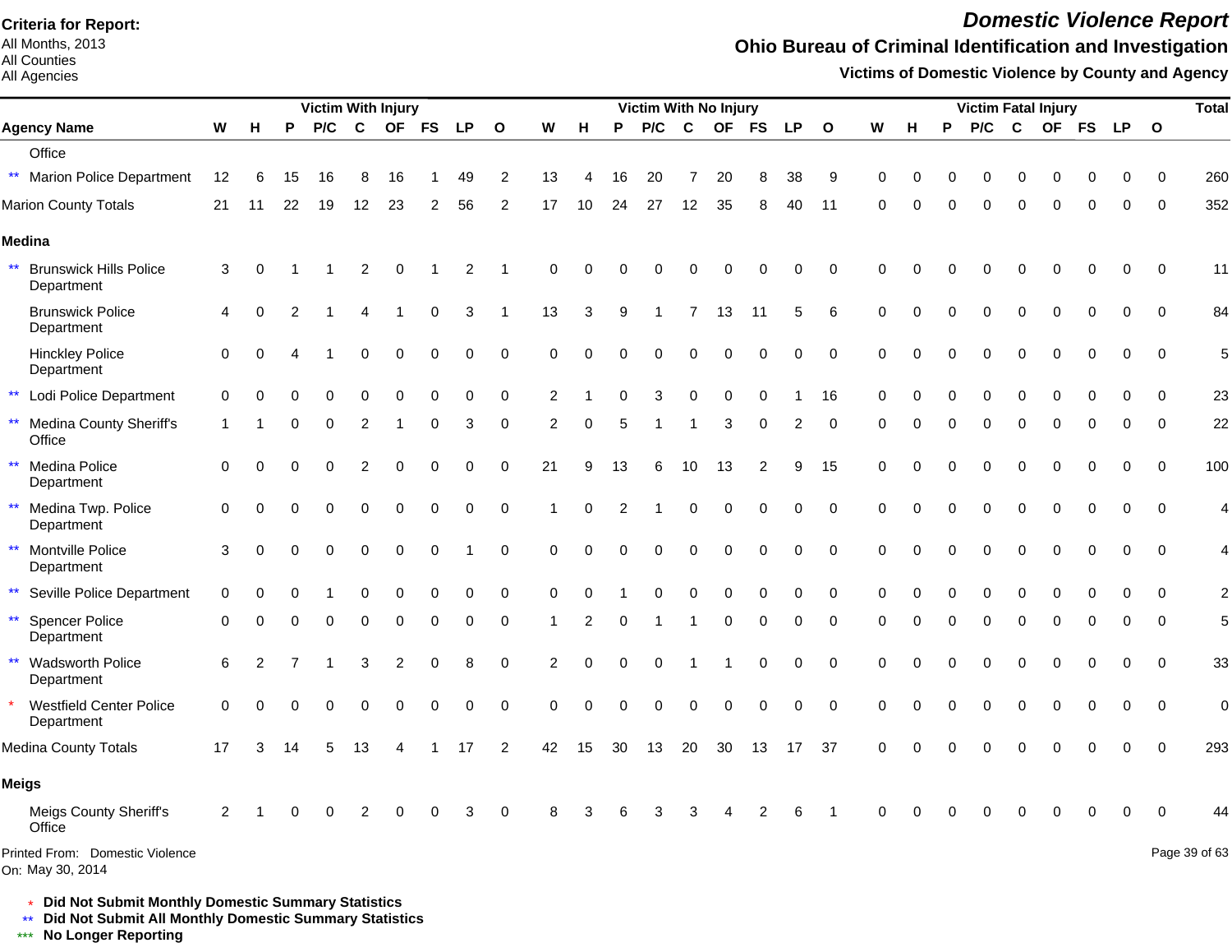All Months, 2013 All Counties

All Agencies

## *Domestic Violence Report*

## **Ohio Bureau of Criminal Identification and Investigation**

**Victims of Domestic Violence by County and Agency**

|                                                     |             |          |    | <b>Victim With Injury</b> |             |                |           |             |                |                |          |          | <b>Victim With No Injury</b> |             |           |           |             |              |          |          |   |     | <b>Victim Fatal Injury</b> |          |             |             |              | <b>Total</b>   |
|-----------------------------------------------------|-------------|----------|----|---------------------------|-------------|----------------|-----------|-------------|----------------|----------------|----------|----------|------------------------------|-------------|-----------|-----------|-------------|--------------|----------|----------|---|-----|----------------------------|----------|-------------|-------------|--------------|----------------|
| <b>Agency Name</b>                                  | W           | н        | P  | P/C                       | $\mathbf c$ | <b>OF</b>      | <b>FS</b> | <b>LP</b>   | $\mathbf{o}$   | W              | H        | P        | P/C                          | $\mathbf c$ | <b>OF</b> | <b>FS</b> | <b>LP</b>   | $\mathbf{o}$ | W        | н        | P | P/C | $\mathbf c$                | OF FS    |             | <b>LP</b>   | $\mathbf{o}$ |                |
| Office                                              |             |          |    |                           |             |                |           |             |                |                |          |          |                              |             |           |           |             |              |          |          |   |     |                            |          |             |             |              |                |
| <b>Marion Police Department</b>                     | 12          | 6        | 15 | 16                        | 8           | 16             |           | 49          | 2              | 13             | 4        | 16       | 20                           | 7           | 20        | 8         | 38          | 9            | 0        | ∩        | 0 | 0   | 0                          | 0        | 0           | 0           | 0            | 260            |
| Marion County Totals                                | 21          | 11       | 22 | 19                        | 12          | 23             | 2         | 56          | 2              | 17             | 10       | 24       | 27                           | 12          | 35        | 8         | 40          | 11           | $\Omega$ |          |   | O   | $\Omega$                   | ი        | 0           | $\Omega$    | 0            | 352            |
| Medina                                              |             |          |    |                           |             |                |           |             |                |                |          |          |                              |             |           |           |             |              |          |          |   |     |                            |          |             |             |              |                |
| $***$                                               |             |          |    |                           |             |                |           |             |                |                |          |          |                              |             |           |           |             |              |          |          |   |     |                            |          |             |             |              |                |
| <b>Brunswick Hills Police</b><br>Department         | 3           | 0        |    |                           | 2           | 0              |           | 2           | -1             | 0              | $\Omega$ |          |                              | $\Omega$    | $\Omega$  | 0         | 0           | $\mathbf 0$  | $\Omega$ |          |   |     | $\Omega$                   | 0        | 0           | 0           | 0            | 11             |
| <b>Brunswick Police</b><br>Department               | 4           | 0        | 2  |                           |             |                | 0         | 3           | 1              | 13             | 3        | 9        |                              |             | 13        | 11        | 5           | 6            | 0        | $\Omega$ | ∩ | 0   | $\mathbf 0$                | 0        | $\mathbf 0$ | 0           | 0            | 84             |
| <b>Hinckley Police</b><br>Department                | 0           | 0        |    |                           | 0           | $\mathbf 0$    | 0         | $\mathbf 0$ | $\mathbf 0$    | 0              | $\Omega$ | O        | $\Omega$                     | 0           | $\Omega$  | 0         | $\mathbf 0$ | $\mathbf 0$  | $\Omega$ | O        |   | 0   | $\mathbf 0$                | $\Omega$ | $\mathbf 0$ | $\mathbf 0$ | $\mathbf 0$  | 5              |
| $\star\star$<br>Lodi Police Department              | $\Omega$    | ∩        |    |                           | 0           | $\Omega$       | $\Omega$  | 0           | $\mathbf 0$    | $\overline{2}$ |          | 0        | 3                            | $\mathbf 0$ | 0         | $\Omega$  |             | 16           | $\Omega$ |          |   | 0   | $\mathbf 0$                | $\Omega$ | $\Omega$    | $\Omega$    | $\Omega$     | 23             |
| <b>Medina County Sheriff's</b><br>**<br>Office      |             |          |    |                           |             |                | 0         | 3           | $\mathbf 0$    | 2              | $\Omega$ | 5        |                              |             | 3         | $\Omega$  | 2           | $\Omega$     |          |          |   | O   | $\Omega$                   | 0        | 0           | 0           | $\Omega$     | 22             |
| $\star\star$<br>Medina Police<br>Department         | $\mathbf 0$ | $\Omega$ |    |                           |             | $\Omega$       | 0         | 0           | 0              | 21             | 9        | 13       | 6                            | 10          | 13        | 2         | 9           | 15           | 0        |          |   | 0   | $\Omega$                   | 0        | 0           | 0           | $\mathbf 0$  | 100            |
| $\star\star$<br>Medina Twp. Police<br>Department    | 0           | $\Omega$ |    |                           | 0           | $\Omega$       | 0         | 0           | 0              |                | $\Omega$ |          |                              | $\Omega$    | 0         | 0         | 0           | $\Omega$     | 0        |          |   | 0   | $\Omega$                   | $\Omega$ | 0           | $\Omega$    | $\Omega$     | 4              |
| Montville Police<br>$\star\star$<br>Department      | 3           | $\Omega$ |    |                           | 0           | $\mathbf 0$    | 0         |             | $\mathbf 0$    | 0              | $\Omega$ | $\Omega$ | $\Omega$                     | $\mathbf 0$ | $\pmb{0}$ | 0         | 0           | $\Omega$     | $\Omega$ |          |   | 0   | $\mathbf 0$                | 0        | 0           | $\Omega$    | $\mathbf 0$  | 4              |
| ** Seville Police Department                        | 0           |          |    |                           |             | 0              | 0         | 0           | 0              | 0              |          |          |                              | $\Omega$    | 0         |           | O           | $\Omega$     | $\Omega$ |          |   |     | 0                          | U        |             | O           | $\Omega$     | $\overline{c}$ |
| $\star\star$<br><b>Spencer Police</b><br>Department | 0           |          |    |                           | 0           | $\Omega$       | 0         | 0           | 0              |                | 2        | 0        |                              |             | 0         | 0         | 0           | $\mathbf 0$  | 0        |          |   | 0   | $\Omega$                   | 0        | $\Omega$    | 0           | 0            | 5              |
| Wadsworth Police<br>$\star\star$<br>Department      | 6           | 2        |    |                           | 3           | $\overline{2}$ | 0         | 8           | 0              | 2              | $\Omega$ |          | $\Omega$                     |             |           | 0         | 0           | $\mathbf 0$  | $\Omega$ |          |   | U   | $\Omega$                   | 0        | 0           | 0           | $\mathbf 0$  | 33             |
| <b>Westfield Center Police</b><br>Department        | $\Omega$    |          |    |                           |             |                | 0         | 0           | $\mathbf 0$    | $\Omega$       | $\Omega$ |          | 0                            | $\Omega$    | 0         | 0         | 0           | $\mathbf 0$  | $\Omega$ |          |   |     | $\Omega$                   | 0        | 0           | $\mathbf 0$ | $\mathbf 0$  | $\mathbf 0$    |
| Medina County Totals                                | 17          | 3        | 14 | 5                         | 13          |                |           | 17          | $\overline{c}$ | 42             | 15       | 30       | 13                           | 20          | 30        | 13        | 17          | 37           | $\Omega$ |          |   |     |                            |          | $\Omega$    | $\mathbf 0$ | $\mathbf 0$  | 293            |
| Meigs                                               |             |          |    |                           |             |                |           |             |                |                |          |          |                              |             |           |           |             |              |          |          |   |     |                            |          |             |             |              |                |
| Meigs County Sheriff's<br>Office                    | 2           |          |    |                           | 2           | O              | 0         | 3           | $\mathbf 0$    | 8              | 3        |          | 3                            | З           |           |           | 6           | -1           |          |          |   |     |                            |          |             | 0           | $\Omega$     | 44             |
| Printed From: Domestic Violence<br>On: May 30, 2014 |             |          |    |                           |             |                |           |             |                |                |          |          |                              |             |           |           |             |              |          |          |   |     |                            |          |             |             |              | Page 39 of 63  |

\* **Did Not Submit Monthly Domestic Summary Statistics**

**Did Not Submit All Monthly Domestic Summary Statistics**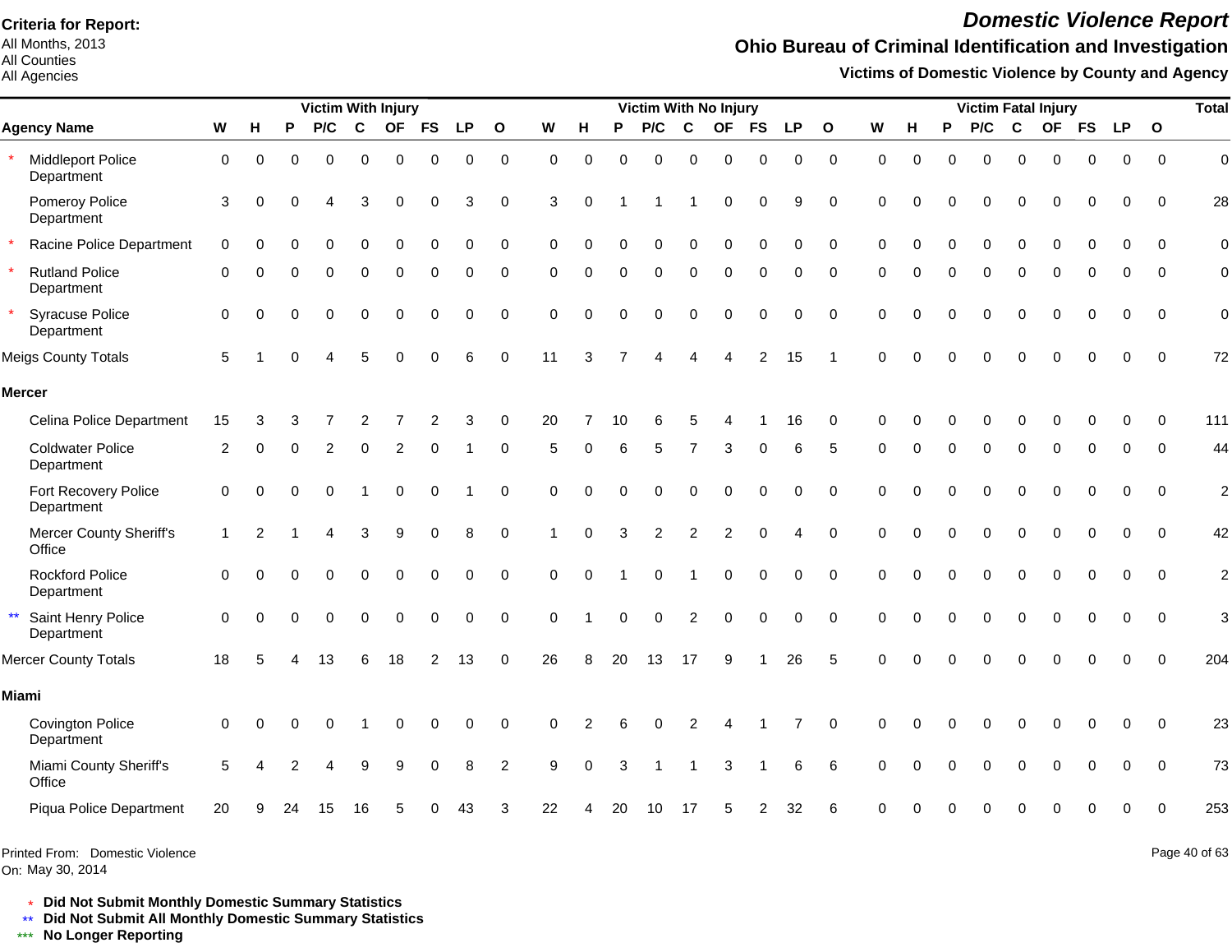All Months, 2013 All Counties

#### All Agencies

# *Domestic Violence Report*

## **Ohio Bureau of Criminal Identification and Investigation**

**Victims of Domestic Violence by County and Agency**

|                                       |              |          |          | <b>Victim With Injury</b> |          |           |                |           |              |              |          |          | Victim With No Injury |                |                |               |           |              |             |          |          |          |             | <b>Victim Fatal Injury</b> |             |             |              | <b>Total</b>   |
|---------------------------------------|--------------|----------|----------|---------------------------|----------|-----------|----------------|-----------|--------------|--------------|----------|----------|-----------------------|----------------|----------------|---------------|-----------|--------------|-------------|----------|----------|----------|-------------|----------------------------|-------------|-------------|--------------|----------------|
| <b>Agency Name</b>                    | W            | н        | P        | P/C                       | C        | <b>OF</b> | <b>FS</b>      | <b>LP</b> | $\mathbf{o}$ | W            | н        | P        | P/C                   | $\mathbf{C}$   | <b>OF</b>      | <b>FS</b>     | <b>LP</b> | $\mathbf{o}$ | W           | н        | P        | P/C      | C           |                            | OF FS       | <b>LP</b>   | $\mathbf{o}$ |                |
| Middleport Police<br>Department       | $\mathbf 0$  | $\Omega$ | $\Omega$ | 0                         | $\Omega$ | $\Omega$  | $\Omega$       | 0         | $\pmb{0}$    | $\Omega$     | $\Omega$ | $\Omega$ | $\Omega$              | $\Omega$       | $\Omega$       | $\mathbf 0$   | 0         | $\pmb{0}$    | $\mathbf 0$ | $\Omega$ | $\Omega$ | $\Omega$ | $\Omega$    | $\Omega$                   | $\mathbf 0$ | $\mathbf 0$ | $\mathbf 0$  | $\mathbf 0$    |
| Pomeroy Police<br>Department          | 3            |          |          |                           | З        |           |                | 3         | $\Omega$     | 3            | 0        |          |                       |                | $\Omega$       | $\mathbf 0$   | 9         | $\mathbf 0$  | $\Omega$    |          |          |          | n           |                            | $\Omega$    | 0           | $\Omega$     | 28             |
| Racine Police Department              | $\Omega$     |          |          | ი                         | $\Omega$ | $\Omega$  | $\Omega$       | 0         | $\Omega$     | <sup>0</sup> |          |          | $\Omega$              | $\mathbf 0$    | $\Omega$       | $\pmb{0}$     | 0         | $\mathbf 0$  | $\Omega$    | 0        | $\Omega$ | 0        | $\pmb{0}$   | $\Omega$                   | $\Omega$    | $\Omega$    | $\Omega$     | $\mathbf 0$    |
| <b>Rutland Police</b><br>Department   | $\Omega$     |          |          |                           |          | $\Omega$  | $\Omega$       | 0         | $\Omega$     | $\Omega$     |          | $\Omega$ | $\Omega$              | $\Omega$       | $\Omega$       | $\Omega$      | 0         | $\Omega$     | ∩           |          | $\Omega$ | $\Omega$ | $\Omega$    | $\Omega$                   | $\Omega$    | $\Omega$    | $\Omega$     | $\mathbf 0$    |
| <b>Syracuse Police</b><br>Department  | $\Omega$     |          |          | $\Omega$                  | $\Omega$ | $\Omega$  |                | 0         | $\Omega$     | $\Omega$     |          |          | 0                     | $\Omega$       | $\Omega$       | $\Omega$      | 0         | $\Omega$     | $\Omega$    |          |          | 0        | $\mathbf 0$ | $\Omega$                   | $\Omega$    | $\Omega$    | $\Omega$     | $\mathbf 0$    |
| <b>Meigs County Totals</b>            | 5            |          |          |                           |          |           |                | 6         | $\Omega$     | 11           | 3        |          |                       |                |                | $\mathcal{P}$ | 15        |              | $\Omega$    |          |          | $\Omega$ | $\Omega$    |                            | $\Omega$    | $\Omega$    | $\Omega$     | 72             |
| <b>Mercer</b>                         |              |          |          |                           |          |           |                |           |              |              |          |          |                       |                |                |               |           |              |             |          |          |          |             |                            |             |             |              |                |
| Celina Police Department              | 15           |          |          |                           |          |           |                | 3         | $\Omega$     | 20           |          |          |                       |                |                |               | 16        | O            |             |          |          |          |             |                            |             |             | $\Omega$     | 111            |
| <b>Coldwater Police</b><br>Department | 2            |          |          | 2                         | $\Omega$ | 2         | $\Omega$       |           | $\Omega$     | 5            | $\Omega$ |          | 5                     | $\overline{7}$ | 3              | $\Omega$      | 6         | 5            | $\Omega$    | O        | $\Omega$ | $\Omega$ | $\Omega$    | $\Omega$                   | $\Omega$    | $\Omega$    | $\Omega$     | 44             |
| Fort Recovery Police<br>Department    | $\mathbf 0$  | ∩        |          |                           |          | 0         |                |           | $\Omega$     | $\Omega$     | $\Omega$ |          | $\Omega$              | $\mathbf 0$    | 0              | $\mathbf 0$   | 0         | $\Omega$     | $\Omega$    |          |          | $\Omega$ | $\Omega$    | 0                          | $\Omega$    | 0           | $\Omega$     | $\overline{c}$ |
| Mercer County Sheriff's<br>Office     | $\mathbf{1}$ | 2        |          |                           | 3        | 9         | $\Omega$       | 8         | $\Omega$     |              | $\Omega$ | 3        | $\overline{2}$        | $\overline{2}$ | $\overline{2}$ | $\Omega$      | Δ         | $\Omega$     | $\Omega$    |          |          | $\Omega$ | $\Omega$    | $\Omega$                   | $\Omega$    | $\Omega$    | $\Omega$     | 42             |
| <b>Rockford Police</b><br>Department  | $\Omega$     |          |          | U                         | ∩        | O         | $\Omega$       | 0         | $\Omega$     | $\Omega$     | $\Omega$ |          | $\Omega$              |                | 0              | $\Omega$      | 0         | $\Omega$     | $\Omega$    | $\Omega$ | $\Omega$ | $\Omega$ | $\Omega$    | $\Omega$                   | $\Omega$    | $\Omega$    | $\Omega$     | $\overline{c}$ |
| Saint Henry Police<br>Department      | $\Omega$     |          |          | 0                         | $\Omega$ | $\Omega$  | $\Omega$       | 0         | $\mathbf 0$  | $\Omega$     |          | $\Omega$ | $\Omega$              | 2              | $\Omega$       | $\mathbf 0$   | 0         | $\mathbf 0$  | $\Omega$    | $\Omega$ | $\Omega$ | $\Omega$ | $\Omega$    | $\Omega$                   | $\mathbf 0$ | $\mathbf 0$ | $\mathbf 0$  | 3              |
| <b>Mercer County Totals</b>           | 18           | 5        |          | 13                        | 6        | 18        | $\overline{2}$ | 13        | $\mathbf 0$  | 26           | 8        | 20       | 13                    | 17             | 9              |               | 26        | 5            | $\Omega$    |          |          |          |             |                            | $\Omega$    | $\mathbf 0$ | $\Omega$     | 204            |
| <b>Miami</b>                          |              |          |          |                           |          |           |                |           |              |              |          |          |                       |                |                |               |           |              |             |          |          |          |             |                            |             |             |              |                |
| <b>Covington Police</b><br>Department | $\Omega$     |          |          | ი                         |          |           |                | 0         | $\Omega$     | ∩            |          |          |                       |                |                |               |           | $\Omega$     | ∩           |          |          | O        | O           |                            | $\Omega$    | $\Omega$    | $\Omega$     | 23             |
| Miami County Sheriff's<br>Office      | 5            |          |          |                           |          |           |                | 8         | 2            | 9            | 0        | 3        |                       |                | 3              |               | 6         | 6            | $\Omega$    |          |          |          | O           |                            | $\Omega$    | $\Omega$    | $\Omega$     | 73             |
| Piqua Police Department               | 20           |          | 24       | 15                        | 16       |           |                | 43        |              | 22           |          | 20       | 10                    | 17             |                |               | 32        | 6            |             |          |          |          |             |                            |             |             | $\Omega$     | 253            |
|                                       |              |          |          |                           |          |           |                |           |              |              |          |          |                       |                |                |               |           |              |             |          |          |          |             |                            |             |             |              |                |

Printed From: Domestic Violence

On: May 30, 2014

Page 40 of 63

\* **Did Not Submit Monthly Domestic Summary Statistics**

**Did Not Submit All Monthly Domestic Summary Statistics**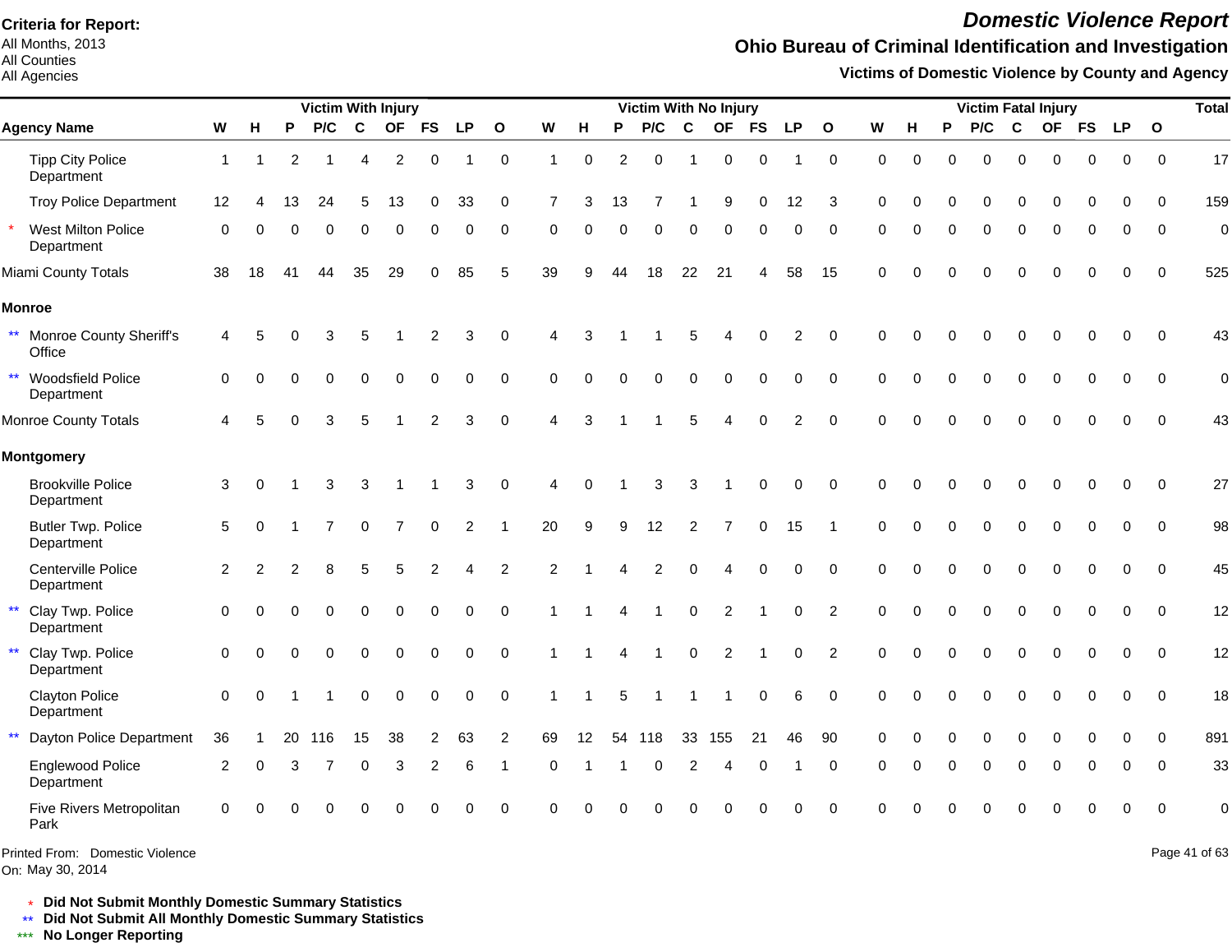All Months, 2013 All Counties

#### All Agencies

# *Domestic Violence Report*

### **Ohio Bureau of Criminal Identification and Investigation**

**Victims of Domestic Violence by County and Agency**

|              | Victim With Injury                      |                |          |    |                |                        |           |                |                |               |                |          |          |                |             | <b>Victim With No Injury</b> |             |                |                |          |          |          |          |          | <b>Victim Fatal Injury</b> |          |           |              | <b>Total</b>     |
|--------------|-----------------------------------------|----------------|----------|----|----------------|------------------------|-----------|----------------|----------------|---------------|----------------|----------|----------|----------------|-------------|------------------------------|-------------|----------------|----------------|----------|----------|----------|----------|----------|----------------------------|----------|-----------|--------------|------------------|
|              | <b>Agency Name</b>                      | W              | н        | P  | P/C            | C                      | <b>OF</b> | <b>FS</b>      | <b>LP</b>      | $\mathbf{o}$  | W              | н        | P        | P/C            | C           | <b>OF</b>                    | <b>FS</b>   | <b>LP</b>      | $\mathbf{o}$   | W        | н        | P        | P/C      | C        |                            | OF FS    | <b>LP</b> | $\mathbf{o}$ |                  |
|              | <b>Tipp City Police</b><br>Department   | $\mathbf{1}$   |          | 2  |                | $\boldsymbol{\Lambda}$ | 2         | $\Omega$       |                | $\mathbf 0$   |                | $\Omega$ | 2        | $\Omega$       |             | 0                            | $\Omega$    |                | $\mathbf 0$    | $\Omega$ | $\Omega$ | ∩        | $\Omega$ | $\Omega$ | $\Omega$                   | 0        | $\Omega$  | $\Omega$     | 17               |
|              | <b>Troy Police Department</b>           | 12             |          | 13 | 24             | 5                      | 13        | $\Omega$       | 33             | 0             |                | 3        | 13       |                |             | 9                            | 0           | 12             | 3              | $\Omega$ |          | ŋ        | $\Omega$ | 0        | 0                          | O        |           | $\Omega$     | 159              |
|              | West Milton Police<br>Department        | 0              |          |    | O              | ∩                      | 0         | $\Omega$       | 0              | $\Omega$      | $\Omega$       | O        | $\Omega$ | 0              | O           | O                            | 0           | 0              | $\Omega$       |          |          | $\Omega$ | $\Omega$ | $\Omega$ | $\Omega$                   | 0        | 0         | $\Omega$     | $\overline{0}$   |
|              | Miami County Totals                     | 38             | 18       | 41 | 44             | 35                     | 29        |                | 85             | 5             | 39             | 9        | 44       | 18             | 22          | 21                           |             | 58             | 15             | $\Omega$ |          |          | 0        | $\Omega$ | $\Omega$                   |          |           | $\Omega$     | 525              |
|              | <b>Monroe</b>                           |                |          |    |                |                        |           |                |                |               |                |          |          |                |             |                              |             |                |                |          |          |          |          |          |                            |          |           |              |                  |
| $***$        | Monroe County Sheriff's<br>Office       | 4              |          |    | 3              |                        |           | $\overline{2}$ | 3              | $\Omega$      |                |          |          |                | 5           |                              |             | 2              | $\Omega$       | $\Omega$ |          |          |          | O        |                            | U        | $\Omega$  | $\Omega$     | 43               |
| $\star\star$ | Woodsfield Police<br>Department         | $\Omega$       |          |    |                |                        | 0         | $\Omega$       | $\Omega$       | $\Omega$      | $\Omega$       | $\Omega$ | $\Omega$ | $\Omega$       | $\Omega$    | $\Omega$                     | $\Omega$    | $\Omega$       | $\Omega$       | $\Omega$ | $\Omega$ |          | $\Omega$ | $\Omega$ | $\Omega$                   | $\Omega$ | 0         | $\Omega$     | $\boldsymbol{0}$ |
|              | Monroe County Totals                    |                |          |    | 3              | 5                      |           | $\overline{c}$ | 3              | $\mathbf 0$   | $\Delta$       | 3        |          |                | 5           |                              | U           | $\mathfrak{p}$ | $\Omega$       | $\Omega$ |          |          |          |          |                            |          | $\Omega$  | $\Omega$     | 43               |
|              | <b>Montgomery</b>                       |                |          |    |                |                        |           |                |                |               |                |          |          |                |             |                              |             |                |                |          |          |          |          |          |                            |          |           |              |                  |
|              | <b>Brookville Police</b><br>Department  | $\mathbf{3}$   | ∩        |    | 3              | 3                      |           |                | 3              | $\mathbf 0$   |                |          |          | 3              | 3           |                              | $\mathbf 0$ | $\mathbf 0$    | $\mathbf 0$    | $\Omega$ |          |          | ∩        | $\Omega$ | ∩                          | 0        | $\Omega$  | $\Omega$     | 27               |
|              | <b>Butler Twp. Police</b><br>Department | 5              | ∩        |    |                | $\Omega$               |           | $\Omega$       | $\overline{2}$ |               | 20             | 9        | 9        | 12             | 2           |                              | $\mathbf 0$ | 15             |                | $\Omega$ |          | ∩        | $\Omega$ | $\Omega$ | $\Omega$                   | 0        | $\Omega$  | $\Omega$     | 98               |
|              | Centerville Police<br>Department        | $\overline{c}$ |          |    |                |                        |           |                |                | $\mathcal{P}$ | $\overline{2}$ |          |          | $\overline{2}$ | $\Omega$    |                              | $\Omega$    | $\Omega$       | $\Omega$       | $\Omega$ |          | ∩        | $\Omega$ | $\Omega$ | $\Omega$                   | $\Omega$ | $\Omega$  | $\Omega$     | 45               |
|              | Clay Twp. Police<br>Department          | 0              |          |    |                |                        |           | $\Omega$       | 0              | $\Omega$      |                |          |          |                | $\pmb{0}$   | $\overline{c}$               |             | $\mathbf 0$    | $\overline{2}$ | $\Omega$ |          |          | $\Omega$ | $\Omega$ | $\Omega$                   |          |           | $\Omega$     | 12               |
|              | Clay Twp. Police<br>Department          | $\Omega$       |          |    |                | $\Omega$               | 0         | $\Omega$       | $\Omega$       | $\Omega$      |                |          |          |                | $\mathbf 0$ | $\overline{2}$               |             | $\Omega$       | $\overline{2}$ | $\Omega$ |          |          | $\Omega$ | $\Omega$ | $\Omega$                   | 0        | $\Omega$  | $\Omega$     | 12               |
|              | <b>Clayton Police</b><br>Department     | $\Omega$       | $\Omega$ |    |                | $\Omega$               | 0         | $\Omega$       | $\Omega$       | $\Omega$      |                |          | 5        |                |             |                              | $\Omega$    | 6              | $\Omega$       | $\Omega$ |          | ŋ        | $\Omega$ | $\Omega$ | $\Omega$                   | 0        | $\Omega$  | $\Omega$     | 18               |
| $\star\star$ | Dayton Police Department                | 36             |          | 20 | 116            | 15                     | 38        | 2              | 63             | 2             | 69             | 12       | 54       | 118            | 33          | 155                          | 21          | 46             | 90             | $\Omega$ |          |          | $\Omega$ | $\Omega$ | $\Omega$                   | O        | $\Omega$  | $\Omega$     | 891              |
|              | Englewood Police<br>Department          | 2              | 0        | 3  | $\overline{7}$ | $\Omega$               | 3         | 2              | 6              | -1            | $\Omega$       |          |          | $\Omega$       | 2           | Δ                            | $\Omega$    |                | $\Omega$       | ∩        |          | 0        | $\Omega$ | 0        | ∩                          | O        | ∩         | $\Omega$     | 33               |
|              | Five Rivers Metropolitan<br>Park        | 0              |          |    |                |                        |           |                |                | $\Omega$      | ∩              |          |          |                |             |                              |             | $\Omega$       | $\Omega$       |          |          |          |          | ⋂        | ∩                          | U        | ∩         | $\Omega$     | $\overline{0}$   |

Printed From: Domestic Violence

On: May 30, 2014

Page 41 of 63

\* **Did Not Submit Monthly Domestic Summary Statistics**

**Did Not Submit All Monthly Domestic Summary Statistics**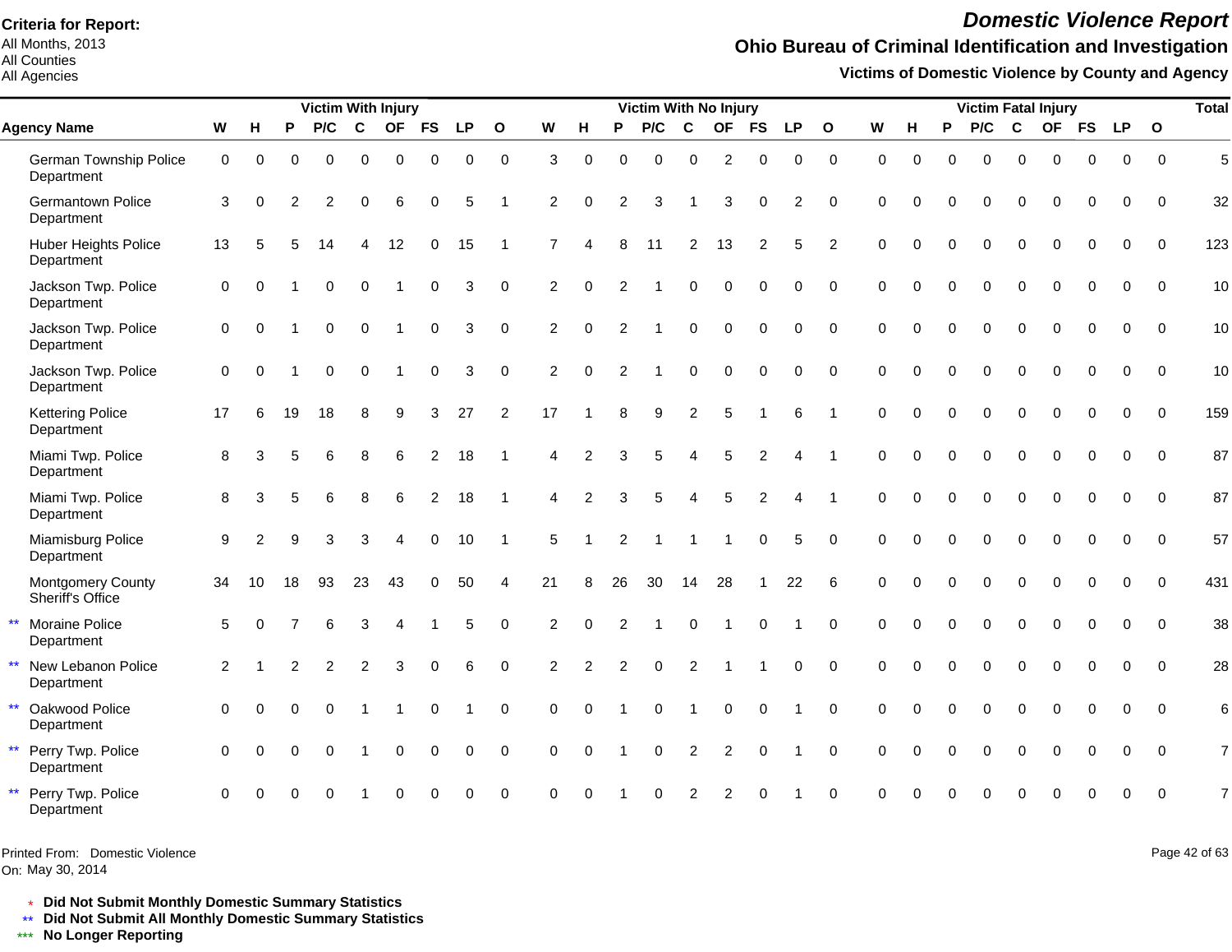All Months, 2013 All Counties

#### All Agencies

## *Domestic Violence Report*

## **Ohio Bureau of Criminal Identification and Investigation**

**Victims of Domestic Violence by County and Agency**

|                                                  |                     |                |          | <b>Victim With Injury</b> |             |                          |                |           |                |                |                |                | <b>Victim With No Injury</b> |                |                |             |                |              |             |          |          | <b>Victim Fatal Injury</b> |             |             |              |             |              | <b>Total</b> |
|--------------------------------------------------|---------------------|----------------|----------|---------------------------|-------------|--------------------------|----------------|-----------|----------------|----------------|----------------|----------------|------------------------------|----------------|----------------|-------------|----------------|--------------|-------------|----------|----------|----------------------------|-------------|-------------|--------------|-------------|--------------|--------------|
| <b>Agency Name</b>                               | W                   | H              | P        | P/C                       | C           | <b>OF</b>                | <b>FS</b>      | <b>LP</b> | $\mathbf{o}$   | W              | н              | P              | P/C                          | C              | <b>OF</b>      | <b>FS</b>   | <b>LP</b>      | $\mathbf{o}$ | W           | H        | P        | P/C                        | $\mathbf c$ |             | OF FS        | <b>LP</b>   | $\mathbf{o}$ |              |
| German Township Police<br>Department             | 0                   | 0              | 0        | $\mathbf 0$               | $\mathbf 0$ | $\mathbf 0$              | $\mathbf 0$    | 0         | $\mathbf 0$    | 3              | $\Omega$       | $\Omega$       | $\Omega$                     | $\mathbf 0$    | $\overline{c}$ | $\mathbf 0$ | 0              | $\mathbf 0$  | $\mathbf 0$ | 0        | $\Omega$ | $\Omega$                   | $\mathbf 0$ | 0           | $\mathbf 0$  | $\mathbf 0$ | $\Omega$     | 5            |
| Germantown Police<br>Department                  | 3                   | $\mathbf 0$    | 2        | $\overline{c}$            | 0           | 6                        | 0              | 5         | -1             | $\overline{2}$ | $\Omega$       | 2              | 3                            |                | 3              | $\mathbf 0$ | $\overline{c}$ | $\mathbf 0$  | $\Omega$    | O        | $\Omega$ | 0                          | $\mathbf 0$ | $\Omega$    | 0            | $\Omega$    | $\Omega$     | 32           |
| <b>Huber Heights Police</b><br>Department        | 13                  | 5              |          | 14                        | 4           | 12                       | 0              | 15        | -1             | 7              | Δ              | 8              | 11                           | 2              | 13             | 2           | 5              | 2            | $\Omega$    | $\Omega$ | $\Omega$ | $\Omega$                   | $\Omega$    | $\Omega$    | $\Omega$     | $\Omega$    | $\Omega$     | 123          |
| Jackson Twp. Police<br>Department                | $\mathbf 0$         | $\Omega$       |          | $\Omega$                  | $\Omega$    |                          | $\Omega$       | 3         | $\Omega$       | 2              | $\Omega$       | 2              |                              | $\Omega$       | $\Omega$       | $\Omega$    | $\Omega$       | $\Omega$     | $\Omega$    | $\Omega$ | $\Omega$ | $\Omega$                   | $\Omega$    | $\Omega$    | $\Omega$     | $\Omega$    | $\Omega$     | 10           |
| Jackson Twp. Police<br>Department                | $\mathsf{O}\xspace$ | $\Omega$       |          | $\Omega$                  | $\Omega$    |                          | $\mathbf 0$    | 3         | $\Omega$       | 2              | $\Omega$       | 2              |                              | $\Omega$       | $\Omega$       | $\Omega$    | $\Omega$       | $\Omega$     | $\Omega$    | $\Omega$ | $\Omega$ | $\Omega$                   | $\Omega$    | $\Omega$    | $\mathbf{0}$ | $\Omega$    | $\Omega$     | 10           |
| Jackson Twp. Police<br>Department                | 0                   | $\Omega$       |          | $\Omega$                  | $\Omega$    |                          | $\Omega$       | 3         | $\Omega$       | 2              | $\Omega$       | $\mathcal{P}$  |                              | $\Omega$       | $\Omega$       | $\mathbf 0$ | 0              | $\mathbf 0$  | $\Omega$    | $\Omega$ | $\Omega$ | $\Omega$                   | $\Omega$    | $\Omega$    | $\Omega$     | $\Omega$    | $\Omega$     | 10           |
| <b>Kettering Police</b><br>Department            | 17                  | 6              | 19       | 18                        | 8           | 9                        | 3              | 27        | 2              | 17             |                | 8              | 9                            | 2              | 5              |             | 6              | -1           | $\Omega$    | $\Omega$ | $\Omega$ | $\Omega$                   | $\Omega$    | $\Omega$    | $\Omega$     | $\Omega$    | $\Omega$     | 159          |
| Miami Twp. Police<br>Department                  | 8                   | 3              |          | 6                         | 8           | 6                        | $\overline{2}$ | 18        |                | 4              | 2              | 3              | 5                            | Δ              | 5              | 2           |                |              | $\Omega$    | $\Omega$ | $\Omega$ | $\Omega$                   | $\Omega$    | $\Omega$    | $\Omega$     | $\Omega$    | $\Omega$     | 87           |
| Miami Twp. Police<br>Department                  | 8                   | 3              |          | 6                         | 8           | 6                        | 2              | 18        |                | 4              | 2              | 3              | 5                            | $\overline{4}$ | 5              | 2           |                |              | $\Omega$    | $\Omega$ | $\Omega$ | $\Omega$                   | $\Omega$    | $\Omega$    | $\Omega$     | $\Omega$    | $\Omega$     | 87           |
| Miamisburg Police<br>Department                  | 9                   | $\overline{2}$ | 9        | 3                         | 3           | Δ                        | $\mathbf 0$    | 10        | $\overline{1}$ | 5              |                | $\overline{2}$ | -1                           | -1             | -1             | $\mathbf 0$ | 5              | $\Omega$     | $\Omega$    | $\Omega$ | $\Omega$ | $\Omega$                   | $\Omega$    | $\Omega$    | $\mathbf{0}$ | $\Omega$    | $\Omega$     | 57           |
| Montgomery County<br>Sheriff's Office            | 34                  | 10             | 18       | 93                        | 23          | 43                       | 0              | 50        | 4              | 21             | 8              | 26             | 30                           | 14             | 28             |             | 22             | 6            | $\Omega$    | $\Omega$ | $\Omega$ | $\mathbf 0$                | $\mathbf 0$ | $\Omega$    | $\Omega$     | $\Omega$    | $\Omega$     | 431          |
| $\star\star$<br>Moraine Police<br>Department     | 5                   | $\Omega$       |          | 6                         | 3           | $\boldsymbol{\varDelta}$ |                | 5         | $\Omega$       | 2              | $\Omega$       | 2              |                              | $\Omega$       | $\overline{1}$ | $\Omega$    |                | $\Omega$     | $\Omega$    | $\Omega$ | $\Omega$ | $\Omega$                   | $\Omega$    | $\Omega$    | $\Omega$     | $\Omega$    | $\Omega$     | 38           |
| $\star\star$<br>New Lebanon Police<br>Department | 2                   |                |          | 2                         | 2           | 3                        | $\Omega$       |           | $\Omega$       | 2              | $\mathfrak{p}$ | 2              | $\Omega$                     | $\overline{2}$ |                |             | $\Omega$       | $\Omega$     | $\Omega$    | $\Omega$ | $\Omega$ | $\Omega$                   | $\Omega$    | $\Omega$    | $\Omega$     | $\Omega$    | $\Omega$     | 28           |
| $\star\star$<br>Oakwood Police<br>Department     | 0                   | $\Omega$       | $\Omega$ | $\Omega$                  |             |                          | 0              |           | $\Omega$       | $\Omega$       | $\Omega$       |                | $\Omega$                     | $\overline{1}$ | $\mathbf 0$    | $\Omega$    |                | $\Omega$     | $\Omega$    | $\Omega$ | $\Omega$ | $\Omega$                   | $\Omega$    | $\Omega$    | $\Omega$     | $\Omega$    | $\Omega$     | 6            |
| $\star\star$<br>Perry Twp. Police<br>Department  | 0                   | $\Omega$       | $\Omega$ | $\mathbf 0$               | -1          | 0                        | $\mathbf 0$    | 0         | $\overline{0}$ | 0              | $\Omega$       |                | $\mathbf 0$                  | $\overline{c}$ | $\overline{c}$ | $\mathbf 0$ |                | $\mathbf 0$  | $\mathbf 0$ | $\Omega$ | $\Omega$ | $\Omega$                   | $\mathbf 0$ | $\mathbf 0$ | $\mathbf 0$  | $\mathbf 0$ | $\mathbf 0$  | 7            |
| $\star\star$<br>Perry Twp. Police<br>Department  | 0                   |                |          |                           |             |                          |                | 0         | $\Omega$       |                |                |                |                              |                |                |             |                | $\Omega$     |             |          |          |                            |             |             | 0            | $\Omega$    | $\Omega$     |              |

Printed From: Domestic Violence

On: May 30, 2014

Page 42 of 63

\* **Did Not Submit Monthly Domestic Summary Statistics**

**Did Not Submit All Monthly Domestic Summary Statistics**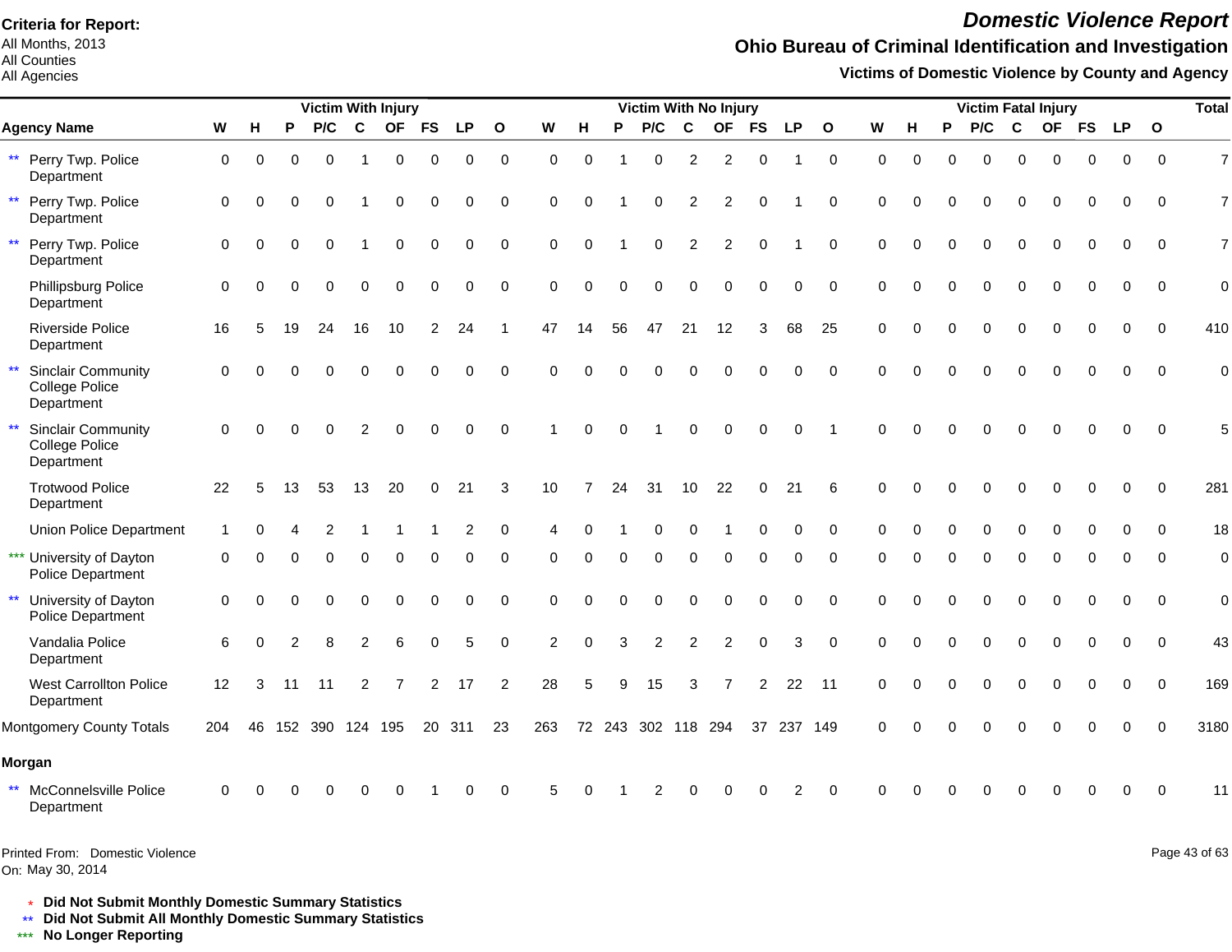All Months, 2013 All Counties

All Agencies

# *Domestic Violence Report*

## **Ohio Bureau of Criminal Identification and Investigation**

**Victims of Domestic Violence by County and Agency**

|              |                                                           |                     |          |    |          |             | <b>Victim With Injury</b> |           |                |                |                |          |          |                    |               | Victim With No Injury |                |          |              |          |          |          | <b>Victim Fatal Injury</b> |             |           |           |           |              | <b>Total</b> |
|--------------|-----------------------------------------------------------|---------------------|----------|----|----------|-------------|---------------------------|-----------|----------------|----------------|----------------|----------|----------|--------------------|---------------|-----------------------|----------------|----------|--------------|----------|----------|----------|----------------------------|-------------|-----------|-----------|-----------|--------------|--------------|
|              | <b>Agency Name</b>                                        | W                   | Н        | P  | P/C      | $\mathbf c$ | <b>OF</b>                 | <b>FS</b> | <b>LP</b>      | $\mathbf{o}$   | W              | н        | P        | P/C                | C             | <b>OF</b>             | <b>FS</b>      | LP       | $\mathbf{o}$ | W        | н        | P        | P/C                        | $\mathbf c$ | <b>OF</b> | <b>FS</b> | <b>LP</b> | $\mathbf{o}$ |              |
| $\star\star$ | Perry Twp. Police<br>Department                           | $\mathbf 0$         | $\Omega$ | 0  | $\Omega$ |             | $\mathbf 0$               | $\Omega$  | $\Omega$       | $\mathbf 0$    | $\Omega$       | $\Omega$ |          | 0                  | 2             | 2                     | $\Omega$       |          | $\mathbf 0$  | $\Omega$ | $\Omega$ | $\Omega$ | $\Omega$                   | $\Omega$    | $\Omega$  | $\Omega$  | $\Omega$  | $\Omega$     | 7            |
| $\star\star$ | Perry Twp. Police<br>Department                           | $\mathbf 0$         | $\Omega$ |    | $\Omega$ |             | $\Omega$                  | $\Omega$  | $\Omega$       | $\mathbf 0$    | $\Omega$       | $\Omega$ |          | 0                  | 2             | $\mathfrak{p}$        |                |          | $\Omega$     | $\Omega$ |          |          | $\Omega$                   | $\Omega$    | O         | 0         | $\Omega$  | $\Omega$     | 7            |
| $\star\star$ | Perry Twp. Police<br>Department                           | $\mathbf 0$         | $\Omega$ | 0  | $\Omega$ |             | ∩                         | $\Omega$  | $\Omega$       | $\Omega$       | $\Omega$       | $\Omega$ |          | 0                  | 2             | 2                     |                |          | $\Omega$     | $\Omega$ | O        | ∩        | O                          | $\Omega$    | $\Omega$  | $\Omega$  | $\Omega$  | $\Omega$     | 7            |
|              | Phillipsburg Police<br>Department                         | $\mathbf 0$         | $\Omega$ |    | $\Omega$ | $\Omega$    | $\Omega$                  | $\Omega$  | $\Omega$       | $\mathbf 0$    | $\Omega$       | $\Omega$ | $\Omega$ | $\Omega$           | $\Omega$      | $\Omega$              | $\Omega$       | 0        | $\Omega$     | $\Omega$ | $\Omega$ |          | $\Omega$                   | $\Omega$    | $\Omega$  | $\Omega$  | $\Omega$  | $\Omega$     | $\mathbf 0$  |
|              | <b>Riverside Police</b><br>Department                     | 16                  | 5        | 19 | 24       | 16          | 10                        | 2         | 24             |                | 47             | 14       | 56       | 47                 | 21            | 12                    | 3              | 68       | 25           | $\Omega$ | 0        | $\Omega$ | O                          | $\Omega$    | $\Omega$  | $\Omega$  | ∩         | $\Omega$     | 410          |
| $\star\star$ | <b>Sinclair Community</b><br>College Police<br>Department | $\Omega$            |          |    |          |             |                           |           | $\Omega$       | $\Omega$       | $\Omega$       |          |          |                    |               |                       |                | $\Omega$ | $\Omega$     | $\Omega$ |          |          |                            |             |           |           | $\Omega$  | $\Omega$     |              |
| $\star\star$ | <b>Sinclair Community</b><br>College Police<br>Department | $\Omega$            |          |    |          |             |                           |           |                | $\Omega$       |                | $\Omega$ |          |                    |               |                       |                | $\Omega$ |              | $\Omega$ |          |          |                            |             |           |           | $\Omega$  |              |              |
|              | <b>Trotwood Police</b><br>Department                      | 22                  | 5        | 13 | 53       | 13          | 20                        | $\Omega$  | 21             | 3              | 10             |          | 24       | 31                 | 10            | 22                    | 0              | 21       | 6            | $\Omega$ |          |          |                            |             |           | U         | $\Omega$  | $\Omega$     | 281          |
|              | <b>Union Police Department</b>                            |                     |          |    |          |             |                           |           | $\overline{c}$ | $\mathbf 0$    |                | $\Omega$ |          | 0                  | $\Omega$      |                       |                | 0        | $\Omega$     | $\Omega$ |          |          | 0                          | $\mathbf 0$ | $\Omega$  | $\Omega$  | $\Omega$  | $\Omega$     | 18           |
|              | *** University of Dayton<br>Police Department             | $\Omega$            |          |    |          |             | O                         |           |                | $\Omega$       | O              | O        | ∩        | 0                  | ∩             | O                     |                |          | $\Omega$     |          |          |          | O                          | $\Omega$    | $\Omega$  | O         | $\Omega$  | <sup>0</sup> | $\mathbf 0$  |
| $\star\star$ | University of Dayton<br>Police Department                 | $\mathsf{O}\xspace$ |          |    |          | $\Omega$    | $\Omega$                  | $\Omega$  | $\Omega$       | $\mathbf 0$    | $\Omega$       | $\Omega$ | $\Omega$ | O                  |               | $\Omega$              | $\Omega$       | $\Omega$ | $\Omega$     | $\Omega$ | $\Omega$ |          | $\Omega$                   | $\Omega$    | $\Omega$  | $\Omega$  | $\Omega$  | $\Omega$     | $\mathbf 0$  |
|              | Vandalia Police<br>Department                             | 6                   |          |    |          | 2           | 6                         |           | 5              | $\Omega$       | $\overline{2}$ | $\Omega$ | 3        | $\overline{2}$     | $\mathcal{P}$ | 2                     |                | 3        | $\Omega$     | $\Omega$ |          |          |                            |             |           | O         | $\Omega$  | $\Omega$     | 43           |
|              | <b>West Carrollton Police</b><br>Department               | 12                  | 3        | 11 | 11       | 2           |                           | 2         | 17             | $\overline{2}$ | 28             | 5        | я        | 15                 | 3             |                       | $\overline{2}$ | 22       | 11           | $\Omega$ |          | 0        | $\Omega$                   | $\Omega$    | $\Omega$  | 0         | $\Omega$  | $\Omega$     | 169          |
|              | Montgomery County Totals                                  | 204                 | 46       |    | 152 390  | 124 195     |                           | 20        | 311            | 23             | 263            |          |          | 72 243 302 118 294 |               |                       | 37             | 237 149  |              | $\Omega$ |          |          |                            |             |           |           | ∩         |              | 3180         |
|              | Morgan                                                    |                     |          |    |          |             |                           |           |                |                |                |          |          |                    |               |                       |                |          |              |          |          |          |                            |             |           |           |           |              |              |
| $\star\star$ | McConnelsville Police<br>Department                       | $\Omega$            |          |    |          |             |                           |           |                |                |                |          |          |                    |               |                       |                |          |              |          |          |          |                            |             |           |           |           |              | 11           |

On: May 30, 2014 Printed From: Domestic Violence Page 43 of 63

\* **Did Not Submit Monthly Domestic Summary Statistics**

**Did Not Submit All Monthly Domestic Summary Statistics**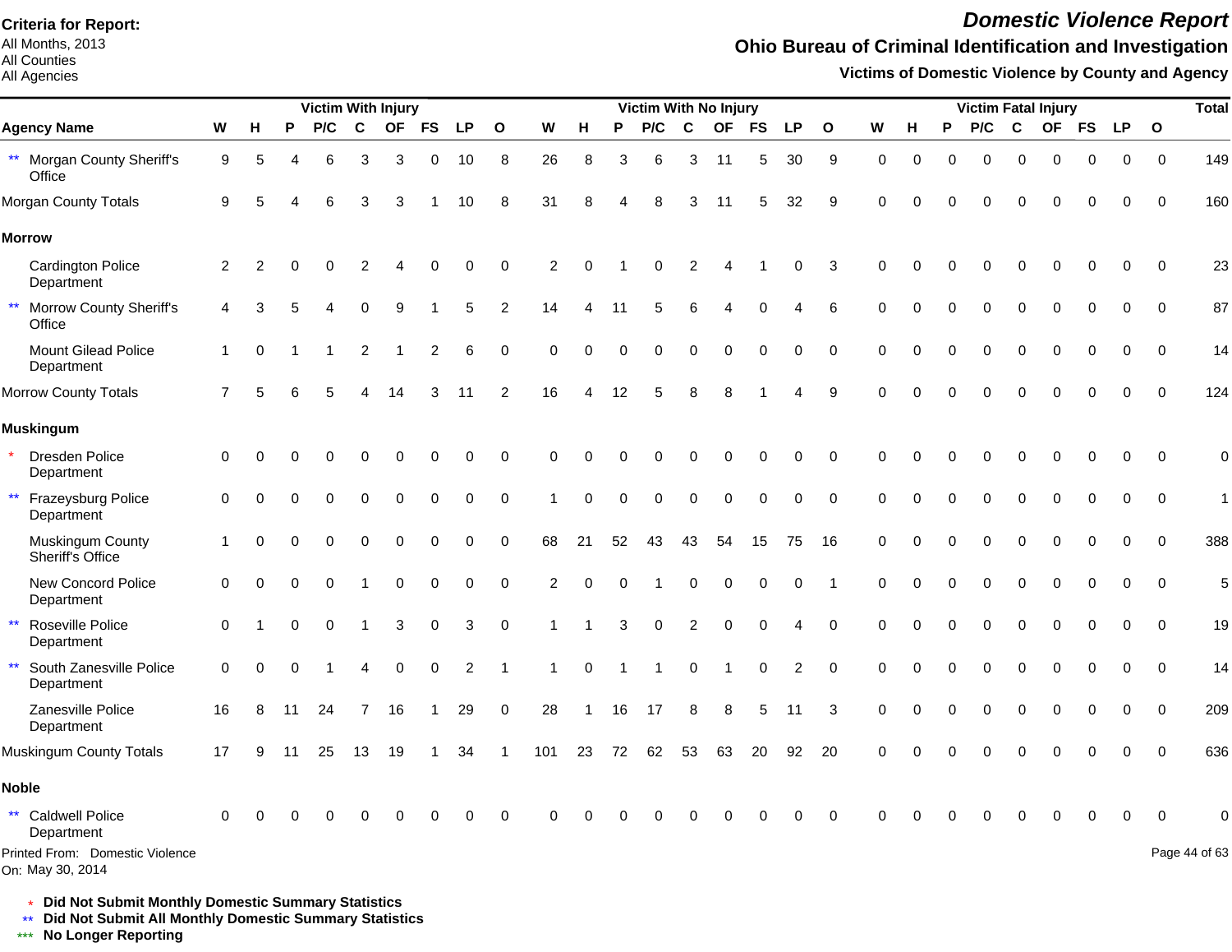All Months, 2013 All Counties

#### All Agencies

## *Domestic Violence Report*

## **Ohio Bureau of Criminal Identification and Investigation**

**Victims of Domestic Violence by County and Agency**

| <b>Victim With Injury</b>                             |             |          |    |          |          |           |                         |             |                |                | Victim With No Injury |          |          |                |                |             |                |                |             | <b>Victim Fatal Injury</b> |          |     |          |           |           | <b>Total</b> |              |               |
|-------------------------------------------------------|-------------|----------|----|----------|----------|-----------|-------------------------|-------------|----------------|----------------|-----------------------|----------|----------|----------------|----------------|-------------|----------------|----------------|-------------|----------------------------|----------|-----|----------|-----------|-----------|--------------|--------------|---------------|
| <b>Agency Name</b>                                    | W           | H        | P  | P/C      | C        | <b>OF</b> | <b>FS</b>               | <b>LP</b>   | $\mathbf{o}$   | W              | н                     | P        | P/C      | C              | <b>OF</b>      | <b>FS</b>   | <b>LP</b>      | $\mathbf{o}$   | W           | н                          | P        | P/C | C        | <b>OF</b> | <b>FS</b> | <b>LP</b>    | $\mathbf{o}$ |               |
| ** Morgan County Sheriff's<br>Office                  | 9           | 5        |    | 6        | 3        | 3         | 0                       | 10          | 8              | 26             | 8                     | 3        | 6        | 3              | 11             | 5           | 30             | 9              | $\mathbf 0$ | $\mathbf 0$                | $\Omega$ | 0   | $\Omega$ | O         | ∩         | 0            | $\mathbf 0$  | 149           |
| Morgan County Totals                                  | 9           |          |    |          | 3        | З         |                         | 10          | 8              | 31             | 8                     |          |          | 3              | 11             | 5           | 32             | 9              | $\Omega$    |                            |          |     |          |           |           | 0            | $\Omega$     | 160           |
| <b>Morrow</b>                                         |             |          |    |          |          |           |                         |             |                |                |                       |          |          |                |                |             |                |                |             |                            |          |     |          |           |           |              |              |               |
| <b>Cardington Police</b><br>Department                | 2           | 2        |    |          |          |           |                         | O           | 0              | 2              | $\Omega$              |          |          |                |                |             | 0              | 3              | $\Omega$    | $\Omega$                   |          |     |          |           |           | 0            | $\mathbf 0$  | 23            |
| $\star\star$<br>Morrow County Sheriff's<br>Office     | 4           |          |    |          | O        | 9         |                         | 5           | $\overline{c}$ | 14             | Δ                     | 11       |          | 6              |                | O           |                | 6              | ∩           | O                          |          |     |          |           |           | 0            | $\mathbf 0$  | 87            |
| Mount Gilead Police<br>Department                     | $\mathbf 1$ | $\Omega$ |    |          | 2        |           | $\overline{\mathbf{c}}$ | 6           | $\mathbf 0$    | $\Omega$       | $\Omega$              |          |          |                | C              | $\Omega$    | $\Omega$       | $\Omega$       | $\Omega$    | O                          |          |     |          |           |           | 0            | $\Omega$     | 14            |
| Morrow County Totals                                  | 7           |          |    |          |          |           | 3                       | 11          | $\overline{2}$ | 16             |                       | 12       |          |                |                |             |                | 9              | $\Omega$    |                            |          |     |          |           |           | 0            | $\Omega$     | 124           |
| <b>Muskingum</b>                                      |             |          |    |          |          |           |                         |             |                |                |                       |          |          |                |                |             |                |                |             |                            |          |     |          |           |           |              |              |               |
| <b>Dresden Police</b><br>Department                   | 0           |          |    |          | 0        | 0         | 0                       | 0           | $\mathbf 0$    | $\Omega$       | $\Omega$              |          |          |                | $\Omega$       | 0           | $\mathbf 0$    | $\mathbf 0$    | $\Omega$    | $\Omega$                   |          | ი   |          | O         |           | 0            | $\Omega$     | $\mathbf 0$   |
| Frazeysburg Police<br>$\star\star$<br>Department      | $\Omega$    | $\Omega$ | 0  | $\Omega$ | $\Omega$ | $\Omega$  | 0                       | 0           | $\mathbf 0$    |                | $\Omega$              | $\Omega$ | $\Omega$ | $\Omega$       | $\Omega$       | $\mathbf 0$ | $\mathbf 0$    | $\mathbf 0$    | $\Omega$    | $\Omega$                   |          | 0   | $\Omega$ | $\Omega$  |           | 0            | $\mathbf 0$  | $\mathbf{1}$  |
| Muskingum County<br>Sheriff's Office                  |             | 0        |    |          | 0        | 0         | 0                       | 0           | 0              | 68             | 21                    | 52       | 43       | 43             | 54             | 15          | 75             | 16             | $\Omega$    | $\Omega$                   |          | 0   | $\Omega$ | $\Omega$  |           | 0            | $\mathbf 0$  | 388           |
| New Concord Police<br>Department                      | $\mathbf 0$ | $\Omega$ |    |          |          | 0         | 0                       | $\mathbf 0$ | $\pmb{0}$      | $\overline{2}$ | $\Omega$              |          |          | $\Omega$       | $\Omega$       | $\mathbf 0$ | 0              | $\overline{1}$ | $\mathbf 0$ | $\Omega$                   | $\Omega$ | 0   | $\Omega$ | $\Omega$  | $\Omega$  | $\mathbf 0$  | $\mathbf 0$  | 5             |
| $\star\star$<br>Roseville Police<br>Department        | $\Omega$    |          |    | $\Omega$ |          | 3         | 0                       | 3           | $\pmb{0}$      |                |                       | 3        | $\Omega$ | $\overline{2}$ | $\overline{0}$ | $\mathbf 0$ | 4              | $\mathbf 0$    | $\mathbf 0$ | $\Omega$                   |          | 0   | $\Omega$ | $\Omega$  |           | 0            | $\mathbf 0$  | 19            |
| South Zanesville Police<br>$\star\star$<br>Department | $\mathbf 0$ | $\Omega$ |    |          | Δ        | 0         | $\Omega$                | 2           | -1             |                | $\Omega$              |          |          | 0              |                | $\mathbf 0$ | $\overline{c}$ | $\mathbf 0$    | $\Omega$    | $\Omega$                   |          | 0   | $\Omega$ | $\Omega$  |           | 0            | $\mathbf 0$  | 14            |
| Zanesville Police<br>Department                       | 16          | 8        | 11 | 24       | 7        | 16        |                         | 29          | 0              | 28             |                       | 16       | 17       | 8              | 8              | 5           | 11             | 3              | 0           | O                          |          | 0   | 0        | O         |           | 0            | $\mathbf 0$  | 209           |
| Muskingum County Totals                               | 17          | 9        | 11 | 25       | 13       | 19        |                         | 34          |                | 101            | 23                    | 72       | 62       | 53             | 63             | 20          | 92             | 20             | $\Omega$    | ∩                          |          | U   | ∩        |           |           | 0            | $\Omega$     | 636           |
| <b>Noble</b>                                          |             |          |    |          |          |           |                         |             |                |                |                       |          |          |                |                |             |                |                |             |                            |          |     |          |           |           |              |              |               |
| ** Caldwell Police<br>Department                      | $\Omega$    |          |    |          |          |           |                         |             | $\Omega$       | U              |                       |          |          |                |                |             | U              | $\Omega$       | ∩           |                            |          |     |          |           |           | U            | $\Omega$     |               |
| Printed From: Domestic Violence<br>On: May 30, 2014   |             |          |    |          |          |           |                         |             |                |                |                       |          |          |                |                |             |                |                |             |                            |          |     |          |           |           |              |              | Page 44 of 63 |

\* **Did Not Submit Monthly Domestic Summary Statistics**

**Did Not Submit All Monthly Domestic Summary Statistics**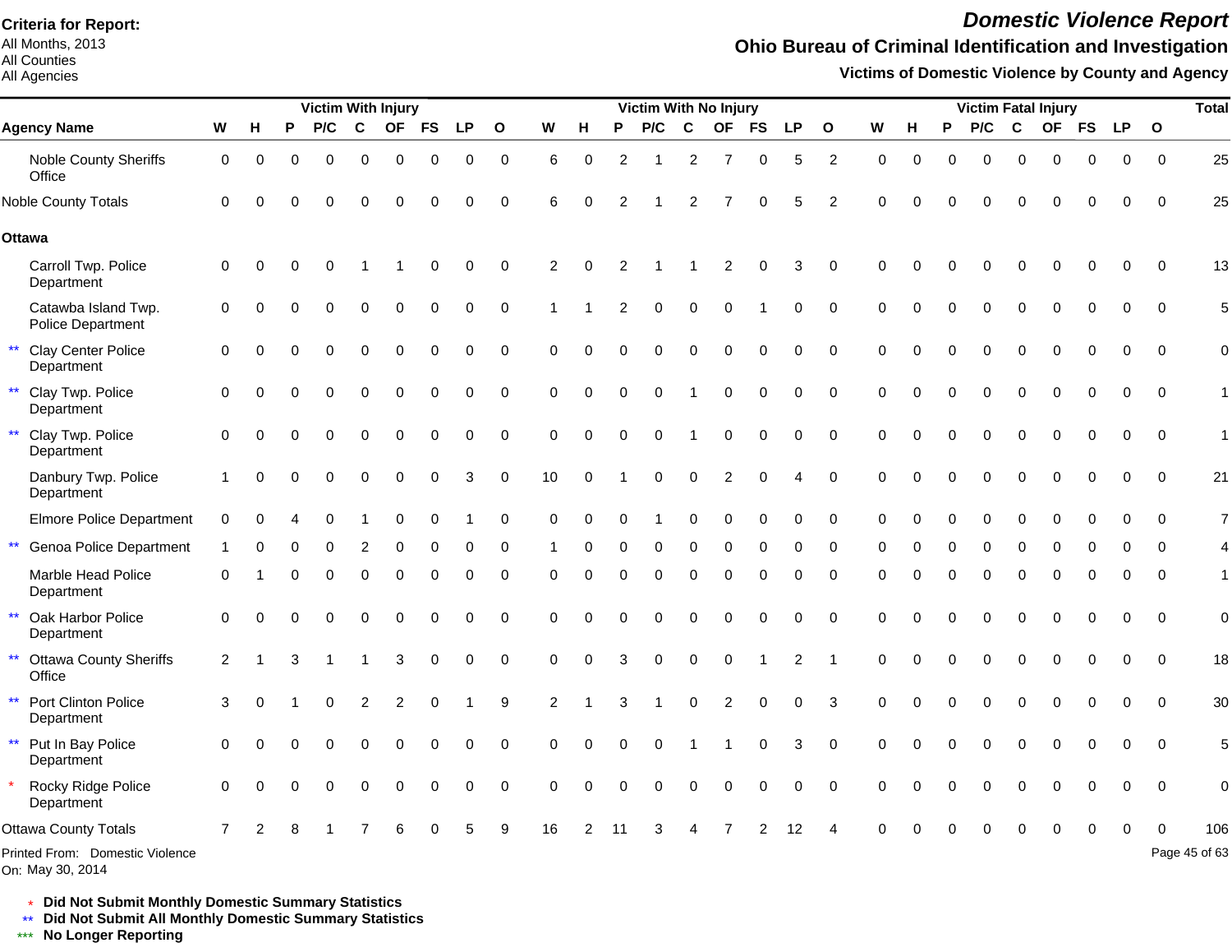All Months, 2013 All Counties

All Agencies

## *Domestic Violence Report*

## **Ohio Bureau of Criminal Identification and Investigation**

**Victims of Domestic Violence by County and Agency**

|                                                         |                |          |   | <b>Victim With Injury</b> |          |           |           |           |              |                |          |               | Victim With No Injury |                |                |           |           |                |             |   |          | <b>Victim Fatal Injury</b> |          |           |           |           |              | <b>Total</b>  |
|---------------------------------------------------------|----------------|----------|---|---------------------------|----------|-----------|-----------|-----------|--------------|----------------|----------|---------------|-----------------------|----------------|----------------|-----------|-----------|----------------|-------------|---|----------|----------------------------|----------|-----------|-----------|-----------|--------------|---------------|
| <b>Agency Name</b>                                      | W              | н        | P | P/C                       | C        | <b>OF</b> | <b>FS</b> | <b>LP</b> | $\mathbf{o}$ | W              | н        | P             | P/C                   | C              | <b>OF</b>      | <b>FS</b> | <b>LP</b> | $\mathbf{o}$   | W           | н | P        | P/C                        | C        | <b>OF</b> | <b>FS</b> | <b>LP</b> | $\mathbf{o}$ |               |
| Noble County Sheriffs<br>Office                         | 0              | $\Omega$ | 0 | $\Omega$                  | $\Omega$ | $\Omega$  | 0         | 0         | $\mathbf 0$  | 6              | 0        | 2             |                       | $\overline{2}$ | $\overline{7}$ | $\Omega$  | 5         | $\overline{c}$ | $\mathbf 0$ | 0 | $\Omega$ | $\Omega$                   | $\Omega$ | 0         | 0         | 0         | $\mathbf 0$  | 25            |
| <b>Noble County Totals</b>                              | $\Omega$       |          |   | O                         | O        | O         | $\Omega$  | $\Omega$  | 0            | 6              | ∩        | $\mathcal{P}$ |                       | 2              |                | $\Omega$  | 5         | 2              | $\Omega$    |   |          |                            | O        | $\Omega$  | $\Omega$  | $\Omega$  | $\Omega$     | 25            |
| Ottawa                                                  |                |          |   |                           |          |           |           |           |              |                |          |               |                       |                |                |           |           |                |             |   |          |                            |          |           |           |           |              |               |
| Carroll Twp. Police<br>Department                       | $\mathbf 0$    | $\Omega$ | O |                           |          |           | ∩         | $\Omega$  | $\mathbf 0$  | $\overline{2}$ | $\Omega$ |               |                       |                | 2              | $\Omega$  | 3         | $\Omega$       | $\Omega$    |   |          |                            |          |           | 0         | $\Omega$  | $\Omega$     | 13            |
| Catawba Island Twp.<br>Police Department                | 0              |          |   |                           | O        | 0         | 0         | $\Omega$  | 0            |                |          |               | ი                     | $\Omega$       | O              |           | 0         | $\mathbf 0$    | $\Omega$    |   |          | $\Omega$                   | $\Omega$ | $\Omega$  | 0         | 0         | $\Omega$     | 5             |
| $\star\star$<br><b>Clay Center Police</b><br>Department | 0              |          |   | $\Omega$                  | 0        | $\Omega$  | $\Omega$  | 0         | $\pmb{0}$    | $\Omega$       |          |               | 0                     | $\Omega$       | $\Omega$       | $\Omega$  | 0         | $\mathbf 0$    | $\Omega$    |   |          | $\Omega$                   | $\Omega$ | $\Omega$  | 0         | 0         | $\mathbf 0$  | 0             |
| $\star\star$<br>Clay Twp. Police<br>Department          | $\Omega$       |          |   | 0                         | 0        | $\bigcap$ | $\Omega$  | 0         | 0            | $\Omega$       | Ω        |               | 0                     |                | O              | $\Omega$  | $\Omega$  | $\Omega$       | ∩           |   |          | 0                          | 0        | O         | $\Omega$  | $\Omega$  | $\Omega$     | 1             |
| $\star\star$<br>Clay Twp. Police<br>Department          | 0              | O        |   | $\Omega$                  | $\Omega$ | $\Omega$  | $\Omega$  | $\Omega$  | $\mathbf 0$  | $\Omega$       | O        |               | O                     |                | $\Omega$       | $\Omega$  | $\Omega$  | $\Omega$       | $\Omega$    |   |          | $\Omega$                   | $\Omega$ | $\Omega$  | $\Omega$  | $\Omega$  | $\Omega$     | 1             |
| Danbury Twp. Police<br>Department                       |                | $\Omega$ | U | $\Omega$                  | 0        | $\Omega$  | 0         | 3         | 0            | 10             | $\Omega$ |               | O                     | $\Omega$       | 2              |           |           | $\Omega$       | $\Omega$    |   |          | O                          | $\Omega$ | $\Omega$  | $\Omega$  | $\Omega$  | $\Omega$     | 21            |
| <b>Elmore Police Department</b>                         | 0              |          |   |                           |          |           | $\Omega$  |           | 0            | $\Omega$       | $\Omega$ |               |                       |                |                | $\Omega$  | $\Omega$  | 0              | $\Omega$    | U |          | O                          | $\Omega$ | $\Omega$  | $\Omega$  | $\Omega$  | $\Omega$     | 7             |
| $\star\star$<br>Genoa Police Department                 |                | $\Omega$ | 0 | 0                         | 2        | $\Omega$  | 0         | 0         | 0            |                | 0        |               | 0                     | $\Omega$       | 0              | $\Omega$  | 0         | $\Omega$       | $\Omega$    | 0 | $\Omega$ | 0                          | $\Omega$ | 0         | 0         | ∩         | ∩            |               |
| Marble Head Police<br>Department                        | $\Omega$       |          | U | $\Omega$                  | 0        | $\Omega$  | 0         | 0         | $\mathbf 0$  | $\Omega$       | $\Omega$ | $\Omega$      | $\mathbf 0$           | $\Omega$       | 0              | $\Omega$  | 0         | $\Omega$       | $\Omega$    | O | 0        | $\Omega$                   | $\Omega$ | $\Omega$  | 0         | 0         | $\Omega$     | 1             |
| $\star\star$<br>Oak Harbor Police<br>Department         | $\mathbf 0$    |          |   | 0                         | 0        | $\Omega$  | $\Omega$  | $\Omega$  | $\mathbf 0$  | $\Omega$       |          |               | ი                     |                |                | $\Omega$  | 0         | $\mathbf 0$    | $\Omega$    |   |          | $\Omega$                   | $\Omega$ | $\Omega$  | 0         | $\Omega$  | $\Omega$     | $\mathbf 0$   |
| $\star\star$<br><b>Ottawa County Sheriffs</b><br>Office | 2              |          |   |                           |          | 3         | $\Omega$  | $\Omega$  | $\mathbf 0$  | $\Omega$       | Ω        |               | $\Omega$              | $\Omega$       | $\Omega$       |           | 2         |                | $\Omega$    |   |          | $\Omega$                   | $\Omega$ | $\Omega$  | $\Omega$  | $\Omega$  | $\Omega$     | 18            |
| $\star\star$<br>Port Clinton Police<br>Department       | 3              |          |   | O                         | 2        | 2         | ∩         |           | 9            | $\mathcal{P}$  |          |               |                       | $\Omega$       | 2              | $\Omega$  | 0         | 3              | $\Omega$    |   |          | O                          | $\Omega$ | O         | $\Omega$  | $\Omega$  | $\Omega$     | 30            |
| ** Put In Bay Police<br>Department                      | $\mathbf 0$    | $\Omega$ |   | $\Omega$                  | $\Omega$ | $\Omega$  | $\Omega$  | $\Omega$  | $\Omega$     | $\Omega$       | $\Omega$ |               | $\Omega$              |                |                | $\Omega$  | 3         | $\Omega$       | $\Omega$    |   |          | $\Omega$                   | $\Omega$ | $\Omega$  | $\Omega$  | $\Omega$  | $\Omega$     | 5             |
| Rocky Ridge Police<br>Department                        | $\Omega$       | $\Omega$ | U | $\Omega$                  | $\Omega$ | $\Omega$  | $\Omega$  | $\Omega$  | $\Omega$     | $\Omega$       | $\Omega$ |               | $\Omega$              | $\Omega$       | $\Omega$       |           | $\Omega$  | $\Omega$       | $\Omega$    |   |          | O                          | $\Omega$ | ∩         | 0         | $\Omega$  | $\Omega$     | $\mathbf 0$   |
| Ottawa County Totals                                    | $\overline{7}$ |          |   |                           |          |           |           |           |              | 16             |          |               |                       |                |                |           |           |                |             |   |          |                            |          |           |           |           |              | 106           |
| Printed From: Domestic Violence                         |                |          |   |                           |          |           |           |           |              |                |          |               |                       |                |                |           |           |                |             |   |          |                            |          |           |           |           |              | Page 45 of 63 |

On: May 30, 2014

\* **Did Not Submit Monthly Domestic Summary Statistics**

**Did Not Submit All Monthly Domestic Summary Statistics**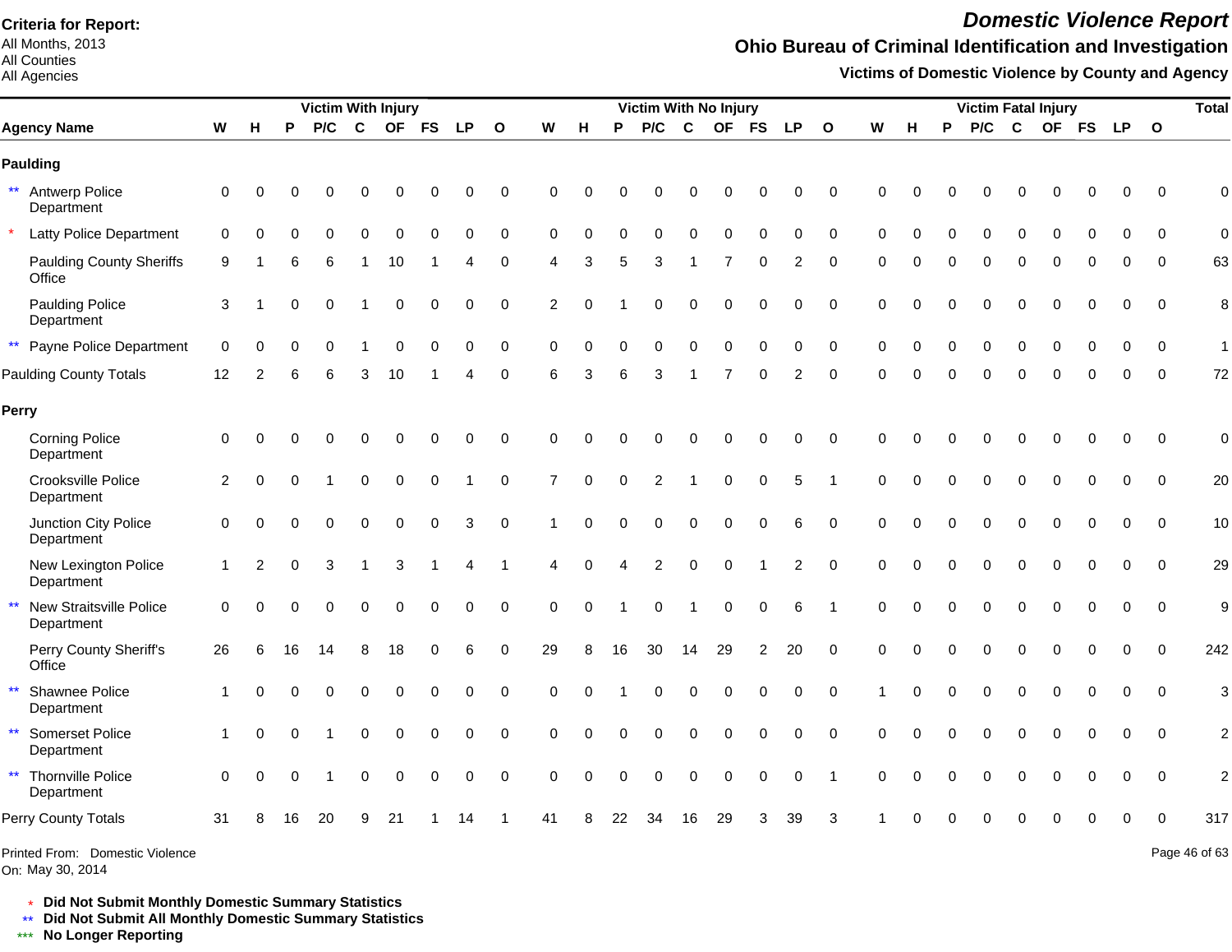All Months, 2013 All Counties

#### All Agencies

# *Domestic Violence Report*

### **Ohio Bureau of Criminal Identification and Investigation**

**Victims of Domestic Violence by County and Agency**

|                                                |             |          |    | <b>Victim With Injury</b> |             |             |          |             |                |                |          |          | <b>Victim With No Injury</b> |             |                |                |                |              |             |          |   |     |          | <b>Victim Fatal Injury</b> |          |             |                         | <b>Total</b>   |
|------------------------------------------------|-------------|----------|----|---------------------------|-------------|-------------|----------|-------------|----------------|----------------|----------|----------|------------------------------|-------------|----------------|----------------|----------------|--------------|-------------|----------|---|-----|----------|----------------------------|----------|-------------|-------------------------|----------------|
| <b>Agency Name</b>                             | W           | н        | P  | P/C                       | $\mathbf c$ |             | OF FS    | <b>LP</b>   | $\overline{O}$ | W              | H        | P        | P/C                          | $\mathbf c$ | <b>OF</b>      | <b>FS</b>      | <b>LP</b>      | $\mathbf{o}$ | W           | н        | P | P/C | C        | OF FS                      |          | <b>LP</b>   | $\overline{\mathbf{O}}$ |                |
| Paulding                                       |             |          |    |                           |             |             |          |             |                |                |          |          |                              |             |                |                |                |              |             |          |   |     |          |                            |          |             |                         |                |
| ** Antwerp Police<br>Department                | 0           |          |    |                           |             |             |          |             | $\mathbf 0$    | $\Omega$       |          |          |                              |             |                |                | በ              | $\mathbf 0$  | $\Omega$    |          |   |     |          |                            |          | 0           | $\mathbf 0$             | $\mathbf 0$    |
| <b>Latty Police Department</b>                 | $\Omega$    |          |    |                           |             |             |          | $\Omega$    | $\mathbf 0$    | $\Omega$       |          |          |                              |             |                | $\Omega$       | $\Omega$       | $\mathbf 0$  | $\Omega$    | $\Omega$ |   |     |          |                            |          |             | $\Omega$                | $\mathbf 0$    |
| <b>Paulding County Sheriffs</b><br>Office      | 9           |          | 6  | 6                         |             | 10          |          | 4           | 0              | 4              | 3        | 5        | 3                            |             | 7              | 0              | 2              | 0            | 0           | $\Omega$ | ∩ | 0   | $\Omega$ | $\Omega$                   | ∩        | 0           | $\mathbf 0$             | 63             |
| <b>Paulding Police</b><br>Department           | 3           |          |    | $\Omega$                  |             | $\mathbf 0$ | 0        | 0           | 0              | $\overline{c}$ | $\Omega$ |          |                              | $\Omega$    | $\Omega$       | $\Omega$       | 0              | $\mathbf 0$  | $\Omega$    | $\Omega$ |   |     |          |                            |          | 0           | $\mathbf 0$             | 8              |
| $\star\star$<br>Payne Police Department        | $\mathbf 0$ |          |    |                           |             | 0           | 0        | 0           | $\pmb{0}$      | 0              | $\Omega$ | 0        | 0                            | 0           | $\Omega$       | $\mathbf 0$    | $\pmb{0}$      | $\mathbf 0$  | $\mathbf 0$ | 0        |   | 0   | 0        | 0                          |          | 0           | $\Omega$                | $\mathbf{1}$   |
| Paulding County Totals                         | 12          | 2        |    |                           | 3           | 10          |          |             | $\mathbf 0$    | 6              | 3        |          | 3                            |             |                | $\Omega$       | 2              | $\mathbf 0$  | $\Omega$    | O        |   | O   |          |                            |          | O           | $\Omega$                | 72             |
| Perry                                          |             |          |    |                           |             |             |          |             |                |                |          |          |                              |             |                |                |                |              |             |          |   |     |          |                            |          |             |                         |                |
| <b>Corning Police</b><br>Department            | $\mathbf 0$ |          |    |                           |             | 0           | 0        | 0           | $\pmb{0}$      | $\Omega$       | $\Omega$ |          |                              | 0           | 0              | 0              | 0              | $\mathbf 0$  | $\Omega$    | $\Omega$ |   | U   |          | 0                          |          | 0           | $\Omega$                | $\mathbf 0$    |
| Crooksville Police<br>Department               | 2           | $\Omega$ |    |                           | $\Omega$    | 0           | 0        |             | $\mathbf 0$    | $\overline{7}$ | $\Omega$ | $\Omega$ | 2                            |             | $\mathbf 0$    | 0              | 5              |              | $\mathbf 0$ | $\Omega$ |   | 0   | $\Omega$ | 0                          |          | 0           | $\Omega$                | 20             |
| Junction City Police<br>Department             | $\Omega$    | $\Omega$ |    |                           | 0           | $\Omega$    | 0        | 3           | 0              |                | $\Omega$ |          | $\Omega$                     | $\Omega$    | $\Omega$       | $\Omega$       | 6              | $\Omega$     | $\Omega$    | $\Omega$ |   | 0   | $\Omega$ | $\Omega$                   | $\Omega$ | 0           | $\Omega$                | 10             |
| New Lexington Police<br>Department             | $\mathbf 1$ | 2        | O  | 3                         |             | 3           |          |             |                | Δ              | $\Omega$ |          | 2                            | $\Omega$    | $\Omega$       |                | $\overline{2}$ | 0            | $\Omega$    | $\Omega$ |   | U   |          | O                          |          | 0           | $\Omega$                | 29             |
| New Straitsville Police<br>$***$<br>Department | $\Omega$    |          |    |                           |             | $\Omega$    | $\Omega$ | $\mathbf 0$ | $\mathbf 0$    | 0              | $\Omega$ |          | $\Omega$                     |             | $\mathbf 0$    | $\mathbf 0$    | 6              | -1           | $\Omega$    | $\Omega$ |   | 0   |          |                            | $\Omega$ | 0           | $\Omega$                | 9              |
| Perry County Sheriff's<br>Office               | 26          |          | 16 | 14                        | 8           | 18          | $\Omega$ | 6           | $\mathbf 0$    | 29             | 8        | 16       | 30                           | 14          | 29             | $\overline{2}$ | 20             | $\mathbf 0$  | $\Omega$    | $\Omega$ |   |     |          |                            |          | 0           | $\Omega$                | 242            |
| Shawnee Police<br>$\star\star$<br>Department   |             |          |    |                           | 0           | $\mathbf 0$ | 0        | 0           | $\pmb{0}$      | 0              | $\Omega$ |          |                              | 0           | $\Omega$       | $\mathbf 0$    | 0              | $\mathbf 0$  |             | $\Omega$ |   |     | 0        | $\Omega$                   | $\Omega$ | $\mathbf 0$ | $\mathbf 0$             | 3              |
| $\star\star$<br>Somerset Police<br>Department  |             | $\Omega$ | O  |                           | 0           | 0           | 0        | 0           | $\pmb{0}$      | $\Omega$       | $\Omega$ | 0        | $\Omega$                     | 0           | $\Omega$       | 0              | 0              | $\mathbf 0$  | $\mathbf 0$ | $\Omega$ |   | 0   | $\Omega$ | 0                          |          | 0           | $\mathbf 0$             | $\overline{c}$ |
| ** Thornville Police<br>Department             | $\Omega$    | $\Omega$ | O  |                           | 0           | $\mathbf 0$ | 0        | $\mathbf 0$ | $\mathbf 0$    | $\Omega$       | $\Omega$ | $\Omega$ | $\mathbf 0$                  | $\mathbf 0$ | $\overline{0}$ | 0              | $\mathbf 0$    | -1           | $\Omega$    | $\Omega$ |   | 0   | $\Omega$ | O                          |          | 0           | $\Omega$                | $\overline{c}$ |
| Perry County Totals                            | 31          |          | 16 | 20                        | я           | 21          |          | 14          |                | 41             |          | 22       | 34                           | 16          | 29             | 3              | 39             | 3            |             |          |   |     |          |                            |          | O           | $\Omega$                | 317            |
| Printed From: Domestic Violence                |             |          |    |                           |             |             |          |             |                |                |          |          |                              |             |                |                |                |              |             |          |   |     |          |                            |          |             |                         | Page 46 of 63  |

On: May 30, 2014

Page 46 of 63

\* **Did Not Submit Monthly Domestic Summary Statistics**

**Did Not Submit All Monthly Domestic Summary Statistics**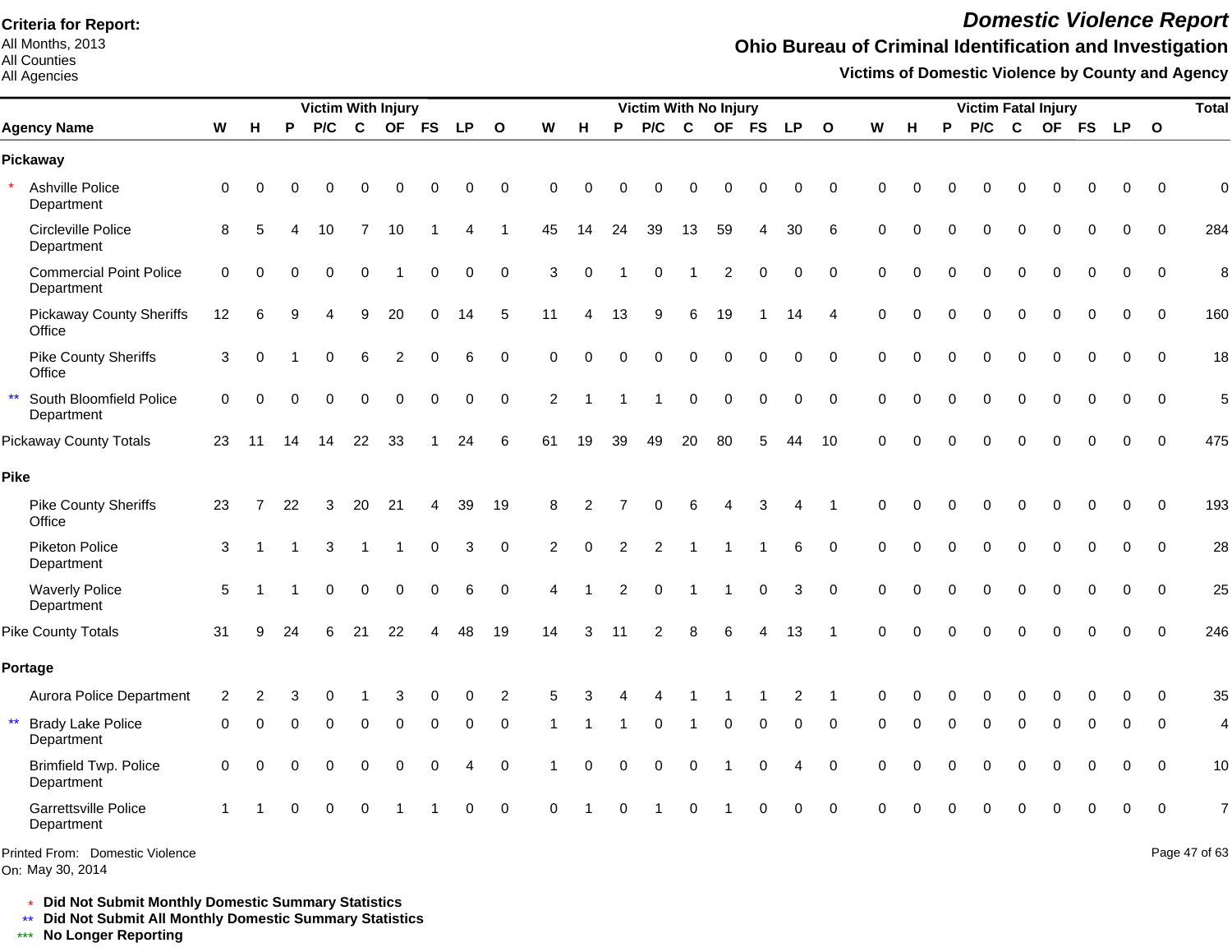All Months, 2013 All Counties

#### All Agencies

## *Domestic Violence Report*

## **Ohio Bureau of Criminal Identification and Investigation**

**Victims of Domestic Violence by County and Agency**

|                                                        |             |          |          | <b>Victim With Injury</b> |             |             |             |             |                |                |          |          | Victim With No Injury |             |                |           |                |                |          |          |          | <b>Victim Fatal Injury</b> |             |          |             |             |                | <b>Total</b>   |
|--------------------------------------------------------|-------------|----------|----------|---------------------------|-------------|-------------|-------------|-------------|----------------|----------------|----------|----------|-----------------------|-------------|----------------|-----------|----------------|----------------|----------|----------|----------|----------------------------|-------------|----------|-------------|-------------|----------------|----------------|
| <b>Agency Name</b>                                     | W           | H        | P        | P/C                       | $\mathbf c$ | <b>OF</b>   | <b>FS</b>   | <b>LP</b>   | $\mathbf{o}$   | W              | н        | P        | P/C                   | C           | <b>OF</b>      | <b>FS</b> | <b>LP</b>      | $\mathbf{o}$   | W        | н        | P        | P/C                        | C           |          | OF FS       | <b>LP</b>   | $\mathbf{o}$   |                |
| Pickaway                                               |             |          |          |                           |             |             |             |             |                |                |          |          |                       |             |                |           |                |                |          |          |          |                            |             |          |             |             |                |                |
| Ashville Police<br>Department                          | $\mathbf 0$ | 0        | $\Omega$ | $\Omega$                  | 0           | 0           | 0           | 0           | 0              | $\Omega$       | $\Omega$ | $\Omega$ | U                     | ∩           | 0              |           | 0              | $\Omega$       | ∩        |          |          |                            | $\Omega$    | 0        | 0           | 0           | $\mathbf 0$    | $\mathbf 0$    |
| Circleville Police<br>Department                       | 8           | 5        |          | 10                        | 7           | 10          |             | 4           | 1              | 45             | 14       | 24       | 39                    | 13          | 59             | 4         | 30             | 6              | $\Omega$ | $\Omega$ | $\Omega$ | 0                          | $\mathbf 0$ | 0        | $\mathbf 0$ | $\mathbf 0$ | $\mathbf 0$    | 284            |
| <b>Commercial Point Police</b><br>Department           | $\mathbf 0$ | $\Omega$ | O        | $\Omega$                  | 0           |             | $\mathbf 0$ | $\mathbf 0$ | $\mathbf 0$    | 3              | $\Omega$ |          | 0                     |             | $\overline{2}$ | $\Omega$  | 0              | $\mathbf 0$    | $\Omega$ | $\Omega$ | $\Omega$ | 0                          | $\mathbf 0$ | $\Omega$ | $\mathbf 0$ | $\mathbf 0$ | $\overline{0}$ | 8              |
| <b>Pickaway County Sheriffs</b><br>Office              | 12          | 6        | 9        | Δ                         | 9           | 20          | 0           | 14          | 5              | 11             | Δ        | 13       | 9                     | 6           | 19             |           | 14             | $\overline{4}$ | $\Omega$ | ∩        | $\Omega$ | 0                          | $\mathbf 0$ | 0        | 0           | 0           | $\mathbf 0$    | 160            |
| <b>Pike County Sheriffs</b><br>Office                  | 3           | $\Omega$ |          | $\Omega$                  | 6           | 2           | $\Omega$    | 6           | $\mathbf 0$    | $\Omega$       | $\Omega$ | $\Omega$ | $\Omega$              | $\Omega$    | $\Omega$       | $\Omega$  | 0              | $\Omega$       | $\Omega$ | $\Omega$ | $\Omega$ | $\Omega$                   | $\Omega$    | $\Omega$ | $\Omega$    | $\Omega$    | $\Omega$       | 18             |
| $\star\star$<br>South Bloomfield Police<br>Department  | $\mathbf 0$ | $\Omega$ | $\Omega$ | $\Omega$                  | 0           | $\mathbf 0$ | $\mathbf 0$ | $\mathbf 0$ | $\mathbf 0$    | $\overline{2}$ |          |          |                       | $\Omega$    | $\Omega$       | $\Omega$  | 0              | $\mathbf 0$    | $\Omega$ | $\Omega$ | $\Omega$ | 0                          | $\mathbf 0$ | 0        | $\Omega$    | $\mathbf 0$ | $\overline{0}$ | 5              |
| <b>Pickaway County Totals</b>                          | 23          | 11       | 14       | 14                        | 22          | 33          |             | 24          | 6              | 61             | 19       | 39       | 49                    | 20          | 80             | 5         | 44             | 10             | $\Omega$ | $\Omega$ | $\Omega$ | $\Omega$                   | $\Omega$    | $\Omega$ | $\Omega$    | $\Omega$    | $\Omega$       | 475            |
| Pike                                                   |             |          |          |                           |             |             |             |             |                |                |          |          |                       |             |                |           |                |                |          |          |          |                            |             |          |             |             |                |                |
| <b>Pike County Sheriffs</b><br>Office                  | 23          | 7        | 22       | 3                         | 20          | 21          | 4           | 39          | 19             | 8              | 2        |          | 0                     |             |                | 3         |                | -1             | 0        | $\Omega$ | $\Omega$ | 0                          | $\Omega$    | $\Omega$ | $\Omega$    | 0           | $\mathbf 0$    | 193            |
| Piketon Police<br>Department                           | 3           |          |          | 3                         |             |             | $\mathbf 0$ | 3           | $\mathbf 0$    | 2              | $\Omega$ | 2        | 2                     |             |                |           | 6              | $\mathbf 0$    | $\Omega$ | $\Omega$ | $\Omega$ | 0                          | $\Omega$    | $\Omega$ | $\Omega$    | $\Omega$    | $\Omega$       | 28             |
| <b>Waverly Police</b><br>Department                    | 5           |          |          | $\Omega$                  | 0           | $\Omega$    | $\Omega$    | 6           | 0              | 4              |          | 2        | $\Omega$              |             |                | $\Omega$  | 3              | $\Omega$       | $\Omega$ |          |          | 0                          | $\Omega$    | $\Omega$ | $\Omega$    | $\Omega$    | $\Omega$       | 25             |
| Pike County Totals                                     | 31          | 9        | 24       | 6                         | 21          | 22          | Δ           | 48          | 19             | 14             | 3        | 11       | 2                     | 8           | 6              |           | 13             |                | $\Omega$ | $\Omega$ |          |                            |             |          | $\Omega$    | $\Omega$    | $\Omega$       | 246            |
| Portage                                                |             |          |          |                           |             |             |             |             |                |                |          |          |                       |             |                |           |                |                |          |          |          |                            |             |          |             |             |                |                |
| Aurora Police Department                               | 2           | 2        |          |                           |             |             |             | 0           | $\overline{2}$ | 5              |          |          |                       |             |                |           | $\overline{2}$ |                | $\Omega$ |          |          |                            |             |          |             | $\Omega$    | $\Omega$       | 35             |
| $\star\star$<br><b>Brady Lake Police</b><br>Department | 0           | $\Omega$ | $\Omega$ | $\Omega$                  | $\Omega$    | $\Omega$    | $\Omega$    | 0           | 0              |                |          |          | 0                     | $\mathbf 1$ | 0              | 0         | 0              | $\Omega$       | $\Omega$ | 0        | $\Omega$ | $\Omega$                   | $\Omega$    | $\Omega$ | $\Omega$    | 0           | $\mathbf 0$    | 4              |
| <b>Brimfield Twp. Police</b><br>Department             | 0           | $\Omega$ | $\Omega$ | 0                         | 0           | 0           | 0           | 4           | $\mathbf 0$    |                | $\Omega$ | 0        | 0                     | 0           |                | 0         | 4              | $\mathbf 0$    | 0        | 0        | $\Omega$ | 0                          | $\Omega$    | $\Omega$ | $\mathbf 0$ | 0           | $\mathbf 0$    | 10             |
| Garrettsville Police<br>Department                     |             |          | 0        | 0                         | 0           |             |             | 0           | $\mathbf 0$    | $\Omega$       |          | $\Omega$ |                       | 0           |                |           | 0              | $\mathbf 0$    | $\Omega$ |          |          |                            |             |          | $\Omega$    | $\mathbf 0$ | $\overline{0}$ | $\overline{7}$ |
| Printed From: Domestic Violence<br>On: May 30, 2014    |             |          |          |                           |             |             |             |             |                |                |          |          |                       |             |                |           |                |                |          |          |          |                            |             |          |             |             |                | Page 47 of 63  |

\* **Did Not Submit Monthly Domestic Summary Statistics**

**Did Not Submit All Monthly Domestic Summary Statistics**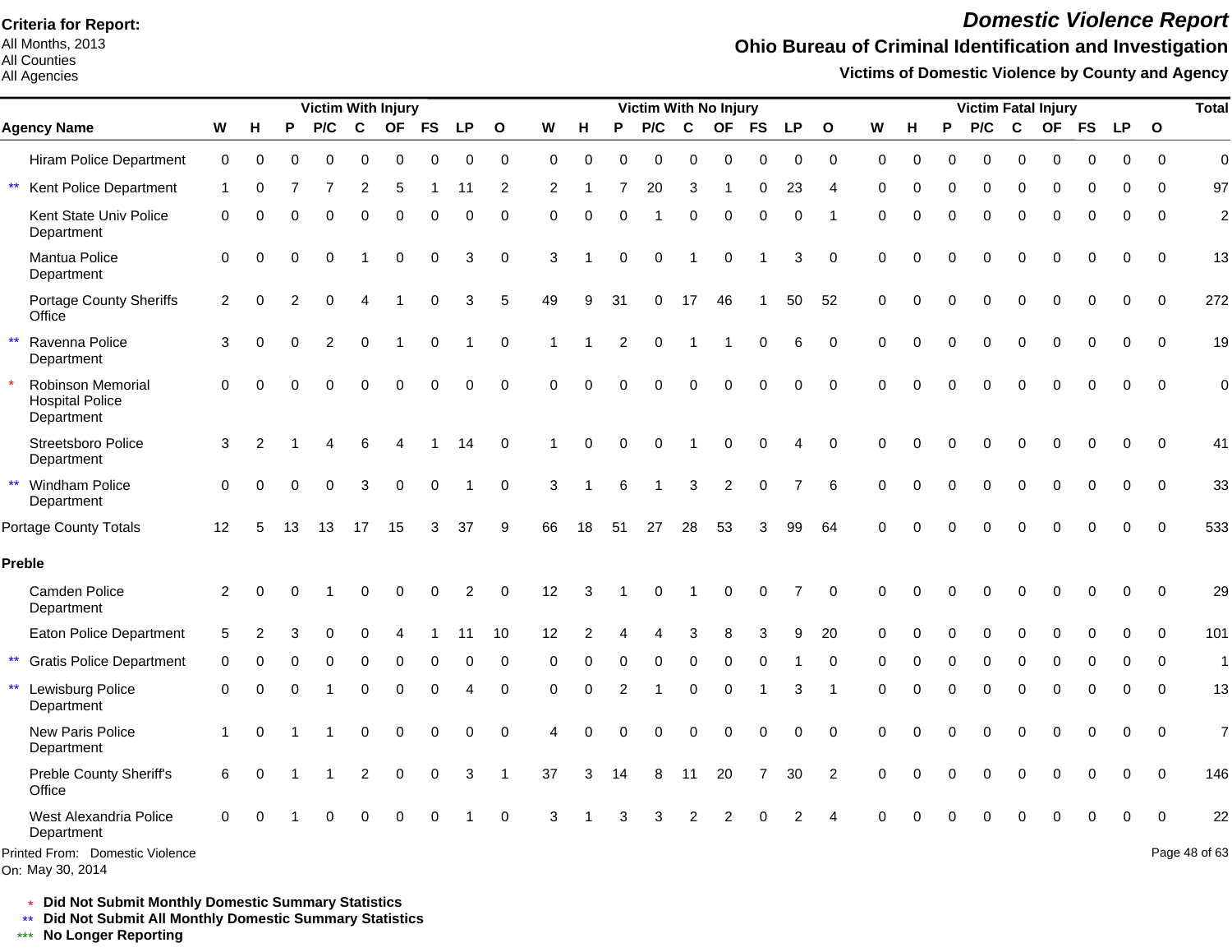All Months, 2013 All Counties

#### All Agencies

## *Domestic Violence Report*

## **Ohio Bureau of Criminal Identification and Investigation**

**Victims of Domestic Violence by County and Agency**

|                                                           |                         |          |          | <b>Victim With Injury</b> |                |             |             |                |              |             |                |                | Victim With No Injury |          |                |             |          |                |          |          |          | <b>Victim Fatal Injury</b> |             |           |             |           |             | <b>Total</b>   |
|-----------------------------------------------------------|-------------------------|----------|----------|---------------------------|----------------|-------------|-------------|----------------|--------------|-------------|----------------|----------------|-----------------------|----------|----------------|-------------|----------|----------------|----------|----------|----------|----------------------------|-------------|-----------|-------------|-----------|-------------|----------------|
| <b>Agency Name</b>                                        | W                       | н        | P        | P/C                       | $\mathbf c$    | <b>OF</b>   | <b>FS</b>   | LP.            | $\mathbf{o}$ | W           | н              | P              | P/C                   | C        | <b>OF</b>      | <b>FS</b>   | LP.      | $\mathbf{o}$   | W        | н        | P        | P/C                        | C           | <b>OF</b> | <b>FS</b>   | <b>LP</b> | $\mathbf 0$ |                |
| <b>Hiram Police Department</b>                            | $\mathbf 0$             | 0        | 0        | $\Omega$                  | 0              | $\Omega$    | $\Omega$    | 0              | $\mathbf 0$  | $\Omega$    | 0              | 0              | 0                     | $\Omega$ | $\mathbf 0$    | $\Omega$    | 0        | $\Omega$       | $\Omega$ | 0        | $\Omega$ | 0                          | 0           | $\Omega$  | $\Omega$    | $\Omega$  | $\Omega$    | $\mathbf 0$    |
| $\star\star$<br>Kent Police Department                    | 1                       | $\Omega$ |          | 7                         | $\overline{2}$ | 5           |             | 11             | 2            | 2           |                |                | 20                    | 3        | -1             | 0           | 23       | $\overline{4}$ | 0        | 0        | 0        | 0                          | 0           | 0         | 0           | 0         | $\Omega$    | 97             |
| Kent State Univ Police<br>Department                      | 0                       | $\Omega$ |          | $\Omega$                  | $\Omega$       | $\Omega$    | $\Omega$    | 0              | 0            | $\Omega$    | $\Omega$       | $\Omega$       |                       | $\Omega$ | $\Omega$       | $\Omega$    | 0        |                | $\Omega$ | $\Omega$ | $\Omega$ | 0                          | $\mathbf 0$ | $\Omega$  | 0           | 0         | $\Omega$    | $\overline{c}$ |
| Mantua Police<br>Department                               | 0                       | $\Omega$ | $\Omega$ | $\Omega$                  | 1              | $\Omega$    | $\mathbf 0$ | 3              | $\mathbf 0$  | 3           |                | $\Omega$       | 0                     | -1       | $\Omega$       |             | 3        | $\Omega$       | $\Omega$ | $\Omega$ | $\Omega$ | $\Omega$                   | $\Omega$    | $\Omega$  | $\Omega$    | 0         | $\Omega$    | 13             |
| Portage County Sheriffs<br>Office                         | $\overline{\mathbf{c}}$ | $\Omega$ | 2        | 0                         | 4              |             | $\Omega$    | 3              | 5            | 49          | 9              | 31             | 0                     | 17       | 46             |             | 50       | 52             | 0        | $\Omega$ | $\Omega$ | 0                          | $\Omega$    | 0         | 0           | 0         | $\mathbf 0$ | 272            |
| $\star\star$<br>Ravenna Police<br>Department              | 3                       | $\Omega$ |          | $\overline{2}$            | $\Omega$       |             | $\mathbf 0$ |                | $\mathbf 0$  |             |                | $\overline{2}$ | 0                     |          |                | $\mathbf 0$ | 6        | $\mathbf 0$    | $\Omega$ | $\Omega$ | $\Omega$ | 0                          | $\mathbf 0$ | 0         | $\mathbf 0$ | $\Omega$  | $\mathbf 0$ | 19             |
| Robinson Memorial<br><b>Hospital Police</b><br>Department | $\Omega$                | $\Omega$ |          | $\Omega$                  | $\Omega$       | $\Omega$    | $\Omega$    | $\overline{0}$ | $\Omega$     | $\Omega$    | $\Omega$       |                | 0                     | $\Omega$ | $\Omega$       | $\Omega$    | 0        | $\Omega$       | $\Omega$ | $\Omega$ | $\Omega$ | 0                          | $\Omega$    | $\Omega$  | $\Omega$    | $\Omega$  | $\Omega$    | $\mathbf 0$    |
| Streetsboro Police<br>Department                          | 3                       | 2        |          |                           |                |             |             | 14             | 0            |             | $\Omega$       | $\Omega$       | 0                     |          | O              | $\Omega$    | 4        | $\Omega$       | $\Omega$ | 0        | ∩        | O                          | $\Omega$    | O         | $\Omega$    | $\Omega$  | $\Omega$    | 41             |
| ** Windham Police<br>Department                           | 0                       | $\Omega$ | $\Omega$ | $\Omega$                  | 3              | $\Omega$    | $\Omega$    |                | 0            | 3           |                | 6              |                       | 3        | $\overline{c}$ | $\mathbf 0$ |          | 6              | $\Omega$ |          | $\Omega$ | 0                          | $\Omega$    | $\Omega$  | $\Omega$    | $\Omega$  | $\mathbf 0$ | 33             |
| <b>Portage County Totals</b>                              | 12                      | 5        | 13       | 13                        | 17             | 15          | 3           | 37             | 9            | 66          | 18             | 51             | 27                    | 28       | 53             | 3           | 99       | 64             | $\Omega$ |          | $\Omega$ | U                          | $\Omega$    | O         | $\Omega$    | $\Omega$  | $\Omega$    | 533            |
| Preble                                                    |                         |          |          |                           |                |             |             |                |              |             |                |                |                       |          |                |             |          |                |          |          |          |                            |             |           |             |           |             |                |
| Camden Police<br>Department                               | 2                       | O        |          |                           |                |             |             | 2              | $\Omega$     | 12          | З              |                | O                     |          |                | O           | 7        | $\Omega$       | $\Omega$ |          |          |                            |             |           |             | $\Omega$  | $\Omega$    | 29             |
| Eaton Police Department                                   | 5                       |          |          |                           |                |             |             | 11             | 10           | 12          | $\overline{2}$ |                |                       | 3        |                | 3           | 9        | 20             | $\Omega$ |          |          | 0                          | $\Omega$    |           |             | 0         | $\Omega$    | 101            |
| $***$<br><b>Gratis Police Department</b>                  | 0                       | O        | O        | 0                         | 0              | $\Omega$    | $\Omega$    | 0              | 0            | $\Omega$    | $\Omega$       | ∩              | 0                     | 0        | $\Omega$       | $\Omega$    |          | 0              | 0        | ∩        | $\Omega$ | 0                          | 0           | $\Omega$  | $\Omega$    | 0         | $\mathbf 0$ | $\mathbf{1}$   |
| $^{\star\star}$<br>Lewisburg Police<br>Department         | 0                       | $\Omega$ |          |                           | 0              | $\mathbf 0$ | 0           | 4              | 0            | $\mathbf 0$ | $\Omega$       | 2              |                       | 0        | $\Omega$       |             | 3        | -1             | $\Omega$ | 0        | $\Omega$ | 0                          | 0           | 0         | 0           | 0         | 0           | 13             |
| New Paris Police<br>Department                            | 1                       | O        |          |                           | 0              | $\Omega$    | $\Omega$    | 0              | $\mathbf 0$  | 4           | Ω              |                | 0                     | $\Omega$ | $\Omega$       | $\Omega$    | $\Omega$ | $\Omega$       | $\Omega$ |          | $\Omega$ | $\Omega$                   | $\Omega$    | $\Omega$  | $\Omega$    | $\Omega$  | $\Omega$    | $\overline{7}$ |
| Preble County Sheriff's<br>Office                         | 6                       | 0        |          |                           | 2              | $\Omega$    | $\Omega$    | 3              |              | 37          | 3              | 14             | 8                     | 11       | 20             |             | 30       | $\overline{2}$ | $\Omega$ |          | ∩        | 0                          | $\Omega$    | 0         | $\Omega$    | 0         | $\Omega$    | 146            |
| West Alexandria Police<br>Department                      | $\Omega$                | ∩        |          | O                         | O              | $\Omega$    | $\Omega$    |                | 0            | 3           |                |                | 3                     | 2        | 2              |             | 2        |                |          |          |          |                            | $\Omega$    | O         | $\Omega$    | 0         | $\mathbf 0$ | 22             |
| Printed From: Domestic Violence<br>On: May 30, 2014       |                         |          |          |                           |                |             |             |                |              |             |                |                |                       |          |                |             |          |                |          |          |          |                            |             |           |             |           |             | Page 48 of 63  |

\* **Did Not Submit Monthly Domestic Summary Statistics**

**Did Not Submit All Monthly Domestic Summary Statistics**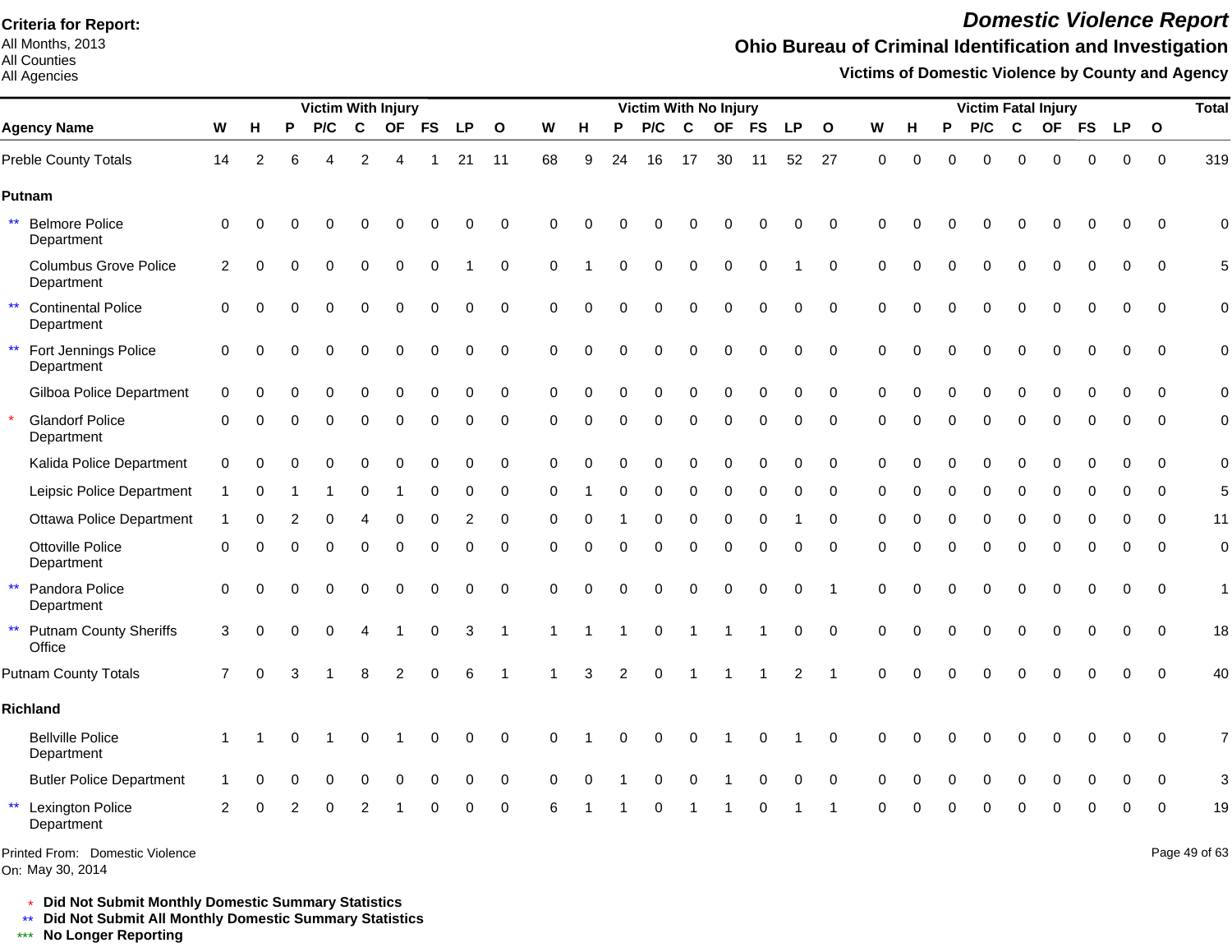All Months, 2013 All Counties

#### All Agencies

## *Domestic Violence Report*

## **Ohio Bureau of Criminal Identification and Investigation**

**Victims of Domestic Violence by County and Agency**

|                                                         |               |          |          | <b>Victim With Injury</b> |                |                |             |             |              |             |          |          | Victim With No Injury |              |             |             |                |                         |          |          |             |          |             | <b>Victim Fatal Injury</b> |             |             |              | <b>Total</b>  |
|---------------------------------------------------------|---------------|----------|----------|---------------------------|----------------|----------------|-------------|-------------|--------------|-------------|----------|----------|-----------------------|--------------|-------------|-------------|----------------|-------------------------|----------|----------|-------------|----------|-------------|----------------------------|-------------|-------------|--------------|---------------|
| <b>Agency Name</b>                                      | W             | Н        | P        | P/C                       | C              | <b>OF</b>      | <b>FS</b>   | <b>LP</b>   | $\mathbf{o}$ | W           | н        | P        | P/C                   | $\mathbf{C}$ | <b>OF</b>   | <b>FS</b>   | LP             | $\mathbf{o}$            | W        | н        | P           | P/C      | C           | <b>OF</b>                  | <b>FS</b>   | <b>LP</b>   | $\mathbf{o}$ |               |
| Preble County Totals                                    | 14            | 2        | 6        |                           | $\overline{2}$ |                |             | 21          | 11           | 68          | 9        | 24       | 16                    | 17           | 30          | 11          | 52             | 27                      | $\Omega$ | $\Omega$ | 0           | $\Omega$ | $\Omega$    | $\Omega$                   | 0           | $\Omega$    | $\Omega$     | 319           |
| Putnam                                                  |               |          |          |                           |                |                |             |             |              |             |          |          |                       |              |             |             |                |                         |          |          |             |          |             |                            |             |             |              |               |
| $\star\star$<br><b>Belmore Police</b><br>Department     | $\mathbf 0$   | $\Omega$ |          |                           |                | O              | 0           | $\Omega$    | $\mathbf 0$  | $\Omega$    | $\Omega$ | ∩        | O                     |              |             |             | 0              | $\Omega$                | $\Omega$ |          |             | O        | $\Omega$    | $\Omega$                   | $\Omega$    | $\Omega$    | $\Omega$     | $\Omega$      |
| <b>Columbus Grove Police</b><br>Department              | 2             | ∩        | ∩        | $\Omega$                  | $\Omega$       | $\Omega$       | $\Omega$    |             | $\mathbf 0$  | $\Omega$    |          | ∩        | $\Omega$              | $\Omega$     | $\Omega$    | $\Omega$    |                | $\Omega$                | $\Omega$ | $\Omega$ | $\Omega$    | $\Omega$ | $\Omega$    | $\Omega$                   | $\Omega$    | $\Omega$    | $\Omega$     | 5             |
| $\star\star$<br><b>Continental Police</b><br>Department | 0             |          |          | $\Omega$                  | 0              | $\mathbf 0$    | $\mathbf 0$ | $\mathbf 0$ | $\mathbf 0$  | $\Omega$    | $\Omega$ | $\Omega$ | 0                     | $\Omega$     | $\Omega$    | $\Omega$    | 0              | $\mathbf 0$             | $\Omega$ | $\Omega$ | $\Omega$    | 0        | $\mathbf 0$ | $\mathbf 0$                | $\mathbf 0$ | $\mathbf 0$ | $\Omega$     | $\mathbf 0$   |
| $\star\star$<br>Fort Jennings Police<br>Department      | 0             | $\Omega$ | 0        | $\Omega$                  | 0              | $\mathbf 0$    | 0           | 0           | $\mathbf 0$  | $\Omega$    | $\Omega$ | $\Omega$ | 0                     | $\Omega$     | $\Omega$    | $\Omega$    | 0              | $\mathbf 0$             | $\Omega$ | $\Omega$ | 0           | $\Omega$ | $\pmb{0}$   | $\Omega$                   | $\Omega$    | $\pmb{0}$   | $\Omega$     | $\mathbf 0$   |
| Gilboa Police Department                                | $\mathbf 0$   | ∩        | ∩        | $\Omega$                  | 0              | 0              | 0           | $\mathbf 0$ | $\mathbf 0$  | $\Omega$    | $\Omega$ | $\Omega$ | 0                     | 0            | $\Omega$    | $\Omega$    | 0              | $\mathbf 0$             | $\Omega$ | 0        | $\Omega$    | 0        | $\mathbf 0$ | $\Omega$                   | 0           | 0           | $\Omega$     | $\mathbf 0$   |
| <b>Glandorf Police</b><br>Department                    | 0             | ∩        |          | ∩                         | 0              | $\Omega$       | 0           | 0           | 0            | 0           | 0        | $\Omega$ | 0                     | 0            | $\Omega$    | $\Omega$    | 0              | $\Omega$                | ∩        |          | 0           | 0        | $\Omega$    | $\Omega$                   | 0           | 0           | $\Omega$     | $\mathbf 0$   |
| Kalida Police Department                                | $\mathbf 0$   | $\Omega$ |          |                           | 0              | 0              | 0           | 0           | 0            | $\mathbf 0$ | $\Omega$ | $\Omega$ | 0                     | 0            | 0           | $\Omega$    | 0              | 0                       | 0        | $\Omega$ | $\Omega$    | 0        | $\mathbf 0$ | 0                          | 0           | $\Omega$    | 0            | $\mathbf 0$   |
| Leipsic Police Department                               |               |          |          |                           | 0              |                | $\Omega$    | $\Omega$    | $\mathbf 0$  | O           |          |          | 0                     | $\Omega$     |             |             | 0              | $\Omega$                | $\Omega$ |          |             | $\Omega$ | $\Omega$    |                            | $\Omega$    | $\Omega$    | $\Omega$     | 5             |
| <b>Ottawa Police Department</b>                         |               |          |          |                           |                |                | O           | 2           | 0            | $\Omega$    | C        |          | 0                     | ∩            | O           |             |                | $\Omega$                | $\Omega$ |          | O           | $\Omega$ | $\Omega$    | $\Omega$                   | $\Omega$    | ∩           | $\Omega$     | 11            |
| <b>Ottoville Police</b><br>Department                   | 0             | $\Omega$ | 0        | $\Omega$                  | 0              | $\mathbf 0$    | $\mathbf 0$ | 0           | 0            | $\Omega$    | $\Omega$ | $\Omega$ | 0                     | $\Omega$     | $\mathbf 0$ | $\mathbf 0$ | 0              | $\mathbf 0$             | $\Omega$ | $\Omega$ | $\mathbf 0$ | 0        | $\mathbf 0$ | $\mathbf 0$                | $\mathbf 0$ | $\mathbf 0$ | $\mathbf 0$  | $\mathbf 0$   |
| $\star\star$<br>Pandora Police<br>Department            | $\mathbf 0$   | $\Omega$ |          | $\Omega$                  | 0              | $\Omega$       | $\Omega$    | 0           | $\mathbf 0$  | $\Omega$    | $\Omega$ | $\Omega$ | 0                     | $\Omega$     | $\Omega$    | $\Omega$    | 0              | -1                      | $\Omega$ | $\Omega$ | $\Omega$    | $\Omega$ | $\Omega$    | $\Omega$                   | $\mathbf 0$ | $\mathbf 0$ | $\mathbf 0$  | 1             |
| $\star\star$<br><b>Putnam County Sheriffs</b><br>Office | $\mathbf{3}$  | $\Omega$ | $\Omega$ | $\Omega$                  | 4              |                | 0           | 3           | 1            |             |          |          | 0                     |              |             |             | 0              | $\mathbf 0$             | $\Omega$ | $\Omega$ | $\mathbf 0$ | 0        | $\mathbf 0$ | $\Omega$                   | $\mathbf 0$ | $\mathbf 0$ | $\mathbf 0$  | 18            |
| <b>Putnam County Totals</b>                             | 7             | $\Omega$ | 3        |                           | 8              | $\overline{2}$ | $\Omega$    | 6           |              |             | 3        | 2        | 0                     |              |             |             | $\overline{c}$ | $\overline{\mathbf{1}}$ | $\Omega$ | $\Omega$ |             | $\Omega$ | $\Omega$    |                            | $\Omega$    | $\mathbf 0$ | $\Omega$     | 40            |
| Richland                                                |               |          |          |                           |                |                |             |             |              |             |          |          |                       |              |             |             |                |                         |          |          |             |          |             |                            |             |             |              |               |
| <b>Bellville Police</b><br>Department                   | $\mathbf 1$   |          | O        |                           | 0              |                | 0           | 0           | $\mathbf 0$  | $\Omega$    |          |          | 0                     | 0            |             | O           |                | $\Omega$                | $\Omega$ | 0        | ŋ           | 0        | 0           | 0                          | 0           | 0           | $\Omega$     | 7             |
| <b>Butler Police Department</b>                         |               |          |          |                           | 0              | $\Omega$       | $\Omega$    | 0           | $\mathbf 0$  | $\Omega$    | $\Omega$ |          | $\Omega$              | 0            |             | 0           | 0              | $\Omega$                | $\Omega$ | 0        | $\Omega$    | 0        | $\Omega$    | $\Omega$                   | $\Omega$    | 0           | $\Omega$     | 3             |
| $\star\star$<br><b>Lexington Police</b><br>Department   | $\mathcal{P}$ |          |          |                           |                |                |             | 0           | $\mathbf 0$  | 6           |          |          | 0                     |              |             |             |                |                         |          |          |             |          |             |                            | ი           | $\Omega$    | $\Omega$     | 19            |
| Printed From: Domestic Violence                         |               |          |          |                           |                |                |             |             |              |             |          |          |                       |              |             |             |                |                         |          |          |             |          |             |                            |             |             |              | Page 49 of 63 |

\* **Did Not Submit Monthly Domestic Summary Statistics**

**Did Not Submit All Monthly Domestic Summary Statistics**

<u>\*\*</u> Did Not Submit All M∗<br><mark>\*\*\*</mark> No Longer Reporting

On: May 30, 2014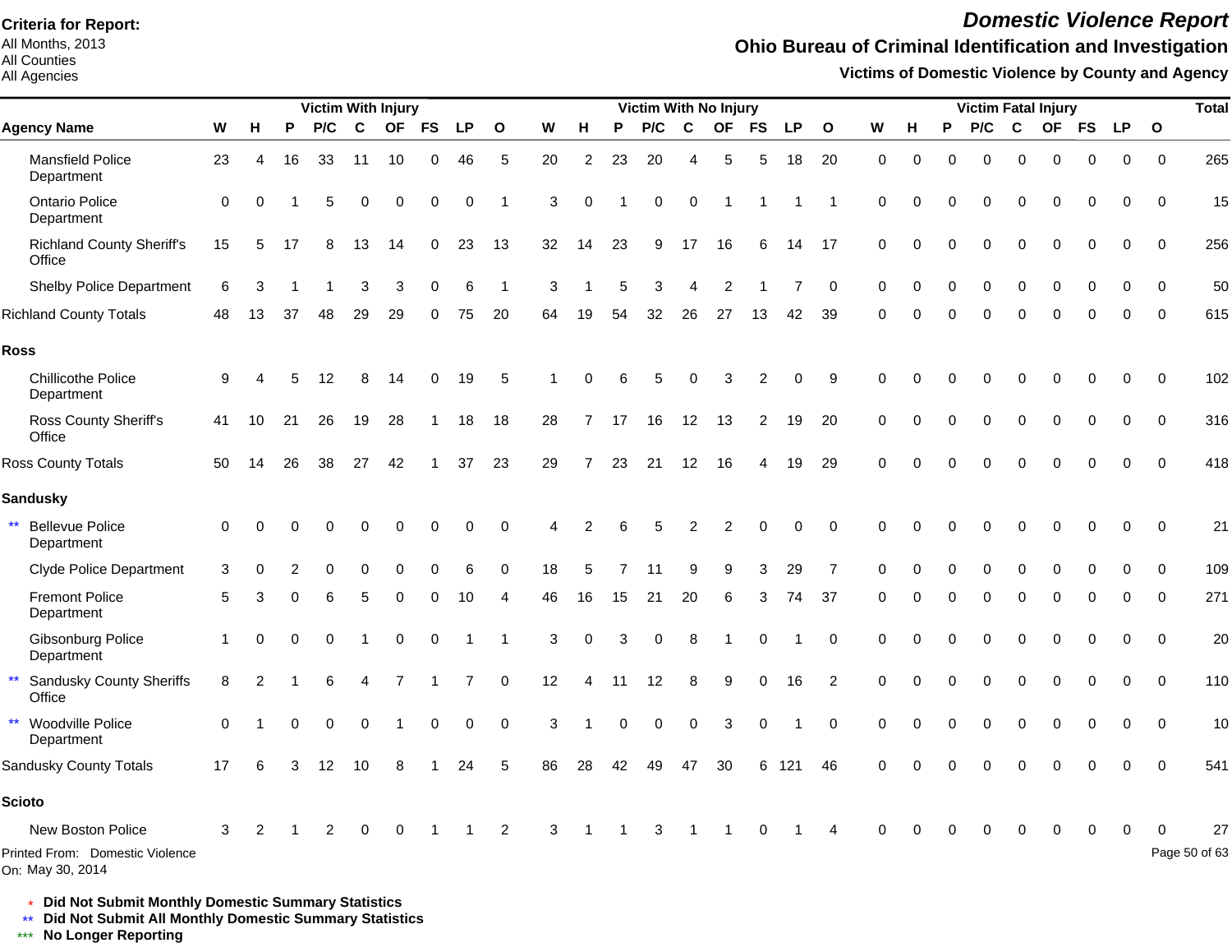All Months, 2013 All Counties

#### All Agencies

## *Domestic Violence Report*

## **Ohio Bureau of Criminal Identification and Investigation**

**Victims of Domestic Violence by County and Agency**

|                                                      |             |    |          | <b>Victim With Injury</b> |             |          |             |             |              |    |                |    | <b>Victim With No Injury</b> |             |           |           |           |                |             |          |          |          |             | <b>Victim Fatal Injury</b> |          |           |              | <b>Total</b>  |
|------------------------------------------------------|-------------|----|----------|---------------------------|-------------|----------|-------------|-------------|--------------|----|----------------|----|------------------------------|-------------|-----------|-----------|-----------|----------------|-------------|----------|----------|----------|-------------|----------------------------|----------|-----------|--------------|---------------|
| <b>Agency Name</b>                                   | W           | н  | P        | P/C                       | $\mathbf c$ |          | OF FS       | <b>LP</b>   | $\mathbf{o}$ | W  | н              | P  | P/C                          | C           | <b>OF</b> | <b>FS</b> | <b>LP</b> | $\mathbf{o}$   | W           | н        | P        | P/C      | $\mathbf c$ |                            | OF FS    | <b>LP</b> | $\mathbf{o}$ |               |
| <b>Mansfield Police</b><br>Department                | 23          | 4  | 16       | 33                        | 11          | 10       | $\mathbf 0$ | 46          | 5            | 20 | 2              | 23 | 20                           | 4           | 5         | 5         | 18        | 20             | $\mathbf 0$ | 0        | $\Omega$ | $\Omega$ | 0           | $\Omega$                   | 0        | 0         | $\mathbf 0$  | 265           |
| <b>Ontario Police</b><br>Department                  | $\mathbf 0$ | 0  |          | 5                         | 0           | 0        | 0           | 0           | -1           | 3  | $\Omega$       |    | 0                            | $\mathbf 0$ | -1        |           |           | -1             | $\mathbf 0$ | $\Omega$ | O        | $\Omega$ | $\Omega$    | $\Omega$                   | 0        | 0         | $\Omega$     | 15            |
| <b>Richland County Sheriff's</b><br>Office           | 15          | 5  | 17       | 8                         | 13          | 14       | 0           | 23          | 13           | 32 | 14             | 23 | 9                            | 17          | 16        | 6         | 14        | 17             | $\Omega$    | $\Omega$ | 0        | $\Omega$ | $\Omega$    | $\Omega$                   | $\Omega$ | $\Omega$  | $\Omega$     | 256           |
| <b>Shelby Police Department</b>                      | 6           |    |          |                           | 3           | 3        | 0           | 6           | -1           | 3  |                | 5  | 3                            |             | 2         |           |           | $\Omega$       | $\Omega$    |          | 0        | $\Omega$ |             |                            | O        | $\Omega$  | $\Omega$     | 50            |
| <b>Richland County Totals</b>                        | 48          | 13 | 37       | 48                        | 29          | 29       | $\Omega$    | 75          | 20           | 64 | 19             | 54 | 32                           | 26          | 27        | 13        | 42        | 39             | $\Omega$    | ∩        | $\Omega$ | $\Omega$ | $\Omega$    | $\Omega$                   | $\Omega$ | $\Omega$  | $\Omega$     | 615           |
| <b>Ross</b>                                          |             |    |          |                           |             |          |             |             |              |    |                |    |                              |             |           |           |           |                |             |          |          |          |             |                            |          |           |              |               |
| <b>Chillicothe Police</b><br>Department              | 9           |    | 5        | 12                        | 8           | 14       | $\Omega$    | 19          | 5            |    |                | հ  | 5                            | ∩           | З         | 2         | $\Omega$  | 9              | $\Omega$    |          |          |          |             |                            | U        | ∩         | $\Omega$     | 102           |
| Ross County Sheriff's<br>Office                      | 41          | 10 | 21       | 26                        | 19          | 28       |             | 18          | 18           | 28 |                | 17 | 16                           | 12          | 13        | 2         | 19        | 20             | $\mathbf 0$ | $\Omega$ | 0        | $\Omega$ | 0           | $\Omega$                   | $\Omega$ | $\Omega$  | $\Omega$     | 316           |
| Ross County Totals                                   | 50          | 14 | 26       | 38                        | 27          | 42       |             | 37          | 23           | 29 | $\overline{7}$ | 23 | 21                           | 12          | 16        | 4         | 19        | 29             | $\Omega$    | $\Omega$ | U        | ∩        |             |                            |          | $\Omega$  | $\Omega$     | 418           |
| <b>Sandusky</b>                                      |             |    |          |                           |             |          |             |             |              |    |                |    |                              |             |           |           |           |                |             |          |          |          |             |                            |          |           |              |               |
| $\star\star$<br><b>Bellevue Police</b><br>Department | $\Omega$    |    |          |                           |             |          |             | $\Omega$    | $\Omega$     |    |                |    | 5                            | 2           |           | 0         | 0         | $\Omega$       | $\Omega$    |          |          |          |             |                            |          |           | $\Omega$     | 21            |
| <b>Clyde Police Department</b>                       | 3           |    |          |                           |             |          |             | 6           | $\Omega$     | 18 |                |    |                              |             |           | 3         | 29        |                | ∩           |          |          |          |             |                            |          |           | $\Omega$     | 109           |
| <b>Fremont Police</b><br>Department                  | 5           |    | 0        | 6                         | 5           | 0        | 0           | 10          | Δ            | 46 | 16             | 15 | 21                           | 20          | 6         | 3         | 74        | 37             | $\mathbf 0$ | 0        | 0        | 0        | 0           | 0                          | 0        | 0         | $\Omega$     | 271           |
| Gibsonburg Police<br>Department                      |             | O  | $\Omega$ | $\Omega$                  |             | $\Omega$ | $\Omega$    |             |              | 3  | $\Omega$       | 3  | 0                            | 8           |           | $\Omega$  |           | 0              | $\Omega$    | $\Omega$ | O        | $\Omega$ | 0           | $\Omega$                   | $\Omega$ | 0         | $\Omega$     | 20            |
| <b>Sandusky County Sheriffs</b><br>Office            | 8           |    |          | 6                         |             |          |             |             | $\mathbf 0$  | 12 | 4              | 11 | 12                           | 8           | 9         | 0         | 16        | $\overline{2}$ | $\Omega$    | $\Omega$ | 0        | $\Omega$ | 0           | $\Omega$                   | $\Omega$ | 0         | $\Omega$     | 110           |
| $\star\star$<br>Woodville Police<br>Department       | $\Omega$    |    | O        | 0                         | $\Omega$    |          | 0           | $\mathbf 0$ | $\mathbf 0$  | 3  |                | 0  | 0                            | $\mathbf 0$ | 3         | 0         |           | $\mathbf 0$    | 0           | $\Omega$ | 0        | ∩        | ŋ           |                            | $\Omega$ | 0         | 0            | 10            |
| Sandusky County Totals                               | 17          |    | 3        | 12                        | 10          | 8        |             | 24          | 5            | 86 | 28             | 42 | 49                           | 47          | 30        | 6         | 121       | 46             | $\Omega$    |          |          |          |             |                            |          |           | $\Omega$     | 541           |
| <b>Scioto</b>                                        |             |    |          |                           |             |          |             |             |              |    |                |    |                              |             |           |           |           |                |             |          |          |          |             |                            |          |           |              |               |
| New Boston Police                                    | 3           |    |          |                           |             |          |             |             | 2            | 3  | -1             |    | 3                            |             |           | 0         |           |                | $\Omega$    |          | 0        | $\Omega$ | 0           | 0                          | 0        | 0         |              | 27            |
| Printed From: Domestic Violence<br>On: May 30, 2014  |             |    |          |                           |             |          |             |             |              |    |                |    |                              |             |           |           |           |                |             |          |          |          |             |                            |          |           |              | Page 50 of 63 |

\* **Did Not Submit Monthly Domestic Summary Statistics**

**Did Not Submit All Monthly Domestic Summary Statistics**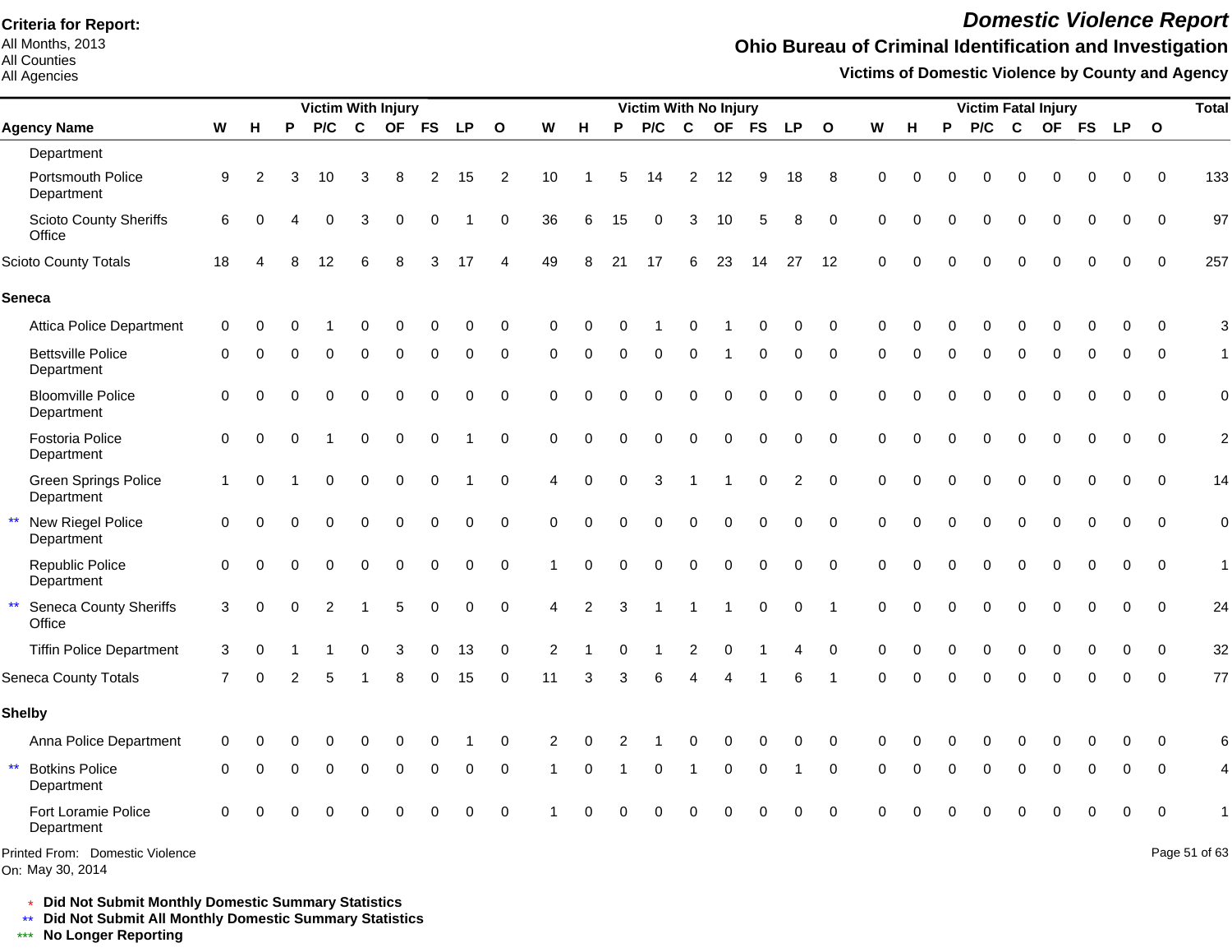All Months, 2013 All Counties

All Agencies

# *Domestic Violence Report*

## **Ohio Bureau of Criminal Identification and Investigation**

**Victims of Domestic Violence by County and Agency**

|                                                     |              |               |          | <b>Victim With Injury</b> |              |           |           |           |              |                |          |          | Victim With No Injury |                          |             |             |                |              |          |          |          |          | <b>Victim Fatal Injury</b> |          |          |           |              | <b>Total</b>   |
|-----------------------------------------------------|--------------|---------------|----------|---------------------------|--------------|-----------|-----------|-----------|--------------|----------------|----------|----------|-----------------------|--------------------------|-------------|-------------|----------------|--------------|----------|----------|----------|----------|----------------------------|----------|----------|-----------|--------------|----------------|
| <b>Agency Name</b>                                  | W            | н.            | P        | P/C                       | $\mathbf{C}$ | <b>OF</b> | <b>FS</b> | <b>LP</b> | $\mathbf{o}$ | W              | н        | P        | P/C                   | $\mathbf c$              | <b>OF</b>   | <b>FS</b>   | <b>LP</b>      | $\mathbf{o}$ | W        | н        | P        | P/C      | $\mathbf{C}$               | OF FS    |          | <b>LP</b> | $\mathbf{o}$ |                |
| Department                                          |              |               |          |                           |              |           |           |           |              |                |          |          |                       |                          |             |             |                |              |          |          |          |          |                            |          |          |           |              |                |
| Portsmouth Police<br>Department                     | 9            | $\mathcal{P}$ | 3        | 10                        | 3            |           |           | 15        | 2            | 10             |          | 5        | 14                    | 2                        | 12          | 9           | 18             | 8            | $\Omega$ |          | ŋ        | 0        | $\Omega$                   | O        | O        | 0         | $\Omega$     | 133            |
| <b>Scioto County Sheriffs</b><br>Office             | 6            |               |          | $\Omega$                  | 3            | $\Omega$  |           |           | $\Omega$     | 36             | 6        | 15       | $\Omega$              | 3                        | 10          | 5           | 8              | $\Omega$     | $\Omega$ |          |          | $\Omega$ | $\Omega$                   | O        | $\Omega$ | O         | $\Omega$     | 97             |
| Scioto County Totals                                | 18           |               |          | 12                        |              | 8         | 3         | 17        | Δ            | 49             | 8        | 21       | 17                    | 6                        | 23          | 14          | 27             | 12           | $\Omega$ |          |          |          | $\Omega$                   |          | $\Omega$ | $\Omega$  | $\Omega$     | 257            |
| <b>Seneca</b>                                       |              |               |          |                           |              |           |           |           |              |                |          |          |                       |                          |             |             |                |              |          |          |          |          |                            |          |          |           |              |                |
| <b>Attica Police Department</b>                     | $\Omega$     |               |          |                           |              |           |           | U         | $\Omega$     | ∩              |          |          |                       |                          |             | $\Omega$    | $\Omega$       | $\Omega$     | $\Omega$ |          |          |          |                            |          |          | O         | $\Omega$     | 3              |
| <b>Bettsville Police</b><br>Department              | $\Omega$     |               |          | O                         |              | U         | $\Omega$  | 0         | $\Omega$     | $\Omega$       | $\Omega$ | $\Omega$ | $\Omega$              | $\Omega$                 |             | $\Omega$    | $\Omega$       | $\Omega$     | $\Omega$ | $\Omega$ | $\Omega$ | $\Omega$ | $\Omega$                   | $\Omega$ | $\Omega$ | $\Omega$  | $\Omega$     | $\mathbf{1}$   |
| <b>Bloomville Police</b><br>Department              | $\Omega$     |               |          | $\Omega$                  |              |           |           | 0         | $\Omega$     | $\Omega$       | $\Omega$ | $\Omega$ | $\Omega$              | $\Omega$                 | $\Omega$    | $\Omega$    | $\Omega$       | $\Omega$     | $\Omega$ | U        | $\Omega$ | $\Omega$ | $\Omega$                   | $\Omega$ | $\Omega$ | $\Omega$  | $\Omega$     | $\mathbf 0$    |
| Fostoria Police<br>Department                       | $\Omega$     | $\Omega$      |          |                           | $\Omega$     | $\Omega$  | $\Omega$  |           | $\Omega$     | $\Omega$       | $\Omega$ | $\Omega$ | 0                     | $\mathbf 0$              | $\mathbf 0$ | $\mathbf 0$ | $\Omega$       | $\Omega$     | $\Omega$ | O        | $\Omega$ | $\Omega$ | $\Omega$                   | $\Omega$ | $\Omega$ | $\Omega$  | $\Omega$     | $\overline{c}$ |
| Green Springs Police<br>Department                  | $\mathbf{1}$ | $\Omega$      |          | $\Omega$                  | $\Omega$     | $\Omega$  | $\Omega$  |           | $\Omega$     | $\overline{4}$ | $\Omega$ | $\Omega$ | 3                     |                          |             | $\mathbf 0$ | $\overline{2}$ | $\Omega$     | $\Omega$ | 0        | $\Omega$ | $\Omega$ | $\Omega$                   | $\Omega$ | $\Omega$ | $\Omega$  | $\Omega$     | 14             |
| New Riegel Police<br>Department                     | $\Omega$     | $\Omega$      |          | 0                         | $\Omega$     | $\Omega$  | $\Omega$  | 0         | $\Omega$     | $\Omega$       | $\Omega$ | $\Omega$ | $\Omega$              | $\mathbf 0$              | 0           | $\mathbf 0$ | 0              | $\Omega$     | $\Omega$ | $\Omega$ | $\Omega$ | $\Omega$ | $\mathbf 0$                | $\Omega$ | $\Omega$ | $\Omega$  | $\Omega$     | $\mathbf 0$    |
| Republic Police<br>Department                       | $\Omega$     | $\Omega$      |          | $\Omega$                  | $\Omega$     | $\Omega$  | $\Omega$  | 0         | $\Omega$     |                | 0        | $\Omega$ | $\Omega$              | $\Omega$                 | 0           | $\Omega$    | $\Omega$       | $\Omega$     | $\Omega$ | $\Omega$ | $\Omega$ | $\Omega$ | $\Omega$                   | $\Omega$ | $\Omega$ | $\Omega$  | $\Omega$     | $\mathbf{1}$   |
| $\star\star$<br>Seneca County Sheriffs<br>Office    | 3            | $\Omega$      | $\Omega$ | 2                         |              | 5         | $\Omega$  | 0         | $\Omega$     | 4              | 2        | 3        |                       |                          | 1           | $\mathbf 0$ | 0              | -1           | $\Omega$ | $\Omega$ | $\Omega$ | $\Omega$ | $\Omega$                   | $\Omega$ | $\Omega$ | $\Omega$  | $\Omega$     | 24             |
| <b>Tiffin Police Department</b>                     | 3            |               |          |                           | O            | 3         | $\Omega$  | 13        | $\mathbf 0$  | $\overline{2}$ |          |          |                       | 2                        | $\Omega$    |             | 4              | $\Omega$     | $\Omega$ | O        | O        | $\Omega$ | $\Omega$                   | $\Omega$ | $\Omega$ | $\Omega$  | $\Omega$     | 32             |
| <b>Seneca County Totals</b>                         | 7            | ∩             |          | 5                         |              |           |           | 15        | $\Omega$     | 11             | з        | 3        | 6                     | $\boldsymbol{\varDelta}$ |             |             | 6              |              | $\Omega$ | $\Omega$ | $\Omega$ | $\Omega$ | $\Omega$                   | O        | $\Omega$ | $\Omega$  | $\Omega$     | 77             |
| <b>Shelby</b>                                       |              |               |          |                           |              |           |           |           |              |                |          |          |                       |                          |             |             |                |              |          |          |          |          |                            |          |          |           |              |                |
| Anna Police Department                              | $\Omega$     |               |          |                           |              |           |           |           | $\Omega$     | 2              |          |          |                       |                          |             |             | 0              | $\Omega$     | $\Omega$ |          |          |          |                            |          |          | O         | $\Omega$     | 6              |
| $\star\star$<br><b>Botkins Police</b><br>Department | $\Omega$     | ∩             | $\Omega$ | $\Omega$                  | $\Omega$     | $\Omega$  | $\Omega$  | 0         | $\Omega$     | -1             | $\Omega$ |          | 0                     | -1                       | $\mathbf 0$ | $\mathbf 0$ | 1              | $\mathbf 0$  | $\Omega$ | $\Omega$ | $\Omega$ | $\Omega$ | $\Omega$                   | $\Omega$ | $\Omega$ | $\Omega$  | $\Omega$     | $\overline{4}$ |
| Fort Loramie Police<br>Department                   | $\Omega$     |               |          |                           |              | O         |           | 0         | $\Omega$     |                |          |          | O                     | $\Omega$                 | $\Omega$    | $\Omega$    | 0              | $\Omega$     | ∩        |          |          |          |                            |          | $\Omega$ | $\Omega$  | $\Omega$     |                |
| Printed From: Domestic Violence                     |              |               |          |                           |              |           |           |           |              |                |          |          |                       |                          |             |             |                |              |          |          |          |          |                            |          |          |           |              | Page 51 of 63  |

On: May 30, 2014

\* **Did Not Submit Monthly Domestic Summary Statistics**

**Did Not Submit All Monthly Domestic Summary Statistics**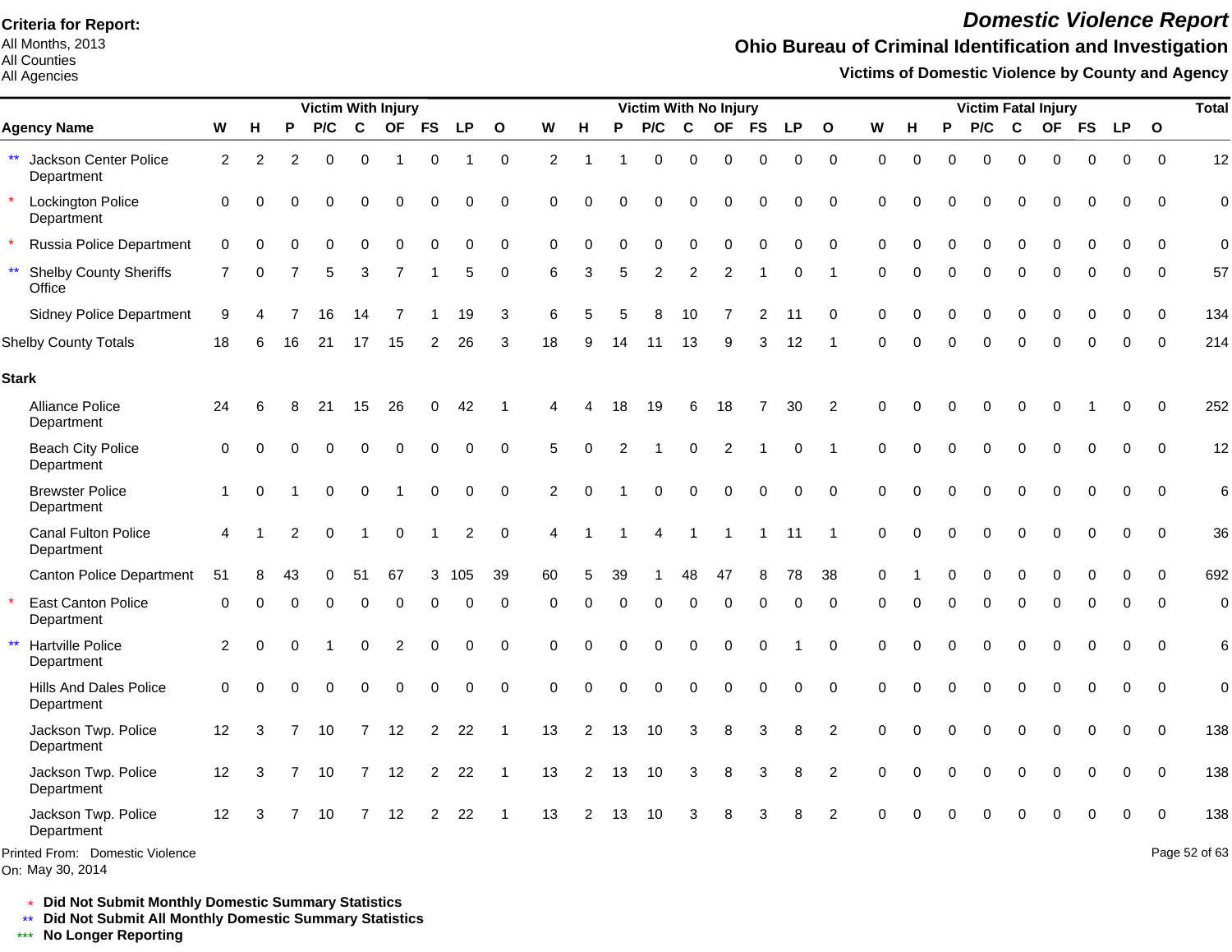All Months, 2013 All Counties

#### All Agencies

## *Domestic Violence Report*

## **Ohio Bureau of Criminal Identification and Investigation**

**Victims of Domestic Violence by County and Agency**

|                                                         |                 |          |          | <b>Victim With Injury</b> |                |                |                |                |              |          |                |          | <b>Victim With No Injury</b> |              |                |             |           |                |             |             |          |          |          | <b>Victim Fatal Injury</b> |             |             |              | <b>Total</b>    |
|---------------------------------------------------------|-----------------|----------|----------|---------------------------|----------------|----------------|----------------|----------------|--------------|----------|----------------|----------|------------------------------|--------------|----------------|-------------|-----------|----------------|-------------|-------------|----------|----------|----------|----------------------------|-------------|-------------|--------------|-----------------|
| <b>Agency Name</b>                                      | W               | н        | P        | P/C                       | C              | <b>OF</b>      | <b>FS</b>      | <b>LP</b>      | $\mathbf{o}$ | W        | н              | P        | P/C                          | $\mathbf c$  | <b>OF</b>      | <b>FS</b>   | <b>LP</b> | $\mathbf{o}$   | W           | н           | P        | P/C      | C        | <b>OF</b>                  | <b>FS</b>   | <b>LP</b>   | $\mathbf{o}$ |                 |
| ** Jackson Center Police<br>Department                  | 2               | 2        | 2        | 0                         | 0              | -1             | 0              |                | $\mathbf 0$  | 2        |                |          | 0                            | 0            | $\mathbf 0$    | 0           | 0         | 0              | 0           | $\mathbf 0$ | 0        | $\Omega$ | $\Omega$ | $\Omega$                   | $\Omega$    | 0           | $\mathbf 0$  | 12              |
| <b>Lockington Police</b><br>Department                  | $\Omega$        | $\Omega$ | ∩        | $\Omega$                  | $\Omega$       | $\Omega$       | 0              | 0              | 0            | $\Omega$ | $\Omega$       | O        | 0                            | $\Omega$     | $\Omega$       | 0           | 0         | 0              | $\mathbf 0$ | $\Omega$    | $\Omega$ | $\Omega$ | $\Omega$ | $\Omega$                   | $\Omega$    | 0           | $\Omega$     | $\mathbf 0$     |
| Russia Police Department                                | $\mathbf 0$     | $\Omega$ |          | ∩                         | 0              | $\Omega$       | $\Omega$       | $\Omega$       | 0            | 0        | $\Omega$       | O        | $\Omega$                     | $\Omega$     | $\Omega$       | $\Omega$    | $\Omega$  | 0              | $\Omega$    | $\Omega$    | $\Omega$ | 0        | $\Omega$ | $\Omega$                   |             | 0           | $\Omega$     | $\mathbf 0$     |
| $\star\star$<br><b>Shelby County Sheriffs</b><br>Office | $\overline{7}$  | $\Omega$ |          | 5                         | 3              | $\overline{7}$ |                | 5              | 0            | 6        | 3              | 5        | $\overline{2}$               | 2            | $\overline{2}$ |             | 0         | -1             | 0           | $\Omega$    | $\Omega$ | 0        | 0        | $\Omega$                   | $\Omega$    | 0           | 0            | 57              |
| <b>Sidney Police Department</b>                         | 9               | 4        |          | 16                        | 14             | $\overline{7}$ |                | 19             | 3            | 6        | 5              | 5        | 8                            | 10           | 7              | 2           | 11        | $\Omega$       | $\Omega$    | $\Omega$    | O        | $\Omega$ | $\Omega$ | $\Omega$                   | $\Omega$    | $\Omega$    | $\Omega$     | 134             |
| <b>Shelby County Totals</b>                             | 18              |          | 16       | 21                        | 17             | 15             | 2              | 26             | 3            | 18       | 9              | 14       | 11                           | 13           | 9              | 3           | 12        |                | 0           | O           | $\Omega$ | 0        | $\Omega$ | $\Omega$                   |             | 0           | $\Omega$     | 214             |
| <b>Stark</b>                                            |                 |          |          |                           |                |                |                |                |              |          |                |          |                              |              |                |             |           |                |             |             |          |          |          |                            |             |             |              |                 |
| Alliance Police<br>Department                           | 24              | 6        | 8        | 21                        | 15             | 26             | 0              | 42             |              | Δ        |                | 18       | 19                           | 6            | 18             | 7           | 30        | 2              | $\Omega$    | $\Omega$    | ∩        | 0        | $\Omega$ | 0                          |             | 0           | $\Omega$     | 252             |
| <b>Beach City Police</b><br>Department                  | $\Omega$        | $\Omega$ |          | $\Omega$                  | 0              | $\mathbf 0$    | 0              | 0              | $\mathbf 0$  | 5        | $\Omega$       |          |                              | $\mathbf 0$  | $\overline{2}$ |             | 0         |                | $\Omega$    | $\Omega$    |          | 0        | $\Omega$ | $\Omega$                   | $\Omega$    | 0           | $\mathbf 0$  | 12              |
| <b>Brewster Police</b><br>Department                    | $\mathbf 1$     | $\Omega$ |          | 0                         | 0              | -1             | 0              | 0              | $\pmb{0}$    | 2        | $\Omega$       |          | 0                            | 0            | $\mathbf 0$    | $\mathbf 0$ | 0         | 0              | 0           | $\Omega$    |          | 0        | $\Omega$ | 0                          | $\Omega$    | 0           | 0            | $6\phantom{1}6$ |
| Canal Fulton Police<br>Department                       | 4               |          | 2        | $\Omega$                  | -1             | 0              |                | $\overline{2}$ | $\mathbf 0$  | 4        |                |          | 4                            | $\mathbf{1}$ | -1             | $\mathbf 1$ | 11        | -1             | $\Omega$    | $\Omega$    |          | $\Omega$ | $\Omega$ | $\Omega$                   | $\Omega$    | 0           | $\Omega$     | 36              |
| <b>Canton Police Department</b>                         | 51              |          | 43       |                           | 51             | 67             | 3              | 105            | 39           | 60       | 5              | 39       |                              | 48           | 47             | 8           | 78        | 38             | $\Omega$    |             |          | 0        | $\Omega$ | $\Omega$                   |             | O           | $\Omega$     | 692             |
| <b>East Canton Police</b><br>Department                 | $\mathbf 0$     | $\Omega$ | 0        | $\Omega$                  | 0              | 0              | 0              | 0              | 0            | 0        | 0              | 0        | 0                            | 0            | $\mathbf 0$    | 0           | 0         | 0              | 0           | $\Omega$    | $\Omega$ | 0        | 0        | 0                          | $\Omega$    | 0           | 0            | $\mathbf 0$     |
| $\star\star$<br>Hartville Police<br>Department          | 2               | $\Omega$ | $\Omega$ |                           | 0              | $\overline{c}$ | 0              | $\mathbf 0$    | $\pmb{0}$    | 0        | $\Omega$       | $\Omega$ | $\mathbf 0$                  | $\mathbf 0$  | $\mathbf 0$    | $\mathbf 0$ |           | $\mathbf 0$    | $\mathbf 0$ | $\Omega$    | $\Omega$ | 0        | 0        | 0                          | $\Omega$    | $\mathbf 0$ | $\mathbf 0$  | $6\phantom{1}6$ |
| Hills And Dales Police<br>Department                    | $\mathbf 0$     | $\Omega$ | $\Omega$ | $\Omega$                  | 0              | $\mathbf 0$    | 0              | $\pmb{0}$      | $\pmb{0}$    | 0        | $\mathbf 0$    | $\Omega$ | $\pmb{0}$                    | $\mathbf 0$  | $\mathbf 0$    | $\mathbf 0$ | 0         | $\mathbf 0$    | $\mathbf 0$ | $\Omega$    | $\Omega$ | 0        | 0        | 0                          | $\mathbf 0$ | 0           | $\mathbf 0$  | $\mathbf 0$     |
| Jackson Twp. Police<br>Department                       | 12              | 3        |          | 10                        | $\overline{7}$ | 12             | $\overline{2}$ | 22             | 1            | 13       | 2              | 13       | 10                           | 3            | 8              | 3           | 8         | $\overline{2}$ | $\Omega$    | $\Omega$    | $\Omega$ | 0        | $\Omega$ | $\Omega$                   | $\Omega$    | 0           | $\mathbf 0$  | 138             |
| Jackson Twp. Police<br>Department                       | 12 <sup>2</sup> | 3        | 7        | 10                        | 7              | 12             | 2              | 22             | -1           | 13       | 2              | 13       | 10                           | 3            | 8              | 3           | 8         | $\overline{2}$ | $\Omega$    | O           |          | 0        | $\Omega$ | 0                          |             | 0           | $\mathbf 0$  | 138             |
| Jackson Twp. Police<br>Department                       | 12              | 3        | 7        | 10                        | $\overline{7}$ | 12             | $\overline{2}$ | 22             | 1            | 13       | $\overline{2}$ | 13       | 10                           | 3            | 8              |             | 8         | $\mathcal{P}$  | $\Omega$    |             |          |          |          |                            |             | O           | $\Omega$     | 138             |
| Printed From: Domestic Violence<br>On: May 30, 2014     |                 |          |          |                           |                |                |                |                |              |          |                |          |                              |              |                |             |           |                |             |             |          |          |          |                            |             |             |              | Page 52 of 63   |

\* **Did Not Submit Monthly Domestic Summary Statistics**

**Did Not Submit All Monthly Domestic Summary Statistics**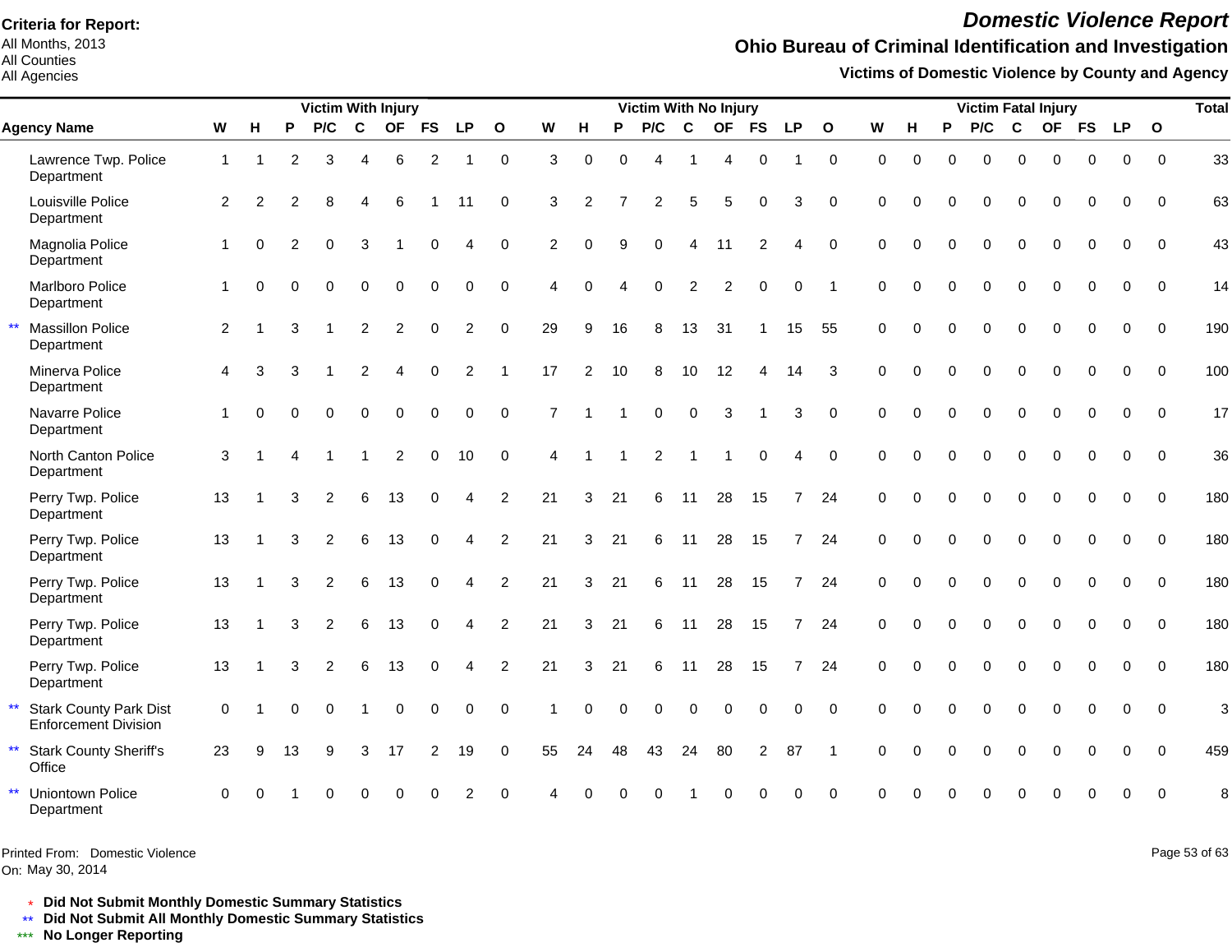All Months, 2013 All Counties

All Agencies

# *Domestic Violence Report*

## **Ohio Bureau of Criminal Identification and Investigation**

**Victims of Domestic Violence by County and Agency**

|                                                              |              |               |                | <b>Victim With Injury</b> |                |             |                |                |                     |                |               |          | Victim With No Injury |                |             |                |                |              |             |          |          | <b>Victim Fatal Injury</b> |              |             |             |            |          | <b>Total</b> |
|--------------------------------------------------------------|--------------|---------------|----------------|---------------------------|----------------|-------------|----------------|----------------|---------------------|----------------|---------------|----------|-----------------------|----------------|-------------|----------------|----------------|--------------|-------------|----------|----------|----------------------------|--------------|-------------|-------------|------------|----------|--------------|
| <b>Agency Name</b>                                           | W            | H             | P              | P/C                       | $\mathbf{C}$   |             | OF FS          | <b>LP</b>      | $\mathbf{o}$        | W              | H             | P        | P/C                   | $\mathbf c$    | <b>OF</b>   | <b>FS</b>      | <b>LP</b>      | $\mathbf{o}$ | W           | H        | P        | P/C                        | C            |             |             | OF FS LP O |          |              |
| Lawrence Twp. Police<br>Department                           | $\mathbf{1}$ |               | $\overline{2}$ | 3                         | $\overline{4}$ | 6           | 2              |                | $\mathsf{O}\xspace$ | 3              | $\Omega$      | $\Omega$ | 4                     | $\overline{1}$ | 4           | $\mathbf 0$    | 1              | $\mathbf 0$  | $\mathbf 0$ | $\Omega$ | $\Omega$ | $\Omega$                   | $\Omega$     | $\Omega$    | $\Omega$    | $\Omega$   | $\Omega$ | 33           |
| Louisville Police<br>Department                              | 2            | $\mathcal{P}$ | 2              | 8                         | Δ              | 6           |                | 11             | $\mathbf 0$         | 3              | $\mathcal{P}$ |          | $\overline{2}$        | 5              | 5           | $\mathbf 0$    | 3              | $\Omega$     | $\Omega$    |          | $\Omega$ | 0                          | $\Omega$     | $\Omega$    | 0           | $\Omega$   | $\Omega$ | 63           |
| Magnolia Police<br>Department                                | 1            | $\Omega$      | $\mathcal{P}$  | $\Omega$                  | 3              |             | $\Omega$       | 4              | $\Omega$            | 2              | $\Omega$      | 9        | $\Omega$              | $\overline{A}$ | 11          | 2              | 4              | $\Omega$     | $\Omega$    | $\Omega$ | $\Omega$ | $\Omega$                   | $\Omega$     | $\Omega$    | $\Omega$    | $\Omega$   | $\Omega$ | 43           |
| Marlboro Police<br>Department                                | $\mathbf{1}$ | $\Omega$      |                | $\Omega$                  | $\Omega$       | $\Omega$    | $\Omega$       | $\Omega$       | $\Omega$            | $\overline{4}$ | $\Omega$      |          | $\Omega$              | 2              | 2           | $\Omega$       | $\Omega$       |              | $\Omega$    | $\Omega$ | $\Omega$ | $\Omega$                   | $\Omega$     | $\Omega$    | $\Omega$    | $\Omega$   | $\Omega$ | 14           |
| <b>Massillon Police</b><br>Department                        | 2            |               | 3              |                           | 2              | 2           | $\Omega$       | $\overline{2}$ | $\Omega$            | 29             | 9             | 16       | 8                     | 13             | 31          |                | 15             | 55           | $\Omega$    | $\Omega$ | $\Omega$ | $\Omega$                   | $\mathbf{0}$ | $\Omega$    | $\Omega$    | $\Omega$   | $\Omega$ | 190          |
| Minerva Police<br>Department                                 | 4            | 3             | 3              |                           | 2              | Δ           | $\Omega$       | 2              | $\overline{1}$      | 17             | 2             | 10       | 8                     | 10             | 12          | 4              | 14             | 3            | $\Omega$    | $\Omega$ | $\Omega$ | $\Omega$                   | $\Omega$     | $\Omega$    | $\Omega$    | $\Omega$   | $\Omega$ | 100          |
| Navarre Police<br>Department                                 | 1            |               |                | $\Omega$                  | $\Omega$       | $\Omega$    | $\Omega$       | $\Omega$       | $\Omega$            | $\overline{7}$ |               |          | $\Omega$              | $\Omega$       | 3           |                | 3              | $\Omega$     | $\Omega$    | $\Omega$ | $\Omega$ | $\Omega$                   | $\Omega$     | $\Omega$    | $\Omega$    | $\Omega$   | $\Omega$ | 17           |
| North Canton Police<br>Department                            | 3            |               |                |                           |                | 2           | $\Omega$       | 10             | $\Omega$            | $\overline{4}$ |               |          | 2                     | $\overline{1}$ |             | $\Omega$       | 4              | $\Omega$     | $\Omega$    | $\Omega$ | $\Omega$ | $\Omega$                   | $\Omega$     | $\Omega$    | $\Omega$    | $\Omega$   | $\Omega$ | 36           |
| Perry Twp. Police<br>Department                              | 13           |               | 3              | 2                         | 6              | 13          | $\Omega$       | 4              | $\overline{2}$      | 21             | 3             | 21       | 6                     | 11             | 28          | 15             | 7              | 24           | $\Omega$    | $\Omega$ | $\Omega$ | $\Omega$                   | $\mathbf 0$  | $\Omega$    | $\Omega$    | $\Omega$   | $\Omega$ | 180          |
| Perry Twp. Police<br>Department                              | 13           |               | 3              | $\overline{2}$            | 6              | 13          | $\Omega$       | 4              | $\overline{2}$      | 21             | 3             | 21       | 6                     | 11             | 28          | 15             | $\overline{7}$ | 24           | 0           | $\Omega$ | $\Omega$ | $\Omega$                   | $\mathbf{0}$ | $\Omega$    | $\Omega$    | $\Omega$   | $\Omega$ | 180          |
| Perry Twp. Police<br>Department                              | 13           |               | 3              | $\overline{2}$            | 6              | 13          | $\Omega$       | 4              | $\overline{2}$      | 21             | 3             | 21       | 6                     | 11             | 28          | 15             | $7^{\circ}$    | 24           | $\Omega$    | $\Omega$ | $\Omega$ | $\Omega$                   | $\Omega$     | $\Omega$    | $\Omega$    | $\Omega$   | $\Omega$ | 180          |
| Perry Twp. Police<br>Department                              | 13           |               | 3              | 2                         | 6              | 13          | $\Omega$       | Δ              | $\overline{2}$      | 21             | 3             | 21       | 6                     | 11             | 28          | 15             | $\overline{7}$ | 24           | $\Omega$    |          | $\Omega$ | $\Omega$                   | $\Omega$     | $\Omega$    | $\Omega$    | $\Omega$   | $\Omega$ | 180          |
| Perry Twp. Police<br>Department                              | 13           |               | 3              | 2                         | 6              | 13          | $\Omega$       | 4              | $\overline{2}$      | 21             | 3             | 21       | 6                     | 11             | 28          | 15             | $\overline{7}$ | 24           | $\Omega$    | $\Omega$ | $\Omega$ | $\Omega$                   | $\Omega$     | $\Omega$    | $\Omega$    | $\Omega$   | $\Omega$ | 180          |
| <b>Stark County Park Dist</b><br><b>Enforcement Division</b> | $\mathbf 0$  |               | $\Omega$       | $\Omega$                  |                | $\mathbf 0$ | $\mathbf 0$    | $\mathbf 0$    | $\Omega$            |                | $\Omega$      | $\Omega$ | 0                     | $\mathbf 0$    | $\mathbf 0$ | $\mathbf 0$    | $\Omega$       | $\Omega$     | $\Omega$    | $\Omega$ | $\Omega$ | $\mathbf 0$                | $\mathbf 0$  | $\mathbf 0$ | $\mathbf 0$ | $\Omega$   | $\Omega$ | 3            |
| <b>Stark County Sheriff's</b><br>Office                      | 23           | 9             | 13             | 9                         | 3              | 17          | $\overline{2}$ | 19             | $\mathbf 0$         | 55             | 24            | 48       | 43                    | 24             | 80          | $\overline{2}$ | 87             |              | $\Omega$    | $\Omega$ | $\Omega$ | $\Omega$                   | $\mathbf 0$  | $\mathbf 0$ | $\mathbf 0$ | $\Omega$   | $\Omega$ | 459          |
| <b>Uniontown Police</b><br>Department                        | $\Omega$     |               |                |                           |                |             |                |                |                     |                |               |          |                       |                |             |                |                | $\Omega$     |             |          |          |                            |              |             |             |            |          | 8            |

Printed From: Domestic Violence

On: May 30, 2014

Page 53 of 63

\* **Did Not Submit Monthly Domestic Summary Statistics**

**Did Not Submit All Monthly Domestic Summary Statistics**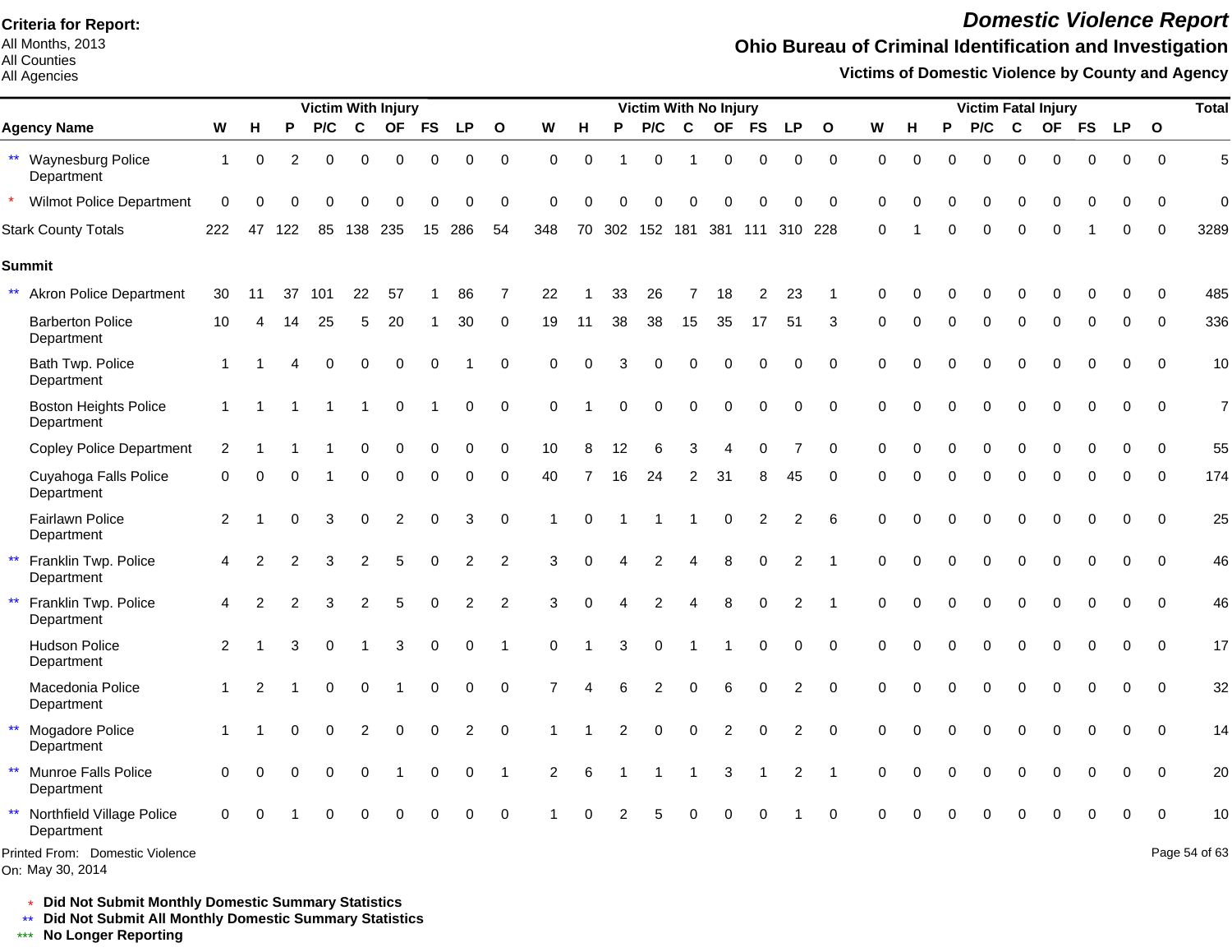All Months, 2013 All Counties

#### All Agencies

## *Domestic Violence Report*

## **Ohio Bureau of Criminal Identification and Investigation**

**Victims of Domestic Violence by County and Agency**

|                                                    |              |                |          |          |             | <b>Victim With Injury</b> |             |                |                |                      |          |    |                 |                        | Victim With No Injury |                |                |              |          |          |          | <b>Victim Fatal Injury</b> |             |             |             |             |              | <b>Total</b>   |
|----------------------------------------------------|--------------|----------------|----------|----------|-------------|---------------------------|-------------|----------------|----------------|----------------------|----------|----|-----------------|------------------------|-----------------------|----------------|----------------|--------------|----------|----------|----------|----------------------------|-------------|-------------|-------------|-------------|--------------|----------------|
| <b>Agency Name</b>                                 | W            | H              | P        | P/C      | $\mathbf c$ | <b>OF</b>                 | <b>FS</b>   | <b>LP</b>      | $\mathbf{o}$   | W                    | н        | P  | P/C             | C                      | <b>OF</b>             | <b>FS</b>      | <b>LP</b>      | $\mathbf{o}$ | W        | н        | P        | P/C                        | $\mathbf c$ |             | OF FS       | <b>LP</b>   | $\mathbf{o}$ |                |
| ** Waynesburg Police<br>Department                 | $\mathbf{1}$ | 0              | 2        | 0        | 0           | 0                         | 0           | 0              | 0              | $\Omega$             | $\Omega$ |    | $\Omega$        |                        | 0                     | 0              | 0              | $\mathbf 0$  | $\Omega$ | $\Omega$ | 0        | $\Omega$                   | $\Omega$    | 0           | $\Omega$    | $\Omega$    | $\Omega$     | 5              |
| <b>Wilmot Police Department</b>                    | $\Omega$     | C              |          |          |             | C                         |             | ი              | $\Omega$       | $\Omega$             |          |    | n               |                        | O                     | $\Omega$       | 0              | $\Omega$     | $\Omega$ |          |          | $\Omega$                   | $\Omega$    |             |             | ∩           | $\Omega$     | 0              |
| <b>Stark County Totals</b>                         | 222          | 47             | 122      | 85       | 138 235     |                           | 15          | 286            | 54             | 348                  | 70       |    | 302 152 181 381 |                        |                       |                | 111 310 228    |              | $\Omega$ |          | $\Omega$ | $\Omega$                   | $\Omega$    | $\Omega$    |             | $\Omega$    | $\Omega$     | 3289           |
| <b>Summit</b>                                      |              |                |          |          |             |                           |             |                |                |                      |          |    |                 |                        |                       |                |                |              |          |          |          |                            |             |             |             |             |              |                |
| ** Akron Police Department                         | 30           | 11             | 37       | 101      | 22          | 57                        |             | 86             | 7              | 22                   |          | 33 | 26              |                        | 18                    | $\overline{2}$ | 23             |              | $\Omega$ |          |          |                            |             |             |             |             |              | 485            |
| <b>Barberton Police</b><br>Department              | 10           |                | 14       | 25       | 5           | 20                        |             | 30             | 0              | 19                   | 11       | 38 | 38              | 15                     | 35                    | 17             | 51             | 3            | $\Omega$ | $\Omega$ | $\Omega$ | $\Omega$                   | $\Omega$    | $\Omega$    | 0           | $\Omega$    | $\Omega$     | 336            |
| Bath Twp. Police<br>Department                     |              |                |          | $\Omega$ | $\Omega$    | $\Omega$                  | $\Omega$    |                | $\Omega$       | $\Omega$             | $\Omega$ | 3  | 0               | $\Omega$               | $\Omega$              | $\mathbf 0$    | 0              | $\mathbf 0$  | $\Omega$ | $\Omega$ | $\Omega$ | $\Omega$                   | $\Omega$    | $\Omega$    | $\mathbf 0$ | $\Omega$    | $\Omega$     | 10             |
| <b>Boston Heights Police</b><br>Department         | 1            |                |          |          |             | $\Omega$                  |             | 0              | $\pmb{0}$      | $\mathbf 0$          |          |    | 0               | $\Omega$               | 0                     | $\mathbf 0$    | 0              | $\mathbf 0$  | $\Omega$ | $\Omega$ | U        | $\Omega$                   | $\Omega$    | $\Omega$    | $\mathbf 0$ | 0           | $\Omega$     | $\overline{7}$ |
| <b>Copley Police Department</b>                    | 2            |                |          |          |             | $\Omega$                  | $\Omega$    | 0              | $\mathbf 0$    | 10                   |          | 12 | 6               | 3                      |                       | $\Omega$       |                | $\Omega$     | $\Omega$ |          |          |                            | $\Omega$    | $\Omega$    | $\Omega$    | $\Omega$    | $\mathbf{0}$ | 55             |
| Cuyahoga Falls Police<br>Department                | 0            | $\Omega$       |          |          | $\Omega$    | $\Omega$                  | $\Omega$    | $\Omega$       | $\Omega$       | 40                   |          | 16 | 24              | 2                      | 31                    | 8              | 45             | $\Omega$     | $\Omega$ | $\Omega$ | $\Omega$ | $\Omega$                   | $\Omega$    | $\Omega$    | $\Omega$    | $\Omega$    | $\Omega$     | 174            |
| Fairlawn Police<br>Department                      | 2            |                | $\Omega$ | 3        | $\Omega$    | 2                         | $\Omega$    | 3              | $\mathbf 0$    | 1                    | $\Omega$ |    |                 |                        | $\mathbf 0$           | 2              | $\overline{c}$ | 6            | $\Omega$ |          |          | $\Omega$                   | $\Omega$    | $\Omega$    | $\Omega$    | $\Omega$    | $\Omega$     | 25             |
| $\star\star$<br>Franklin Twp. Police<br>Department | 4            | 2              |          | 3        | 2           | 5                         | $\Omega$    | $\overline{2}$ | 2              | 3                    | $\Omega$ |    | $\overline{2}$  |                        | 8                     | $\Omega$       | $\overline{2}$ |              | $\Omega$ |          |          | $\Omega$                   | $\Omega$    | $\Omega$    | $\Omega$    | $\Omega$    | $\Omega$     | 46             |
| $\star\star$<br>Franklin Twp. Police<br>Department | 4            | 2              |          | 3        | 2           | 5                         | $\mathbf 0$ | $\overline{c}$ | $\overline{2}$ | 3                    | $\Omega$ |    | $\overline{2}$  | $\boldsymbol{\Lambda}$ | 8                     | $\mathbf 0$    | $\overline{2}$ |              | $\Omega$ |          | $\Omega$ | $\mathbf 0$                | $\mathbf 0$ | $\mathbf 0$ | $\Omega$    | $\Omega$    | $\mathbf{0}$ | 46             |
| <b>Hudson Police</b><br>Department                 | 2            |                |          | 0        |             | 3                         | $\Omega$    | 0              | -1             | $\Omega$             |          | 3  | $\Omega$        |                        |                       | $\mathbf 0$    | 0              | $\Omega$     | $\Omega$ |          | $\Omega$ | $\Omega$                   | $\Omega$    | $\Omega$    | $\Omega$    | $\Omega$    | $\Omega$     | 17             |
| Macedonia Police<br>Department                     | 1            | $\mathfrak{p}$ |          | 0        | $\Omega$    |                           | $\Omega$    | 0              | $\Omega$       | 7                    |          | 6  | $\overline{c}$  | $\Omega$               | 6                     | 0              | 2              | $\Omega$     | $\Omega$ |          | $\Omega$ | $\Omega$                   | $\Omega$    | $\Omega$    | 0           | $\Omega$    | $\Omega$     | 32             |
| $\star\star$<br>Mogadore Police<br>Department      |              |                |          | $\Omega$ | 2           | $\Omega$                  | $\Omega$    | 2              | $\Omega$       | $\blacktriangleleft$ |          | 2  | $\Omega$        | $\mathbf 0$            | $\overline{c}$        | $\Omega$       | $\overline{2}$ | $\Omega$     | $\Omega$ | $\Omega$ | $\Omega$ | $\Omega$                   | $\Omega$    | $\Omega$    | $\Omega$    | $\Omega$    | $\Omega$     | 14             |
| $***$<br>Munroe Falls Police<br>Department         | $\Omega$     | $\Omega$       |          | $\Omega$ | $\Omega$    |                           | 0           | 0              | $\overline{1}$ | $\overline{2}$       | 6        |    |                 | -1                     | 3                     |                | $\overline{c}$ | -1           | $\Omega$ | $\Omega$ | $\Omega$ | $\Omega$                   | $\Omega$    | $\Omega$    | 0           | $\Omega$    | $\Omega$     | 20             |
| $***$<br>Northfield Village Police<br>Department   | $\Omega$     |                |          |          | $\Omega$    | $\Omega$                  | $\Omega$    | $\Omega$       | $\Omega$       |                      |          |    | 5               |                        |                       |                |                | $\mathbf 0$  | $\Omega$ |          |          |                            | $\Omega$    | $\Omega$    | 0           | $\mathbf 0$ | $\Omega$     | 10             |
| Printed From: Domestic Violence                    |              |                |          |          |             |                           |             |                |                |                      |          |    |                 |                        |                       |                |                |              |          |          |          |                            |             |             |             |             |              | Page 54 of 63  |

\* **Did Not Submit Monthly Domestic Summary Statistics**

**Did Not Submit All Monthly Domestic Summary Statistics**

<u>\*\*</u> Did Not Submit All M∗<br><mark>\*\*\*</mark> No Longer Reporting

On: May 30, 2014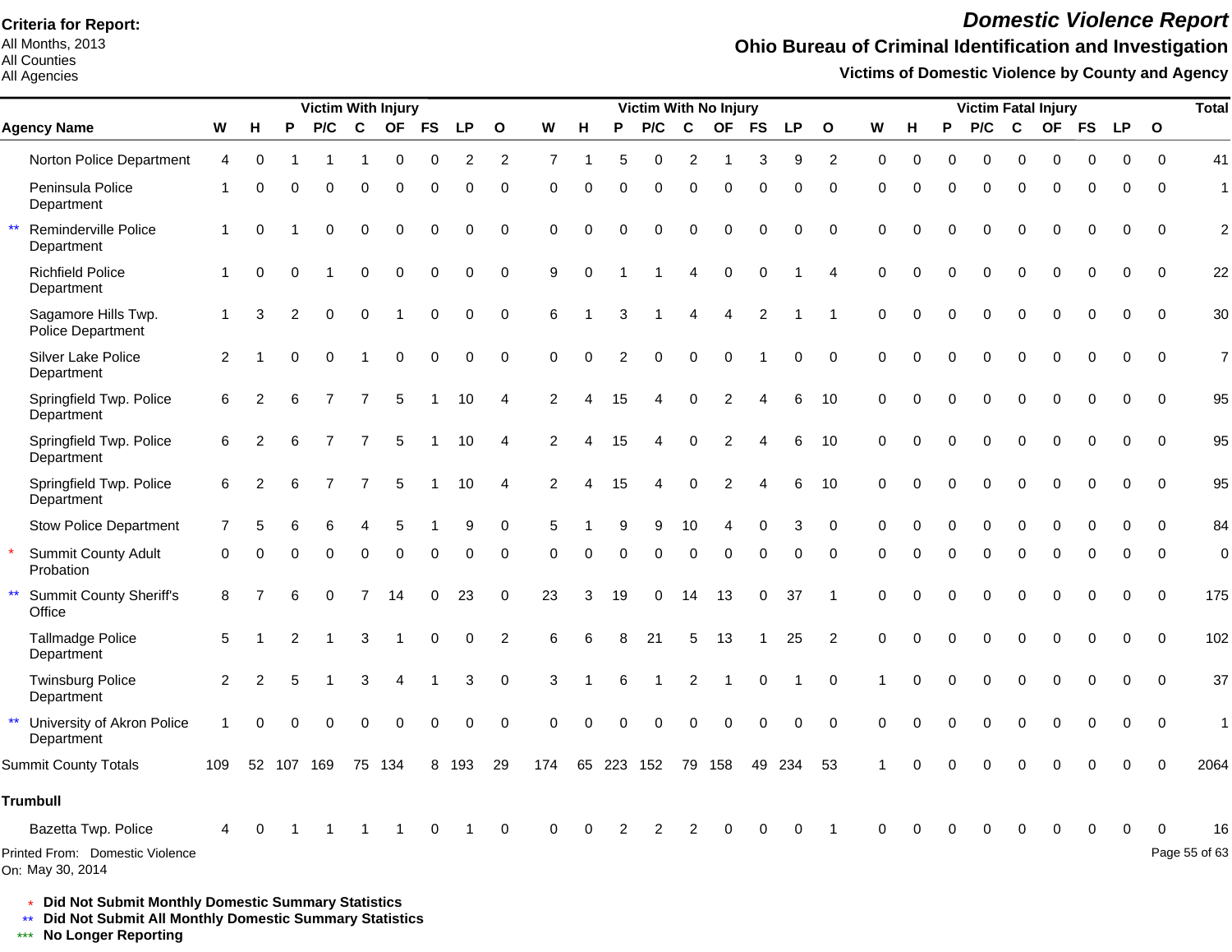All Months, 2013 All Counties

All Agencies

## *Domestic Violence Report*

## **Ohio Bureau of Criminal Identification and Investigation**

**Victims of Domestic Violence by County and Agency**

|                                                          |                |                |                | <b>Victim With Injury</b> |                |                |             |             |                |                |          |          | <b>Victim With No Injury</b> |                |                |                |           |                |             |          |             | <b>Victim Fatal Injury</b> |             |             |             |             |              | <b>Total</b>   |
|----------------------------------------------------------|----------------|----------------|----------------|---------------------------|----------------|----------------|-------------|-------------|----------------|----------------|----------|----------|------------------------------|----------------|----------------|----------------|-----------|----------------|-------------|----------|-------------|----------------------------|-------------|-------------|-------------|-------------|--------------|----------------|
| <b>Agency Name</b>                                       | W              | н              | P              | P/C                       | $\mathbf c$    | <b>OF</b>      | <b>FS</b>   | <b>LP</b>   | $\mathbf{o}$   | W              | н        | P        | P/C                          | C              | <b>OF</b>      | <b>FS</b>      | <b>LP</b> | $\mathbf{o}$   | W           | н        | P           | P/C                        | C           | OF          | <b>FS</b>   | <b>LP</b>   | $\mathbf{o}$ |                |
| Norton Police Department                                 | 4              | 0              |                |                           |                | $\Omega$       | 0           | 2           | 2              | $\overline{7}$ | -1       | 5        | 0                            | 2              | -1             | 3              | 9         | 2              | 0           | 0        | 0           | 0                          | $\Omega$    | 0           | 0           | 0           | $\Omega$     | 41             |
| Peninsula Police<br>Department                           | -1             | 0              | 0              | 0                         | 0              | $\mathbf 0$    | 0           | 0           | $\pmb{0}$      | 0              | 0        | 0        | 0                            | $\mathbf 0$    | 0              | $\mathbf 0$    | 0         | $\mathbf 0$    | $\mathbf 0$ | 0        | 0           | 0                          | $\mathbf 0$ | 0           | 0           | 0           | $\Omega$     | $\mathbf{1}$   |
| $\star\star$<br>Reminderville Police<br>Department       | 1              | $\Omega$       |                | 0                         | $\mathbf 0$    | $\overline{0}$ | 0           | 0           | $\mathbf 0$    | $\Omega$       | $\Omega$ | ∩        | $\mathbf 0$                  | $\mathbf 0$    | $\Omega$       | $\Omega$       | 0         | $\mathbf 0$    | $\Omega$    | 0        | $\Omega$    | $\mathbf 0$                | $\mathbf 0$ | $\mathbf 0$ | $\mathbf 0$ | 0           | $\Omega$     | $\overline{c}$ |
| <b>Richfield Police</b><br>Department                    |                | $\Omega$       | $\Omega$       |                           | $\mathbf 0$    | $\mathbf 0$    | $\mathbf 0$ | $\mathbf 0$ | $\pmb{0}$      | 9              | $\Omega$ |          |                              | $\overline{4}$ | $\mathbf 0$    | $\mathbf 0$    |           | $\overline{4}$ | $\Omega$    | 0        | $\Omega$    | $\mathbf 0$                | $\mathbf 0$ | $\mathbf 0$ | $\mathbf 0$ | $\mathbf 0$ | $\mathbf 0$  | 22             |
| Sagamore Hills Twp.<br>Police Department                 | -1             | 3              | $\overline{2}$ | $\pmb{0}$                 | 0              |                | 0           | 0           | $\mathbf 0$    | 6              |          | 3        |                              | 4              | 4              | $\overline{c}$ | 1         | -1             | $\mathbf 0$ | $\Omega$ | 0           | 0                          | $\mathbf 0$ | $\mathbf 0$ | 0           | $\mathbf 0$ | $\mathbf 0$  | 30             |
| Silver Lake Police<br>Department                         | $\overline{2}$ |                | 0              | $\Omega$                  |                | $\mathbf 0$    | $\mathbf 0$ | 0           | $\mathbf 0$    | $\Omega$       | $\Omega$ | 2        | $\mathbf 0$                  | $\mathbf 0$    | $\mathbf 0$    |                | 0         | $\mathbf 0$    | $\Omega$    | $\Omega$ | $\Omega$    | $\mathbf 0$                | $\mathbf 0$ | $\mathbf 0$ | $\mathbf 0$ | $\mathbf 0$ | $\Omega$     | $\overline{7}$ |
| Springfield Twp. Police<br>Department                    | 6              | $\overline{2}$ | 6              | 7                         | 7              | 5              |             | 10          | 4              | $\overline{2}$ | 4        | 15       | 4                            | $\Omega$       | $\overline{c}$ | 4              | 6         | 10             | $\Omega$    | 0        | 0           | $\mathbf 0$                | $\mathbf 0$ | $\mathbf 0$ | $\mathbf 0$ | $\mathbf 0$ | $\Omega$     | 95             |
| Springfield Twp. Police<br>Department                    | 6              | $\overline{2}$ | 6              | 7                         | 7              | 5              |             | 10          | 4              | $\mathcal{P}$  | Δ        | 15       | 4                            | 0              | $\overline{c}$ | 4              | 6         | 10             | $\Omega$    | 0        | $\mathbf 0$ | 0                          | $\mathbf 0$ | 0           | $\mathbf 0$ | 0           | $\mathbf 0$  | 95             |
| Springfield Twp. Police<br>Department                    | 6              | 2              | 6              | 7                         | $\overline{7}$ | 5              |             | 10          | $\overline{4}$ | $\mathcal{P}$  | Δ        | 15       | 4                            | $\Omega$       | $\mathfrak{p}$ |                | 6         | 10             | $\Omega$    | 0        | $\Omega$    | $\Omega$                   | $\Omega$    | $\Omega$    | $\Omega$    | $\Omega$    | $\Omega$     | 95             |
| <b>Stow Police Department</b>                            | $\overline{7}$ | 5              | 6              | 6                         | 4              | 5              |             | 9           | 0              | 5              |          | 9        | 9                            | 10             | 4              | $\Omega$       | 3         | $\Omega$       | $\Omega$    | 0        | $\Omega$    | 0                          | $\Omega$    | $\Omega$    | $\Omega$    | $\Omega$    | $\Omega$     | 84             |
| <b>Summit County Adult</b><br>Probation                  | 0              | $\Omega$       |                | $\Omega$                  | $\Omega$       | $\Omega$       | 0           | 0           | 0              | $\Omega$       | $\Omega$ | $\Omega$ | 0                            | $\Omega$       | 0              | $\Omega$       | 0         | $\Omega$       | $\Omega$    |          | $\Omega$    | 0                          | $\Omega$    | $\Omega$    | $\Omega$    | $\Omega$    | $\mathbf{0}$ | $\mathbf 0$    |
| $\star\star$<br><b>Summit County Sheriff's</b><br>Office | 8              |                | 6              | 0                         | $\overline{7}$ | 14             | 0           | 23          | 0              | 23             | 3        | 19       | 0                            | 14             | 13             | 0              | 37        | -1             | $\Omega$    |          | 0           | 0                          | 0           | 0           | 0           | 0           | $\mathbf 0$  | 175            |
| <b>Tallmadge Police</b><br>Department                    | 5              |                | 2              |                           | 3              |                | $\mathbf 0$ | $\mathbf 0$ | 2              | 6              | 6        | 8        | 21                           | 5              | 13             |                | 25        | 2              | $\Omega$    | 0        | $\Omega$    | $\mathbf 0$                | $\mathbf 0$ | $\mathbf 0$ | $\mathbf 0$ | $\Omega$    | $\Omega$     | 102            |
| <b>Twinsburg Police</b><br>Department                    | 2              | 2              | 5              |                           | 3              | 4              | 1           | 3           | $\mathbf 0$    | 3              |          | 6        |                              | $\overline{c}$ | $\overline{1}$ | $\mathbf 0$    | 1         | 0              |             | 0        | 0           | $\mathbf 0$                | $\mathbf 0$ | $\mathbf 0$ | $\mathbf 0$ | $\mathbf 0$ | $\Omega$     | 37             |
| $\star\star$<br>University of Akron Police<br>Department | 1              | $\Omega$       | U              | 0                         | $\mathbf 0$    | $\Omega$       | 0           | 0           | $\mathbf 0$    | $\Omega$       | $\Omega$ | ∩        | 0                            | $\Omega$       | 0              | $\mathbf 0$    | 0         | $\Omega$       | $\Omega$    |          | 0           | $\mathbf 0$                | $\Omega$    | 0           | 0           | 0           | $\mathbf 0$  | $\mathbf{1}$   |
| <b>Summit County Totals</b>                              | 109            | 52             | 107            | 169                       | 75             | 134            | 8           | 193         | 29             | 174            | 65       | 223      | 152                          | 79             | 158            | 49             | 234       | 53             |             |          |             |                            |             |             |             |             |              | 2064           |
| <b>Trumbull</b>                                          |                |                |                |                           |                |                |             |             |                |                |          |          |                              |                |                |                |           |                |             |          |             |                            |             |             |             |             |              |                |
| Bazetta Twp. Police                                      | 4              | $\Omega$       |                |                           |                |                | $\Omega$    |             | $\Omega$       | $\Omega$       | O        | 2        | 2                            | 2              |                |                | $\Omega$  |                |             |          |             |                            | 0           | O           | $\Omega$    | $\Omega$    |              | 16             |
| Printed From: Domestic Violence<br>On: May 30, 2014      |                |                |                |                           |                |                |             |             |                |                |          |          |                              |                |                |                |           |                |             |          |             |                            |             |             |             |             |              | Page 55 of 63  |

\* **Did Not Submit Monthly Domestic Summary Statistics**

**Did Not Submit All Monthly Domestic Summary Statistics**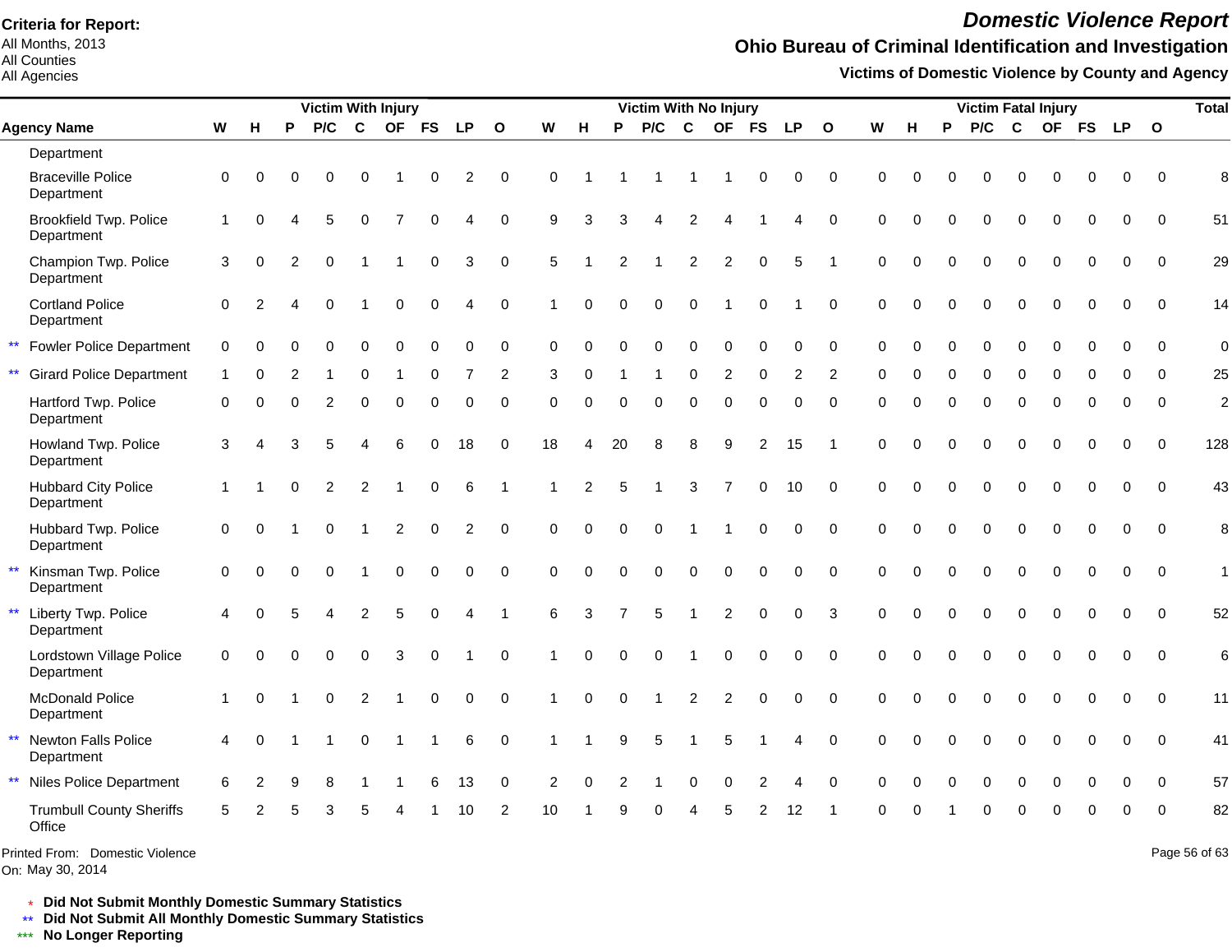All Months, 2013 All Counties

All Agencies

## *Domestic Violence Report*

## **Ohio Bureau of Criminal Identification and Investigation**

**Victims of Domestic Violence by County and Agency**

|                                                   |              |                |          | <b>Victim With Injury</b> |                |                         |             |                |                         |          |                |                | <b>Victim With No Injury</b> |                |                |                     |             |                |             |          |          | <b>Victim Fatal Injury</b> |             |             |             |             |              | <b>Total</b>   |
|---------------------------------------------------|--------------|----------------|----------|---------------------------|----------------|-------------------------|-------------|----------------|-------------------------|----------|----------------|----------------|------------------------------|----------------|----------------|---------------------|-------------|----------------|-------------|----------|----------|----------------------------|-------------|-------------|-------------|-------------|--------------|----------------|
| <b>Agency Name</b>                                | ${\bf W}$    | н              | P        | P/C                       | $\mathbf{C}$   | <b>OF</b>               | <b>FS</b>   | <b>LP</b>      | $\mathbf{o}$            | W        | н              | P              | P/C                          | $\mathbf{C}$   | <b>OF</b>      | <b>FS</b>           | <b>LP</b>   | $\mathbf{o}$   | W           | н        | P        | P/C                        | $\mathbf c$ | <b>OF</b>   | <b>FS</b>   | <b>LP</b>   | $\mathbf{o}$ |                |
| Department                                        |              |                |          |                           |                |                         |             |                |                         |          |                |                |                              |                |                |                     |             |                |             |          |          |                            |             |             |             |             |              |                |
| <b>Braceville Police</b><br>Department            | $\mathbf 0$  | $\Omega$       | $\Omega$ | 0                         | 0              |                         | 0           | $\overline{c}$ | $\mathbf 0$             | $\Omega$ |                |                |                              |                |                | 0                   | 0           | $\overline{0}$ | $\Omega$    | O        |          | 0                          | $\Omega$    | 0           | 0           | 0           | $\mathbf 0$  | 8              |
| <b>Brookfield Twp. Police</b><br>Department       | $\mathbf{1}$ | $\Omega$       |          | 5                         | $\mathbf 0$    | $\overline{7}$          | $\mathbf 0$ | 4              | $\Omega$                | 9        | 3              | 3              | 4                            | $\overline{2}$ | 4              |                     | 4           | $\Omega$       | $\Omega$    |          | $\Omega$ | $\Omega$                   | $\Omega$    | $\Omega$    | $\Omega$    | $\Omega$    | $\Omega$     | 51             |
| Champion Twp. Police<br>Department                | 3            | $\Omega$       | 2        | $\Omega$                  |                | 1                       | $\mathbf 0$ | 3              | $\Omega$                | 5        |                | 2              |                              | $\overline{2}$ | 2              | $\mathbf 0$         | 5           |                | $\Omega$    | $\Omega$ | $\Omega$ | $\Omega$                   | $\mathbf 0$ | $\Omega$    | $\Omega$    | $\Omega$    | $\Omega$     | 29             |
| <b>Cortland Police</b><br>Department              | $\Omega$     | $\mathfrak{p}$ |          | $\mathbf 0$               |                | 0                       | 0           | 4              | $\mathbf 0$             |          | $\Omega$       | $\Omega$       | 0                            | $\Omega$       |                | $\mathbf 0$         |             | $\mathbf 0$    | $\mathbf 0$ | $\Omega$ | $\Omega$ | $\Omega$                   | $\mathbf 0$ | $\Omega$    | $\mathbf 0$ | $\mathbf 0$ | $\mathbf 0$  | 14             |
| <b>Fowler Police Department</b>                   | 0            |                |          | $\Omega$                  | $\mathbf 0$    | 0                       | $\mathbf 0$ | 0              | 0                       | $\Omega$ | O              | $\Omega$       | 0                            | $\mathbf 0$    | $\Omega$       | 0                   | 0           | $\mathbf 0$    | $\Omega$    | $\Omega$ | $\Omega$ | $\Omega$                   | $\Omega$    | $\Omega$    | $\Omega$    | 0           | $\Omega$     | $\mathbf 0$    |
| $\star\star$<br><b>Girard Police Department</b>   | 1            |                |          |                           | $\Omega$       |                         | $\Omega$    |                | $\overline{2}$          | 3        | 0              |                |                              | $\Omega$       | 2              | $\Omega$            | 2           | $\overline{2}$ | $\Omega$    | O        | $\Omega$ | $\Omega$                   | $\Omega$    | $\Omega$    | $\Omega$    | $\Omega$    | $\Omega$     | 25             |
| Hartford Twp. Police<br>Department                | $\Omega$     | $\Omega$       | $\Omega$ | 2                         | $\Omega$       | 0                       | $\Omega$    | $\Omega$       | $\Omega$                | $\Omega$ | $\Omega$       | $\Omega$       | $\Omega$                     | $\Omega$       | $\Omega$       | $\Omega$            | $\Omega$    | $\Omega$       | $\Omega$    | $\Omega$ | $\Omega$ | $\Omega$                   | $\mathbf 0$ | $\Omega$    | $\Omega$    | $\Omega$    | $\Omega$     | $\overline{c}$ |
| Howland Twp. Police<br>Department                 | 3            |                | 3        | 5                         |                | 6                       | $\mathbf 0$ | 18             | $\mathbf 0$             | 18       | 4              | 20             | 8                            | 8              | 9              | $\overline{2}$      | 15          |                | $\mathbf 0$ | $\Omega$ | $\Omega$ | 0                          | $\mathbf 0$ | 0           | $\mathbf 0$ | $\Omega$    | $\mathbf 0$  | 128            |
| <b>Hubbard City Police</b><br>Department          | $\mathbf{1}$ |                | $\Omega$ | 2                         | $\overline{c}$ | $\overline{\mathbf{1}}$ | $\pmb{0}$   | 6              | $\overline{\mathbf{1}}$ |          | $\overline{2}$ | 5              | 1                            | $\mathbf{3}$   | $\overline{7}$ | 0                   | 10          | $\mathbf 0$    | $\mathbf 0$ | $\Omega$ | $\Omega$ | $\Omega$                   | $\mathbf 0$ | $\mathbf 0$ | $\mathbf 0$ | $\mathbf 0$ | $\mathbf 0$  | 43             |
| Hubbard Twp. Police<br>Department                 | $\Omega$     | $\Omega$       |          | $\Omega$                  |                | $\sqrt{2}$              | $\mathbf 0$ | $\overline{c}$ | $\Omega$                | $\Omega$ | $\Omega$       | $\Omega$       | $\Omega$                     |                |                | $\Omega$            | $\Omega$    | $\Omega$       | $\Omega$    | $\Omega$ | $\Omega$ | $\Omega$                   | $\Omega$    | $\Omega$    | $\Omega$    | $\Omega$    | $\Omega$     | 8              |
| Kinsman Twp. Police<br>Department                 | $\Omega$     | 0              | $\Omega$ | 0                         |                | $\mathbf 0$             | $\mathbf 0$ | 0              | $\mathbf 0$             | $\Omega$ | 0              | $\Omega$       | 0                            | $\pmb{0}$      | 0              | $\mathsf{O}\xspace$ | 0           | $\mathbf 0$    | $\Omega$    | $\Omega$ | $\Omega$ | 0                          | $\mathbf 0$ | $\mathbf 0$ | $\mathbf 0$ | $\mathbf 0$ | $\mathbf 0$  | $\mathbf{1}$   |
| $\star\star$<br>Liberty Twp. Police<br>Department | 4            | $\Omega$       |          | 4                         | $\overline{2}$ | 5                       | $\mathbf 0$ | 4              | $\overline{1}$          | 6        | 3              | $\overline{7}$ | 5                            | $\overline{1}$ | $\overline{c}$ | $\pmb{0}$           | 0           | 3              | $\mathbf 0$ | $\Omega$ | 0        | 0                          | $\pmb{0}$   | $\mathbf 0$ | $\mathbf 0$ | $\mathbf 0$ | $\mathbf 0$  | 52             |
| Lordstown Village Police<br>Department            | $\mathbf 0$  | $\Omega$       | $\Omega$ | 0                         | $\mathbf 0$    | 3                       | $\mathbf 0$ |                | $\Omega$                |          | $\Omega$       | $\Omega$       | 0                            |                | 0              | 0                   | $\mathbf 0$ | $\mathbf 0$    | $\Omega$    | $\Omega$ | $\Omega$ | $\mathbf 0$                | $\mathbf 0$ | $\mathbf 0$ | $\mathbf 0$ | $\mathbf 0$ | $\Omega$     | 6              |
| <b>McDonald Police</b><br>Department              | $\mathbf 1$  | $\Omega$       |          | $\Omega$                  | 2              |                         | $\Omega$    | $\Omega$       | $\Omega$                |          | $\Omega$       | $\Omega$       |                              | 2              | 2              | $\Omega$            | $\Omega$    | $\Omega$       | $\Omega$    | $\Omega$ | $\Omega$ | $\Omega$                   | $\Omega$    | $\Omega$    | $\Omega$    | $\Omega$    | $\Omega$     | 11             |
| Newton Falls Police<br>Department                 | 4            | $\Omega$       |          |                           | 0              |                         |             | 6              | $\mathbf 0$             |          |                | 9              | 5                            |                | 5              |                     | 4           | $\Omega$       | $\Omega$    | $\Omega$ | $\Omega$ | $\Omega$                   | $\Omega$    | $\Omega$    | $\Omega$    | $\Omega$    | $\Omega$     | 41             |
| $\star\star$<br>Niles Police Department           | 6            |                |          | 8                         |                |                         |             | 13             | $\Omega$                | 2        |                |                |                              |                | $\Omega$       | 2                   |             | $\Omega$       | $\Omega$    |          |          |                            |             |             |             | 0           | $\Omega$     | 57             |
| <b>Trumbull County Sheriffs</b><br>Office         | 5            |                |          | 3                         |                |                         |             | 10             | $\overline{2}$          | 10       |                |                |                              |                | 5              | 2                   | 12          |                | $\Omega$    | O        |          | $\Omega$                   | $\Omega$    | $\Omega$    | $\Omega$    | $\Omega$    | $\Omega$     | 82             |
| Printed From: Domestic Violence                   |              |                |          |                           |                |                         |             |                |                         |          |                |                |                              |                |                |                     |             |                |             |          |          |                            |             |             |             |             |              | Page 56 of 63  |

On: May 30, 2014

\* **Did Not Submit Monthly Domestic Summary Statistics**

**Did Not Submit All Monthly Domestic Summary Statistics**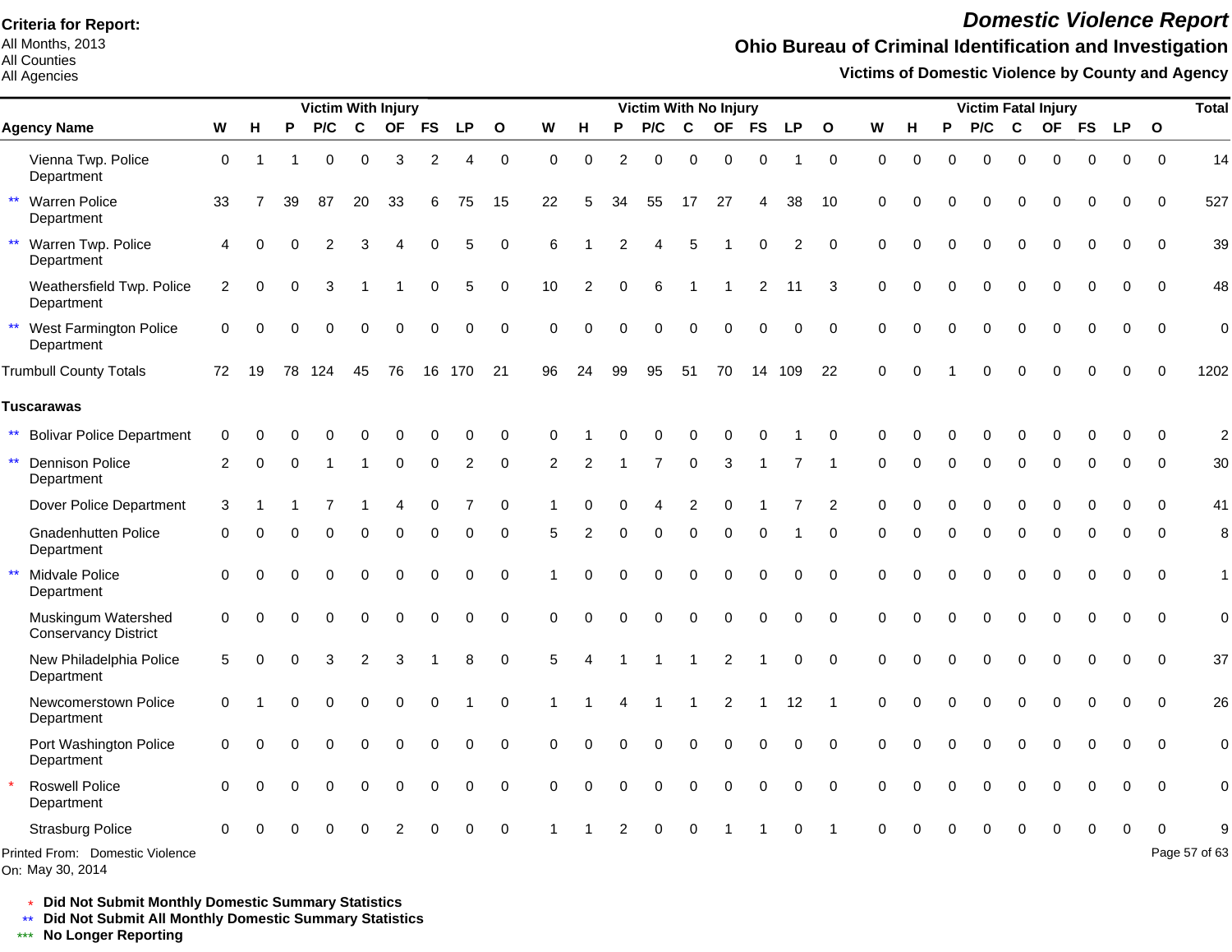All Months, 2013 All Counties

### All Agencies

## *Domestic Violence Report*

## **Ohio Bureau of Criminal Identification and Investigation**

**Victims of Domestic Violence by County and Agency**

|                                                      |                        |          |          | <b>Victim With Injury</b> |                |          |             |           |              |          |                |          | <b>Victim With No Injury</b> |                |                |                |                |                |          |          |          |             |             | <b>Victim Fatal Injury</b> |             |             |             | <b>Total</b>   |
|------------------------------------------------------|------------------------|----------|----------|---------------------------|----------------|----------|-------------|-----------|--------------|----------|----------------|----------|------------------------------|----------------|----------------|----------------|----------------|----------------|----------|----------|----------|-------------|-------------|----------------------------|-------------|-------------|-------------|----------------|
| <b>Agency Name</b>                                   | ${\bf W}$              | н        | P        | P/C                       | $\mathbf c$    |          | OF FS       | <b>LP</b> | $\mathbf{o}$ | W        | н              | P        | P/C                          | C              |                | OF FS          | <b>LP</b>      | $\mathbf{o}$   | W        | н        | P        | P/C         | $\mathbf c$ |                            | OF FS       | <b>LP</b>   | $\mathbf 0$ |                |
| Vienna Twp. Police<br>Department                     | $\mathbf 0$            | -1       |          | 0                         | $\Omega$       | 3        | 2           | 4         | $\mathbf 0$  | $\Omega$ | $\Omega$       | 2        | $\Omega$                     | $\Omega$       | $\Omega$       | $\Omega$       | 1              | $\mathbf 0$    | $\Omega$ | $\Omega$ | $\Omega$ | $\Omega$    | $\Omega$    | $\Omega$                   | $\Omega$    | $\Omega$    | $\Omega$    | 14             |
| $\star\star$<br><b>Warren Police</b><br>Department   | 33                     |          | 39       | 87                        | 20             | 33       | 6           | 75        | 15           | 22       | 5              | 34       | 55                           | 17             | 27             | 4              | 38             | 10             | $\Omega$ |          |          | O           | $\Omega$    | O                          | $\Omega$    | 0           | $\mathbf 0$ | 527            |
| $\star\star$<br>Warren Twp. Police<br>Department     | $\boldsymbol{\Lambda}$ |          |          | 2                         | З              |          |             | 5         | $\Omega$     | 6        |                | 2        |                              | 5              |                | $\Omega$       | $\overline{2}$ | $\Omega$       | $\Omega$ |          | $\Omega$ | $\Omega$    | $\Omega$    | $\Omega$                   | 0           | $\Omega$    | $\mathbf 0$ | 39             |
| Weathersfield Twp. Police<br>Department              | $\overline{c}$         | 0        | $\Omega$ | 3                         |                |          | $\mathbf 0$ | 5         | $\mathbf 0$  | 10       | $\overline{2}$ | $\Omega$ | 6                            |                |                | $\overline{2}$ | 11             | 3              | $\Omega$ |          | $\Omega$ | $\mathbf 0$ | $\mathbf 0$ | $\mathbf 0$                | 0           | $\mathbf 0$ | $\mathbf 0$ | 48             |
| $\star\star$<br>West Farmington Police<br>Department | $\Omega$               | $\Omega$ | $\Omega$ | 0                         | $\mathbf 0$    | $\Omega$ | $\mathbf 0$ | 0         | $\mathbf 0$  | $\Omega$ | $\Omega$       | $\Omega$ | 0                            | $\mathbf 0$    | $\Omega$       | 0              | 0              | $\mathbf 0$    | $\Omega$ | $\Omega$ | $\Omega$ | $\mathbf 0$ | $\mathbf 0$ | $\mathbf 0$                | $\mathbf 0$ | $\mathbf 0$ | $\mathbf 0$ | $\overline{0}$ |
| <b>Trumbull County Totals</b>                        | 72                     | 19       | 78       | 124                       | 45             | 76       | 16          | 170       | 21           | 96       | 24             | 99       | 95                           | 51             | 70             |                | 14 109         | 22             | $\Omega$ |          |          | O           | C           |                            | n           | O           | $\Omega$    | 1202           |
| <b>Tuscarawas</b>                                    |                        |          |          |                           |                |          |             |           |              |          |                |          |                              |                |                |                |                |                |          |          |          |             |             |                            |             |             |             |                |
| <b>Bolivar Police Department</b>                     | $\Omega$               |          |          |                           |                |          |             | ∩         | $\Omega$     |          |                |          |                              |                |                |                |                | C              | ∩        |          |          |             |             |                            |             | ∩           | $\Omega$    | $\overline{2}$ |
| $\star\star$<br><b>Dennison Police</b><br>Department | 2                      | U        | $\Omega$ |                           |                | 0        | $\Omega$    | 2         | $\Omega$     | 2        | 2              |          | $\overline{7}$               | $\Omega$       | 3              |                |                |                | $\Omega$ |          | $\Omega$ | $\Omega$    | $\Omega$    | $\Omega$                   | $\Omega$    | $\Omega$    | $\Omega$    | 30             |
| Dover Police Department                              | 3                      |          |          |                           |                | Δ        | $\mathbf 0$ |           | 0            |          |                |          | Δ                            | $\overline{2}$ | $\Omega$       |                |                | $\overline{2}$ | 0        |          |          | $\Omega$    | $\Omega$    | O                          | O           | O           | $\Omega$    | 41             |
| <b>Gnadenhutten Police</b><br>Department             | 0                      |          |          | $\Omega$                  | $\Omega$       | U        | $\Omega$    | O         | $\Omega$     | 5        |                | $\Omega$ | 0                            | $\mathbf 0$    | $\Omega$       | 0              |                | $\Omega$       | ∩        |          | $\Omega$ | $\mathbf 0$ | $\Omega$    | $\Omega$                   | $\Omega$    | $\Omega$    | $\Omega$    | 8              |
| $\star\star$<br>Midvale Police<br>Department         | $\Omega$               |          |          | $\Omega$                  | $\Omega$       | 0        | $\Omega$    | $\Omega$  | $\Omega$     |          |                | $\Omega$ | $\Omega$                     | $\Omega$       | $\Omega$       | $\Omega$       | $\Omega$       | $\Omega$       | $\Omega$ |          |          | $\Omega$    | $\Omega$    | $\Omega$                   | $\Omega$    | $\Omega$    | $\Omega$    | $\mathbf{1}$   |
| Muskingum Watershed<br>Conservancy District          | $\mathbf 0$            | U        |          | $\Omega$                  | $\Omega$       | $\Omega$ | $\Omega$    | 0         | $\Omega$     | $\Omega$ | $\Omega$       | $\Omega$ | $\Omega$                     | $\Omega$       | $\Omega$       | $\Omega$       | $\Omega$       | $\Omega$       | $\Omega$ | $\Omega$ | $\Omega$ | $\Omega$    | $\Omega$    | $\Omega$                   | $\Omega$    | $\Omega$    | $\Omega$    | $\overline{0}$ |
| New Philadelphia Police<br>Department                | 5                      |          |          | 3                         | $\overline{2}$ | 3        |             | 8         | $\Omega$     | 5        | Δ              |          |                              | $\overline{1}$ | $\overline{2}$ |                | $\Omega$       | $\Omega$       | $\Omega$ | $\Omega$ | $\Omega$ | $\Omega$    | $\Omega$    | $\Omega$                   | $\Omega$    | $\Omega$    | $\Omega$    | 37             |
| Newcomerstown Police<br>Department                   | $\Omega$               |          |          | U                         | $\Omega$       | $\Omega$ | $\Omega$    |           | $\Omega$     |          |                | 4        | 1                            | $\mathbf 1$    | $\overline{c}$ |                | 12             |                | $\Omega$ |          | $\Omega$ | $\Omega$    | $\Omega$    | $\Omega$                   | $\Omega$    | $\Omega$    | $\Omega$    | 26             |
| Port Washington Police<br>Department                 | $\Omega$               |          |          |                           | $\Omega$       |          | $\Omega$    | 0         | $\Omega$     | $\Omega$ |                |          | 0                            | $\Omega$       | $\Omega$       | $\Omega$       | $\Omega$       | $\Omega$       | $\Omega$ |          |          | $\Omega$    | $\Omega$    | $\Omega$                   | $\Omega$    | $\Omega$    | $\Omega$    | $\mathbf 0$    |
| <b>Roswell Police</b><br>Department                  | $\Omega$               |          |          | 0                         | $\Omega$       | $\Omega$ | $\Omega$    | 0         | $\Omega$     | $\Omega$ | $\Omega$       | $\Omega$ | 0                            | $\Omega$       | $\Omega$       | $\Omega$       | $\Omega$       | $\Omega$       | ∩        |          |          | $\Omega$    | $\Omega$    | $\Omega$                   | 0           | $\Omega$    | $\Omega$    | $\mathbf 0$    |
| <b>Strasburg Police</b>                              |                        |          |          |                           |                |          |             |           |              |          |                |          |                              |                |                |                |                |                |          |          |          |             |             |                            |             |             |             |                |
| Printed From: Domestic Violence                      |                        |          |          |                           |                |          |             |           |              |          |                |          |                              |                |                |                |                |                |          |          |          |             |             |                            |             |             |             | Page 57 of 63  |

On: May 30, 2014

\* **Did Not Submit Monthly Domestic Summary Statistics**

**Did Not Submit All Monthly Domestic Summary Statistics**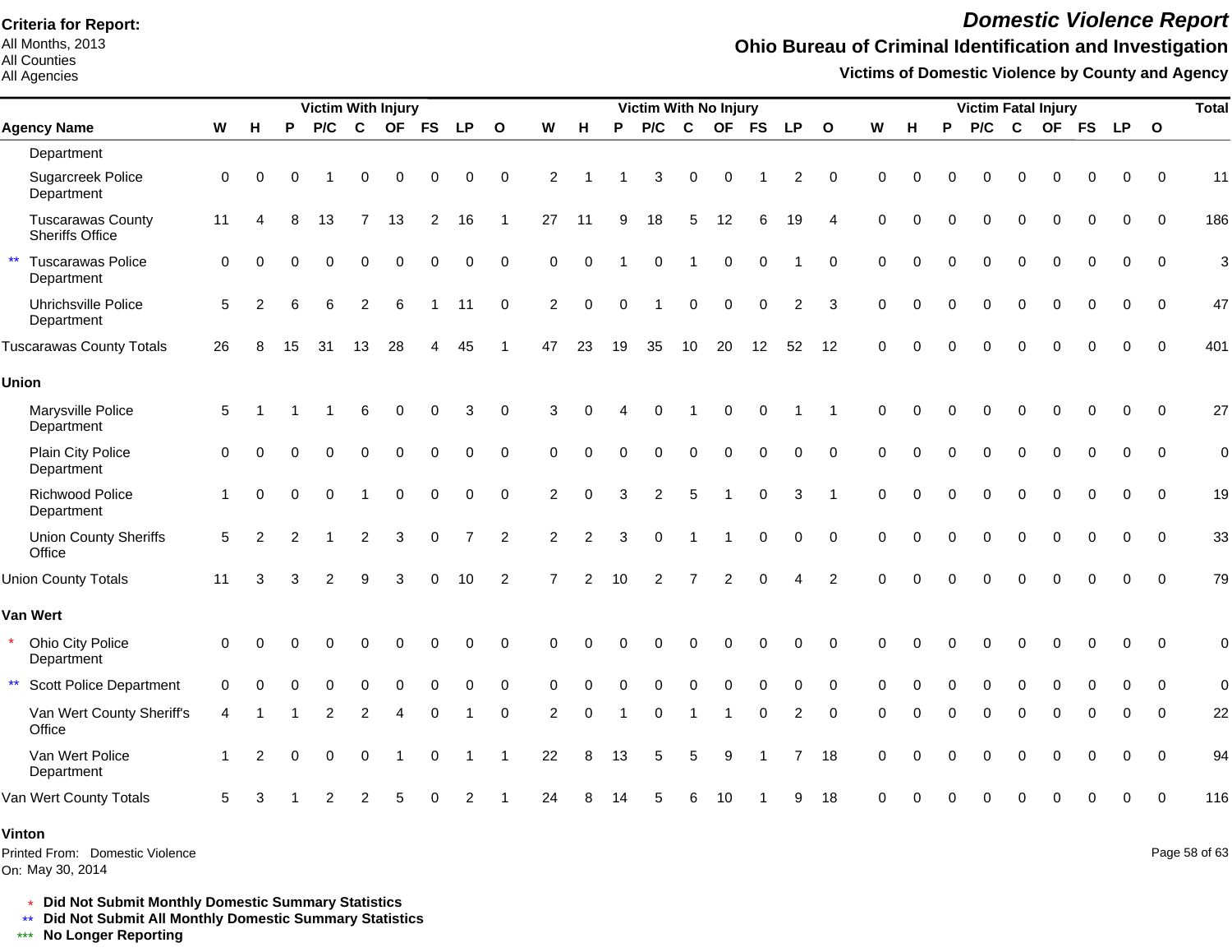All Months, 2013 All Counties

#### All Agencies

### *Domestic Violence Report*

## **Ohio Bureau of Criminal Identification and Investigation**

**Victims of Domestic Violence by County and Agency**

|                                                        |                      | <b>Victim With Injury</b> |          |                |                |          |                |                |                |                | <b>Victim With No Injury</b> |          |          |             |                          |              |                |                          |          | <b>Victim Fatal Injury</b> |          |          |             |          |             | <b>Total</b> |             |             |
|--------------------------------------------------------|----------------------|---------------------------|----------|----------------|----------------|----------|----------------|----------------|----------------|----------------|------------------------------|----------|----------|-------------|--------------------------|--------------|----------------|--------------------------|----------|----------------------------|----------|----------|-------------|----------|-------------|--------------|-------------|-------------|
| <b>Agency Name</b>                                     | W                    | н                         | P        | P/C            | $\mathbf{C}$   |          | OF FS          | <b>LP</b>      | $\mathbf{o}$   | W              | н                            | P        | P/C      | $\mathbf c$ |                          | OF FS        | <b>LP</b>      | $\mathbf{o}$             | W        | н                          | P        | P/C      | $\mathbf c$ |          |             | OF FS LP O   |             |             |
| Department                                             |                      |                           |          |                |                |          |                |                |                |                |                              |          |          |             |                          |              |                |                          |          |                            |          |          |             |          |             |              |             |             |
| Sugarcreek Police<br>Department                        | $\mathbf 0$          | $\Omega$                  | $\Omega$ |                | $\Omega$       | $\Omega$ | $\Omega$       | 0              | $\Omega$       | 2              |                              |          | 3        | $\Omega$    | $\Omega$                 |              | 2              | $\Omega$                 | $\Omega$ | ∩                          |          |          | $\Omega$    | $\Omega$ | $\Omega$    | $\Omega$     | $\Omega$    | 11          |
| <b>Tuscarawas County</b><br><b>Sheriffs Office</b>     | 11                   | Δ                         | 8        | 13             | 7              | 13       | $\overline{2}$ | 16             | -1             | 27             | 11                           | 9        | 18       | 5           | 12                       | 6            | 19             | $\boldsymbol{\varDelta}$ | $\Omega$ | $\Omega$                   |          | $\Omega$ | $\Omega$    | $\Omega$ | $\Omega$    | $\Omega$     | $\Omega$    | 186         |
| $\star\star$<br><b>Tuscarawas Police</b><br>Department | $\Omega$             | $\Omega$                  |          |                |                | $\Omega$ |                | 0              | $\mathbf 0$    | $\Omega$       | $\Omega$                     |          | 0        |             | $\mathbf 0$              | $\Omega$     |                | $\mathbf 0$              | $\Omega$ | $\Omega$                   | $\Omega$ | $\Omega$ | $\mathbf 0$ | 0        | $\mathbf 0$ | 0            | $\mathbf 0$ | 3           |
| Uhrichsville Police<br>Department                      | 5                    | 2                         | 6        | 6              | 2              | 6        |                | 11             | $\mathbf 0$    | $\overline{c}$ | $\Omega$                     | $\Omega$ |          | $\mathbf 0$ | $\mathbf 0$              | $\mathbf 0$  | $\overline{2}$ | 3                        | $\Omega$ | 0                          |          | 0        | $\mathbf 0$ | $\Omega$ | $\mathbf 0$ | 0            | $\mathbf 0$ | 47          |
| <b>Tuscarawas County Totals</b>                        | 26                   | 8                         | 15       | 31             | 13             | 28       |                | 45             |                | 47             | 23                           | 19       | 35       | 10          | 20                       | 12           | 52             | 12                       | $\Omega$ | 0                          | $\Omega$ | $\Omega$ | $\Omega$    | $\Omega$ | $\Omega$    | $\Omega$     | $\Omega$    | 401         |
| <b>Union</b>                                           |                      |                           |          |                |                |          |                |                |                |                |                              |          |          |             |                          |              |                |                          |          |                            |          |          |             |          |             |              |             |             |
| Marysville Police<br>Department                        | 5                    |                           |          |                |                |          |                | 3              | $\Omega$       | 3              |                              |          |          |             |                          |              |                |                          | $\Omega$ | $\Omega$                   |          |          | $\Omega$    |          | $\Omega$    | $\Omega$     | $\Omega$    | 27          |
| Plain City Police<br>Department                        | $\Omega$             | $\Omega$                  |          |                |                |          |                | 0              | $\Omega$       | $\Omega$       |                              |          | $\Omega$ | $\Omega$    | 0                        | $\Omega$     | $\Omega$       | $\Omega$                 | $\Omega$ | $\Omega$                   |          |          | $\Omega$    |          | $\Omega$    | 0            | $\Omega$    | $\mathbf 0$ |
| <b>Richwood Police</b><br>Department                   | $\mathbf{1}$         | $\Omega$                  | $\Omega$ | 0              |                | $\Omega$ | $\Omega$       | 0              | $\Omega$       | 2              | $\Omega$                     | 3        | 2        | 5           | $\overline{\phantom{a}}$ | $\mathbf 0$  | 3              | -1                       | $\Omega$ | $\Omega$                   |          | $\Omega$ | $\Omega$    | $\Omega$ | $\Omega$    | 0            | $\Omega$    | 19          |
| <b>Union County Sheriffs</b><br>Office                 | 5                    | $\mathcal{P}$             | 2        |                | $\overline{2}$ | 3        | 0              | $\overline{7}$ | $\overline{2}$ | $\overline{2}$ | 2                            | 3        | $\Omega$ |             | -1                       | $\mathbf 0$  | 0              | $\Omega$                 | $\Omega$ | $\Omega$                   |          | $\Omega$ | $\Omega$    | 0        | $\Omega$    | $\Omega$     | $\Omega$    | 33          |
| <b>Union County Totals</b>                             | 11                   | 3                         |          | $\overline{2}$ | 9              |          |                | 10             | $\overline{2}$ |                | $\mathfrak{p}$               | 10       | 2        | 7           | $\overline{2}$           | $\Omega$     | Δ              | $\overline{2}$           | $\Omega$ |                            |          |          | $\Omega$    | $\Omega$ | $\Omega$    | $\Omega$     | $\Omega$    | 79          |
| Van Wert                                               |                      |                           |          |                |                |          |                |                |                |                |                              |          |          |             |                          |              |                |                          |          |                            |          |          |             |          |             |              |             |             |
| Ohio City Police<br>Department                         | 0                    |                           |          |                |                |          |                | 0              | $\Omega$       |                |                              |          |          |             |                          |              | $\Omega$       | $\Omega$                 | $\Omega$ |                            |          |          |             |          | O           | $\Omega$     | $\Omega$    | $\mathbf 0$ |
| $\star\star$<br><b>Scott Police Department</b>         | $\Omega$             |                           |          |                |                | O        |                | 0              | $\Omega$       | $\Omega$       |                              |          |          |             | 0                        | 0            | 0              | $\Omega$                 | $\Omega$ |                            |          |          | $\Omega$    | $\Omega$ | $\Omega$    | 0            | 0           | $\mathbf 0$ |
| Van Wert County Sheriff's<br>Office                    | 4                    |                           |          | $\overline{2}$ | $\mathcal{P}$  |          |                |                | $\Omega$       | $\overline{2}$ | $\Omega$                     |          | $\Omega$ |             | 1                        | $\mathbf{0}$ | $\overline{2}$ | $\Omega$                 | $\Omega$ |                            |          | $\Omega$ | $\Omega$    | $\Omega$ | $\Omega$    | 0            | $\Omega$    | 22          |
| Van Wert Police<br>Department                          | $\blacktriangleleft$ | $\mathcal{P}$             | $\Omega$ | 0              | 0              |          | $\Omega$       |                | $\mathbf 1$    | 22             | 8                            | 13       | 5        | 5           | 9                        |              |                | 18                       | $\Omega$ |                            |          | $\Omega$ | $\Omega$    | $\Omega$ | $\Omega$    | 0            | $\Omega$    | 94          |
| Van Wert County Totals                                 | 5                    |                           |          | 2              | 2              | 5        |                | 2              |                | 24             |                              | 14       | 5        | 6           | 10                       |              | 9              | 18                       |          |                            |          |          | O           |          |             | 0            | $\Omega$    | 116         |
| Vinton                                                 |                      |                           |          |                |                |          |                |                |                |                |                              |          |          |             |                          |              |                |                          |          |                            |          |          |             |          |             |              |             |             |

On: May 30, 2014 Printed From: Domestic Violence Page 58 of 63

\* **Did Not Submit Monthly Domestic Summary Statistics**

**Did Not Submit All Monthly Domestic Summary Statistics**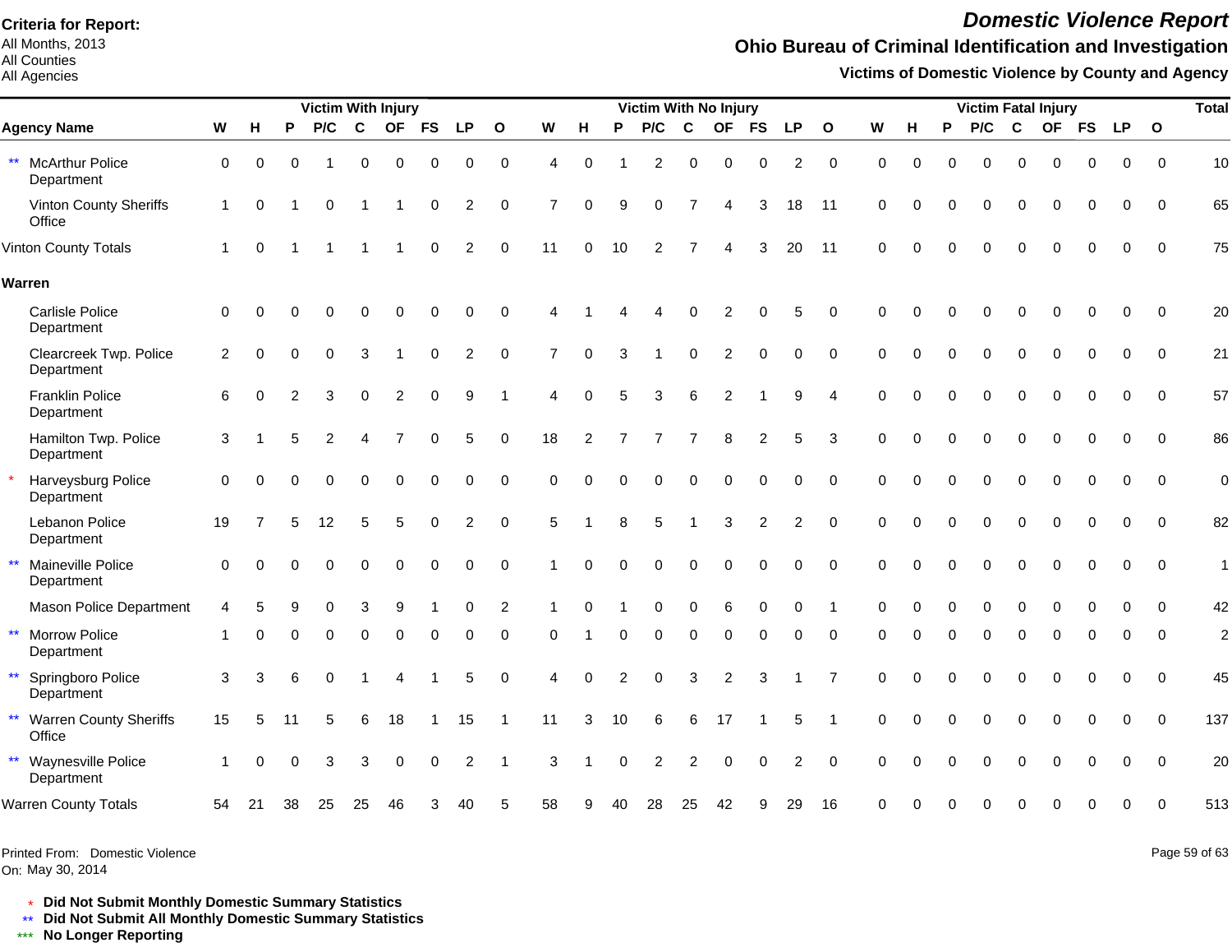All Months, 2013 All Counties

All Agencies

# *Domestic Violence Report*

## **Ohio Bureau of Criminal Identification and Investigation**

**Victims of Domestic Violence by County and Agency**

| P/C<br>$\mathbf c$<br>OF<br>0<br>$\mathbf 0$ | <b>FS</b><br><b>LP</b><br>0<br>0 | $\mathbf{o}$<br>$\mathbf 0$ | W<br>н                 | P              | P/C                                        | $\mathbf c$    | OF             | <b>FS</b>      | <b>LP</b>      | $\mathbf{o}$   | W           | н        | P        | P/C         | $\mathbf c$ | OF FS       |              | <b>LP</b>   | $\mathbf{o}$ |                         |
|----------------------------------------------|----------------------------------|-----------------------------|------------------------|----------------|--------------------------------------------|----------------|----------------|----------------|----------------|----------------|-------------|----------|----------|-------------|-------------|-------------|--------------|-------------|--------------|-------------------------|
|                                              |                                  |                             |                        |                |                                            |                |                |                |                |                |             |          |          |             |             |             |              |             |              |                         |
|                                              |                                  |                             | $\boldsymbol{\Lambda}$ | $\Omega$       | $\overline{c}$                             | $\mathbf 0$    | $\mathbf 0$    | $\mathbf 0$    | $\overline{c}$ | $\mathbf 0$    | $\mathbf 0$ | $\Omega$ | $\Omega$ | $\mathbf 0$ | $\mathbf 0$ | $\mathbf 0$ | $\mathbf 0$  | $\mathbf 0$ | $\Omega$     | 10                      |
| 0                                            | $\overline{2}$<br>$\Omega$       | 0                           | 7                      | $\Omega$<br>q  | 0                                          |                | Δ              | 3              | 18             | 11             | $\mathbf 0$ | 0        | $\Omega$ | $\Omega$    | $\Omega$    | $\Omega$    | $\mathbf{0}$ | $\Omega$    | $\Omega$     | 65                      |
|                                              | $\Omega$<br>2                    | $\Omega$                    | 11                     | $\Omega$<br>10 | $\overline{2}$                             |                |                | 3              | 20             | 11             | $\Omega$    |          |          | $\Omega$    | $\Omega$    | $\Omega$    | O            | $\Omega$    | $\Omega$     | 75                      |
|                                              |                                  |                             |                        |                |                                            |                |                |                |                |                |             |          |          |             |             |             |              |             |              |                         |
| $\Omega$<br>O                                | $\Omega$<br>$\Omega$             | $\Omega$                    |                        |                |                                            | O              | 2              | U              | 5              | $\Omega$       | $\Omega$    | O        |          |             | $\Omega$    | $\Omega$    | $\Omega$     | $\Omega$    | $\Omega$     | 20                      |
| $\Omega$<br>3                                | $\Omega$<br>$\overline{2}$       | $\Omega$                    | $\overline{7}$         | $\Omega$<br>3  |                                            | $\Omega$       | $\overline{2}$ | $\Omega$       | $\Omega$       | $\mathbf 0$    | $\Omega$    |          |          |             | $\Omega$    | ∩           | $\Omega$     | $\Omega$    | $\Omega$     | 21                      |
| 2<br>3<br>$\Omega$                           | 9<br>$\Omega$                    | -1                          | 0<br>4                 |                | 3                                          | 6              | 2              |                | 9              | $\overline{4}$ | $\Omega$    |          | $\Omega$ | $\Omega$    | $\Omega$    | $\Omega$    | $\Omega$     | $\Omega$    | $\Omega$     | 57                      |
| $\mathcal{P}$                                | 5<br>$\Omega$                    | $\Omega$                    | 18                     |                |                                            |                | 8              | 2              | 5              | 3              | $\Omega$    | $\Omega$ | $\Omega$ | $\Omega$    | $\Omega$    | $\Omega$    | $\Omega$     | $\Omega$    | $\Omega$     | 86                      |
| $\Omega$<br>$\Omega$                         | 0<br>$\Omega$                    | $\Omega$                    | $\Omega$               |                | $\Omega$                                   | $\Omega$       | $\Omega$       | $\overline{0}$ | $\Omega$       | $\Omega$       | $\Omega$    |          |          |             | $\Omega$    | $\Omega$    | 0            | $\Omega$    | $\Omega$     | $\overline{0}$          |
| 12<br>5<br>5                                 | $\overline{2}$<br>$\Omega$       | $\Omega$                    | 5                      | 8              | 5                                          |                | 3              | $\overline{2}$ | $\overline{2}$ | $\Omega$       | $\Omega$    | $\Omega$ | $\Omega$ | $\Omega$    | $\Omega$    | $\Omega$    | $\Omega$     | $\Omega$    | $\Omega$     | 82                      |
| 0<br>$\Omega$<br>$\Omega$                    | 0<br>$\Omega$                    | $\Omega$                    |                        |                | 0                                          | $\Omega$       | $\Omega$       | $\Omega$       | $\Omega$       | $\Omega$       | $\Omega$    | $\Omega$ | 0        | $\Omega$    | $\Omega$    | $\Omega$    | $\Omega$     | $\Omega$    | $\Omega$     | $\mathbf{1}$            |
| 0<br>3<br>9                                  | 0                                | 2                           |                        |                | 0                                          | $\mathbf 0$    | 6              | $\pmb{0}$      | 0              |                | $\Omega$    | $\Omega$ | 0        | 0           | $\mathbf 0$ | 0           | 0            | 0           | $\Omega$     | 42                      |
| U<br>0<br>$\Omega$                           | $\Omega$<br>0                    | $\Omega$                    | $\Omega$               |                | 0                                          | $\Omega$       | $\Omega$       | $\Omega$       | U              | $\Omega$       | ∩           | O        |          | O           | $\Omega$    | 0           | O            | $\Omega$    | $\Omega$     | $\overline{\mathbf{c}}$ |
| $\Omega$                                     | 5                                | $\Omega$                    | 4                      | $\mathcal{P}$  | $\Omega$                                   | 3              | $\overline{c}$ | 3              |                | 7              | $\Omega$    | $\Omega$ | $\Omega$ | $\Omega$    | $\Omega$    | $\Omega$    | $\Omega$     | $\Omega$    | $\Omega$     | 45                      |
| 18<br>5<br>6                                 | 15                               | $\mathbf 1$                 | 11                     | 10             | 6                                          | 6              | 17             |                | 5              | -1             | $\Omega$    | $\Omega$ | 0        | $\Omega$    | $\Omega$    | $\Omega$    | 0            | 0           | $\Omega$     | 137                     |
| 3<br>3<br>$\Omega$                           | 2<br>0                           | -1                          | 3                      |                | $\overline{c}$                             | $\overline{2}$ | $\Omega$       | $\Omega$       | $\overline{2}$ | $\Omega$       | $\Omega$    |          | 0        | 0           | $\mathbf 0$ | 0           | 0            | $\Omega$    | $\Omega$     | 20                      |
|                                              |                                  |                             |                        |                |                                            |                |                |                |                |                |             |          |          |             |             |             |              |             |              |                         |
|                                              |                                  |                             |                        |                | $\mathcal{P}$<br>$\Omega$<br>$\Omega$<br>3 |                |                |                |                |                |             |          |          |             |             |             |              |             |              |                         |

Printed From: Domestic Violence

On: May 30, 2014

Page 59 of 63

\* **Did Not Submit Monthly Domestic Summary Statistics**

**Did Not Submit All Monthly Domestic Summary Statistics**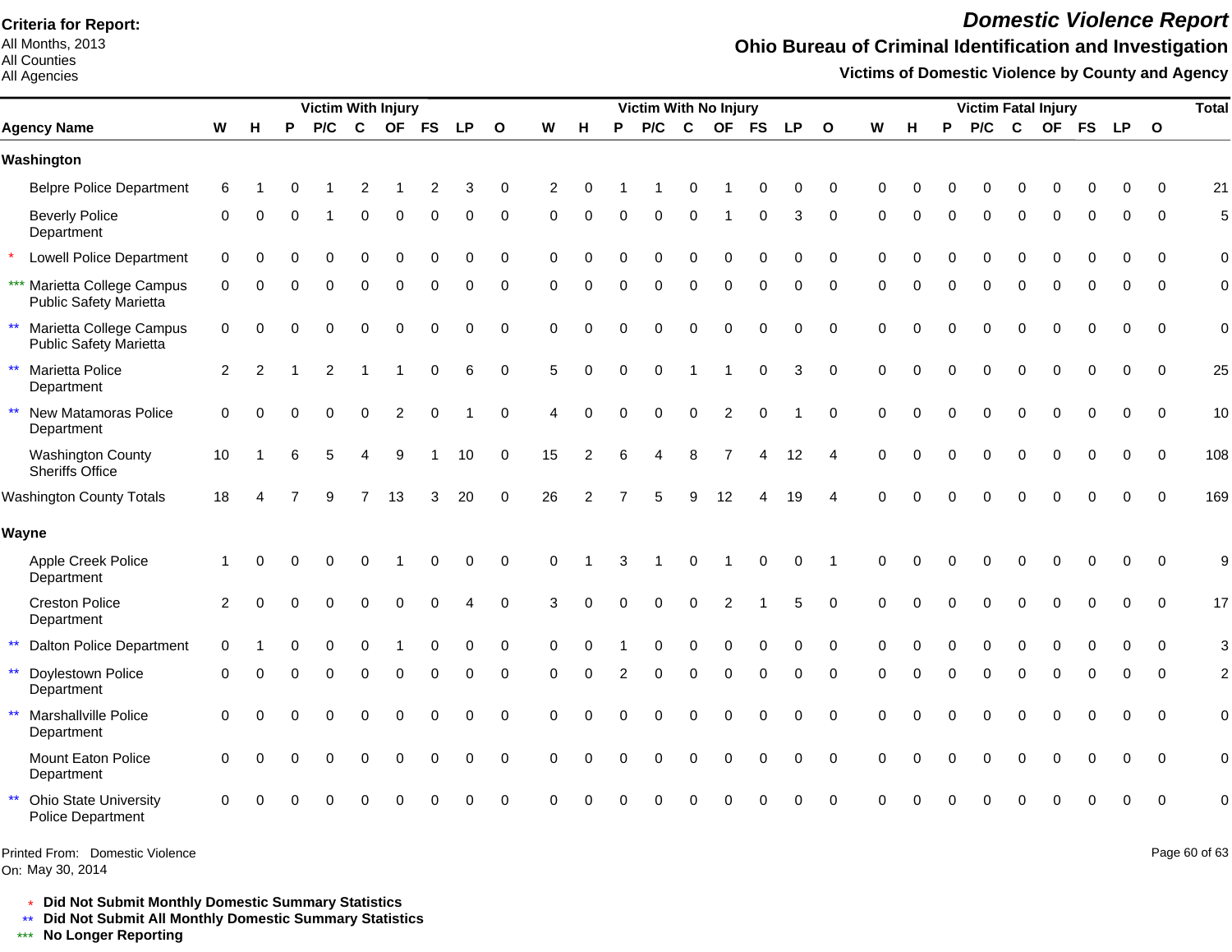All Months, 2013 All Counties

#### All Agencies

### *Domestic Violence Report*

## **Ohio Bureau of Criminal Identification and Investigation**

**Victims of Domestic Violence by County and Agency**

|              |                                                              |                |          |   | <b>Victim With Injury</b> |                |           |           |             |              |             |                |          | Victim With No Injury |              |                |             |           |              |             |          |   |     |          | <b>Victim Fatal Injury</b> |           |           |              | <b>Total</b>   |
|--------------|--------------------------------------------------------------|----------------|----------|---|---------------------------|----------------|-----------|-----------|-------------|--------------|-------------|----------------|----------|-----------------------|--------------|----------------|-------------|-----------|--------------|-------------|----------|---|-----|----------|----------------------------|-----------|-----------|--------------|----------------|
|              | <b>Agency Name</b>                                           | W              | H        | P | P/C                       | C              | <b>OF</b> | <b>FS</b> | <b>LP</b>   | $\mathbf{o}$ | W           | н              | P        | P/C                   | C            | <b>OF</b>      | <b>FS</b>   | <b>LP</b> | $\mathbf{o}$ | W           | н        | P | P/C | C        | <b>OF</b>                  | <b>FS</b> | <b>LP</b> | $\mathbf{o}$ |                |
|              | Washington                                                   |                |          |   |                           |                |           |           |             |              |             |                |          |                       |              |                |             |           |              |             |          |   |     |          |                            |           |           |              |                |
|              | <b>Belpre Police Department</b>                              | 6              |          |   |                           |                |           | 2         | 3           | 0            | 2           |                |          |                       |              |                | ∩           | 0         | 0            | 0           |          |   |     |          |                            |           |           | $\Omega$     | 21             |
|              | <b>Beverly Police</b><br>Department                          | 0              | 0        | O |                           | 0              | $\Omega$  | 0         | 0           | 0            | 0           | $\Omega$       | $\Omega$ | $\Omega$              | $\Omega$     |                | 0           | 3         | 0            | $\Omega$    | $\Omega$ |   | 0   | ∩        | O                          |           | 0         | 0            | 5              |
|              | <b>Lowell Police Department</b>                              | $\mathbf 0$    |          |   |                           | O              | $\Omega$  | $\Omega$  | $\Omega$    | $\mathbf 0$  | $\Omega$    |                |          |                       | $\Omega$     | $\Omega$       | $\Omega$    | $\Omega$  | 0            | $\Omega$    | O        |   | U   | ∩        | O                          |           | O         | $\Omega$     | $\mathbf 0$    |
|              | *** Marietta College Campus<br><b>Public Safety Marietta</b> | $\mathbf 0$    | $\Omega$ | U | $\Omega$                  | $\Omega$       | $\Omega$  | $\Omega$  | $\Omega$    | $\mathbf 0$  | $\Omega$    | $\Omega$       | $\Omega$ | $\Omega$              | $\Omega$     | $\Omega$       | $\Omega$    | $\Omega$  | 0            | $\Omega$    | $\Omega$ |   | 0   | $\Omega$ | $\Omega$                   | $\Omega$  | 0         | $\Omega$     | $\mathbf 0$    |
| $\star\star$ | Marietta College Campus<br><b>Public Safety Marietta</b>     | 0              | $\Omega$ | U | $\Omega$                  | 0              | $\Omega$  | O         |             | $\mathbf 0$  | $\mathbf 0$ | $\Omega$       | U        | O                     | $\Omega$     | $\Omega$       | $\Omega$    | 0         | $\mathbf 0$  | $\mathbf 0$ | $\Omega$ |   |     |          |                            |           | 0         | $\mathbf 0$  | $\mathbf 0$    |
| $\star\star$ | Marietta Police<br>Department                                | $\overline{2}$ | 2        |   | 2                         |                |           | $\Omega$  | 6           | $\mathbf 0$  | 5           | $\Omega$       | $\Omega$ | $\Omega$              |              |                | $\mathbf 0$ | 3         | $\mathbf 0$  | $\Omega$    | $\Omega$ |   | U   |          | 0                          |           |           | $\Omega$     | 25             |
| $\star\star$ | New Matamoras Police<br>Department                           | $\mathbf 0$    | $\Omega$ |   | $\Omega$                  | $\Omega$       | 2         | $\Omega$  |             | $\mathbf 0$  | 4           | $\Omega$       |          | $\Omega$              | $\mathbf 0$  | $\overline{c}$ | $\Omega$    |           | $\mathbf 0$  | $\mathbf 0$ | $\cap$   |   | 0   | $\Omega$ | $\Omega$                   |           | 0         | $\mathbf 0$  | 10             |
|              | <b>Washington County</b><br>Sheriffs Office                  | 10             |          |   |                           |                | 9         |           | 10          | $\mathbf 0$  | 15          | $\overline{2}$ | 6        | Δ                     | 8            | 7              |             | 12        | 4            | $\Omega$    | $\Omega$ |   | U   |          |                            |           | 0         | $\Omega$     | 108            |
|              | <b>Washington County Totals</b>                              | 18             |          |   | 9                         | $\overline{7}$ | 13        | 3         | 20          | $\mathbf 0$  | 26          | 2              |          |                       | $\mathbf{Q}$ | 12             |             | 19        | 4            | $\Omega$    |          |   |     |          |                            |           | 0         | $\Omega$     | 169            |
|              | Wayne                                                        |                |          |   |                           |                |           |           |             |              |             |                |          |                       |              |                |             |           |              |             |          |   |     |          |                            |           |           |              |                |
|              | Apple Creek Police<br>Department                             |                | ∩        | U | O                         | 0              |           | $\Omega$  | 0           | $\mathbf 0$  | $\Omega$    |                |          |                       | ∩            |                | $\Omega$    | 0         |              | $\Omega$    |          |   |     |          |                            |           | 0         | $\mathbf 0$  | 9              |
|              | <b>Creston Police</b><br>Department                          | 2              | $\Omega$ |   | $\Omega$                  | 0              | $\bigcap$ | O         |             | $\Omega$     | 3           | C              |          | O                     | 0            | 2              |             | 5         | $\Omega$     | $\Omega$    | ∩        |   |     |          |                            |           | 0         | $\mathbf 0$  | 17             |
| $\star\star$ | <b>Dalton Police Department</b>                              | $\Omega$       |          |   |                           |                |           |           | 0           | 0            | $\Omega$    |                |          |                       | ∩            | $\Omega$       | $\Omega$    | 0         | $\Omega$     | $\Omega$    |          |   |     |          |                            |           | $\Omega$  | $\Omega$     | 3              |
| $\star\star$ | Doylestown Police<br>Department                              | $\Omega$       | $\Omega$ | U | $\Omega$                  | $\Omega$       | $\Omega$  | 0         | 0           | $\mathbf 0$  | $\Omega$    | $\Omega$       | 2        | 0                     | $\Omega$     | $\Omega$       | $\mathbf 0$ | $\Omega$  | 0            | $\Omega$    | $\Omega$ |   | U   | ∩        | O                          | ∩         | 0         | $\Omega$     | $\overline{c}$ |
| $\star\star$ | Marshallville Police<br>Department                           | 0              | ∩        |   | 0                         | 0              | $\Omega$  | 0         | 0           | $\mathbf 0$  | $\Omega$    | $\Omega$       |          | 0                     | 0            | 0              | $\mathbf 0$ | 0         | $\mathbf 0$  | 0           | $\cap$   |   |     |          |                            |           | 0         | 0            | $\pmb{0}$      |
|              | Mount Eaton Police<br>Department                             | $\Omega$       |          |   | $\Omega$                  | 0              | $\Omega$  | 0         | $\mathbf 0$ | $\mathbf 0$  | $\Omega$    | $\Omega$       |          | 0                     | $\Omega$     | $\Omega$       | $\mathbf 0$ | 0         | $\pmb{0}$    | $\Omega$    | $\Omega$ |   |     |          | $\Omega$                   |           | 0         | $\mathbf 0$  | $\mathbf 0$    |
| $\star\star$ | <b>Ohio State University</b><br>Police Department            | 0              |          |   |                           |                |           |           | n           | $\mathbf 0$  | U           |                |          |                       |              |                |             | 0         | $\mathbf 0$  | $\Omega$    |          |   |     |          |                            |           | 0         | $\Omega$     | $\mathbf 0$    |

On: May 30, 2014 Printed From: Domestic Violence Page 60 of 63

\* **Did Not Submit Monthly Domestic Summary Statistics**

**Did Not Submit All Monthly Domestic Summary Statistics**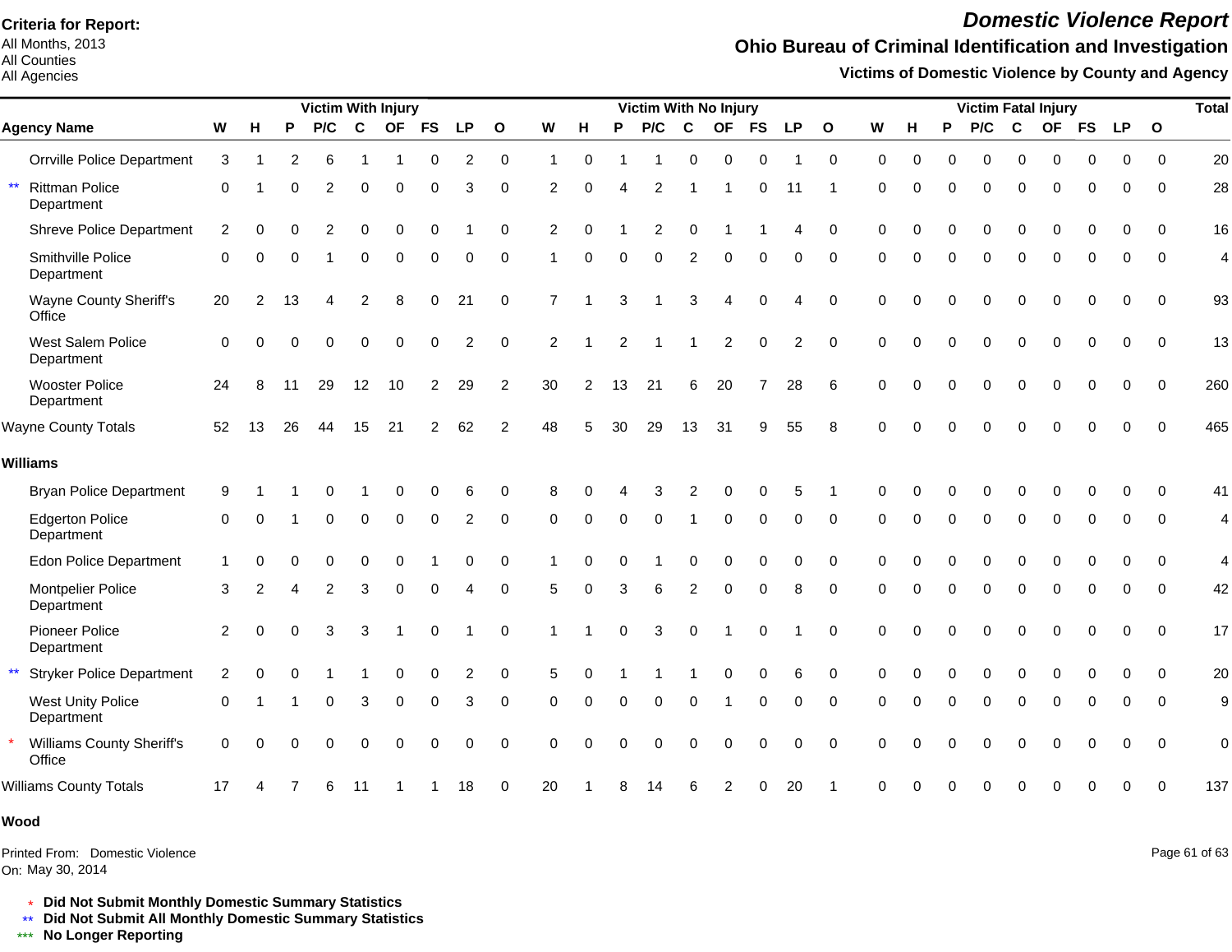All Months, 2013 All Counties

#### All Agencies

# *Domestic Violence Report*

### **Ohio Bureau of Criminal Identification and Investigation**

**Victims of Domestic Violence by County and Agency**

|                                                     |             |               |          | <b>Victim With Injury</b> |                |          |                |                |                |                | Victim With No Injury |          |                |                |    |          |                |              |           |          | <b>Total</b><br><b>Victim Fatal Injury</b> |          |              |          |             |             |                |                |  |  |  |
|-----------------------------------------------------|-------------|---------------|----------|---------------------------|----------------|----------|----------------|----------------|----------------|----------------|-----------------------|----------|----------------|----------------|----|----------|----------------|--------------|-----------|----------|--------------------------------------------|----------|--------------|----------|-------------|-------------|----------------|----------------|--|--|--|
| <b>Agency Name</b>                                  | W           | н             | P        | P/C                       | $\mathbf{C}$   |          | OF FS          | <b>LP</b>      | $\mathbf{o}$   | W              | н                     | P        | P/C            | $\mathbf c$    |    | OF FS LP |                | $\mathbf{o}$ | ${\bf W}$ | н        | P                                          | P/C      | $\mathbf{C}$ |          | OF FS LP    |             | $\mathbf 0$    |                |  |  |  |
| <b>Orrville Police Department</b>                   | 3           |               | 2        | 6                         |                |          | 0              | 2              | 0              | 1              | $\Omega$              |          |                | $\Omega$       | 0  | $\Omega$ |                | $\mathbf 0$  | $\Omega$  | $\Omega$ | $\Omega$                                   | $\Omega$ | $\mathbf 0$  | $\Omega$ | $\Omega$    | $\Omega$    | $\Omega$       | 20             |  |  |  |
| $\star\star$<br><b>Rittman Police</b><br>Department | $\Omega$    |               | $\Omega$ | $\overline{2}$            | 0              | $\Omega$ | $\Omega$       | 3              | $\Omega$       | 2              | $\Omega$              | Δ        | 2              |                |    | $\Omega$ | 11             |              | $\Omega$  | O        | $\Omega$                                   | $\Omega$ | $\Omega$     | $\Omega$ | $\Omega$    | $\Omega$    | $\Omega$       | 28             |  |  |  |
| <b>Shreve Police Department</b>                     | 2           | O             |          | 2                         | $\Omega$       | $\Omega$ | O              |                | $\Omega$       | $\overline{2}$ | $\Omega$              |          | $\overline{2}$ | $\Omega$       |    |          | 4              | $\Omega$     | $\Omega$  |          | $\Omega$                                   | $\Omega$ | $\Omega$     | $\Omega$ | $\Omega$    | $\Omega$    | $\Omega$       | 16             |  |  |  |
| Smithville Police<br>Department                     | $\Omega$    | ∩             |          |                           | 0              | $\Omega$ | 0              | O              | $\Omega$       |                | $\Omega$              | $\Omega$ | $\Omega$       | $\overline{2}$ | 0  |          | ი              | $\Omega$     | $\Omega$  |          | $\Omega$                                   | O        | $\Omega$     | 0        | $\Omega$    | 0           | $\Omega$       | 4              |  |  |  |
| Wayne County Sheriff's<br>Office                    | 20          | 2             | 13       |                           | $\overline{c}$ | 8        | $\Omega$       | 21             | $\mathbf 0$    | $\overline{7}$ |                       | 3        |                | 3              | 4  |          | 4              | $\Omega$     | $\Omega$  |          |                                            | $\Omega$ | $\Omega$     | $\Omega$ | $\Omega$    | $\Omega$    | $\overline{0}$ | 93             |  |  |  |
| West Salem Police<br>Department                     | $\mathbf 0$ | $\Omega$      | U        | $\Omega$                  | $\Omega$       | $\Omega$ | $\Omega$       | $\overline{2}$ | $\mathbf 0$    | $\overline{c}$ |                       | 2        |                |                | 2  | $\Omega$ | $\overline{c}$ | $\mathbf 0$  | $\Omega$  | $\Omega$ | $\Omega$                                   | $\Omega$ | $\Omega$     | $\Omega$ | $\mathbf 0$ | 0           | $\mathbf 0$    | 13             |  |  |  |
| <b>Wooster Police</b><br>Department                 | 24          | 8             | 11       | 29                        | 12             | 10       | $\overline{2}$ | 29             | 2              | 30             | $\overline{2}$        | 13       | 21             | 6              | 20 |          | 28             | 6            | $\Omega$  | $\Omega$ | $\Omega$                                   | $\Omega$ | $\Omega$     | $\Omega$ | $\mathbf 0$ | $\mathbf 0$ | $\Omega$       | 260            |  |  |  |
| <b>Wayne County Totals</b>                          | 52          | 13            | 26       | 44                        | 15             | 21       | 2              | 62             | $\overline{2}$ | 48             | 5                     | 30       | 29             | 13             | 31 | 9        | 55             | 8            | $\Omega$  |          |                                            |          | $\Omega$     | $\Omega$ | $\Omega$    | $\Omega$    | $\Omega$       | 465            |  |  |  |
| <b>Williams</b>                                     |             |               |          |                           |                |          |                |                |                |                |                       |          |                |                |    |          |                |              |           |          |                                            |          |              |          |             |             |                |                |  |  |  |
| <b>Bryan Police Department</b>                      | 9           |               |          |                           |                |          | 0              | 6              | $\Omega$       | 8              |                       |          | 3              | 2              | O  |          | 5              |              |           |          |                                            |          | $\cap$       |          |             | O           | $\Omega$       | 41             |  |  |  |
| <b>Edgerton Police</b><br>Department                | $\mathbf 0$ | $\Omega$      |          | $\Omega$                  | 0              | $\Omega$ | 0              | 2              | 0              | $\Omega$       | $\Omega$              | $\Omega$ | $\Omega$       |                | 0  | $\Omega$ | 0              | $\Omega$     | $\Omega$  | ∩        | $\Omega$                                   | $\Omega$ | $\Omega$     | $\Omega$ | $\Omega$    | $\Omega$    | $\Omega$       | 4              |  |  |  |
| <b>Edon Police Department</b>                       | -1          | 0             |          |                           |                |          |                |                | 0              |                |                       |          |                |                |    |          |                | $\Omega$     | $\Omega$  |          |                                            |          |              |          |             |             | $\Omega$       | 4              |  |  |  |
| Montpelier Police<br>Department                     | 3           | $\mathcal{P}$ | Δ        | $\overline{2}$            | 3              | 0        | $\Omega$       |                | $\Omega$       | 5              | $\Omega$              | 3        | 6              | $\overline{2}$ | 0  |          | 8              | $\Omega$     | $\Omega$  | $\Omega$ | $\Omega$                                   | $\Omega$ | $\Omega$     | $\Omega$ | $\Omega$    | $\Omega$    | $\Omega$       | 42             |  |  |  |
| Pioneer Police<br>Department                        | 2           | $\Omega$      | U        | 3                         | 3              |          | $\Omega$       |                | $\Omega$       |                |                       |          | 3              | $\Omega$       |    |          |                | $\Omega$     | $\Omega$  |          |                                            | O        | $\Omega$     | O        | $\Omega$    | $\Omega$    | $\Omega$       | 17             |  |  |  |
| $\star\star$<br><b>Stryker Police Department</b>    | 2           |               |          |                           |                |          |                |                | $\Omega$       | 5              |                       |          |                |                |    |          | 6              | $\Omega$     | $\Omega$  |          |                                            |          |              |          |             |             | $\Omega$       | 20             |  |  |  |
| <b>West Unity Police</b><br>Department              | 0           |               |          | $\Omega$                  | 3              | $\Omega$ | $\Omega$       | 3              | $\mathbf 0$    | $\Omega$       | $\Omega$              |          | 0              | $\Omega$       |    | $\Omega$ | 0              | $\Omega$     | $\Omega$  |          | $\Omega$                                   | 0        | $\Omega$     | $\Omega$ | 0           | $\Omega$    | $\Omega$       | 9              |  |  |  |
| Williams County Sheriff's<br>Office                 | $\Omega$    | ∩             |          | $\Omega$                  | $\Omega$       | $\Omega$ | $\Omega$       | $\Omega$       | $\Omega$       | $\Omega$       |                       |          | O              | $\Omega$       | O  |          | 0              | $\Omega$     |           |          |                                            | 0        | $\Omega$     | $\Omega$ | $\Omega$    | $\Omega$    | $\Omega$       | $\overline{0}$ |  |  |  |
| <b>Williams County Totals</b>                       | 17          |               |          | 6                         | 11             |          |                | 18             | 0              | 20             |                       |          |                |                |    |          | 20             |              |           |          |                                            |          |              |          |             | O           | $\Omega$       | 137            |  |  |  |
|                                                     |             |               |          |                           |                |          |                |                |                |                |                       |          |                |                |    |          |                |              |           |          |                                            |          |              |          |             |             |                |                |  |  |  |

#### **Wood**

On: May 30, 2014 Printed From: Domestic Violence Page 61 of 63

\* **Did Not Submit Monthly Domestic Summary Statistics**

**Did Not Submit All Monthly Domestic Summary Statistics**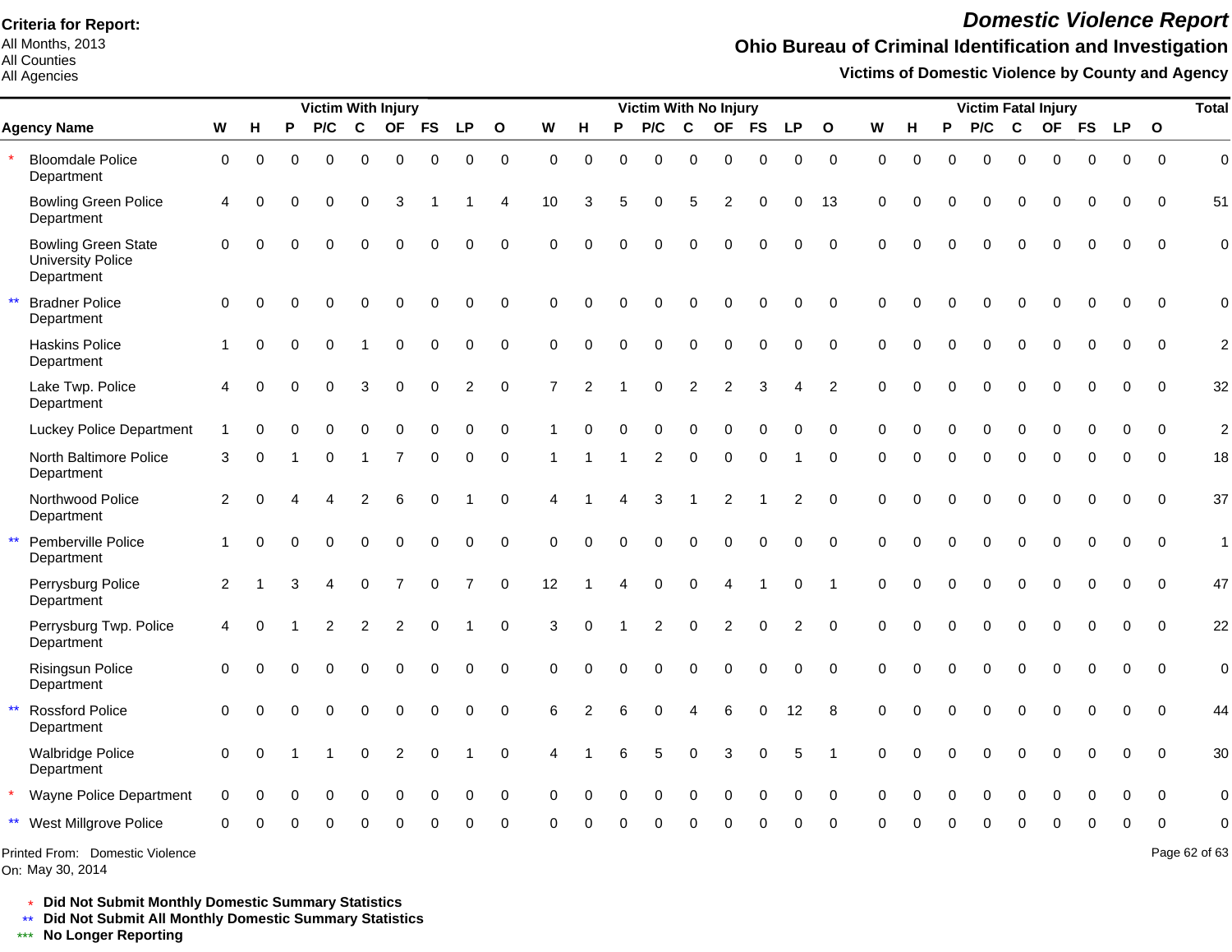All Months, 2013 All Counties

#### All Agencies

## *Domestic Violence Report*

## **Ohio Bureau of Criminal Identification and Investigation**

**Victims of Domestic Violence by County and Agency**

|                                                                      |                |             |                | Victim With Injury |             |                  |             |                |              |                | Victim With No Injury |          |                |                |                 |             |                |                |             |             | <b>Victim Fatal Injury</b> |             |                  |             |             |             |              |                |  |  |
|----------------------------------------------------------------------|----------------|-------------|----------------|--------------------|-------------|------------------|-------------|----------------|--------------|----------------|-----------------------|----------|----------------|----------------|-----------------|-------------|----------------|----------------|-------------|-------------|----------------------------|-------------|------------------|-------------|-------------|-------------|--------------|----------------|--|--|
| <b>Agency Name</b>                                                   | W              | н           | P              | P/C                | C           | <b>OF</b>        | <b>FS</b>   | <b>LP</b>      | $\mathbf{o}$ | W              | H                     | P        | P/C            | $\mathbf c$    | <b>OF</b>       | <b>FS</b>   | <b>LP</b>      | $\mathbf{o}$   | W           | н           | P                          | P/C         | C                | <b>OF</b>   | <b>FS</b>   | <b>LP</b>   | $\mathbf{o}$ |                |  |  |
| <b>Bloomdale Police</b><br>Department                                | $\mathbf 0$    | $\Omega$    | 0              | $\Omega$           | 0           | $\mathbf 0$      | 0           | $\mathbf 0$    | $\mathbf 0$  | $\mathbf 0$    | $\mathbf 0$           | $\Omega$ | $\mathbf 0$    | $\mathbf 0$    | $\mathbf 0$     | $\mathbf 0$ | $\Omega$       | $\mathbf 0$    | $\Omega$    | $\Omega$    | $\Omega$                   | $\Omega$    | $\mathbf 0$      | $\Omega$    | $\Omega$    | $\Omega$    | $\Omega$     | $\mathbf 0$    |  |  |
| <b>Bowling Green Police</b><br>Department                            | $\overline{4}$ | 0           | 0              | $\Omega$           | 0           | 3                |             |                | 4            | 10             | 3                     | 5        | $\Omega$       | 5              | $\overline{2}$  | $\mathbf 0$ | $\mathbf 0$    | 13             | $\mathbf 0$ | $\Omega$    | $\Omega$                   | $\Omega$    | $\Omega$         | $\mathbf 0$ | $\Omega$    | $\mathbf 0$ | 0            | 51             |  |  |
| <b>Bowling Green State</b><br><b>University Police</b><br>Department | $\mathbf 0$    | $\Omega$    | $\Omega$       | $\Omega$           | $\Omega$    | $\Omega$         | $\Omega$    | $\mathbf 0$    | $\mathbf 0$  | 0              | $\Omega$              | $\Omega$ | $\Omega$       | $\Omega$       | $\Omega$        | $\Omega$    | 0              | $\mathbf 0$    | $\Omega$    | $\Omega$    | $\Omega$                   | $\Omega$    | $\Omega$         | $\Omega$    | $\Omega$    | $\Omega$    | $\Omega$     | $\mathbf 0$    |  |  |
| $\star\star$<br><b>Bradner Police</b><br>Department                  | $\Omega$       | $\Omega$    | 0              | $\Omega$           | $\Omega$    | $\mathbf 0$      | $\mathbf 0$ | $\mathbf 0$    | $\mathbf 0$  | $\Omega$       | $\Omega$              | $\Omega$ | $\mathbf 0$    | $\mathbf 0$    | $\mathbf 0$     | $\mathbf 0$ | $\Omega$       | $\Omega$       | $\Omega$    | $\Omega$    | $\Omega$                   | $\Omega$    | $\Omega$         | $\Omega$    | $\Omega$    | $\Omega$    | $\Omega$     | $\mathbf 0$    |  |  |
| <b>Haskins Police</b><br>Department                                  | -1             | $\Omega$    | $\Omega$       | $\Omega$           |             | $\mathbf 0$      | $\mathbf 0$ | $\mathbf 0$    | $\mathbf 0$  | $\Omega$       | $\Omega$              | $\Omega$ | $\Omega$       | $\Omega$       | $\mathbf 0$     | $\mathbf 0$ | $\mathbf 0$    | $\Omega$       | $\Omega$    | $\Omega$    | $\Omega$                   | $\Omega$    | $\Omega$         | $\Omega$    | $\Omega$    | $\Omega$    | $\Omega$     | $\overline{c}$ |  |  |
| Lake Twp. Police<br>Department                                       | 4              | $\Omega$    | 0              | $\Omega$           | 3           | $\mathbf 0$      | $\mathbf 0$ | $\overline{2}$ | $\mathbf 0$  | $\overline{7}$ | 2                     |          | $\Omega$       | $\overline{2}$ | $\overline{2}$  | 3           | 4              | $\overline{2}$ | $\Omega$    | $\Omega$    | $\Omega$                   | 0           | $\Omega$         |             | $\Omega$    | $\Omega$    | $\Omega$     | 32             |  |  |
| <b>Luckey Police Department</b>                                      |                | $\Omega$    | 0              | $\Omega$           | $\Omega$    | $\Omega$         | $\Omega$    | 0              | $\pmb{0}$    |                | $\Omega$              | $\Omega$ | $\Omega$       | $\Omega$       | $\mathbf 0$     | $\Omega$    | $\Omega$       | $\mathbf 0$    | $\Omega$    | $\Omega$    | $\Omega$                   | $\Omega$    | $\Omega$         | $\Omega$    | $\Omega$    | $\Omega$    | $\Omega$     | $\overline{c}$ |  |  |
| North Baltimore Police<br>Department                                 | 3              | $\Omega$    |                | $\Omega$           |             | $\overline{7}$   | 0           | 0              | 0            |                |                       |          | 2              | $\Omega$       | $\Omega$        | $\Omega$    |                | $\Omega$       | $\Omega$    | $\Omega$    | $\Omega$                   | $\Omega$    | $\Omega$         | $\Omega$    | $\Omega$    | $\Omega$    | $\Omega$     | 18             |  |  |
| Northwood Police<br>Department                                       | $\overline{2}$ | $\Omega$    | Δ              | 4                  | 2           | 6                | $\Omega$    |                | $\Omega$     | 4              |                       | 4        | 3              | $\mathbf{1}$   | $\overline{2}$  |             | $\overline{c}$ | $\Omega$       | $\Omega$    | $\Omega$    | $\Omega$                   | $\Omega$    | $\Omega$         | $\Omega$    | $\Omega$    | $\Omega$    | $\Omega$     | 37             |  |  |
| $\star\star$<br>Pemberville Police<br>Department                     | $\overline{1}$ | $\Omega$    | $\Omega$       | $\Omega$           | 0           | $\boldsymbol{0}$ | 0           | $\pmb{0}$      | $\pmb{0}$    | $\overline{0}$ | $\mathbf 0$           | $\Omega$ | $\mathbf 0$    | $\mathbf 0$    | $\pmb{0}$       | $\pmb{0}$   | 0              | $\mathbf 0$    | $\mathbf 0$ | $\Omega$    | $\Omega$                   | $\Omega$    | $\mathbf 0$      | 0           | $\Omega$    | $\Omega$    | $\mathbf 0$  | $\mathbf{1}$   |  |  |
| Perrysburg Police<br>Department                                      | 2              |             | 3              | 4                  | $\mathbf 0$ | $\overline{7}$   | $\mathbf 0$ | $\overline{7}$ | $\mathbf 0$  | 12             |                       | 4        | $\mathbf 0$    | $\pmb{0}$      | $\overline{A}$  |             | 0              | $\overline{1}$ | $\mathbf 0$ | $\mathbf 0$ | $\Omega$                   | $\mathbf 0$ | $\boldsymbol{0}$ | 0           | $\mathbf 0$ | 0           | $\Omega$     | 47             |  |  |
| Perrysburg Twp. Police<br>Department                                 | $\overline{4}$ | $\Omega$    |                | $\overline{2}$     | 2           | $\overline{c}$   | 0           |                | $\mathbf 0$  | 3              | $\mathbf 0$           |          | $\overline{2}$ | $\pmb{0}$      | 2               | $\pmb{0}$   | $\overline{c}$ | $\overline{0}$ | $\mathbf 0$ | $\Omega$    | $\Omega$                   | $\mathbf 0$ | $\mathbf 0$      | $\mathbf 0$ | $\mathbf 0$ | $\mathbf 0$ | $\Omega$     | 22             |  |  |
| <b>Risingsun Police</b><br>Department                                | $\mathbf 0$    | $\Omega$    | 0              | $\Omega$           | $\Omega$    | $\mathbf 0$      | $\mathbf 0$ | $\mathbf 0$    | $\mathbf 0$  | 0              | $\mathbf 0$           | $\Omega$ | $\mathbf 0$    | $\Omega$       | $\mathbf 0$     | $\mathbf 0$ | $\mathbf 0$    | $\overline{0}$ | $\mathbf 0$ | $\Omega$    | $\Omega$                   | $\Omega$    | $\Omega$         | $\Omega$    | $\Omega$    | $\mathbf 0$ | $\mathbf 0$  | $\mathbf 0$    |  |  |
| $\star\star$<br><b>Rossford Police</b><br>Department                 | $\mathbf 0$    | $\Omega$    | 0              | $\Omega$           | 0           | $\mathbf 0$      | $\mathbf 0$ | 0              | $\mathbf 0$  | 6              | 2                     | 6        | $\mathbf 0$    | 4              | $6\phantom{1}6$ | $\mathbf 0$ | 12             | 8              | $\mathbf 0$ | $\mathbf 0$ | $\Omega$                   | 0           | 0                | $\mathbf 0$ | $\Omega$    | $\mathbf 0$ | $\mathbf 0$  | 44             |  |  |
| <b>Walbridge Police</b><br>Department                                | $\mathbf 0$    | $\mathbf 0$ | $\overline{1}$ |                    | 0           | $\overline{c}$   | $\pmb{0}$   | $\mathbf{1}$   | $\mathbf 0$  | 4              |                       | 6        | 5              | $\mathbf 0$    | 3               | $\pmb{0}$   | $\sqrt{5}$     | $\overline{1}$ | $\mathbf 0$ | $\Omega$    | $\Omega$                   | 0           | $\Omega$         | $\Omega$    | $\Omega$    | $\mathbf 0$ | $\mathbf 0$  | 30             |  |  |
| Wayne Police Department                                              | $\mathbf 0$    |             | 0              | $\Omega$           | 0           | $\Omega$         | 0           | $\mathbf 0$    | 0            | $\Omega$       | $\Omega$              | $\Omega$ | $\Omega$       | $\Omega$       | $\Omega$        | $\mathbf 0$ | $\mathbf 0$    | $\mathbf 0$    | $\Omega$    | $\Omega$    |                            | $\Omega$    | $\Omega$         | $\Omega$    |             | 0           | $\Omega$     | $\mathbf 0$    |  |  |
| ** West Millgrove Police                                             | $\Omega$       |             |                |                    |             |                  |             | $\Omega$       | $\Omega$     | $\Omega$       | $\Omega$              |          | ∩              | ∩              | $\Omega$        | $\Omega$    | $\Omega$       | $\Omega$       | $\Omega$    | $\cap$      | $\Omega$                   | $\Omega$    | $\Omega$         | $\Omega$    | $\Omega$    | $\Omega$    | $\Omega$     | $\mathbf 0$    |  |  |
| Printed From: Domestic Violence                                      |                |             |                |                    |             |                  |             |                |              |                |                       |          |                |                |                 |             |                |                |             |             |                            |             |                  |             |             |             |              | Page 62 of 63  |  |  |

On: May 30, 2014

\* **Did Not Submit Monthly Domestic Summary Statistics**

**Did Not Submit All Monthly Domestic Summary Statistics**